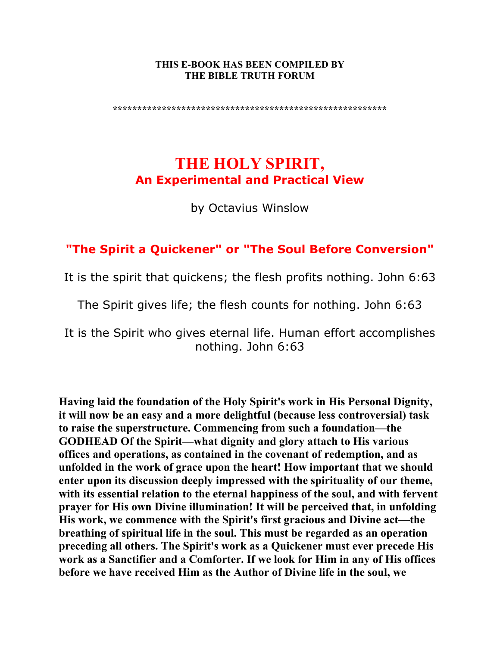#### **THIS E-BOOK HAS BEEN COMPILED BY THE BIBLE TRUTH FORUM**

**\*\*\*\*\*\*\*\*\*\*\*\*\*\*\*\*\*\*\*\*\*\*\*\*\*\*\*\*\*\*\*\*\*\*\*\*\*\*\*\*\*\*\*\*\*\*\*\*\*\*\*\*\*\*\*\*** 

# **THE HOLY SPIRIT, An Experimental and Practical View**

by Octavius Winslow

## **"The Spirit a Quickener" or "The Soul Before Conversion"**

It is the spirit that quickens; the flesh profits nothing. John 6:63

The Spirit gives life; the flesh counts for nothing. John 6:63

It is the Spirit who gives eternal life. Human effort accomplishes nothing. John 6:63

**Having laid the foundation of the Holy Spirit's work in His Personal Dignity, it will now be an easy and a more delightful (because less controversial) task to raise the superstructure. Commencing from such a foundation—the GODHEAD Of the Spirit—what dignity and glory attach to His various offices and operations, as contained in the covenant of redemption, and as unfolded in the work of grace upon the heart! How important that we should enter upon its discussion deeply impressed with the spirituality of our theme, with its essential relation to the eternal happiness of the soul, and with fervent prayer for His own Divine illumination! It will be perceived that, in unfolding His work, we commence with the Spirit's first gracious and Divine act—the breathing of spiritual life in the soul. This must be regarded as an operation preceding all others. The Spirit's work as a Quickener must ever precede His work as a Sanctifier and a Comforter. If we look for Him in any of His offices before we have received Him as the Author of Divine life in the soul, we**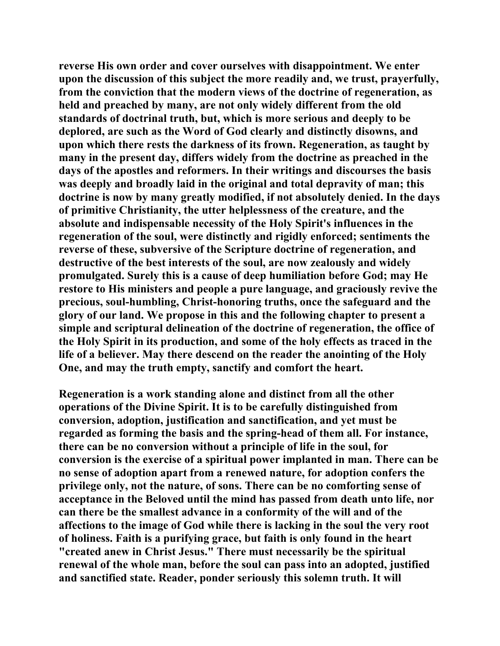**reverse His own order and cover ourselves with disappointment. We enter upon the discussion of this subject the more readily and, we trust, prayerfully, from the conviction that the modern views of the doctrine of regeneration, as held and preached by many, are not only widely different from the old standards of doctrinal truth, but, which is more serious and deeply to be deplored, are such as the Word of God clearly and distinctly disowns, and upon which there rests the darkness of its frown. Regeneration, as taught by many in the present day, differs widely from the doctrine as preached in the days of the apostles and reformers. In their writings and discourses the basis was deeply and broadly laid in the original and total depravity of man; this doctrine is now by many greatly modified, if not absolutely denied. In the days of primitive Christianity, the utter helplessness of the creature, and the absolute and indispensable necessity of the Holy Spirit's influences in the regeneration of the soul, were distinctly and rigidly enforced; sentiments the reverse of these, subversive of the Scripture doctrine of regeneration, and destructive of the best interests of the soul, are now zealously and widely promulgated. Surely this is a cause of deep humiliation before God; may He restore to His ministers and people a pure language, and graciously revive the precious, soul-humbling, Christ-honoring truths, once the safeguard and the glory of our land. We propose in this and the following chapter to present a simple and scriptural delineation of the doctrine of regeneration, the office of the Holy Spirit in its production, and some of the holy effects as traced in the life of a believer. May there descend on the reader the anointing of the Holy One, and may the truth empty, sanctify and comfort the heart.** 

**Regeneration is a work standing alone and distinct from all the other operations of the Divine Spirit. It is to be carefully distinguished from conversion, adoption, justification and sanctification, and yet must be regarded as forming the basis and the spring-head of them all. For instance, there can be no conversion without a principle of life in the soul, for conversion is the exercise of a spiritual power implanted in man. There can be no sense of adoption apart from a renewed nature, for adoption confers the privilege only, not the nature, of sons. There can be no comforting sense of acceptance in the Beloved until the mind has passed from death unto life, nor can there be the smallest advance in a conformity of the will and of the affections to the image of God while there is lacking in the soul the very root of holiness. Faith is a purifying grace, but faith is only found in the heart "created anew in Christ Jesus." There must necessarily be the spiritual renewal of the whole man, before the soul can pass into an adopted, justified and sanctified state. Reader, ponder seriously this solemn truth. It will**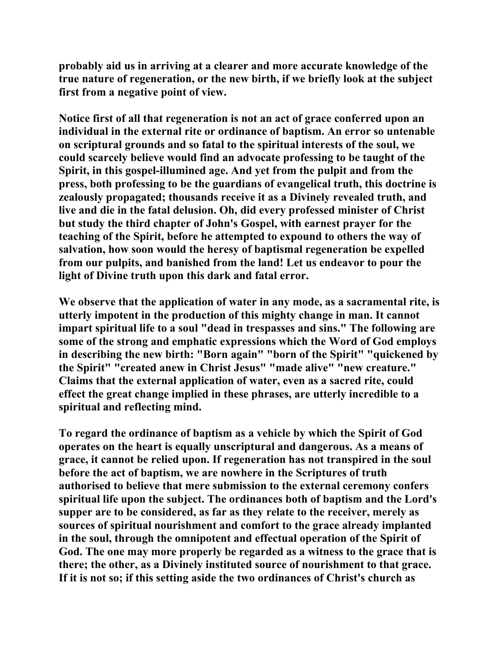**probably aid us in arriving at a clearer and more accurate knowledge of the true nature of regeneration, or the new birth, if we briefly look at the subject first from a negative point of view.** 

**Notice first of all that regeneration is not an act of grace conferred upon an individual in the external rite or ordinance of baptism. An error so untenable on scriptural grounds and so fatal to the spiritual interests of the soul, we could scarcely believe would find an advocate professing to be taught of the Spirit, in this gospel-illumined age. And yet from the pulpit and from the press, both professing to be the guardians of evangelical truth, this doctrine is zealously propagated; thousands receive it as a Divinely revealed truth, and live and die in the fatal delusion. Oh, did every professed minister of Christ but study the third chapter of John's Gospel, with earnest prayer for the teaching of the Spirit, before he attempted to expound to others the way of salvation, how soon would the heresy of baptismal regeneration be expelled from our pulpits, and banished from the land! Let us endeavor to pour the light of Divine truth upon this dark and fatal error.** 

**We observe that the application of water in any mode, as a sacramental rite, is utterly impotent in the production of this mighty change in man. It cannot impart spiritual life to a soul "dead in trespasses and sins." The following are some of the strong and emphatic expressions which the Word of God employs in describing the new birth: "Born again" "born of the Spirit" "quickened by the Spirit" "created anew in Christ Jesus" "made alive" "new creature." Claims that the external application of water, even as a sacred rite, could effect the great change implied in these phrases, are utterly incredible to a spiritual and reflecting mind.** 

**To regard the ordinance of baptism as a vehicle by which the Spirit of God operates on the heart is equally unscriptural and dangerous. As a means of grace, it cannot be relied upon. If regeneration has not transpired in the soul before the act of baptism, we are nowhere in the Scriptures of truth authorised to believe that mere submission to the external ceremony confers spiritual life upon the subject. The ordinances both of baptism and the Lord's supper are to be considered, as far as they relate to the receiver, merely as sources of spiritual nourishment and comfort to the grace already implanted in the soul, through the omnipotent and effectual operation of the Spirit of God. The one may more properly be regarded as a witness to the grace that is there; the other, as a Divinely instituted source of nourishment to that grace. If it is not so; if this setting aside the two ordinances of Christ's church as**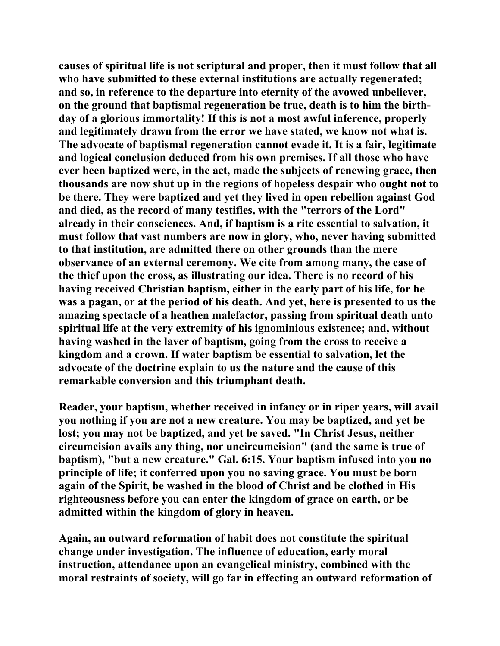**causes of spiritual life is not scriptural and proper, then it must follow that all who have submitted to these external institutions are actually regenerated; and so, in reference to the departure into eternity of the avowed unbeliever, on the ground that baptismal regeneration be true, death is to him the birthday of a glorious immortality! If this is not a most awful inference, properly and legitimately drawn from the error we have stated, we know not what is. The advocate of baptismal regeneration cannot evade it. It is a fair, legitimate and logical conclusion deduced from his own premises. If all those who have ever been baptized were, in the act, made the subjects of renewing grace, then thousands are now shut up in the regions of hopeless despair who ought not to be there. They were baptized and yet they lived in open rebellion against God and died, as the record of many testifies, with the "terrors of the Lord" already in their consciences. And, if baptism is a rite essential to salvation, it must follow that vast numbers are now in glory, who, never having submitted to that institution, are admitted there on other grounds than the mere observance of an external ceremony. We cite from among many, the case of the thief upon the cross, as illustrating our idea. There is no record of his having received Christian baptism, either in the early part of his life, for he was a pagan, or at the period of his death. And yet, here is presented to us the amazing spectacle of a heathen malefactor, passing from spiritual death unto spiritual life at the very extremity of his ignominious existence; and, without having washed in the laver of baptism, going from the cross to receive a kingdom and a crown. If water baptism be essential to salvation, let the advocate of the doctrine explain to us the nature and the cause of this remarkable conversion and this triumphant death.** 

**Reader, your baptism, whether received in infancy or in riper years, will avail you nothing if you are not a new creature. You may be baptized, and yet be lost; you may not be baptized, and yet be saved. "In Christ Jesus, neither circumcision avails any thing, nor uncircumcision" (and the same is true of baptism), "but a new creature." Gal. 6:15. Your baptism infused into you no principle of life; it conferred upon you no saving grace. You must be born again of the Spirit, be washed in the blood of Christ and be clothed in His righteousness before you can enter the kingdom of grace on earth, or be admitted within the kingdom of glory in heaven.** 

**Again, an outward reformation of habit does not constitute the spiritual change under investigation. The influence of education, early moral instruction, attendance upon an evangelical ministry, combined with the moral restraints of society, will go far in effecting an outward reformation of**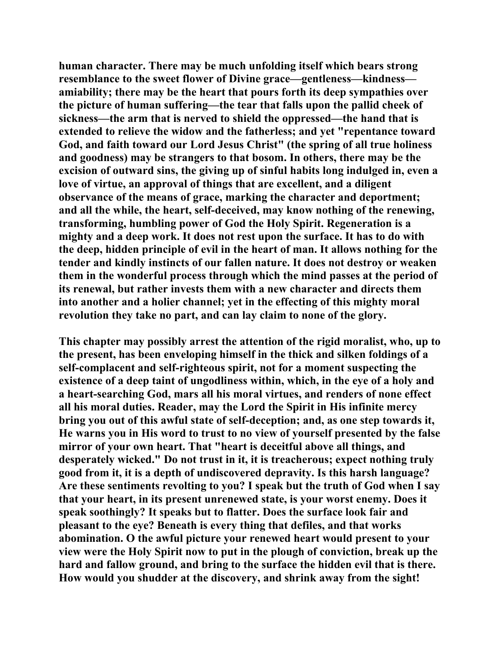**human character. There may be much unfolding itself which bears strong resemblance to the sweet flower of Divine grace—gentleness—kindness amiability; there may be the heart that pours forth its deep sympathies over the picture of human suffering—the tear that falls upon the pallid cheek of sickness—the arm that is nerved to shield the oppressed—the hand that is extended to relieve the widow and the fatherless; and yet "repentance toward God, and faith toward our Lord Jesus Christ" (the spring of all true holiness and goodness) may be strangers to that bosom. In others, there may be the excision of outward sins, the giving up of sinful habits long indulged in, even a love of virtue, an approval of things that are excellent, and a diligent observance of the means of grace, marking the character and deportment; and all the while, the heart, self-deceived, may know nothing of the renewing, transforming, humbling power of God the Holy Spirit. Regeneration is a mighty and a deep work. It does not rest upon the surface. It has to do with the deep, hidden principle of evil in the heart of man. It allows nothing for the tender and kindly instincts of our fallen nature. It does not destroy or weaken them in the wonderful process through which the mind passes at the period of its renewal, but rather invests them with a new character and directs them into another and a holier channel; yet in the effecting of this mighty moral revolution they take no part, and can lay claim to none of the glory.** 

**This chapter may possibly arrest the attention of the rigid moralist, who, up to the present, has been enveloping himself in the thick and silken foldings of a self-complacent and self-righteous spirit, not for a moment suspecting the existence of a deep taint of ungodliness within, which, in the eye of a holy and a heart-searching God, mars all his moral virtues, and renders of none effect all his moral duties. Reader, may the Lord the Spirit in His infinite mercy bring you out of this awful state of self-deception; and, as one step towards it, He warns you in His word to trust to no view of yourself presented by the false mirror of your own heart. That "heart is deceitful above all things, and desperately wicked." Do not trust in it, it is treacherous; expect nothing truly good from it, it is a depth of undiscovered depravity. Is this harsh language? Are these sentiments revolting to you? I speak but the truth of God when I say that your heart, in its present unrenewed state, is your worst enemy. Does it speak soothingly? It speaks but to flatter. Does the surface look fair and pleasant to the eye? Beneath is every thing that defiles, and that works abomination. O the awful picture your renewed heart would present to your view were the Holy Spirit now to put in the plough of conviction, break up the hard and fallow ground, and bring to the surface the hidden evil that is there. How would you shudder at the discovery, and shrink away from the sight!**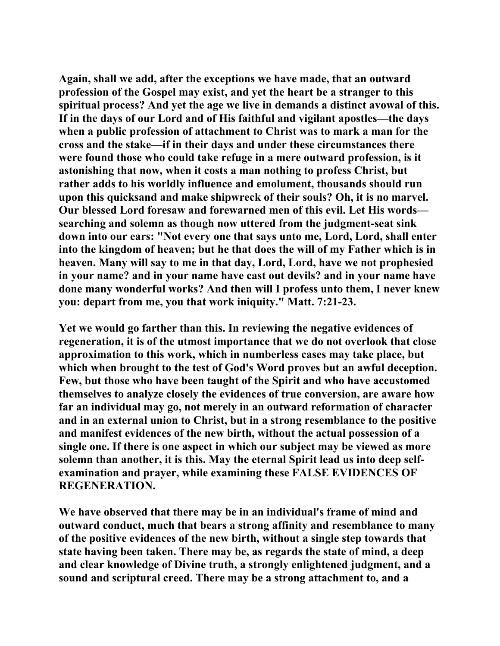**Again, shall we add, after the exceptions we have made, that an outward profession of the Gospel may exist, and yet the heart be a stranger to this spiritual process? And yet the age we live in demands a distinct avowal of this. If in the days of our Lord and of His faithful and vigilant apostles—the days when a public profession of attachment to Christ was to mark a man for the cross and the stake—if in their days and under these circumstances there were found those who could take refuge in a mere outward profession, is it astonishing that now, when it costs a man nothing to profess Christ, but rather adds to his worldly influence and emolument, thousands should run upon this quicksand and make shipwreck of their souls? Oh, it is no marvel. Our blessed Lord foresaw and forewarned men of this evil. Let His words searching and solemn as though now uttered from the judgment-seat sink down into our ears: "Not every one that says unto me, Lord, Lord, shall enter into the kingdom of heaven; but he that does the will of my Father which is in heaven. Many will say to me in that day, Lord, Lord, have we not prophesied in your name? and in your name have cast out devils? and in your name have done many wonderful works? And then will I profess unto them, I never knew you: depart from me, you that work iniquity." Matt. 7:21-23.** 

**Yet we would go farther than this. In reviewing the negative evidences of regeneration, it is of the utmost importance that we do not overlook that close approximation to this work, which in numberless cases may take place, but which when brought to the test of God's Word proves but an awful deception. Few, but those who have been taught of the Spirit and who have accustomed themselves to analyze closely the evidences of true conversion, are aware how far an individual may go, not merely in an outward reformation of character and in an external union to Christ, but in a strong resemblance to the positive and manifest evidences of the new birth, without the actual possession of a single one. If there is one aspect in which our subject may be viewed as more solemn than another, it is this. May the eternal Spirit lead us into deep selfexamination and prayer, while examining these FALSE EVIDENCES OF REGENERATION.** 

**We have observed that there may be in an individual's frame of mind and outward conduct, much that bears a strong affinity and resemblance to many of the positive evidences of the new birth, without a single step towards that state having been taken. There may be, as regards the state of mind, a deep and clear knowledge of Divine truth, a strongly enlightened judgment, and a sound and scriptural creed. There may be a strong attachment to, and a**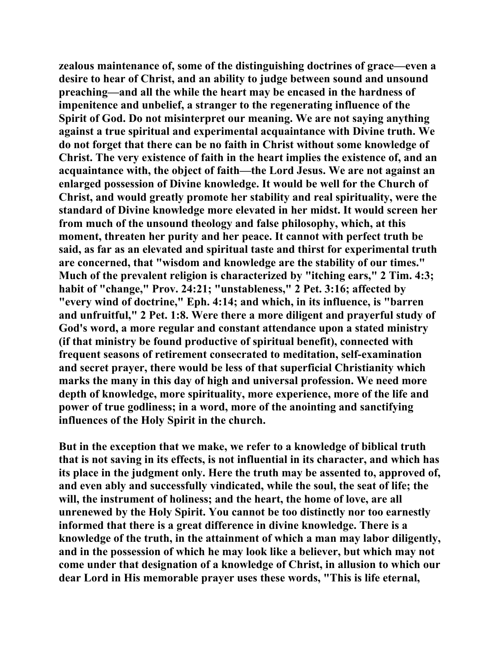**zealous maintenance of, some of the distinguishing doctrines of grace—even a desire to hear of Christ, and an ability to judge between sound and unsound preaching—and all the while the heart may be encased in the hardness of impenitence and unbelief, a stranger to the regenerating influence of the Spirit of God. Do not misinterpret our meaning. We are not saying anything against a true spiritual and experimental acquaintance with Divine truth. We do not forget that there can be no faith in Christ without some knowledge of Christ. The very existence of faith in the heart implies the existence of, and an acquaintance with, the object of faith—the Lord Jesus. We are not against an enlarged possession of Divine knowledge. It would be well for the Church of Christ, and would greatly promote her stability and real spirituality, were the standard of Divine knowledge more elevated in her midst. It would screen her from much of the unsound theology and false philosophy, which, at this moment, threaten her purity and her peace. It cannot with perfect truth be said, as far as an elevated and spiritual taste and thirst for experimental truth are concerned, that "wisdom and knowledge are the stability of our times." Much of the prevalent religion is characterized by "itching ears," 2 Tim. 4:3; habit of "change," Prov. 24:21; "unstableness," 2 Pet. 3:16; affected by "every wind of doctrine," Eph. 4:14; and which, in its influence, is "barren and unfruitful," 2 Pet. 1:8. Were there a more diligent and prayerful study of God's word, a more regular and constant attendance upon a stated ministry (if that ministry be found productive of spiritual benefit), connected with frequent seasons of retirement consecrated to meditation, self-examination and secret prayer, there would be less of that superficial Christianity which marks the many in this day of high and universal profession. We need more depth of knowledge, more spirituality, more experience, more of the life and power of true godliness; in a word, more of the anointing and sanctifying influences of the Holy Spirit in the church.** 

**But in the exception that we make, we refer to a knowledge of biblical truth that is not saving in its effects, is not influential in its character, and which has its place in the judgment only. Here the truth may be assented to, approved of, and even ably and successfully vindicated, while the soul, the seat of life; the will, the instrument of holiness; and the heart, the home of love, are all unrenewed by the Holy Spirit. You cannot be too distinctly nor too earnestly informed that there is a great difference in divine knowledge. There is a knowledge of the truth, in the attainment of which a man may labor diligently, and in the possession of which he may look like a believer, but which may not come under that designation of a knowledge of Christ, in allusion to which our dear Lord in His memorable prayer uses these words, "This is life eternal,**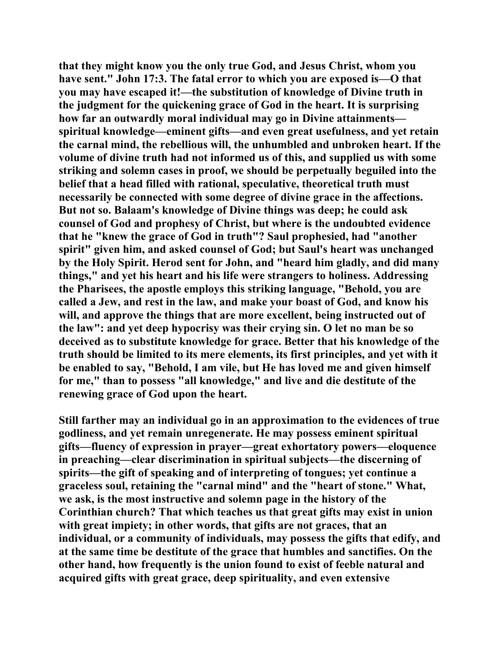**that they might know you the only true God, and Jesus Christ, whom you have sent." John 17:3. The fatal error to which you are exposed is—O that you may have escaped it!—the substitution of knowledge of Divine truth in the judgment for the quickening grace of God in the heart. It is surprising how far an outwardly moral individual may go in Divine attainments spiritual knowledge—eminent gifts—and even great usefulness, and yet retain the carnal mind, the rebellious will, the unhumbled and unbroken heart. If the volume of divine truth had not informed us of this, and supplied us with some striking and solemn cases in proof, we should be perpetually beguiled into the belief that a head filled with rational, speculative, theoretical truth must necessarily be connected with some degree of divine grace in the affections. But not so. Balaam's knowledge of Divine things was deep; he could ask counsel of God and prophesy of Christ, but where is the undoubted evidence that he "knew the grace of God in truth"? Saul prophesied, had "another spirit" given him, and asked counsel of God; but Saul's heart was unchanged by the Holy Spirit. Herod sent for John, and "heard him gladly, and did many things," and yet his heart and his life were strangers to holiness. Addressing the Pharisees, the apostle employs this striking language, "Behold, you are called a Jew, and rest in the law, and make your boast of God, and know his will, and approve the things that are more excellent, being instructed out of the law": and yet deep hypocrisy was their crying sin. O let no man be so deceived as to substitute knowledge for grace. Better that his knowledge of the truth should be limited to its mere elements, its first principles, and yet with it be enabled to say, "Behold, I am vile, but He has loved me and given himself for me," than to possess "all knowledge," and live and die destitute of the renewing grace of God upon the heart.** 

**Still farther may an individual go in an approximation to the evidences of true godliness, and yet remain unregenerate. He may possess eminent spiritual gifts—fluency of expression in prayer—great exhortatory powers—eloquence in preaching—clear discrimination in spiritual subjects—the discerning of spirits—the gift of speaking and of interpreting of tongues; yet continue a graceless soul, retaining the "carnal mind" and the "heart of stone." What, we ask, is the most instructive and solemn page in the history of the Corinthian church? That which teaches us that great gifts may exist in union with great impiety; in other words, that gifts are not graces, that an individual, or a community of individuals, may possess the gifts that edify, and at the same time be destitute of the grace that humbles and sanctifies. On the other hand, how frequently is the union found to exist of feeble natural and acquired gifts with great grace, deep spirituality, and even extensive**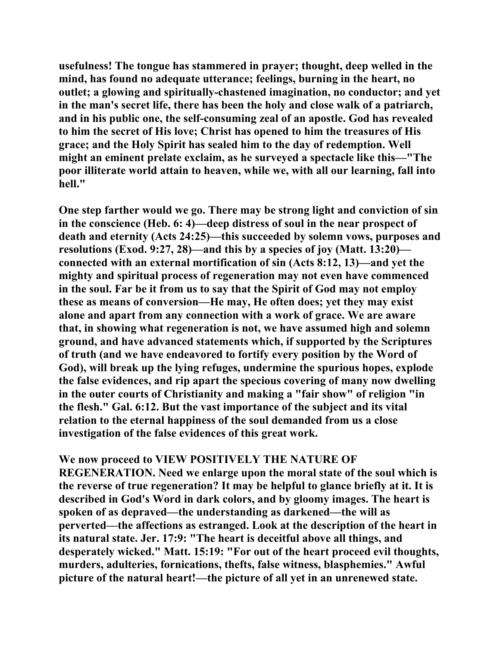**usefulness! The tongue has stammered in prayer; thought, deep welled in the mind, has found no adequate utterance; feelings, burning in the heart, no outlet; a glowing and spiritually-chastened imagination, no conductor; and yet in the man's secret life, there has been the holy and close walk of a patriarch, and in his public one, the self-consuming zeal of an apostle. God has revealed to him the secret of His love; Christ has opened to him the treasures of His grace; and the Holy Spirit has sealed him to the day of redemption. Well might an eminent prelate exclaim, as he surveyed a spectacle like this—"The poor illiterate world attain to heaven, while we, with all our learning, fall into hell."** 

**One step farther would we go. There may be strong light and conviction of sin in the conscience (Heb. 6: 4)—deep distress of soul in the near prospect of death and eternity (Acts 24:25)—this succeeded by solemn vows, purposes and resolutions (Exod. 9:27, 28)—and this by a species of joy (Matt. 13:20) connected with an external mortification of sin (Acts 8:12, 13)—and yet the mighty and spiritual process of regeneration may not even have commenced in the soul. Far be it from us to say that the Spirit of God may not employ these as means of conversion—He may, He often does; yet they may exist alone and apart from any connection with a work of grace. We are aware that, in showing what regeneration is not, we have assumed high and solemn ground, and have advanced statements which, if supported by the Scriptures of truth (and we have endeavored to fortify every position by the Word of God), will break up the lying refuges, undermine the spurious hopes, explode the false evidences, and rip apart the specious covering of many now dwelling in the outer courts of Christianity and making a "fair show" of religion "in the flesh." Gal. 6:12. But the vast importance of the subject and its vital relation to the eternal happiness of the soul demanded from us a close investigation of the false evidences of this great work.** 

## **We now proceed to VIEW POSITIVELY THE NATURE OF**

**REGENERATION. Need we enlarge upon the moral state of the soul which is the reverse of true regeneration? It may be helpful to glance briefly at it. It is described in God's Word in dark colors, and by gloomy images. The heart is spoken of as depraved—the understanding as darkened—the will as perverted—the affections as estranged. Look at the description of the heart in its natural state. Jer. 17:9: "The heart is deceitful above all things, and desperately wicked." Matt. 15:19: "For out of the heart proceed evil thoughts, murders, adulteries, fornications, thefts, false witness, blasphemies." Awful picture of the natural heart!—the picture of all yet in an unrenewed state.**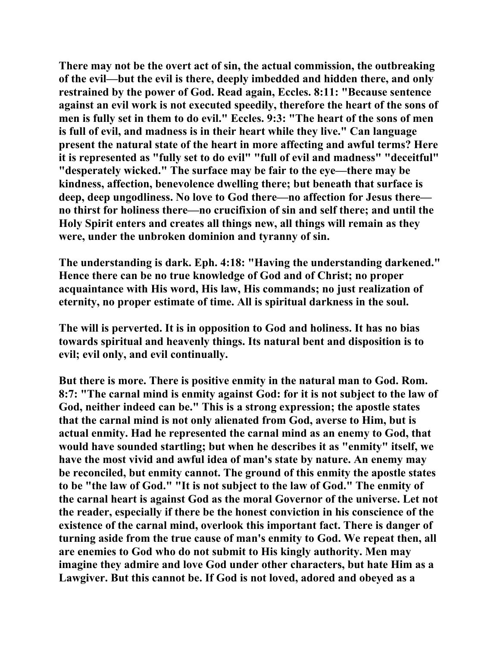**There may not be the overt act of sin, the actual commission, the outbreaking of the evil—but the evil is there, deeply imbedded and hidden there, and only restrained by the power of God. Read again, Eccles. 8:11: "Because sentence against an evil work is not executed speedily, therefore the heart of the sons of men is fully set in them to do evil." Eccles. 9:3: "The heart of the sons of men is full of evil, and madness is in their heart while they live." Can language present the natural state of the heart in more affecting and awful terms? Here it is represented as "fully set to do evil" "full of evil and madness" "deceitful" "desperately wicked." The surface may be fair to the eye—there may be kindness, affection, benevolence dwelling there; but beneath that surface is deep, deep ungodliness. No love to God there—no affection for Jesus there no thirst for holiness there—no crucifixion of sin and self there; and until the Holy Spirit enters and creates all things new, all things will remain as they were, under the unbroken dominion and tyranny of sin.** 

**The understanding is dark. Eph. 4:18: "Having the understanding darkened." Hence there can be no true knowledge of God and of Christ; no proper acquaintance with His word, His law, His commands; no just realization of eternity, no proper estimate of time. All is spiritual darkness in the soul.** 

**The will is perverted. It is in opposition to God and holiness. It has no bias towards spiritual and heavenly things. Its natural bent and disposition is to evil; evil only, and evil continually.** 

**But there is more. There is positive enmity in the natural man to God. Rom. 8:7: "The carnal mind is enmity against God: for it is not subject to the law of God, neither indeed can be." This is a strong expression; the apostle states that the carnal mind is not only alienated from God, averse to Him, but is actual enmity. Had he represented the carnal mind as an enemy to God, that would have sounded startling; but when he describes it as "enmity" itself, we have the most vivid and awful idea of man's state by nature. An enemy may be reconciled, but enmity cannot. The ground of this enmity the apostle states to be "the law of God." "It is not subject to the law of God." The enmity of the carnal heart is against God as the moral Governor of the universe. Let not the reader, especially if there be the honest conviction in his conscience of the existence of the carnal mind, overlook this important fact. There is danger of turning aside from the true cause of man's enmity to God. We repeat then, all are enemies to God who do not submit to His kingly authority. Men may imagine they admire and love God under other characters, but hate Him as a Lawgiver. But this cannot be. If God is not loved, adored and obeyed as a**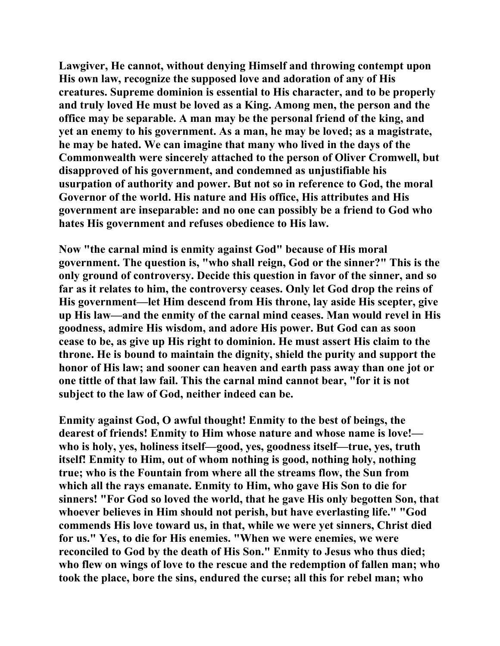**Lawgiver, He cannot, without denying Himself and throwing contempt upon His own law, recognize the supposed love and adoration of any of His creatures. Supreme dominion is essential to His character, and to be properly and truly loved He must be loved as a King. Among men, the person and the office may be separable. A man may be the personal friend of the king, and yet an enemy to his government. As a man, he may be loved; as a magistrate, he may be hated. We can imagine that many who lived in the days of the Commonwealth were sincerely attached to the person of Oliver Cromwell, but disapproved of his government, and condemned as unjustifiable his usurpation of authority and power. But not so in reference to God, the moral Governor of the world. His nature and His office, His attributes and His government are inseparable: and no one can possibly be a friend to God who hates His government and refuses obedience to His law.** 

**Now "the carnal mind is enmity against God" because of His moral government. The question is, "who shall reign, God or the sinner?" This is the only ground of controversy. Decide this question in favor of the sinner, and so far as it relates to him, the controversy ceases. Only let God drop the reins of His government—let Him descend from His throne, lay aside His scepter, give up His law—and the enmity of the carnal mind ceases. Man would revel in His goodness, admire His wisdom, and adore His power. But God can as soon cease to be, as give up His right to dominion. He must assert His claim to the throne. He is bound to maintain the dignity, shield the purity and support the honor of His law; and sooner can heaven and earth pass away than one jot or one tittle of that law fail. This the carnal mind cannot bear, "for it is not subject to the law of God, neither indeed can be.** 

**Enmity against God, O awful thought! Enmity to the best of beings, the dearest of friends! Enmity to Him whose nature and whose name is love! who is holy, yes, holiness itself—good, yes, goodness itself—true, yes, truth itself! Enmity to Him, out of whom nothing is good, nothing holy, nothing true; who is the Fountain from where all the streams flow, the Sun from which all the rays emanate. Enmity to Him, who gave His Son to die for sinners! "For God so loved the world, that he gave His only begotten Son, that whoever believes in Him should not perish, but have everlasting life." "God commends His love toward us, in that, while we were yet sinners, Christ died for us." Yes, to die for His enemies. "When we were enemies, we were reconciled to God by the death of His Son." Enmity to Jesus who thus died; who flew on wings of love to the rescue and the redemption of fallen man; who took the place, bore the sins, endured the curse; all this for rebel man; who**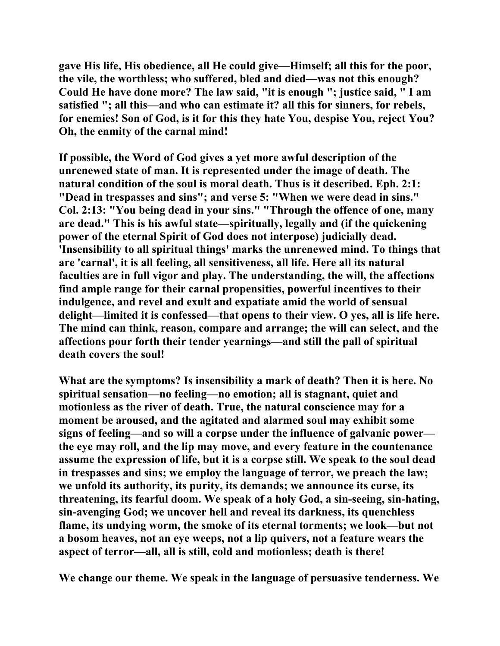**gave His life, His obedience, all He could give—Himself; all this for the poor, the vile, the worthless; who suffered, bled and died—was not this enough? Could He have done more? The law said, "it is enough "; justice said, " I am satisfied "; all this—and who can estimate it? all this for sinners, for rebels, for enemies! Son of God, is it for this they hate You, despise You, reject You? Oh, the enmity of the carnal mind!** 

**If possible, the Word of God gives a yet more awful description of the unrenewed state of man. It is represented under the image of death. The natural condition of the soul is moral death. Thus is it described. Eph. 2:1: "Dead in trespasses and sins"; and verse 5: "When we were dead in sins." Col. 2:13: "You being dead in your sins." "Through the offence of one, many are dead." This is his awful state—spiritually, legally and (if the quickening power of the eternal Spirit of God does not interpose) judicially dead. 'Insensibility to all spiritual things' marks the unrenewed mind. To things that are 'carnal', it is all feeling, all sensitiveness, all life. Here all its natural faculties are in full vigor and play. The understanding, the will, the affections find ample range for their carnal propensities, powerful incentives to their indulgence, and revel and exult and expatiate amid the world of sensual delight—limited it is confessed—that opens to their view. O yes, all is life here. The mind can think, reason, compare and arrange; the will can select, and the affections pour forth their tender yearnings—and still the pall of spiritual death covers the soul!** 

**What are the symptoms? Is insensibility a mark of death? Then it is here. No spiritual sensation—no feeling—no emotion; all is stagnant, quiet and motionless as the river of death. True, the natural conscience may for a moment be aroused, and the agitated and alarmed soul may exhibit some signs of feeling—and so will a corpse under the influence of galvanic power the eye may roll, and the lip may move, and every feature in the countenance assume the expression of life, but it is a corpse still. We speak to the soul dead in trespasses and sins; we employ the language of terror, we preach the law; we unfold its authority, its purity, its demands; we announce its curse, its threatening, its fearful doom. We speak of a holy God, a sin-seeing, sin-hating, sin-avenging God; we uncover hell and reveal its darkness, its quenchless flame, its undying worm, the smoke of its eternal torments; we look—but not a bosom heaves, not an eye weeps, not a lip quivers, not a feature wears the aspect of terror—all, all is still, cold and motionless; death is there!** 

**We change our theme. We speak in the language of persuasive tenderness. We**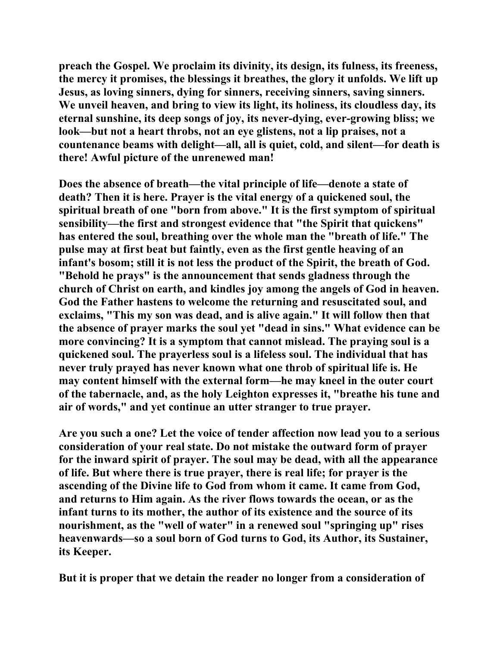**preach the Gospel. We proclaim its divinity, its design, its fulness, its freeness, the mercy it promises, the blessings it breathes, the glory it unfolds. We lift up Jesus, as loving sinners, dying for sinners, receiving sinners, saving sinners. We unveil heaven, and bring to view its light, its holiness, its cloudless day, its eternal sunshine, its deep songs of joy, its never-dying, ever-growing bliss; we look—but not a heart throbs, not an eye glistens, not a lip praises, not a countenance beams with delight—all, all is quiet, cold, and silent—for death is there! Awful picture of the unrenewed man!** 

**Does the absence of breath—the vital principle of life—denote a state of death? Then it is here. Prayer is the vital energy of a quickened soul, the spiritual breath of one "born from above." It is the first symptom of spiritual sensibility—the first and strongest evidence that "the Spirit that quickens" has entered the soul, breathing over the whole man the "breath of life." The pulse may at first beat but faintly, even as the first gentle heaving of an infant's bosom; still it is not less the product of the Spirit, the breath of God. "Behold he prays" is the announcement that sends gladness through the church of Christ on earth, and kindles joy among the angels of God in heaven. God the Father hastens to welcome the returning and resuscitated soul, and exclaims, "This my son was dead, and is alive again." It will follow then that the absence of prayer marks the soul yet "dead in sins." What evidence can be more convincing? It is a symptom that cannot mislead. The praying soul is a quickened soul. The prayerless soul is a lifeless soul. The individual that has never truly prayed has never known what one throb of spiritual life is. He may content himself with the external form—he may kneel in the outer court of the tabernacle, and, as the holy Leighton expresses it, "breathe his tune and air of words," and yet continue an utter stranger to true prayer.** 

**Are you such a one? Let the voice of tender affection now lead you to a serious consideration of your real state. Do not mistake the outward form of prayer for the inward spirit of prayer. The soul may be dead, with all the appearance of life. But where there is true prayer, there is real life; for prayer is the ascending of the Divine life to God from whom it came. It came from God, and returns to Him again. As the river flows towards the ocean, or as the infant turns to its mother, the author of its existence and the source of its nourishment, as the "well of water" in a renewed soul "springing up" rises heavenwards—so a soul born of God turns to God, its Author, its Sustainer, its Keeper.** 

**But it is proper that we detain the reader no longer from a consideration of**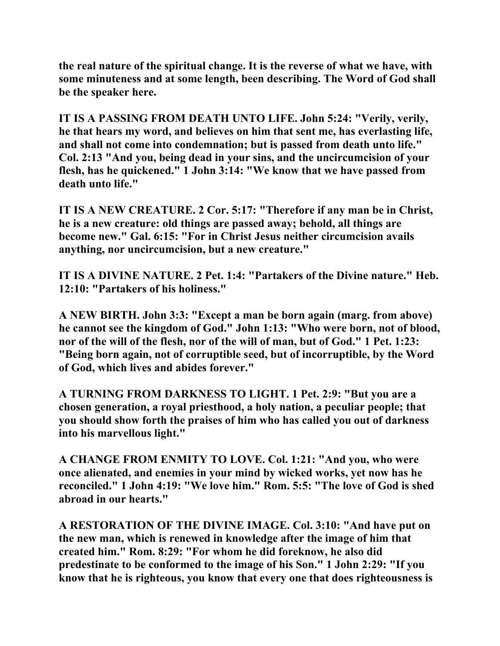**the real nature of the spiritual change. It is the reverse of what we have, with some minuteness and at some length, been describing. The Word of God shall be the speaker here.** 

**IT IS A PASSING FROM DEATH UNTO LIFE. John 5:24: "Verily, verily, he that hears my word, and believes on him that sent me, has everlasting life, and shall not come into condemnation; but is passed from death unto life." Col. 2:13 "And you, being dead in your sins, and the uncircumcision of your flesh, has he quickened." 1 John 3:14: "We know that we have passed from death unto life."** 

**IT IS A NEW CREATURE. 2 Cor. 5:17: "Therefore if any man be in Christ, he is a new creature: old things are passed away; behold, all things are become new." Gal. 6:15: "For in Christ Jesus neither circumcision avails anything, nor uncircumcision, but a new creature."** 

**IT IS A DIVINE NATURE. 2 Pet. 1:4: "Partakers of the Divine nature." Heb. 12:10: "Partakers of his holiness."** 

**A NEW BIRTH. John 3:3: "Except a man be born again (marg. from above) he cannot see the kingdom of God." John 1:13: "Who were born, not of blood, nor of the will of the flesh, nor of the will of man, but of God." 1 Pet. 1:23: "Being born again, not of corruptible seed, but of incorruptible, by the Word of God, which lives and abides forever."** 

**A TURNING FROM DARKNESS TO LIGHT. 1 Pet. 2:9: "But you are a chosen generation, a royal priesthood, a holy nation, a peculiar people; that you should show forth the praises of him who has called you out of darkness into his marvellous light."** 

**A CHANGE FROM ENMITY TO LOVE. Col. 1:21: "And you, who were once alienated, and enemies in your mind by wicked works, yet now has he reconciled." 1 John 4:19: "We love him." Rom. 5:5: "The love of God is shed abroad in our hearts."** 

**A RESTORATION OF THE DIVINE IMAGE. Col. 3:10: "And have put on the new man, which is renewed in knowledge after the image of him that created him." Rom. 8:29: "For whom he did foreknow, he also did predestinate to be conformed to the image of his Son." 1 John 2:29: "If you know that he is righteous, you know that every one that does righteousness is**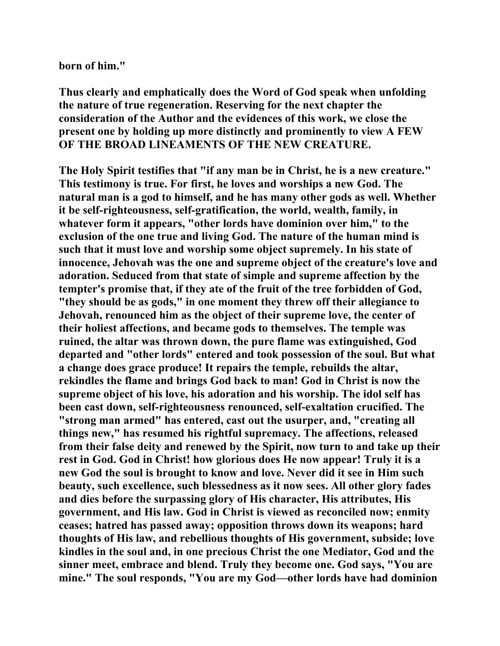#### **born of him."**

**Thus clearly and emphatically does the Word of God speak when unfolding the nature of true regeneration. Reserving for the next chapter the consideration of the Author and the evidences of this work, we close the present one by holding up more distinctly and prominently to view A FEW OF THE BROAD LINEAMENTS OF THE NEW CREATURE.** 

**The Holy Spirit testifies that "if any man be in Christ, he is a new creature." This testimony is true. For first, he loves and worships a new God. The natural man is a god to himself, and he has many other gods as well. Whether it be self-righteousness, self-gratification, the world, wealth, family, in whatever form it appears, "other lords have dominion over him," to the exclusion of the one true and living God. The nature of the human mind is such that it must love and worship some object supremely. In his state of innocence, Jehovah was the one and supreme object of the creature's love and adoration. Seduced from that state of simple and supreme affection by the tempter's promise that, if they ate of the fruit of the tree forbidden of God, "they should be as gods," in one moment they threw off their allegiance to Jehovah, renounced him as the object of their supreme love, the center of their holiest affections, and became gods to themselves. The temple was ruined, the altar was thrown down, the pure flame was extinguished, God departed and "other lords" entered and took possession of the soul. But what a change does grace produce! It repairs the temple, rebuilds the altar, rekindles the flame and brings God back to man! God in Christ is now the supreme object of his love, his adoration and his worship. The idol self has been cast down, self-righteousness renounced, self-exaltation crucified. The "strong man armed" has entered, cast out the usurper, and, "creating all things new," has resumed his rightful supremacy. The affections, released from their false deity and renewed by the Spirit, now turn to and take up their rest in God. God in Christ! how glorious does He now appear! Truly it is a new God the soul is brought to know and love. Never did it see in Him such beauty, such excellence, such blessedness as it now sees. All other glory fades and dies before the surpassing glory of His character, His attributes, His government, and His law. God in Christ is viewed as reconciled now; enmity ceases; hatred has passed away; opposition throws down its weapons; hard thoughts of His law, and rebellious thoughts of His government, subside; love kindles in the soul and, in one precious Christ the one Mediator, God and the sinner meet, embrace and blend. Truly they become one. God says, "You are mine." The soul responds, "You are my God—other lords have had dominion**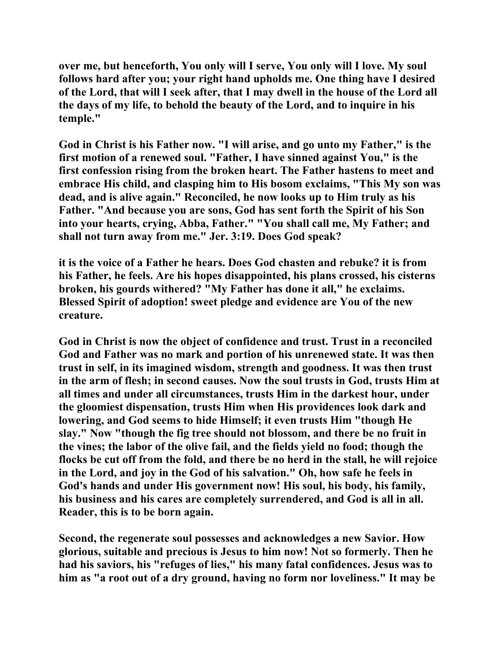**over me, but henceforth, You only will I serve, You only will I love. My soul follows hard after you; your right hand upholds me. One thing have I desired of the Lord, that will I seek after, that I may dwell in the house of the Lord all the days of my life, to behold the beauty of the Lord, and to inquire in his temple."** 

**God in Christ is his Father now. "I will arise, and go unto my Father," is the first motion of a renewed soul. "Father, I have sinned against You," is the first confession rising from the broken heart. The Father hastens to meet and embrace His child, and clasping him to His bosom exclaims, "This My son was dead, and is alive again." Reconciled, he now looks up to Him truly as his Father. "And because you are sons, God has sent forth the Spirit of his Son into your hearts, crying, Abba, Father." "You shall call me, My Father; and shall not turn away from me." Jer. 3:19. Does God speak?** 

**it is the voice of a Father he hears. Does God chasten and rebuke? it is from his Father, he feels. Are his hopes disappointed, his plans crossed, his cisterns broken, his gourds withered? "My Father has done it all," he exclaims. Blessed Spirit of adoption! sweet pledge and evidence are You of the new creature.** 

**God in Christ is now the object of confidence and trust. Trust in a reconciled God and Father was no mark and portion of his unrenewed state. It was then trust in self, in its imagined wisdom, strength and goodness. It was then trust in the arm of flesh; in second causes. Now the soul trusts in God, trusts Him at all times and under all circumstances, trusts Him in the darkest hour, under the gloomiest dispensation, trusts Him when His providences look dark and lowering, and God seems to hide Himself; it even trusts Him "though He slay." Now "though the fig tree should not blossom, and there be no fruit in the vines; the labor of the olive fail, and the fields yield no food; though the flocks be cut off from the fold, and there be no herd in the stall, he will rejoice in the Lord, and joy in the God of his salvation." Oh, how safe he feels in God's hands and under His government now! His soul, his body, his family, his business and his cares are completely surrendered, and God is all in all. Reader, this is to be born again.** 

**Second, the regenerate soul possesses and acknowledges a new Savior. How glorious, suitable and precious is Jesus to him now! Not so formerly. Then he had his saviors, his "refuges of lies," his many fatal confidences. Jesus was to him as "a root out of a dry ground, having no form nor loveliness." It may be**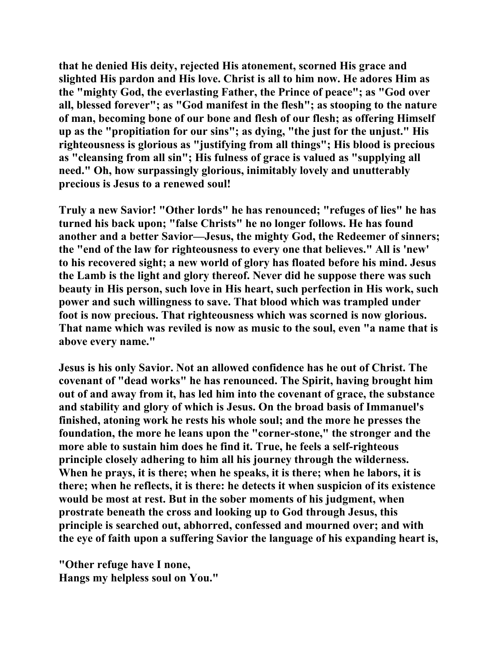**that he denied His deity, rejected His atonement, scorned His grace and slighted His pardon and His love. Christ is all to him now. He adores Him as the "mighty God, the everlasting Father, the Prince of peace"; as "God over all, blessed forever"; as "God manifest in the flesh"; as stooping to the nature of man, becoming bone of our bone and flesh of our flesh; as offering Himself up as the "propitiation for our sins"; as dying, "the just for the unjust." His righteousness is glorious as "justifying from all things"; His blood is precious as "cleansing from all sin"; His fulness of grace is valued as "supplying all need." Oh, how surpassingly glorious, inimitably lovely and unutterably precious is Jesus to a renewed soul!** 

**Truly a new Savior! "Other lords" he has renounced; "refuges of lies" he has turned his back upon; "false Christs" he no longer follows. He has found another and a better Savior—Jesus, the mighty God, the Redeemer of sinners; the "end of the law for righteousness to every one that believes." All is 'new' to his recovered sight; a new world of glory has floated before his mind. Jesus the Lamb is the light and glory thereof. Never did he suppose there was such beauty in His person, such love in His heart, such perfection in His work, such power and such willingness to save. That blood which was trampled under foot is now precious. That righteousness which was scorned is now glorious. That name which was reviled is now as music to the soul, even "a name that is above every name."** 

**Jesus is his only Savior. Not an allowed confidence has he out of Christ. The covenant of "dead works" he has renounced. The Spirit, having brought him out of and away from it, has led him into the covenant of grace, the substance and stability and glory of which is Jesus. On the broad basis of Immanuel's finished, atoning work he rests his whole soul; and the more he presses the foundation, the more he leans upon the "corner-stone," the stronger and the more able to sustain him does he find it. True, he feels a self-righteous principle closely adhering to him all his journey through the wilderness. When he prays, it is there; when he speaks, it is there; when he labors, it is there; when he reflects, it is there: he detects it when suspicion of its existence would be most at rest. But in the sober moments of his judgment, when prostrate beneath the cross and looking up to God through Jesus, this principle is searched out, abhorred, confessed and mourned over; and with the eye of faith upon a suffering Savior the language of his expanding heart is,** 

**"Other refuge have I none, Hangs my helpless soul on You."**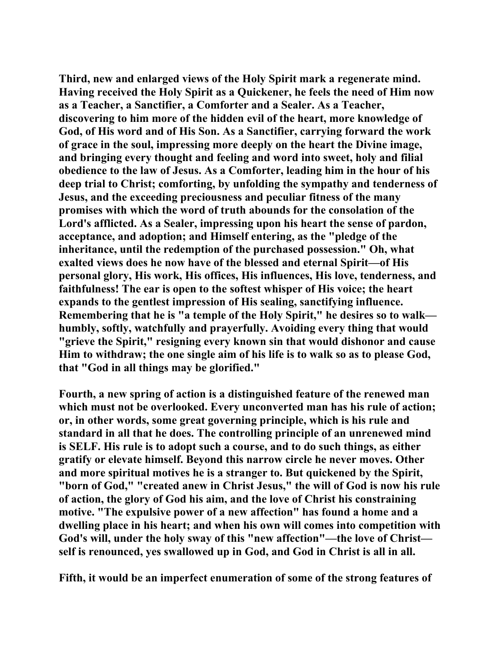**Third, new and enlarged views of the Holy Spirit mark a regenerate mind. Having received the Holy Spirit as a Quickener, he feels the need of Him now as a Teacher, a Sanctifier, a Comforter and a Sealer. As a Teacher, discovering to him more of the hidden evil of the heart, more knowledge of God, of His word and of His Son. As a Sanctifier, carrying forward the work of grace in the soul, impressing more deeply on the heart the Divine image, and bringing every thought and feeling and word into sweet, holy and filial obedience to the law of Jesus. As a Comforter, leading him in the hour of his deep trial to Christ; comforting, by unfolding the sympathy and tenderness of Jesus, and the exceeding preciousness and peculiar fitness of the many promises with which the word of truth abounds for the consolation of the Lord's afflicted. As a Sealer, impressing upon his heart the sense of pardon, acceptance, and adoption; and Himself entering, as the "pledge of the inheritance, until the redemption of the purchased possession." Oh, what exalted views does he now have of the blessed and eternal Spirit—of His personal glory, His work, His offices, His influences, His love, tenderness, and faithfulness! The ear is open to the softest whisper of His voice; the heart expands to the gentlest impression of His sealing, sanctifying influence. Remembering that he is "a temple of the Holy Spirit," he desires so to walk humbly, softly, watchfully and prayerfully. Avoiding every thing that would "grieve the Spirit," resigning every known sin that would dishonor and cause Him to withdraw; the one single aim of his life is to walk so as to please God, that "God in all things may be glorified."** 

**Fourth, a new spring of action is a distinguished feature of the renewed man which must not be overlooked. Every unconverted man has his rule of action; or, in other words, some great governing principle, which is his rule and standard in all that he does. The controlling principle of an unrenewed mind is SELF. His rule is to adopt such a course, and to do such things, as either gratify or elevate himself. Beyond this narrow circle he never moves. Other and more spiritual motives he is a stranger to. But quickened by the Spirit, "born of God," "created anew in Christ Jesus," the will of God is now his rule of action, the glory of God his aim, and the love of Christ his constraining motive. "The expulsive power of a new affection" has found a home and a dwelling place in his heart; and when his own will comes into competition with God's will, under the holy sway of this "new affection"—the love of Christ self is renounced, yes swallowed up in God, and God in Christ is all in all.** 

**Fifth, it would be an imperfect enumeration of some of the strong features of**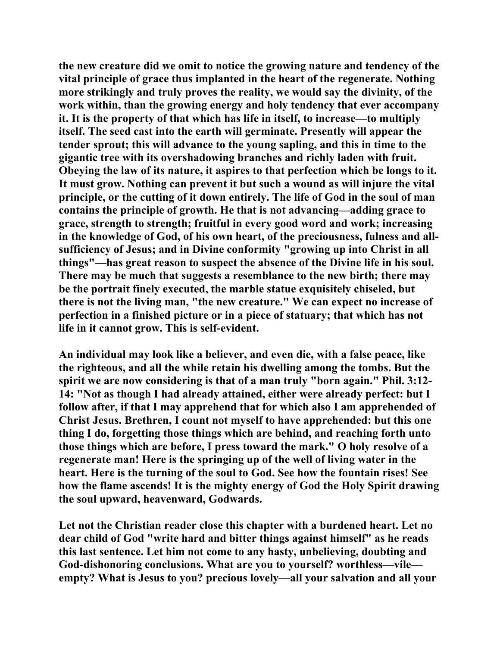**the new creature did we omit to notice the growing nature and tendency of the vital principle of grace thus implanted in the heart of the regenerate. Nothing more strikingly and truly proves the reality, we would say the divinity, of the work within, than the growing energy and holy tendency that ever accompany it. It is the property of that which has life in itself, to increase—to multiply itself. The seed cast into the earth will germinate. Presently will appear the tender sprout; this will advance to the young sapling, and this in time to the gigantic tree with its overshadowing branches and richly laden with fruit. Obeying the law of its nature, it aspires to that perfection which be longs to it. It must grow. Nothing can prevent it but such a wound as will injure the vital principle, or the cutting of it down entirely. The life of God in the soul of man contains the principle of growth. He that is not advancing—adding grace to grace, strength to strength; fruitful in every good word and work; increasing in the knowledge of God, of his own heart, of the preciousness, fulness and allsufficiency of Jesus; and in Divine conformity "growing up into Christ in all things"—has great reason to suspect the absence of the Divine life in his soul. There may be much that suggests a resemblance to the new birth; there may be the portrait finely executed, the marble statue exquisitely chiseled, but there is not the living man, "the new creature." We can expect no increase of perfection in a finished picture or in a piece of statuary; that which has not life in it cannot grow. This is self-evident.** 

**An individual may look like a believer, and even die, with a false peace, like the righteous, and all the while retain his dwelling among the tombs. But the spirit we are now considering is that of a man truly "born again." Phil. 3:12- 14: "Not as though I had already attained, either were already perfect: but I follow after, if that I may apprehend that for which also I am apprehended of Christ Jesus. Brethren, I count not myself to have apprehended: but this one thing I do, forgetting those things which are behind, and reaching forth unto those things which are before, I press toward the mark." O holy resolve of a regenerate man! Here is the springing up of the well of living water in the heart. Here is the turning of the soul to God. See how the fountain rises! See how the flame ascends! It is the mighty energy of God the Holy Spirit drawing the soul upward, heavenward, Godwards.** 

**Let not the Christian reader close this chapter with a burdened heart. Let no dear child of God "write hard and bitter things against himself" as he reads this last sentence. Let him not come to any hasty, unbelieving, doubting and God-dishonoring conclusions. What are you to yourself? worthless—vile empty? What is Jesus to you? precious lovely—all your salvation and all your**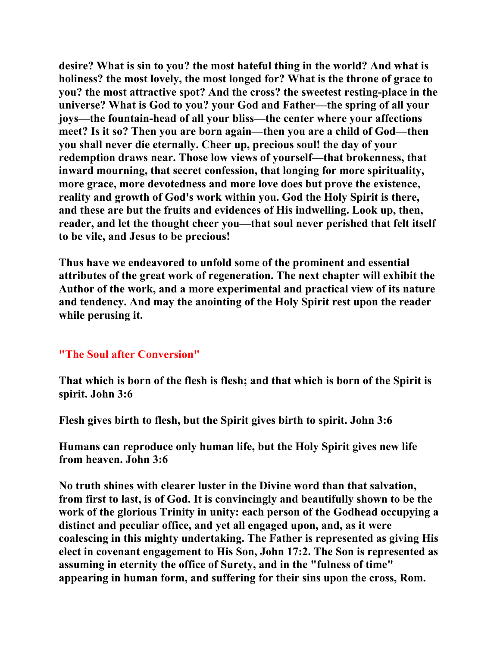**desire? What is sin to you? the most hateful thing in the world? And what is holiness? the most lovely, the most longed for? What is the throne of grace to you? the most attractive spot? And the cross? the sweetest resting-place in the universe? What is God to you? your God and Father—the spring of all your joys—the fountain-head of all your bliss—the center where your affections meet? Is it so? Then you are born again—then you are a child of God—then you shall never die eternally. Cheer up, precious soul! the day of your redemption draws near. Those low views of yourself—that brokenness, that inward mourning, that secret confession, that longing for more spirituality, more grace, more devotedness and more love does but prove the existence, reality and growth of God's work within you. God the Holy Spirit is there, and these are but the fruits and evidences of His indwelling. Look up, then, reader, and let the thought cheer you—that soul never perished that felt itself to be vile, and Jesus to be precious!** 

**Thus have we endeavored to unfold some of the prominent and essential attributes of the great work of regeneration. The next chapter will exhibit the Author of the work, and a more experimental and practical view of its nature and tendency. And may the anointing of the Holy Spirit rest upon the reader while perusing it.** 

### **"The Soul after Conversion"**

**That which is born of the flesh is flesh; and that which is born of the Spirit is spirit. John 3:6** 

**Flesh gives birth to flesh, but the Spirit gives birth to spirit. John 3:6** 

**Humans can reproduce only human life, but the Holy Spirit gives new life from heaven. John 3:6** 

**No truth shines with clearer luster in the Divine word than that salvation, from first to last, is of God. It is convincingly and beautifully shown to be the work of the glorious Trinity in unity: each person of the Godhead occupying a distinct and peculiar office, and yet all engaged upon, and, as it were coalescing in this mighty undertaking. The Father is represented as giving His elect in covenant engagement to His Son, John 17:2. The Son is represented as assuming in eternity the office of Surety, and in the "fulness of time" appearing in human form, and suffering for their sins upon the cross, Rom.**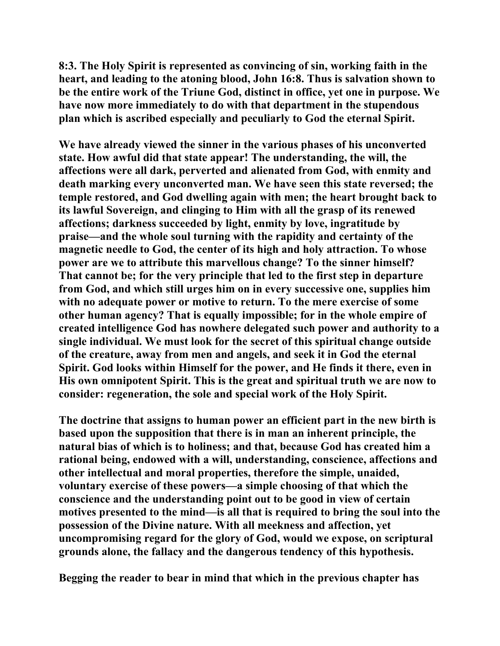**8:3. The Holy Spirit is represented as convincing of sin, working faith in the heart, and leading to the atoning blood, John 16:8. Thus is salvation shown to be the entire work of the Triune God, distinct in office, yet one in purpose. We have now more immediately to do with that department in the stupendous plan which is ascribed especially and peculiarly to God the eternal Spirit.** 

**We have already viewed the sinner in the various phases of his unconverted state. How awful did that state appear! The understanding, the will, the affections were all dark, perverted and alienated from God, with enmity and death marking every unconverted man. We have seen this state reversed; the temple restored, and God dwelling again with men; the heart brought back to its lawful Sovereign, and clinging to Him with all the grasp of its renewed affections; darkness succeeded by light, enmity by love, ingratitude by praise—and the whole soul turning with the rapidity and certainty of the magnetic needle to God, the center of its high and holy attraction. To whose power are we to attribute this marvellous change? To the sinner himself? That cannot be; for the very principle that led to the first step in departure from God, and which still urges him on in every successive one, supplies him with no adequate power or motive to return. To the mere exercise of some other human agency? That is equally impossible; for in the whole empire of created intelligence God has nowhere delegated such power and authority to a single individual. We must look for the secret of this spiritual change outside of the creature, away from men and angels, and seek it in God the eternal Spirit. God looks within Himself for the power, and He finds it there, even in His own omnipotent Spirit. This is the great and spiritual truth we are now to consider: regeneration, the sole and special work of the Holy Spirit.** 

**The doctrine that assigns to human power an efficient part in the new birth is based upon the supposition that there is in man an inherent principle, the natural bias of which is to holiness; and that, because God has created him a rational being, endowed with a will, understanding, conscience, affections and other intellectual and moral properties, therefore the simple, unaided, voluntary exercise of these powers—a simple choosing of that which the conscience and the understanding point out to be good in view of certain motives presented to the mind—is all that is required to bring the soul into the possession of the Divine nature. With all meekness and affection, yet uncompromising regard for the glory of God, would we expose, on scriptural grounds alone, the fallacy and the dangerous tendency of this hypothesis.** 

**Begging the reader to bear in mind that which in the previous chapter has**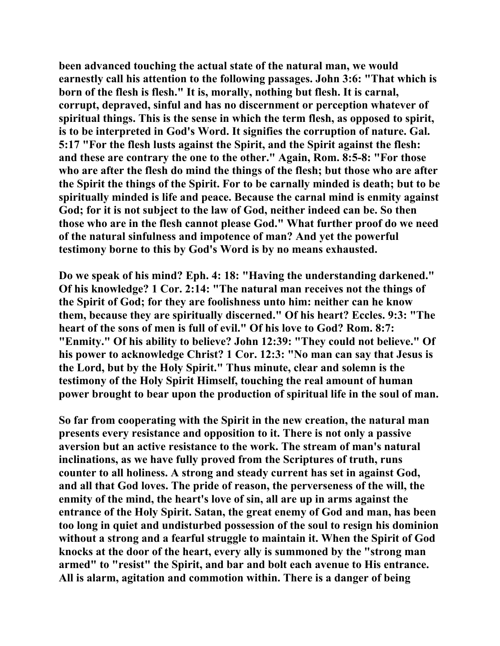**been advanced touching the actual state of the natural man, we would earnestly call his attention to the following passages. John 3:6: "That which is born of the flesh is flesh." It is, morally, nothing but flesh. It is carnal, corrupt, depraved, sinful and has no discernment or perception whatever of spiritual things. This is the sense in which the term flesh, as opposed to spirit, is to be interpreted in God's Word. It signifies the corruption of nature. Gal. 5:17 "For the flesh lusts against the Spirit, and the Spirit against the flesh: and these are contrary the one to the other." Again, Rom. 8:5-8: "For those who are after the flesh do mind the things of the flesh; but those who are after the Spirit the things of the Spirit. For to be carnally minded is death; but to be spiritually minded is life and peace. Because the carnal mind is enmity against God; for it is not subject to the law of God, neither indeed can be. So then those who are in the flesh cannot please God." What further proof do we need of the natural sinfulness and impotence of man? And yet the powerful testimony borne to this by God's Word is by no means exhausted.** 

**Do we speak of his mind? Eph. 4: 18: "Having the understanding darkened." Of his knowledge? 1 Cor. 2:14: "The natural man receives not the things of the Spirit of God; for they are foolishness unto him: neither can he know them, because they are spiritually discerned." Of his heart? Eccles. 9:3: "The heart of the sons of men is full of evil." Of his love to God? Rom. 8:7: "Enmity." Of his ability to believe? John 12:39: "They could not believe." Of his power to acknowledge Christ? 1 Cor. 12:3: "No man can say that Jesus is the Lord, but by the Holy Spirit." Thus minute, clear and solemn is the testimony of the Holy Spirit Himself, touching the real amount of human power brought to bear upon the production of spiritual life in the soul of man.** 

**So far from cooperating with the Spirit in the new creation, the natural man presents every resistance and opposition to it. There is not only a passive aversion but an active resistance to the work. The stream of man's natural inclinations, as we have fully proved from the Scriptures of truth, runs counter to all holiness. A strong and steady current has set in against God, and all that God loves. The pride of reason, the perverseness of the will, the enmity of the mind, the heart's love of sin, all are up in arms against the entrance of the Holy Spirit. Satan, the great enemy of God and man, has been too long in quiet and undisturbed possession of the soul to resign his dominion without a strong and a fearful struggle to maintain it. When the Spirit of God knocks at the door of the heart, every ally is summoned by the "strong man armed" to "resist" the Spirit, and bar and bolt each avenue to His entrance. All is alarm, agitation and commotion within. There is a danger of being**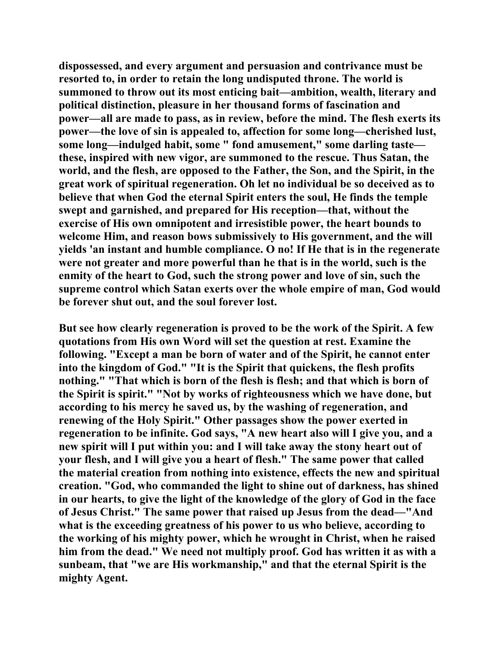**dispossessed, and every argument and persuasion and contrivance must be resorted to, in order to retain the long undisputed throne. The world is summoned to throw out its most enticing bait—ambition, wealth, literary and political distinction, pleasure in her thousand forms of fascination and power—all are made to pass, as in review, before the mind. The flesh exerts its power—the love of sin is appealed to, affection for some long—cherished lust, some long—indulged habit, some " fond amusement," some darling taste these, inspired with new vigor, are summoned to the rescue. Thus Satan, the world, and the flesh, are opposed to the Father, the Son, and the Spirit, in the great work of spiritual regeneration. Oh let no individual be so deceived as to believe that when God the eternal Spirit enters the soul, He finds the temple swept and garnished, and prepared for His reception—that, without the exercise of His own omnipotent and irresistible power, the heart bounds to welcome Him, and reason bows submissively to His government, and the will yields 'an instant and humble compliance. O no! If He that is in the regenerate were not greater and more powerful than he that is in the world, such is the enmity of the heart to God, such the strong power and love of sin, such the supreme control which Satan exerts over the whole empire of man, God would be forever shut out, and the soul forever lost.** 

**But see how clearly regeneration is proved to be the work of the Spirit. A few quotations from His own Word will set the question at rest. Examine the following. "Except a man be born of water and of the Spirit, he cannot enter into the kingdom of God." "It is the Spirit that quickens, the flesh profits nothing." "That which is born of the flesh is flesh; and that which is born of the Spirit is spirit." "Not by works of righteousness which we have done, but according to his mercy he saved us, by the washing of regeneration, and renewing of the Holy Spirit." Other passages show the power exerted in regeneration to be infinite. God says, "A new heart also will I give you, and a new spirit will I put within you: and I will take away the stony heart out of your flesh, and I will give you a heart of flesh." The same power that called the material creation from nothing into existence, effects the new and spiritual creation. "God, who commanded the light to shine out of darkness, has shined in our hearts, to give the light of the knowledge of the glory of God in the face of Jesus Christ." The same power that raised up Jesus from the dead—"And what is the exceeding greatness of his power to us who believe, according to the working of his mighty power, which he wrought in Christ, when he raised him from the dead." We need not multiply proof. God has written it as with a sunbeam, that "we are His workmanship," and that the eternal Spirit is the mighty Agent.**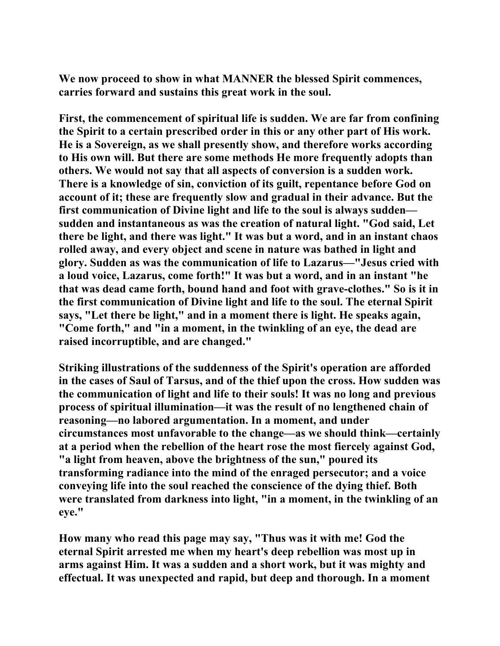**We now proceed to show in what MANNER the blessed Spirit commences, carries forward and sustains this great work in the soul.** 

**First, the commencement of spiritual life is sudden. We are far from confining the Spirit to a certain prescribed order in this or any other part of His work. He is a Sovereign, as we shall presently show, and therefore works according to His own will. But there are some methods He more frequently adopts than others. We would not say that all aspects of conversion is a sudden work. There is a knowledge of sin, conviction of its guilt, repentance before God on account of it; these are frequently slow and gradual in their advance. But the first communication of Divine light and life to the soul is always sudden sudden and instantaneous as was the creation of natural light. "God said, Let there be light, and there was light." It was but a word, and in an instant chaos rolled away, and every object and scene in nature was bathed in light and glory. Sudden as was the communication of life to Lazarus—"Jesus cried with a loud voice, Lazarus, come forth!" It was but a word, and in an instant "he that was dead came forth, bound hand and foot with grave-clothes." So is it in the first communication of Divine light and life to the soul. The eternal Spirit says, "Let there be light," and in a moment there is light. He speaks again, "Come forth," and "in a moment, in the twinkling of an eye, the dead are raised incorruptible, and are changed."** 

**Striking illustrations of the suddenness of the Spirit's operation are afforded in the cases of Saul of Tarsus, and of the thief upon the cross. How sudden was the communication of light and life to their souls! It was no long and previous process of spiritual illumination—it was the result of no lengthened chain of reasoning—no labored argumentation. In a moment, and under circumstances most unfavorable to the change—as we should think—certainly at a period when the rebellion of the heart rose the most fiercely against God, "a light from heaven, above the brightness of the sun," poured its transforming radiance into the mind of the enraged persecutor; and a voice conveying life into the soul reached the conscience of the dying thief. Both were translated from darkness into light, "in a moment, in the twinkling of an eye."** 

**How many who read this page may say, "Thus was it with me! God the eternal Spirit arrested me when my heart's deep rebellion was most up in arms against Him. It was a sudden and a short work, but it was mighty and effectual. It was unexpected and rapid, but deep and thorough. In a moment**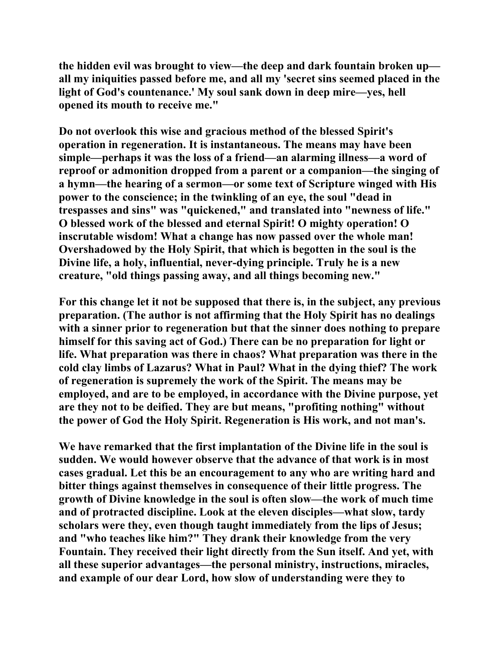**the hidden evil was brought to view—the deep and dark fountain broken up all my iniquities passed before me, and all my 'secret sins seemed placed in the light of God's countenance.' My soul sank down in deep mire—yes, hell opened its mouth to receive me."** 

**Do not overlook this wise and gracious method of the blessed Spirit's operation in regeneration. It is instantaneous. The means may have been simple—perhaps it was the loss of a friend—an alarming illness—a word of reproof or admonition dropped from a parent or a companion—the singing of a hymn—the hearing of a sermon—or some text of Scripture winged with His power to the conscience; in the twinkling of an eye, the soul "dead in trespasses and sins" was "quickened," and translated into "newness of life." O blessed work of the blessed and eternal Spirit! O mighty operation! O inscrutable wisdom! What a change has now passed over the whole man! Overshadowed by the Holy Spirit, that which is begotten in the soul is the Divine life, a holy, influential, never-dying principle. Truly he is a new creature, "old things passing away, and all things becoming new."** 

**For this change let it not be supposed that there is, in the subject, any previous preparation. (The author is not affirming that the Holy Spirit has no dealings with a sinner prior to regeneration but that the sinner does nothing to prepare himself for this saving act of God.) There can be no preparation for light or life. What preparation was there in chaos? What preparation was there in the cold clay limbs of Lazarus? What in Paul? What in the dying thief? The work of regeneration is supremely the work of the Spirit. The means may be employed, and are to be employed, in accordance with the Divine purpose, yet are they not to be deified. They are but means, "profiting nothing" without the power of God the Holy Spirit. Regeneration is His work, and not man's.** 

**We have remarked that the first implantation of the Divine life in the soul is sudden. We would however observe that the advance of that work is in most cases gradual. Let this be an encouragement to any who are writing hard and bitter things against themselves in consequence of their little progress. The growth of Divine knowledge in the soul is often slow—the work of much time and of protracted discipline. Look at the eleven disciples—what slow, tardy scholars were they, even though taught immediately from the lips of Jesus; and "who teaches like him?" They drank their knowledge from the very Fountain. They received their light directly from the Sun itself. And yet, with all these superior advantages—the personal ministry, instructions, miracles, and example of our dear Lord, how slow of understanding were they to**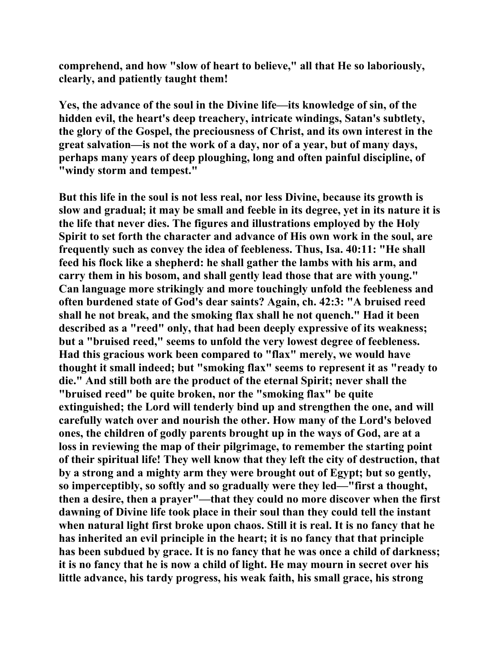**comprehend, and how "slow of heart to believe," all that He so laboriously, clearly, and patiently taught them!** 

**Yes, the advance of the soul in the Divine life—its knowledge of sin, of the hidden evil, the heart's deep treachery, intricate windings, Satan's subtlety, the glory of the Gospel, the preciousness of Christ, and its own interest in the great salvation—is not the work of a day, nor of a year, but of many days, perhaps many years of deep ploughing, long and often painful discipline, of "windy storm and tempest."** 

**But this life in the soul is not less real, nor less Divine, because its growth is slow and gradual; it may be small and feeble in its degree, yet in its nature it is the life that never dies. The figures and illustrations employed by the Holy Spirit to set forth the character and advance of His own work in the soul, are frequently such as convey the idea of feebleness. Thus, Isa. 40:11: "He shall feed his flock like a shepherd: he shall gather the lambs with his arm, and carry them in his bosom, and shall gently lead those that are with young." Can language more strikingly and more touchingly unfold the feebleness and often burdened state of God's dear saints? Again, ch. 42:3: "A bruised reed shall he not break, and the smoking flax shall he not quench." Had it been described as a "reed" only, that had been deeply expressive of its weakness; but a "bruised reed," seems to unfold the very lowest degree of feebleness. Had this gracious work been compared to "flax" merely, we would have thought it small indeed; but "smoking flax" seems to represent it as "ready to die." And still both are the product of the eternal Spirit; never shall the "bruised reed" be quite broken, nor the "smoking flax" be quite extinguished; the Lord will tenderly bind up and strengthen the one, and will carefully watch over and nourish the other. How many of the Lord's beloved ones, the children of godly parents brought up in the ways of God, are at a loss in reviewing the map of their pilgrimage, to remember the starting point of their spiritual life! They well know that they left the city of destruction, that by a strong and a mighty arm they were brought out of Egypt; but so gently, so imperceptibly, so softly and so gradually were they led—"first a thought, then a desire, then a prayer"—that they could no more discover when the first dawning of Divine life took place in their soul than they could tell the instant when natural light first broke upon chaos. Still it is real. It is no fancy that he has inherited an evil principle in the heart; it is no fancy that that principle has been subdued by grace. It is no fancy that he was once a child of darkness; it is no fancy that he is now a child of light. He may mourn in secret over his little advance, his tardy progress, his weak faith, his small grace, his strong**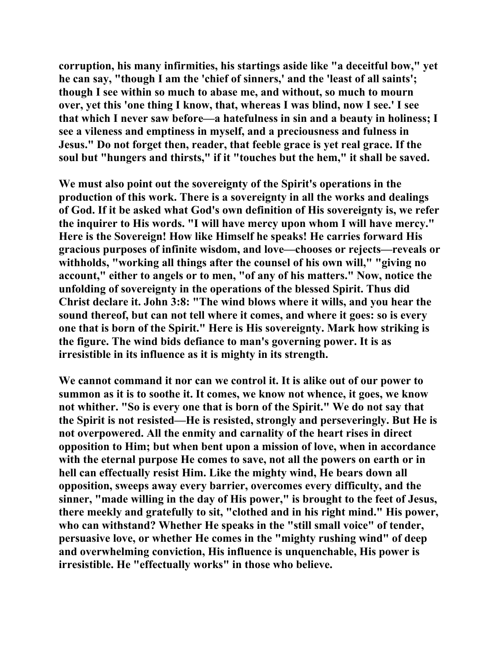**corruption, his many infirmities, his startings aside like "a deceitful bow," yet he can say, "though I am the 'chief of sinners,' and the 'least of all saints'; though I see within so much to abase me, and without, so much to mourn over, yet this 'one thing I know, that, whereas I was blind, now I see.' I see that which I never saw before—a hatefulness in sin and a beauty in holiness; I see a vileness and emptiness in myself, and a preciousness and fulness in Jesus." Do not forget then, reader, that feeble grace is yet real grace. If the soul but "hungers and thirsts," if it "touches but the hem," it shall be saved.** 

**We must also point out the sovereignty of the Spirit's operations in the production of this work. There is a sovereignty in all the works and dealings of God. If it be asked what God's own definition of His sovereignty is, we refer the inquirer to His words. "I will have mercy upon whom I will have mercy." Here is the Sovereign! How like Himself he speaks! He carries forward His gracious purposes of infinite wisdom, and love—chooses or rejects—reveals or withholds, "working all things after the counsel of his own will," "giving no account," either to angels or to men, "of any of his matters." Now, notice the unfolding of sovereignty in the operations of the blessed Spirit. Thus did Christ declare it. John 3:8: "The wind blows where it wills, and you hear the sound thereof, but can not tell where it comes, and where it goes: so is every one that is born of the Spirit." Here is His sovereignty. Mark how striking is the figure. The wind bids defiance to man's governing power. It is as irresistible in its influence as it is mighty in its strength.** 

**We cannot command it nor can we control it. It is alike out of our power to summon as it is to soothe it. It comes, we know not whence, it goes, we know not whither. "So is every one that is born of the Spirit." We do not say that the Spirit is not resisted—He is resisted, strongly and perseveringly. But He is not overpowered. All the enmity and carnality of the heart rises in direct opposition to Him; but when bent upon a mission of love, when in accordance with the eternal purpose He comes to save, not all the powers on earth or in hell can effectually resist Him. Like the mighty wind, He bears down all opposition, sweeps away every barrier, overcomes every difficulty, and the sinner, "made willing in the day of His power," is brought to the feet of Jesus, there meekly and gratefully to sit, "clothed and in his right mind." His power, who can withstand? Whether He speaks in the "still small voice" of tender, persuasive love, or whether He comes in the "mighty rushing wind" of deep and overwhelming conviction, His influence is unquenchable, His power is irresistible. He "effectually works" in those who believe.**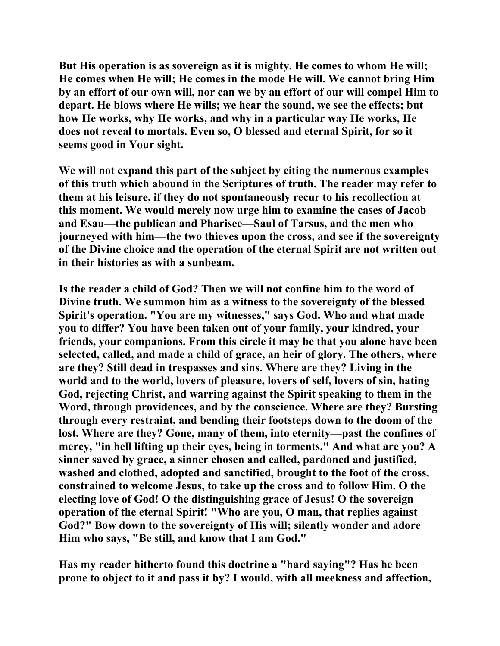**But His operation is as sovereign as it is mighty. He comes to whom He will; He comes when He will; He comes in the mode He will. We cannot bring Him by an effort of our own will, nor can we by an effort of our will compel Him to depart. He blows where He wills; we hear the sound, we see the effects; but how He works, why He works, and why in a particular way He works, He does not reveal to mortals. Even so, O blessed and eternal Spirit, for so it seems good in Your sight.** 

**We will not expand this part of the subject by citing the numerous examples of this truth which abound in the Scriptures of truth. The reader may refer to them at his leisure, if they do not spontaneously recur to his recollection at this moment. We would merely now urge him to examine the cases of Jacob and Esau—the publican and Pharisee—Saul of Tarsus, and the men who journeyed with him—the two thieves upon the cross, and see if the sovereignty of the Divine choice and the operation of the eternal Spirit are not written out in their histories as with a sunbeam.** 

**Is the reader a child of God? Then we will not confine him to the word of Divine truth. We summon him as a witness to the sovereignty of the blessed Spirit's operation. "You are my witnesses," says God. Who and what made you to differ? You have been taken out of your family, your kindred, your friends, your companions. From this circle it may be that you alone have been selected, called, and made a child of grace, an heir of glory. The others, where are they? Still dead in trespasses and sins. Where are they? Living in the world and to the world, lovers of pleasure, lovers of self, lovers of sin, hating God, rejecting Christ, and warring against the Spirit speaking to them in the Word, through providences, and by the conscience. Where are they? Bursting through every restraint, and bending their footsteps down to the doom of the lost. Where are they? Gone, many of them, into eternity—past the confines of mercy, "in hell lifting up their eyes, being in torments." And what are you? A sinner saved by grace, a sinner chosen and called, pardoned and justified, washed and clothed, adopted and sanctified, brought to the foot of the cross, constrained to welcome Jesus, to take up the cross and to follow Him. O the electing love of God! O the distinguishing grace of Jesus! O the sovereign operation of the eternal Spirit! "Who are you, O man, that replies against God?" Bow down to the sovereignty of His will; silently wonder and adore Him who says, "Be still, and know that I am God."** 

**Has my reader hitherto found this doctrine a "hard saying"? Has he been prone to object to it and pass it by? I would, with all meekness and affection,**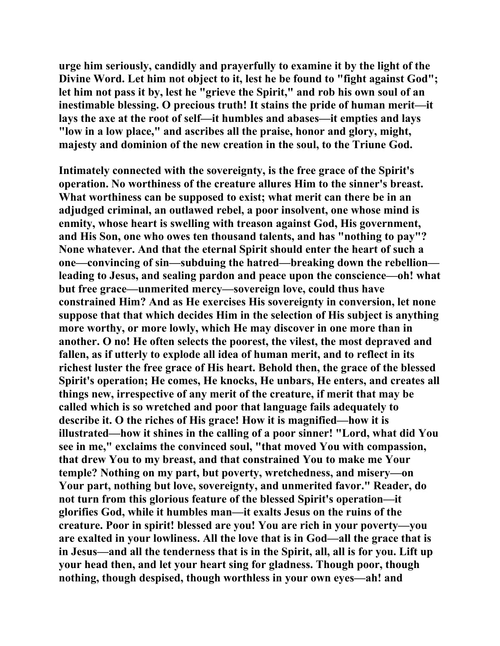**urge him seriously, candidly and prayerfully to examine it by the light of the Divine Word. Let him not object to it, lest he be found to "fight against God"; let him not pass it by, lest he "grieve the Spirit," and rob his own soul of an inestimable blessing. O precious truth! It stains the pride of human merit—it lays the axe at the root of self—it humbles and abases—it empties and lays "low in a low place," and ascribes all the praise, honor and glory, might, majesty and dominion of the new creation in the soul, to the Triune God.** 

**Intimately connected with the sovereignty, is the free grace of the Spirit's operation. No worthiness of the creature allures Him to the sinner's breast. What worthiness can be supposed to exist; what merit can there be in an adjudged criminal, an outlawed rebel, a poor insolvent, one whose mind is enmity, whose heart is swelling with treason against God, His government, and His Son, one who owes ten thousand talents, and has "nothing to pay"? None whatever. And that the eternal Spirit should enter the heart of such a one—convincing of sin—subduing the hatred—breaking down the rebellion leading to Jesus, and sealing pardon and peace upon the conscience—oh! what but free grace—unmerited mercy—sovereign love, could thus have constrained Him? And as He exercises His sovereignty in conversion, let none suppose that that which decides Him in the selection of His subject is anything more worthy, or more lowly, which He may discover in one more than in another. O no! He often selects the poorest, the vilest, the most depraved and fallen, as if utterly to explode all idea of human merit, and to reflect in its richest luster the free grace of His heart. Behold then, the grace of the blessed Spirit's operation; He comes, He knocks, He unbars, He enters, and creates all things new, irrespective of any merit of the creature, if merit that may be called which is so wretched and poor that language fails adequately to describe it. O the riches of His grace! How it is magnified—how it is illustrated—how it shines in the calling of a poor sinner! "Lord, what did You see in me," exclaims the convinced soul, "that moved You with compassion, that drew You to my breast, and that constrained You to make me Your temple? Nothing on my part, but poverty, wretchedness, and misery—on Your part, nothing but love, sovereignty, and unmerited favor." Reader, do not turn from this glorious feature of the blessed Spirit's operation—it glorifies God, while it humbles man—it exalts Jesus on the ruins of the creature. Poor in spirit! blessed are you! You are rich in your poverty—you are exalted in your lowliness. All the love that is in God—all the grace that is in Jesus—and all the tenderness that is in the Spirit, all, all is for you. Lift up your head then, and let your heart sing for gladness. Though poor, though nothing, though despised, though worthless in your own eyes—ah! and**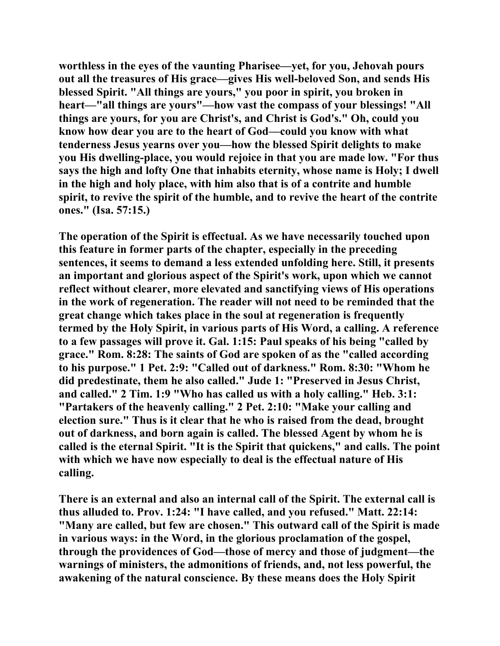**worthless in the eyes of the vaunting Pharisee—yet, for you, Jehovah pours out all the treasures of His grace—gives His well-beloved Son, and sends His blessed Spirit. "All things are yours," you poor in spirit, you broken in heart—"all things are yours"—how vast the compass of your blessings! "All things are yours, for you are Christ's, and Christ is God's." Oh, could you know how dear you are to the heart of God—could you know with what tenderness Jesus yearns over you—how the blessed Spirit delights to make you His dwelling-place, you would rejoice in that you are made low. "For thus says the high and lofty One that inhabits eternity, whose name is Holy; I dwell in the high and holy place, with him also that is of a contrite and humble spirit, to revive the spirit of the humble, and to revive the heart of the contrite ones." (Isa. 57:15.)** 

**The operation of the Spirit is effectual. As we have necessarily touched upon this feature in former parts of the chapter, especially in the preceding sentences, it seems to demand a less extended unfolding here. Still, it presents an important and glorious aspect of the Spirit's work, upon which we cannot reflect without clearer, more elevated and sanctifying views of His operations in the work of regeneration. The reader will not need to be reminded that the great change which takes place in the soul at regeneration is frequently termed by the Holy Spirit, in various parts of His Word, a calling. A reference to a few passages will prove it. Gal. 1:15: Paul speaks of his being "called by grace." Rom. 8:28: The saints of God are spoken of as the "called according to his purpose." 1 Pet. 2:9: "Called out of darkness." Rom. 8:30: "Whom he did predestinate, them he also called." Jude 1: "Preserved in Jesus Christ, and called." 2 Tim. 1:9 "Who has called us with a holy calling." Heb. 3:1: "Partakers of the heavenly calling." 2 Pet. 2:10: "Make your calling and election sure." Thus is it clear that he who is raised from the dead, brought out of darkness, and born again is called. The blessed Agent by whom he is called is the eternal Spirit. "It is the Spirit that quickens," and calls. The point with which we have now especially to deal is the effectual nature of His calling.** 

**There is an external and also an internal call of the Spirit. The external call is thus alluded to. Prov. 1:24: "I have called, and you refused." Matt. 22:14: "Many are called, but few are chosen." This outward call of the Spirit is made in various ways: in the Word, in the glorious proclamation of the gospel, through the providences of God—those of mercy and those of judgment—the warnings of ministers, the admonitions of friends, and, not less powerful, the awakening of the natural conscience. By these means does the Holy Spirit**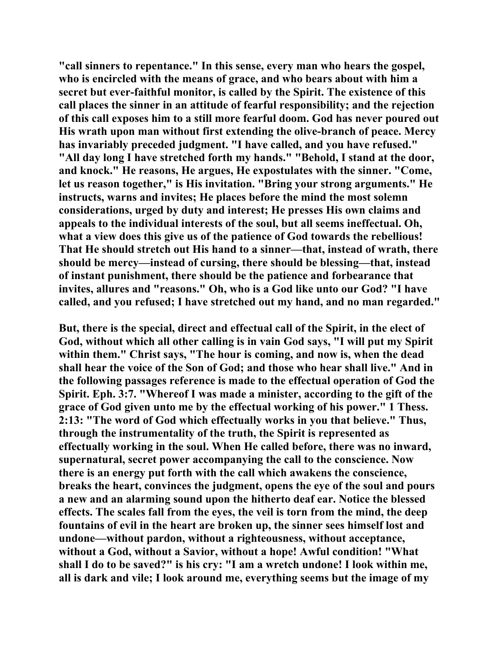**"call sinners to repentance." In this sense, every man who hears the gospel, who is encircled with the means of grace, and who bears about with him a secret but ever-faithful monitor, is called by the Spirit. The existence of this call places the sinner in an attitude of fearful responsibility; and the rejection of this call exposes him to a still more fearful doom. God has never poured out His wrath upon man without first extending the olive-branch of peace. Mercy has invariably preceded judgment. "I have called, and you have refused." "All day long I have stretched forth my hands." "Behold, I stand at the door, and knock." He reasons, He argues, He expostulates with the sinner. "Come, let us reason together," is His invitation. "Bring your strong arguments." He instructs, warns and invites; He places before the mind the most solemn considerations, urged by duty and interest; He presses His own claims and appeals to the individual interests of the soul, but all seems ineffectual. Oh, what a view does this give us of the patience of God towards the rebellious! That He should stretch out His hand to a sinner—that, instead of wrath, there should be mercy—instead of cursing, there should be blessing—that, instead of instant punishment, there should be the patience and forbearance that invites, allures and "reasons." Oh, who is a God like unto our God? "I have called, and you refused; I have stretched out my hand, and no man regarded."** 

**But, there is the special, direct and effectual call of the Spirit, in the elect of God, without which all other calling is in vain God says, "I will put my Spirit within them." Christ says, "The hour is coming, and now is, when the dead shall hear the voice of the Son of God; and those who hear shall live." And in the following passages reference is made to the effectual operation of God the Spirit. Eph. 3:7. "Whereof I was made a minister, according to the gift of the grace of God given unto me by the effectual working of his power." 1 Thess. 2:13: "The word of God which effectually works in you that believe." Thus, through the instrumentality of the truth, the Spirit is represented as effectually working in the soul. When He called before, there was no inward, supernatural, secret power accompanying the call to the conscience. Now there is an energy put forth with the call which awakens the conscience, breaks the heart, convinces the judgment, opens the eye of the soul and pours a new and an alarming sound upon the hitherto deaf ear. Notice the blessed effects. The scales fall from the eyes, the veil is torn from the mind, the deep fountains of evil in the heart are broken up, the sinner sees himself lost and undone—without pardon, without a righteousness, without acceptance, without a God, without a Savior, without a hope! Awful condition! "What shall I do to be saved?" is his cry: "I am a wretch undone! I look within me, all is dark and vile; I look around me, everything seems but the image of my**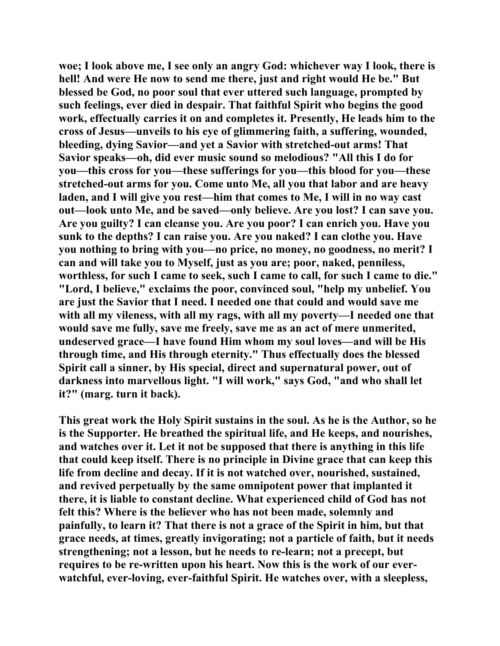**woe; I look above me, I see only an angry God: whichever way I look, there is hell! And were He now to send me there, just and right would He be." But blessed be God, no poor soul that ever uttered such language, prompted by such feelings, ever died in despair. That faithful Spirit who begins the good work, effectually carries it on and completes it. Presently, He leads him to the cross of Jesus—unveils to his eye of glimmering faith, a suffering, wounded, bleeding, dying Savior—and yet a Savior with stretched-out arms! That Savior speaks—oh, did ever music sound so melodious? "All this I do for you—this cross for you—these sufferings for you—this blood for you—these stretched-out arms for you. Come unto Me, all you that labor and are heavy laden, and I will give you rest—him that comes to Me, I will in no way cast out—look unto Me, and be saved—only believe. Are you lost? I can save you. Are you guilty? I can cleanse you. Are you poor? I can enrich you. Have you sunk to the depths? I can raise you. Are you naked? I can clothe you. Have you nothing to bring with you—no price, no money, no goodness, no merit? I can and will take you to Myself, just as you are; poor, naked, penniless, worthless, for such I came to seek, such I came to call, for such I came to die." "Lord, I believe," exclaims the poor, convinced soul, "help my unbelief. You are just the Savior that I need. I needed one that could and would save me with all my vileness, with all my rags, with all my poverty—I needed one that would save me fully, save me freely, save me as an act of mere unmerited, undeserved grace—I have found Him whom my soul loves—and will be His through time, and His through eternity." Thus effectually does the blessed Spirit call a sinner, by His special, direct and supernatural power, out of darkness into marvellous light. "I will work," says God, "and who shall let it?" (marg. turn it back).** 

**This great work the Holy Spirit sustains in the soul. As he is the Author, so he is the Supporter. He breathed the spiritual life, and He keeps, and nourishes, and watches over it. Let it not be supposed that there is anything in this life that could keep itself. There is no principle in Divine grace that can keep this life from decline and decay. If it is not watched over, nourished, sustained, and revived perpetually by the same omnipotent power that implanted it there, it is liable to constant decline. What experienced child of God has not felt this? Where is the believer who has not been made, solemnly and painfully, to learn it? That there is not a grace of the Spirit in him, but that grace needs, at times, greatly invigorating; not a particle of faith, but it needs strengthening; not a lesson, but he needs to re-learn; not a precept, but requires to be re-written upon his heart. Now this is the work of our everwatchful, ever-loving, ever-faithful Spirit. He watches over, with a sleepless,**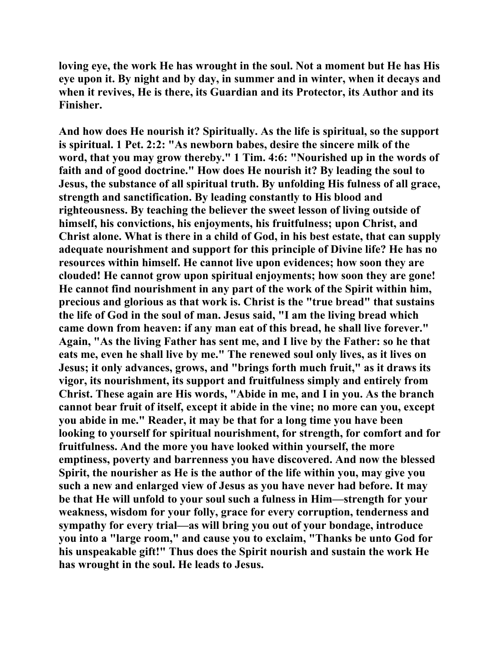**loving eye, the work He has wrought in the soul. Not a moment but He has His eye upon it. By night and by day, in summer and in winter, when it decays and when it revives, He is there, its Guardian and its Protector, its Author and its Finisher.** 

**And how does He nourish it? Spiritually. As the life is spiritual, so the support is spiritual. 1 Pet. 2:2: "As newborn babes, desire the sincere milk of the word, that you may grow thereby." 1 Tim. 4:6: "Nourished up in the words of faith and of good doctrine." How does He nourish it? By leading the soul to Jesus, the substance of all spiritual truth. By unfolding His fulness of all grace, strength and sanctification. By leading constantly to His blood and righteousness. By teaching the believer the sweet lesson of living outside of himself, his convictions, his enjoyments, his fruitfulness; upon Christ, and Christ alone. What is there in a child of God, in his best estate, that can supply adequate nourishment and support for this principle of Divine life? He has no resources within himself. He cannot live upon evidences; how soon they are clouded! He cannot grow upon spiritual enjoyments; how soon they are gone! He cannot find nourishment in any part of the work of the Spirit within him, precious and glorious as that work is. Christ is the "true bread" that sustains the life of God in the soul of man. Jesus said, "I am the living bread which came down from heaven: if any man eat of this bread, he shall live forever." Again, "As the living Father has sent me, and I live by the Father: so he that eats me, even he shall live by me." The renewed soul only lives, as it lives on Jesus; it only advances, grows, and "brings forth much fruit," as it draws its vigor, its nourishment, its support and fruitfulness simply and entirely from Christ. These again are His words, "Abide in me, and I in you. As the branch cannot bear fruit of itself, except it abide in the vine; no more can you, except you abide in me." Reader, it may be that for a long time you have been looking to yourself for spiritual nourishment, for strength, for comfort and for fruitfulness. And the more you have looked within yourself, the more emptiness, poverty and barrenness you have discovered. And now the blessed Spirit, the nourisher as He is the author of the life within you, may give you such a new and enlarged view of Jesus as you have never had before. It may be that He will unfold to your soul such a fulness in Him—strength for your weakness, wisdom for your folly, grace for every corruption, tenderness and sympathy for every trial—as will bring you out of your bondage, introduce you into a "large room," and cause you to exclaim, "Thanks be unto God for his unspeakable gift!" Thus does the Spirit nourish and sustain the work He has wrought in the soul. He leads to Jesus.**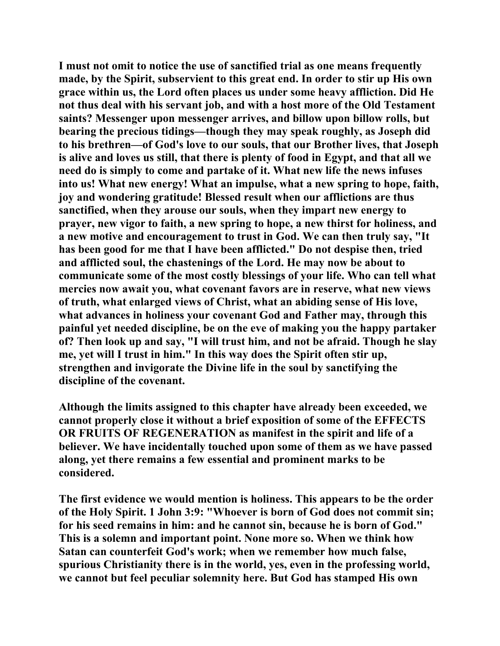**I must not omit to notice the use of sanctified trial as one means frequently made, by the Spirit, subservient to this great end. In order to stir up His own grace within us, the Lord often places us under some heavy affliction. Did He not thus deal with his servant job, and with a host more of the Old Testament saints? Messenger upon messenger arrives, and billow upon billow rolls, but bearing the precious tidings—though they may speak roughly, as Joseph did to his brethren—of God's love to our souls, that our Brother lives, that Joseph is alive and loves us still, that there is plenty of food in Egypt, and that all we need do is simply to come and partake of it. What new life the news infuses into us! What new energy! What an impulse, what a new spring to hope, faith, joy and wondering gratitude! Blessed result when our afflictions are thus sanctified, when they arouse our souls, when they impart new energy to prayer, new vigor to faith, a new spring to hope, a new thirst for holiness, and a new motive and encouragement to trust in God. We can then truly say, "It has been good for me that I have been afflicted." Do not despise then, tried and afflicted soul, the chastenings of the Lord. He may now be about to communicate some of the most costly blessings of your life. Who can tell what mercies now await you, what covenant favors are in reserve, what new views of truth, what enlarged views of Christ, what an abiding sense of His love, what advances in holiness your covenant God and Father may, through this painful yet needed discipline, be on the eve of making you the happy partaker of? Then look up and say, "I will trust him, and not be afraid. Though he slay me, yet will I trust in him." In this way does the Spirit often stir up, strengthen and invigorate the Divine life in the soul by sanctifying the discipline of the covenant.** 

**Although the limits assigned to this chapter have already been exceeded, we cannot properly close it without a brief exposition of some of the EFFECTS OR FRUITS OF REGENERATION as manifest in the spirit and life of a believer. We have incidentally touched upon some of them as we have passed along, yet there remains a few essential and prominent marks to be considered.** 

**The first evidence we would mention is holiness. This appears to be the order of the Holy Spirit. 1 John 3:9: "Whoever is born of God does not commit sin; for his seed remains in him: and he cannot sin, because he is born of God." This is a solemn and important point. None more so. When we think how Satan can counterfeit God's work; when we remember how much false, spurious Christianity there is in the world, yes, even in the professing world, we cannot but feel peculiar solemnity here. But God has stamped His own**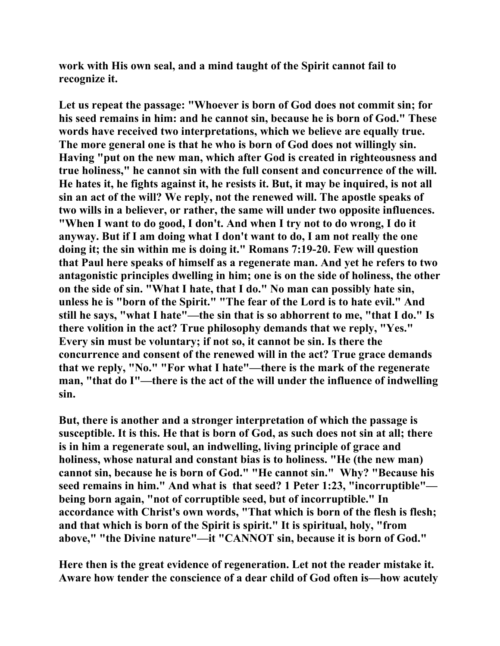**work with His own seal, and a mind taught of the Spirit cannot fail to recognize it.** 

**Let us repeat the passage: "Whoever is born of God does not commit sin; for his seed remains in him: and he cannot sin, because he is born of God." These words have received two interpretations, which we believe are equally true. The more general one is that he who is born of God does not willingly sin. Having "put on the new man, which after God is created in righteousness and true holiness," he cannot sin with the full consent and concurrence of the will. He hates it, he fights against it, he resists it. But, it may be inquired, is not all sin an act of the will? We reply, not the renewed will. The apostle speaks of two wills in a believer, or rather, the same will under two opposite influences. "When I want to do good, I don't. And when I try not to do wrong, I do it anyway. But if I am doing what I don't want to do, I am not really the one doing it; the sin within me is doing it." Romans 7:19-20. Few will question that Paul here speaks of himself as a regenerate man. And yet he refers to two antagonistic principles dwelling in him; one is on the side of holiness, the other on the side of sin. "What I hate, that I do." No man can possibly hate sin, unless he is "born of the Spirit." "The fear of the Lord is to hate evil." And still he says, "what I hate"—the sin that is so abhorrent to me, "that I do." Is there volition in the act? True philosophy demands that we reply, "Yes." Every sin must be voluntary; if not so, it cannot be sin. Is there the concurrence and consent of the renewed will in the act? True grace demands that we reply, "No." "For what I hate"—there is the mark of the regenerate man, "that do I"—there is the act of the will under the influence of indwelling sin.** 

**But, there is another and a stronger interpretation of which the passage is susceptible. It is this. He that is born of God, as such does not sin at all; there is in him a regenerate soul, an indwelling, living principle of grace and holiness, whose natural and constant bias is to holiness. "He (the new man) cannot sin, because he is born of God." "He cannot sin." Why? "Because his seed remains in him." And what is that seed? 1 Peter 1:23, "incorruptible" being born again, "not of corruptible seed, but of incorruptible." In accordance with Christ's own words, "That which is born of the flesh is flesh; and that which is born of the Spirit is spirit." It is spiritual, holy, "from above," "the Divine nature"—it "CANNOT sin, because it is born of God."** 

**Here then is the great evidence of regeneration. Let not the reader mistake it. Aware how tender the conscience of a dear child of God often is—how acutely**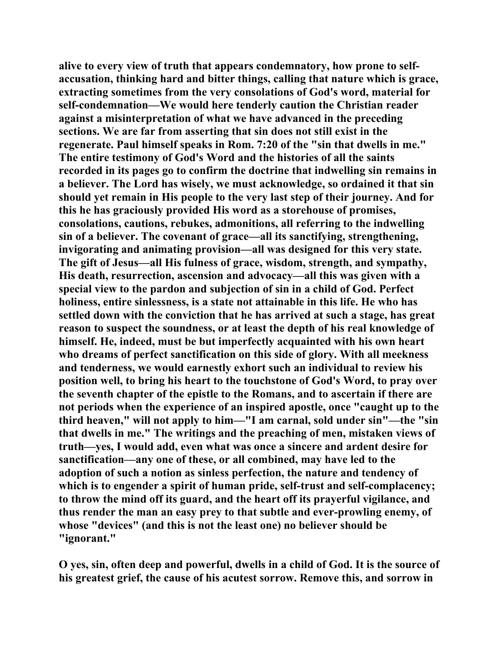**alive to every view of truth that appears condemnatory, how prone to selfaccusation, thinking hard and bitter things, calling that nature which is grace, extracting sometimes from the very consolations of God's word, material for self-condemnation—We would here tenderly caution the Christian reader against a misinterpretation of what we have advanced in the preceding sections. We are far from asserting that sin does not still exist in the regenerate. Paul himself speaks in Rom. 7:20 of the "sin that dwells in me." The entire testimony of God's Word and the histories of all the saints recorded in its pages go to confirm the doctrine that indwelling sin remains in a believer. The Lord has wisely, we must acknowledge, so ordained it that sin should yet remain in His people to the very last step of their journey. And for this he has graciously provided His word as a storehouse of promises, consolations, cautions, rebukes, admonitions, all referring to the indwelling sin of a believer. The covenant of grace—all its sanctifying, strengthening, invigorating and animating provision—all was designed for this very state. The gift of Jesus—all His fulness of grace, wisdom, strength, and sympathy, His death, resurrection, ascension and advocacy—all this was given with a special view to the pardon and subjection of sin in a child of God. Perfect holiness, entire sinlessness, is a state not attainable in this life. He who has settled down with the conviction that he has arrived at such a stage, has great reason to suspect the soundness, or at least the depth of his real knowledge of himself. He, indeed, must be but imperfectly acquainted with his own heart who dreams of perfect sanctification on this side of glory. With all meekness and tenderness, we would earnestly exhort such an individual to review his position well, to bring his heart to the touchstone of God's Word, to pray over the seventh chapter of the epistle to the Romans, and to ascertain if there are not periods when the experience of an inspired apostle, once "caught up to the third heaven," will not apply to him—"I am carnal, sold under sin"—the "sin that dwells in me." The writings and the preaching of men, mistaken views of truth—yes, I would add, even what was once a sincere and ardent desire for sanctification—any one of these, or all combined, may have led to the adoption of such a notion as sinless perfection, the nature and tendency of which is to engender a spirit of human pride, self-trust and self-complacency; to throw the mind off its guard, and the heart off its prayerful vigilance, and thus render the man an easy prey to that subtle and ever-prowling enemy, of whose "devices" (and this is not the least one) no believer should be "ignorant."** 

**O yes, sin, often deep and powerful, dwells in a child of God. It is the source of his greatest grief, the cause of his acutest sorrow. Remove this, and sorrow in**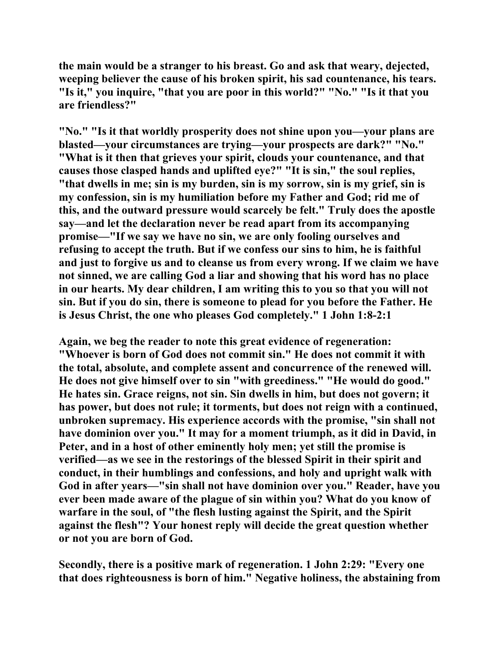**the main would be a stranger to his breast. Go and ask that weary, dejected, weeping believer the cause of his broken spirit, his sad countenance, his tears. "Is it," you inquire, "that you are poor in this world?" "No." "Is it that you are friendless?"** 

**"No." "Is it that worldly prosperity does not shine upon you—your plans are blasted—your circumstances are trying—your prospects are dark?" "No." "What is it then that grieves your spirit, clouds your countenance, and that causes those clasped hands and uplifted eye?" "It is sin," the soul replies, "that dwells in me; sin is my burden, sin is my sorrow, sin is my grief, sin is my confession, sin is my humiliation before my Father and God; rid me of this, and the outward pressure would scarcely be felt." Truly does the apostle say—and let the declaration never be read apart from its accompanying promise—"If we say we have no sin, we are only fooling ourselves and refusing to accept the truth. But if we confess our sins to him, he is faithful and just to forgive us and to cleanse us from every wrong. If we claim we have not sinned, we are calling God a liar and showing that his word has no place in our hearts. My dear children, I am writing this to you so that you will not sin. But if you do sin, there is someone to plead for you before the Father. He is Jesus Christ, the one who pleases God completely." 1 John 1:8-2:1** 

**Again, we beg the reader to note this great evidence of regeneration: "Whoever is born of God does not commit sin." He does not commit it with the total, absolute, and complete assent and concurrence of the renewed will. He does not give himself over to sin "with greediness." "He would do good." He hates sin. Grace reigns, not sin. Sin dwells in him, but does not govern; it has power, but does not rule; it torments, but does not reign with a continued, unbroken supremacy. His experience accords with the promise, "sin shall not have dominion over you." It may for a moment triumph, as it did in David, in Peter, and in a host of other eminently holy men; yet still the promise is verified—as we see in the restorings of the blessed Spirit in their spirit and conduct, in their humblings and confessions, and holy and upright walk with God in after years—"sin shall not have dominion over you." Reader, have you ever been made aware of the plague of sin within you? What do you know of warfare in the soul, of "the flesh lusting against the Spirit, and the Spirit against the flesh"? Your honest reply will decide the great question whether or not you are born of God.** 

**Secondly, there is a positive mark of regeneration. 1 John 2:29: "Every one that does righteousness is born of him." Negative holiness, the abstaining from**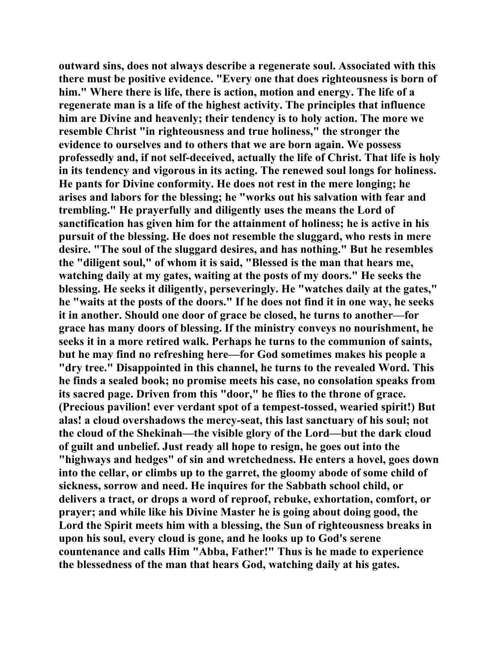**outward sins, does not always describe a regenerate soul. Associated with this there must be positive evidence. "Every one that does righteousness is born of him." Where there is life, there is action, motion and energy. The life of a regenerate man is a life of the highest activity. The principles that influence him are Divine and heavenly; their tendency is to holy action. The more we resemble Christ "in righteousness and true holiness," the stronger the evidence to ourselves and to others that we are born again. We possess professedly and, if not self-deceived, actually the life of Christ. That life is holy in its tendency and vigorous in its acting. The renewed soul longs for holiness. He pants for Divine conformity. He does not rest in the mere longing; he arises and labors for the blessing; he "works out his salvation with fear and trembling." He prayerfully and diligently uses the means the Lord of sanctification has given him for the attainment of holiness; he is active in his pursuit of the blessing. He does not resemble the sluggard, who rests in mere desire. "The soul of the sluggard desires, and has nothing." But he resembles the "diligent soul," of whom it is said, "Blessed is the man that hears me, watching daily at my gates, waiting at the posts of my doors." He seeks the blessing. He seeks it diligently, perseveringly. He "watches daily at the gates," he "waits at the posts of the doors." If he does not find it in one way, he seeks it in another. Should one door of grace be closed, he turns to another—for grace has many doors of blessing. If the ministry conveys no nourishment, he seeks it in a more retired walk. Perhaps he turns to the communion of saints, but he may find no refreshing here—for God sometimes makes his people a "dry tree." Disappointed in this channel, he turns to the revealed Word. This he finds a sealed book; no promise meets his case, no consolation speaks from its sacred page. Driven from this "door," he flies to the throne of grace. (Precious pavilion! ever verdant spot of a tempest-tossed, wearied spirit!) But alas! a cloud overshadows the mercy-seat, this last sanctuary of his soul; not the cloud of the Shekinah—the visible glory of the Lord—but the dark cloud of guilt and unbelief. Just ready all hope to resign, he goes out into the "highways and hedges" of sin and wretchedness. He enters a hovel, goes down into the cellar, or climbs up to the garret, the gloomy abode of some child of sickness, sorrow and need. He inquires for the Sabbath school child, or delivers a tract, or drops a word of reproof, rebuke, exhortation, comfort, or prayer; and while like his Divine Master he is going about doing good, the Lord the Spirit meets him with a blessing, the Sun of righteousness breaks in upon his soul, every cloud is gone, and he looks up to God's serene countenance and calls Him "Abba, Father!" Thus is he made to experience the blessedness of the man that hears God, watching daily at his gates.**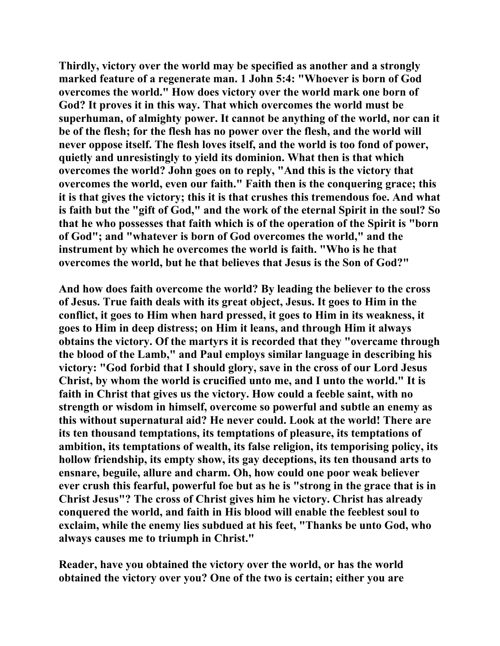**Thirdly, victory over the world may be specified as another and a strongly marked feature of a regenerate man. 1 John 5:4: "Whoever is born of God overcomes the world." How does victory over the world mark one born of God? It proves it in this way. That which overcomes the world must be superhuman, of almighty power. It cannot be anything of the world, nor can it be of the flesh; for the flesh has no power over the flesh, and the world will never oppose itself. The flesh loves itself, and the world is too fond of power, quietly and unresistingly to yield its dominion. What then is that which overcomes the world? John goes on to reply, "And this is the victory that overcomes the world, even our faith." Faith then is the conquering grace; this it is that gives the victory; this it is that crushes this tremendous foe. And what is faith but the "gift of God," and the work of the eternal Spirit in the soul? So that he who possesses that faith which is of the operation of the Spirit is "born of God"; and "whatever is born of God overcomes the world," and the instrument by which he overcomes the world is faith. "Who is he that overcomes the world, but he that believes that Jesus is the Son of God?"** 

**And how does faith overcome the world? By leading the believer to the cross of Jesus. True faith deals with its great object, Jesus. It goes to Him in the conflict, it goes to Him when hard pressed, it goes to Him in its weakness, it goes to Him in deep distress; on Him it leans, and through Him it always obtains the victory. Of the martyrs it is recorded that they "overcame through the blood of the Lamb," and Paul employs similar language in describing his victory: "God forbid that I should glory, save in the cross of our Lord Jesus Christ, by whom the world is crucified unto me, and I unto the world." It is faith in Christ that gives us the victory. How could a feeble saint, with no strength or wisdom in himself, overcome so powerful and subtle an enemy as this without supernatural aid? He never could. Look at the world! There are its ten thousand temptations, its temptations of pleasure, its temptations of ambition, its temptations of wealth, its false religion, its temporising policy, its hollow friendship, its empty show, its gay deceptions, its ten thousand arts to ensnare, beguile, allure and charm. Oh, how could one poor weak believer ever crush this fearful, powerful foe but as he is "strong in the grace that is in Christ Jesus"? The cross of Christ gives him he victory. Christ has already conquered the world, and faith in His blood will enable the feeblest soul to exclaim, while the enemy lies subdued at his feet, "Thanks be unto God, who always causes me to triumph in Christ."** 

**Reader, have you obtained the victory over the world, or has the world obtained the victory over you? One of the two is certain; either you are**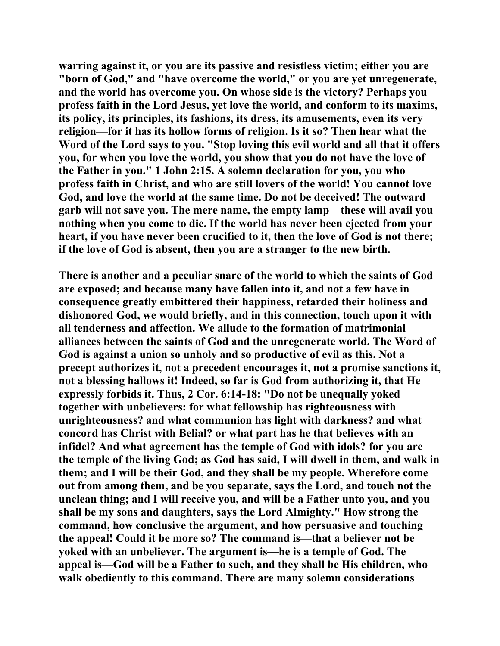**warring against it, or you are its passive and resistless victim; either you are "born of God," and "have overcome the world," or you are yet unregenerate, and the world has overcome you. On whose side is the victory? Perhaps you profess faith in the Lord Jesus, yet love the world, and conform to its maxims, its policy, its principles, its fashions, its dress, its amusements, even its very religion—for it has its hollow forms of religion. Is it so? Then hear what the Word of the Lord says to you. "Stop loving this evil world and all that it offers you, for when you love the world, you show that you do not have the love of the Father in you." 1 John 2:15. A solemn declaration for you, you who profess faith in Christ, and who are still lovers of the world! You cannot love God, and love the world at the same time. Do not be deceived! The outward garb will not save you. The mere name, the empty lamp—these will avail you nothing when you come to die. If the world has never been ejected from your heart, if you have never been crucified to it, then the love of God is not there; if the love of God is absent, then you are a stranger to the new birth.** 

**There is another and a peculiar snare of the world to which the saints of God are exposed; and because many have fallen into it, and not a few have in consequence greatly embittered their happiness, retarded their holiness and dishonored God, we would briefly, and in this connection, touch upon it with all tenderness and affection. We allude to the formation of matrimonial alliances between the saints of God and the unregenerate world. The Word of God is against a union so unholy and so productive of evil as this. Not a precept authorizes it, not a precedent encourages it, not a promise sanctions it, not a blessing hallows it! Indeed, so far is God from authorizing it, that He expressly forbids it. Thus, 2 Cor. 6:14-18: "Do not be unequally yoked together with unbelievers: for what fellowship has righteousness with unrighteousness? and what communion has light with darkness? and what concord has Christ with Belial? or what part has he that believes with an infidel? And what agreement has the temple of God with idols? for you are the temple of the living God; as God has said, I will dwell in them, and walk in them; and I will be their God, and they shall be my people. Wherefore come out from among them, and be you separate, says the Lord, and touch not the unclean thing; and I will receive you, and will be a Father unto you, and you shall be my sons and daughters, says the Lord Almighty." How strong the command, how conclusive the argument, and how persuasive and touching the appeal! Could it be more so? The command is—that a believer not be yoked with an unbeliever. The argument is—he is a temple of God. The appeal is—God will be a Father to such, and they shall be His children, who walk obediently to this command. There are many solemn considerations**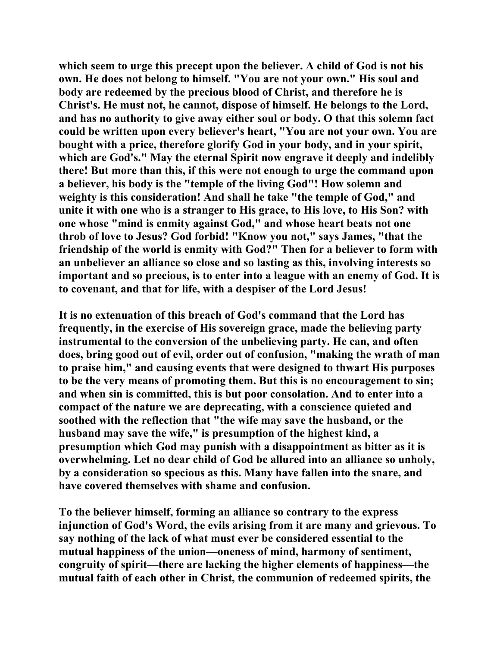**which seem to urge this precept upon the believer. A child of God is not his own. He does not belong to himself. "You are not your own." His soul and body are redeemed by the precious blood of Christ, and therefore he is Christ's. He must not, he cannot, dispose of himself. He belongs to the Lord, and has no authority to give away either soul or body. O that this solemn fact could be written upon every believer's heart, "You are not your own. You are bought with a price, therefore glorify God in your body, and in your spirit, which are God's." May the eternal Spirit now engrave it deeply and indelibly there! But more than this, if this were not enough to urge the command upon a believer, his body is the "temple of the living God"! How solemn and weighty is this consideration! And shall he take "the temple of God," and unite it with one who is a stranger to His grace, to His love, to His Son? with one whose "mind is enmity against God," and whose heart beats not one throb of love to Jesus? God forbid! "Know you not," says James, "that the friendship of the world is enmity with God?" Then for a believer to form with an unbeliever an alliance so close and so lasting as this, involving interests so important and so precious, is to enter into a league with an enemy of God. It is to covenant, and that for life, with a despiser of the Lord Jesus!** 

**It is no extenuation of this breach of God's command that the Lord has frequently, in the exercise of His sovereign grace, made the believing party instrumental to the conversion of the unbelieving party. He can, and often does, bring good out of evil, order out of confusion, "making the wrath of man to praise him," and causing events that were designed to thwart His purposes to be the very means of promoting them. But this is no encouragement to sin; and when sin is committed, this is but poor consolation. And to enter into a compact of the nature we are deprecating, with a conscience quieted and soothed with the reflection that "the wife may save the husband, or the husband may save the wife," is presumption of the highest kind, a presumption which God may punish with a disappointment as bitter as it is overwhelming. Let no dear child of God be allured into an alliance so unholy, by a consideration so specious as this. Many have fallen into the snare, and have covered themselves with shame and confusion.** 

**To the believer himself, forming an alliance so contrary to the express injunction of God's Word, the evils arising from it are many and grievous. To say nothing of the lack of what must ever be considered essential to the mutual happiness of the union—oneness of mind, harmony of sentiment, congruity of spirit—there are lacking the higher elements of happiness—the mutual faith of each other in Christ, the communion of redeemed spirits, the**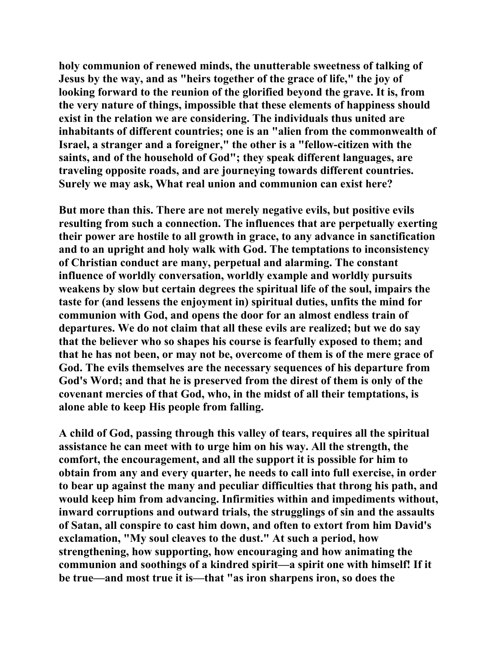**holy communion of renewed minds, the unutterable sweetness of talking of Jesus by the way, and as "heirs together of the grace of life," the joy of looking forward to the reunion of the glorified beyond the grave. It is, from the very nature of things, impossible that these elements of happiness should exist in the relation we are considering. The individuals thus united are inhabitants of different countries; one is an "alien from the commonwealth of Israel, a stranger and a foreigner," the other is a "fellow-citizen with the saints, and of the household of God"; they speak different languages, are traveling opposite roads, and are journeying towards different countries. Surely we may ask, What real union and communion can exist here?** 

**But more than this. There are not merely negative evils, but positive evils resulting from such a connection. The influences that are perpetually exerting their power are hostile to all growth in grace, to any advance in sanctification and to an upright and holy walk with God. The temptations to inconsistency of Christian conduct are many, perpetual and alarming. The constant influence of worldly conversation, worldly example and worldly pursuits weakens by slow but certain degrees the spiritual life of the soul, impairs the taste for (and lessens the enjoyment in) spiritual duties, unfits the mind for communion with God, and opens the door for an almost endless train of departures. We do not claim that all these evils are realized; but we do say that the believer who so shapes his course is fearfully exposed to them; and that he has not been, or may not be, overcome of them is of the mere grace of God. The evils themselves are the necessary sequences of his departure from God's Word; and that he is preserved from the direst of them is only of the covenant mercies of that God, who, in the midst of all their temptations, is alone able to keep His people from falling.** 

**A child of God, passing through this valley of tears, requires all the spiritual assistance he can meet with to urge him on his way. All the strength, the comfort, the encouragement, and all the support it is possible for him to obtain from any and every quarter, he needs to call into full exercise, in order to bear up against the many and peculiar difficulties that throng his path, and would keep him from advancing. Infirmities within and impediments without, inward corruptions and outward trials, the strugglings of sin and the assaults of Satan, all conspire to cast him down, and often to extort from him David's exclamation, "My soul cleaves to the dust." At such a period, how strengthening, how supporting, how encouraging and how animating the communion and soothings of a kindred spirit—a spirit one with himself! If it be true—and most true it is—that "as iron sharpens iron, so does the**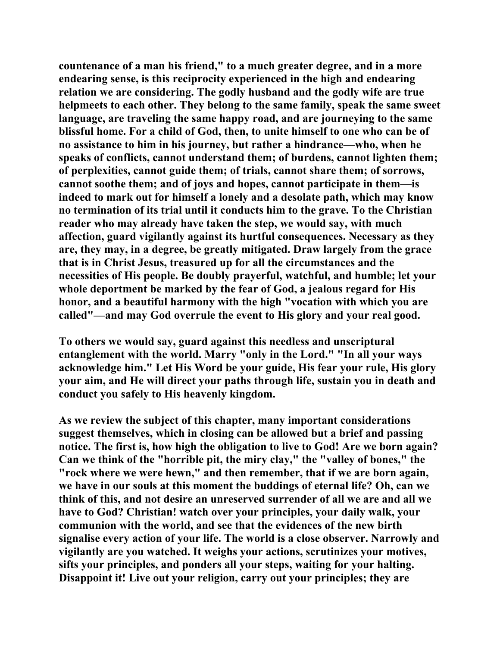**countenance of a man his friend," to a much greater degree, and in a more endearing sense, is this reciprocity experienced in the high and endearing relation we are considering. The godly husband and the godly wife are true helpmeets to each other. They belong to the same family, speak the same sweet language, are traveling the same happy road, and are journeying to the same blissful home. For a child of God, then, to unite himself to one who can be of no assistance to him in his journey, but rather a hindrance—who, when he speaks of conflicts, cannot understand them; of burdens, cannot lighten them; of perplexities, cannot guide them; of trials, cannot share them; of sorrows, cannot soothe them; and of joys and hopes, cannot participate in them—is indeed to mark out for himself a lonely and a desolate path, which may know no termination of its trial until it conducts him to the grave. To the Christian reader who may already have taken the step, we would say, with much affection, guard vigilantly against its hurtful consequences. Necessary as they are, they may, in a degree, be greatly mitigated. Draw largely from the grace that is in Christ Jesus, treasured up for all the circumstances and the necessities of His people. Be doubly prayerful, watchful, and humble; let your whole deportment be marked by the fear of God, a jealous regard for His honor, and a beautiful harmony with the high "vocation with which you are called"—and may God overrule the event to His glory and your real good.** 

**To others we would say, guard against this needless and unscriptural entanglement with the world. Marry "only in the Lord." "In all your ways acknowledge him." Let His Word be your guide, His fear your rule, His glory your aim, and He will direct your paths through life, sustain you in death and conduct you safely to His heavenly kingdom.** 

**As we review the subject of this chapter, many important considerations suggest themselves, which in closing can be allowed but a brief and passing notice. The first is, how high the obligation to live to God! Are we born again? Can we think of the "horrible pit, the miry clay," the "valley of bones," the "rock where we were hewn," and then remember, that if we are born again, we have in our souls at this moment the buddings of eternal life? Oh, can we think of this, and not desire an unreserved surrender of all we are and all we have to God? Christian! watch over your principles, your daily walk, your communion with the world, and see that the evidences of the new birth signalise every action of your life. The world is a close observer. Narrowly and vigilantly are you watched. It weighs your actions, scrutinizes your motives, sifts your principles, and ponders all your steps, waiting for your halting. Disappoint it! Live out your religion, carry out your principles; they are**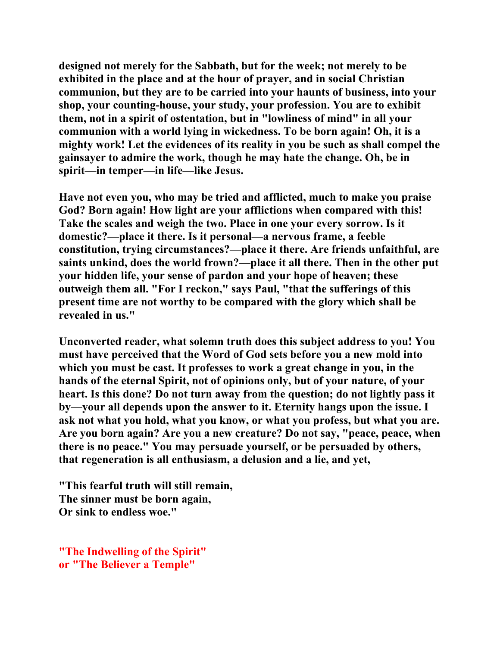**designed not merely for the Sabbath, but for the week; not merely to be exhibited in the place and at the hour of prayer, and in social Christian communion, but they are to be carried into your haunts of business, into your shop, your counting-house, your study, your profession. You are to exhibit them, not in a spirit of ostentation, but in "lowliness of mind" in all your communion with a world lying in wickedness. To be born again! Oh, it is a mighty work! Let the evidences of its reality in you be such as shall compel the gainsayer to admire the work, though he may hate the change. Oh, be in spirit—in temper—in life—like Jesus.** 

**Have not even you, who may be tried and afflicted, much to make you praise God? Born again! How light are your afflictions when compared with this! Take the scales and weigh the two. Place in one your every sorrow. Is it domestic?—place it there. Is it personal—a nervous frame, a feeble constitution, trying circumstances?—place it there. Are friends unfaithful, are saints unkind, does the world frown?—place it all there. Then in the other put your hidden life, your sense of pardon and your hope of heaven; these outweigh them all. "For I reckon," says Paul, "that the sufferings of this present time are not worthy to be compared with the glory which shall be revealed in us."** 

**Unconverted reader, what solemn truth does this subject address to you! You must have perceived that the Word of God sets before you a new mold into which you must be cast. It professes to work a great change in you, in the hands of the eternal Spirit, not of opinions only, but of your nature, of your heart. Is this done? Do not turn away from the question; do not lightly pass it by—your all depends upon the answer to it. Eternity hangs upon the issue. I ask not what you hold, what you know, or what you profess, but what you are. Are you born again? Are you a new creature? Do not say, "peace, peace, when there is no peace." You may persuade yourself, or be persuaded by others, that regeneration is all enthusiasm, a delusion and a lie, and yet,** 

**"This fearful truth will still remain, The sinner must be born again, Or sink to endless woe."** 

**"The Indwelling of the Spirit" or "The Believer a Temple"**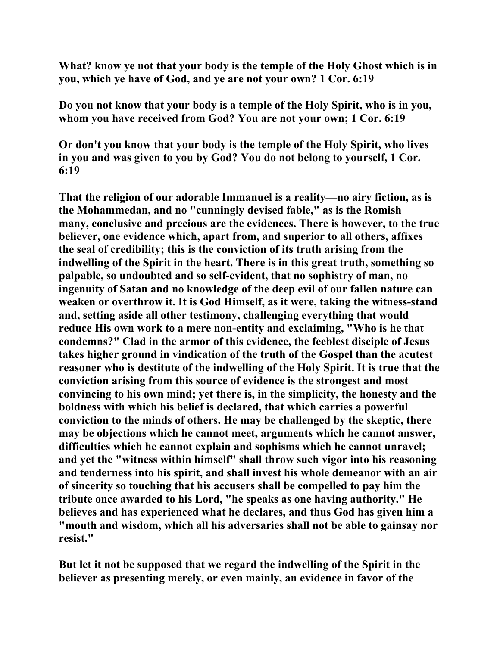**What? know ye not that your body is the temple of the Holy Ghost which is in you, which ye have of God, and ye are not your own? 1 Cor. 6:19** 

**Do you not know that your body is a temple of the Holy Spirit, who is in you, whom you have received from God? You are not your own; 1 Cor. 6:19** 

**Or don't you know that your body is the temple of the Holy Spirit, who lives in you and was given to you by God? You do not belong to yourself, 1 Cor. 6:19** 

**That the religion of our adorable Immanuel is a reality—no airy fiction, as is the Mohammedan, and no "cunningly devised fable," as is the Romish many, conclusive and precious are the evidences. There is however, to the true believer, one evidence which, apart from, and superior to all others, affixes the seal of credibility; this is the conviction of its truth arising from the indwelling of the Spirit in the heart. There is in this great truth, something so palpable, so undoubted and so self-evident, that no sophistry of man, no ingenuity of Satan and no knowledge of the deep evil of our fallen nature can weaken or overthrow it. It is God Himself, as it were, taking the witness-stand and, setting aside all other testimony, challenging everything that would reduce His own work to a mere non-entity and exclaiming, "Who is he that condemns?" Clad in the armor of this evidence, the feeblest disciple of Jesus takes higher ground in vindication of the truth of the Gospel than the acutest reasoner who is destitute of the indwelling of the Holy Spirit. It is true that the conviction arising from this source of evidence is the strongest and most convincing to his own mind; yet there is, in the simplicity, the honesty and the boldness with which his belief is declared, that which carries a powerful conviction to the minds of others. He may be challenged by the skeptic, there may be objections which he cannot meet, arguments which he cannot answer, difficulties which he cannot explain and sophisms which he cannot unravel; and yet the "witness within himself" shall throw such vigor into his reasoning and tenderness into his spirit, and shall invest his whole demeanor with an air of sincerity so touching that his accusers shall be compelled to pay him the tribute once awarded to his Lord, "he speaks as one having authority." He believes and has experienced what he declares, and thus God has given him a "mouth and wisdom, which all his adversaries shall not be able to gainsay nor resist."** 

**But let it not be supposed that we regard the indwelling of the Spirit in the believer as presenting merely, or even mainly, an evidence in favor of the**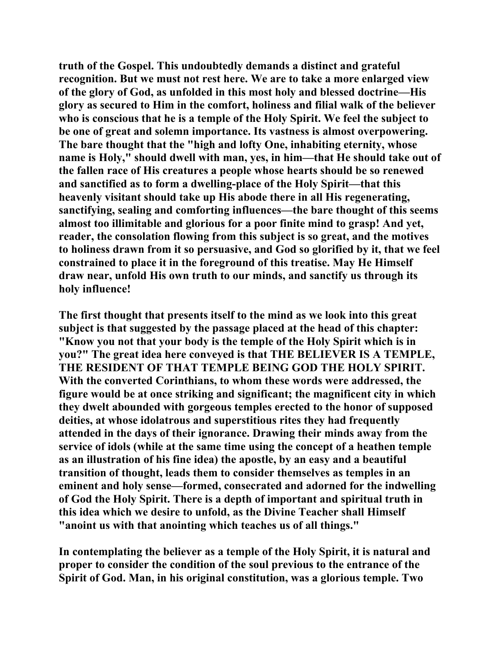**truth of the Gospel. This undoubtedly demands a distinct and grateful recognition. But we must not rest here. We are to take a more enlarged view of the glory of God, as unfolded in this most holy and blessed doctrine—His glory as secured to Him in the comfort, holiness and filial walk of the believer who is conscious that he is a temple of the Holy Spirit. We feel the subject to be one of great and solemn importance. Its vastness is almost overpowering. The bare thought that the "high and lofty One, inhabiting eternity, whose name is Holy," should dwell with man, yes, in him—that He should take out of the fallen race of His creatures a people whose hearts should be so renewed and sanctified as to form a dwelling-place of the Holy Spirit—that this heavenly visitant should take up His abode there in all His regenerating, sanctifying, sealing and comforting influences—the bare thought of this seems almost too illimitable and glorious for a poor finite mind to grasp! And yet, reader, the consolation flowing from this subject is so great, and the motives to holiness drawn from it so persuasive, and God so glorified by it, that we feel constrained to place it in the foreground of this treatise. May He Himself draw near, unfold His own truth to our minds, and sanctify us through its holy influence!** 

**The first thought that presents itself to the mind as we look into this great subject is that suggested by the passage placed at the head of this chapter: "Know you not that your body is the temple of the Holy Spirit which is in you?" The great idea here conveyed is that THE BELIEVER IS A TEMPLE, THE RESIDENT OF THAT TEMPLE BEING GOD THE HOLY SPIRIT. With the converted Corinthians, to whom these words were addressed, the figure would be at once striking and significant; the magnificent city in which they dwelt abounded with gorgeous temples erected to the honor of supposed deities, at whose idolatrous and superstitious rites they had frequently attended in the days of their ignorance. Drawing their minds away from the service of idols (while at the same time using the concept of a heathen temple as an illustration of his fine idea) the apostle, by an easy and a beautiful transition of thought, leads them to consider themselves as temples in an eminent and holy sense—formed, consecrated and adorned for the indwelling of God the Holy Spirit. There is a depth of important and spiritual truth in this idea which we desire to unfold, as the Divine Teacher shall Himself "anoint us with that anointing which teaches us of all things."** 

**In contemplating the believer as a temple of the Holy Spirit, it is natural and proper to consider the condition of the soul previous to the entrance of the Spirit of God. Man, in his original constitution, was a glorious temple. Two**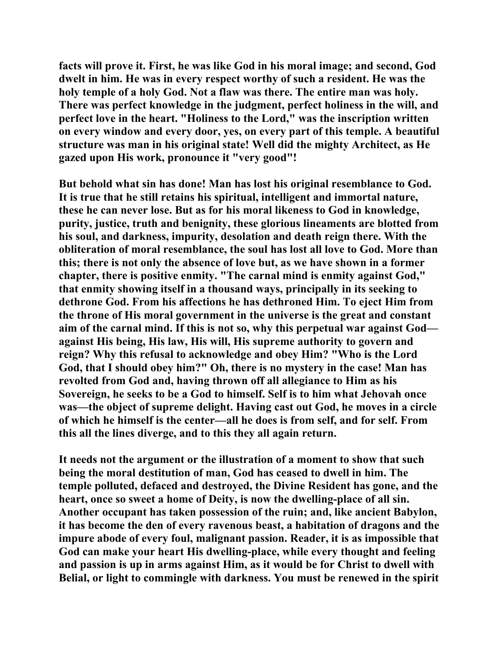**facts will prove it. First, he was like God in his moral image; and second, God dwelt in him. He was in every respect worthy of such a resident. He was the holy temple of a holy God. Not a flaw was there. The entire man was holy. There was perfect knowledge in the judgment, perfect holiness in the will, and perfect love in the heart. "Holiness to the Lord," was the inscription written on every window and every door, yes, on every part of this temple. A beautiful structure was man in his original state! Well did the mighty Architect, as He gazed upon His work, pronounce it "very good"!** 

**But behold what sin has done! Man has lost his original resemblance to God. It is true that he still retains his spiritual, intelligent and immortal nature, these he can never lose. But as for his moral likeness to God in knowledge, purity, justice, truth and benignity, these glorious lineaments are blotted from his soul, and darkness, impurity, desolation and death reign there. With the obliteration of moral resemblance, the soul has lost all love to God. More than this; there is not only the absence of love but, as we have shown in a former chapter, there is positive enmity. "The carnal mind is enmity against God," that enmity showing itself in a thousand ways, principally in its seeking to dethrone God. From his affections he has dethroned Him. To eject Him from the throne of His moral government in the universe is the great and constant aim of the carnal mind. If this is not so, why this perpetual war against God against His being, His law, His will, His supreme authority to govern and reign? Why this refusal to acknowledge and obey Him? "Who is the Lord God, that I should obey him?" Oh, there is no mystery in the case! Man has revolted from God and, having thrown off all allegiance to Him as his Sovereign, he seeks to be a God to himself. Self is to him what Jehovah once was—the object of supreme delight. Having cast out God, he moves in a circle of which he himself is the center—all he does is from self, and for self. From this all the lines diverge, and to this they all again return.** 

**It needs not the argument or the illustration of a moment to show that such being the moral destitution of man, God has ceased to dwell in him. The temple polluted, defaced and destroyed, the Divine Resident has gone, and the heart, once so sweet a home of Deity, is now the dwelling-place of all sin. Another occupant has taken possession of the ruin; and, like ancient Babylon, it has become the den of every ravenous beast, a habitation of dragons and the impure abode of every foul, malignant passion. Reader, it is as impossible that God can make your heart His dwelling-place, while every thought and feeling and passion is up in arms against Him, as it would be for Christ to dwell with Belial, or light to commingle with darkness. You must be renewed in the spirit**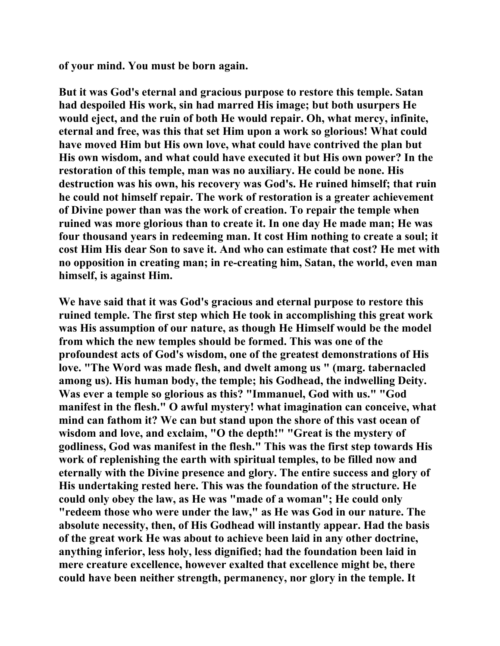**of your mind. You must be born again.** 

**But it was God's eternal and gracious purpose to restore this temple. Satan had despoiled His work, sin had marred His image; but both usurpers He would eject, and the ruin of both He would repair. Oh, what mercy, infinite, eternal and free, was this that set Him upon a work so glorious! What could have moved Him but His own love, what could have contrived the plan but His own wisdom, and what could have executed it but His own power? In the restoration of this temple, man was no auxiliary. He could be none. His destruction was his own, his recovery was God's. He ruined himself; that ruin he could not himself repair. The work of restoration is a greater achievement of Divine power than was the work of creation. To repair the temple when ruined was more glorious than to create it. In one day He made man; He was four thousand years in redeeming man. It cost Him nothing to create a soul; it cost Him His dear Son to save it. And who can estimate that cost? He met with no opposition in creating man; in re-creating him, Satan, the world, even man himself, is against Him.** 

**We have said that it was God's gracious and eternal purpose to restore this ruined temple. The first step which He took in accomplishing this great work was His assumption of our nature, as though He Himself would be the model from which the new temples should be formed. This was one of the profoundest acts of God's wisdom, one of the greatest demonstrations of His love. "The Word was made flesh, and dwelt among us " (marg. tabernacled among us). His human body, the temple; his Godhead, the indwelling Deity. Was ever a temple so glorious as this? "Immanuel, God with us." "God manifest in the flesh." O awful mystery! what imagination can conceive, what mind can fathom it? We can but stand upon the shore of this vast ocean of wisdom and love, and exclaim, "O the depth!" "Great is the mystery of godliness, God was manifest in the flesh." This was the first step towards His work of replenishing the earth with spiritual temples, to be filled now and eternally with the Divine presence and glory. The entire success and glory of His undertaking rested here. This was the foundation of the structure. He could only obey the law, as He was "made of a woman"; He could only "redeem those who were under the law," as He was God in our nature. The absolute necessity, then, of His Godhead will instantly appear. Had the basis of the great work He was about to achieve been laid in any other doctrine, anything inferior, less holy, less dignified; had the foundation been laid in mere creature excellence, however exalted that excellence might be, there could have been neither strength, permanency, nor glory in the temple. It**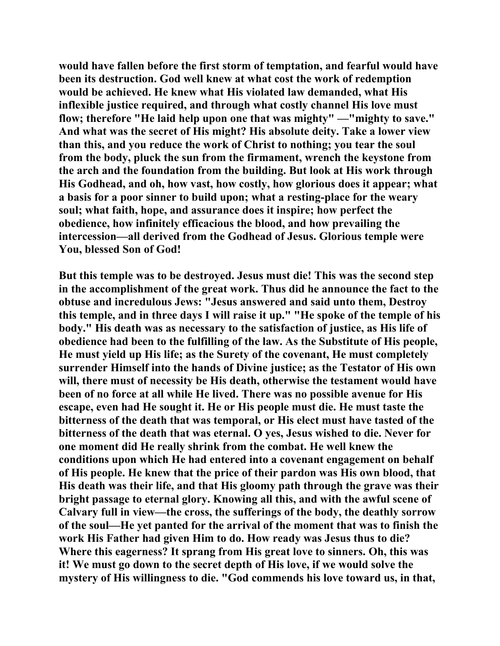**would have fallen before the first storm of temptation, and fearful would have been its destruction. God well knew at what cost the work of redemption would be achieved. He knew what His violated law demanded, what His inflexible justice required, and through what costly channel His love must flow; therefore "He laid help upon one that was mighty" —"mighty to save." And what was the secret of His might? His absolute deity. Take a lower view than this, and you reduce the work of Christ to nothing; you tear the soul from the body, pluck the sun from the firmament, wrench the keystone from the arch and the foundation from the building. But look at His work through His Godhead, and oh, how vast, how costly, how glorious does it appear; what a basis for a poor sinner to build upon; what a resting-place for the weary soul; what faith, hope, and assurance does it inspire; how perfect the obedience, how infinitely efficacious the blood, and how prevailing the intercession—all derived from the Godhead of Jesus. Glorious temple were You, blessed Son of God!** 

**But this temple was to be destroyed. Jesus must die! This was the second step in the accomplishment of the great work. Thus did he announce the fact to the obtuse and incredulous Jews: "Jesus answered and said unto them, Destroy this temple, and in three days I will raise it up." "He spoke of the temple of his body." His death was as necessary to the satisfaction of justice, as His life of obedience had been to the fulfilling of the law. As the Substitute of His people, He must yield up His life; as the Surety of the covenant, He must completely surrender Himself into the hands of Divine justice; as the Testator of His own will, there must of necessity be His death, otherwise the testament would have been of no force at all while He lived. There was no possible avenue for His escape, even had He sought it. He or His people must die. He must taste the bitterness of the death that was temporal, or His elect must have tasted of the bitterness of the death that was eternal. O yes, Jesus wished to die. Never for one moment did He really shrink from the combat. He well knew the conditions upon which He had entered into a covenant engagement on behalf of His people. He knew that the price of their pardon was His own blood, that His death was their life, and that His gloomy path through the grave was their bright passage to eternal glory. Knowing all this, and with the awful scene of Calvary full in view—the cross, the sufferings of the body, the deathly sorrow of the soul—He yet panted for the arrival of the moment that was to finish the work His Father had given Him to do. How ready was Jesus thus to die? Where this eagerness? It sprang from His great love to sinners. Oh, this was it! We must go down to the secret depth of His love, if we would solve the mystery of His willingness to die. "God commends his love toward us, in that,**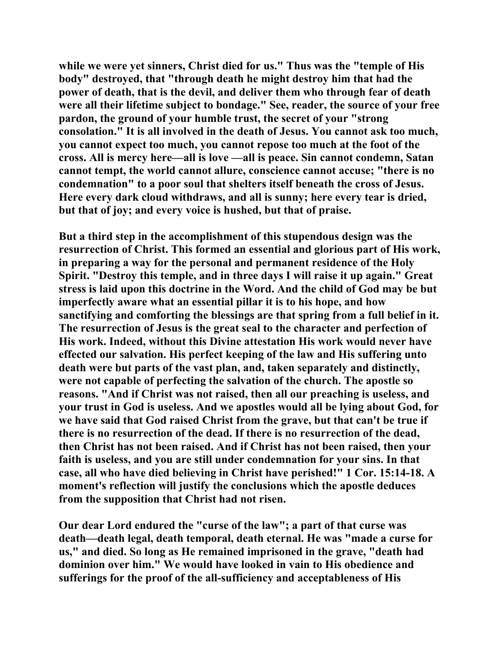**while we were yet sinners, Christ died for us." Thus was the "temple of His body" destroyed, that "through death he might destroy him that had the power of death, that is the devil, and deliver them who through fear of death were all their lifetime subject to bondage." See, reader, the source of your free pardon, the ground of your humble trust, the secret of your "strong consolation." It is all involved in the death of Jesus. You cannot ask too much, you cannot expect too much, you cannot repose too much at the foot of the cross. All is mercy here—all is love —all is peace. Sin cannot condemn, Satan cannot tempt, the world cannot allure, conscience cannot accuse; "there is no condemnation" to a poor soul that shelters itself beneath the cross of Jesus. Here every dark cloud withdraws, and all is sunny; here every tear is dried, but that of joy; and every voice is hushed, but that of praise.** 

**But a third step in the accomplishment of this stupendous design was the resurrection of Christ. This formed an essential and glorious part of His work, in preparing a way for the personal and permanent residence of the Holy Spirit. "Destroy this temple, and in three days I will raise it up again." Great stress is laid upon this doctrine in the Word. And the child of God may be but imperfectly aware what an essential pillar it is to his hope, and how sanctifying and comforting the blessings are that spring from a full belief in it. The resurrection of Jesus is the great seal to the character and perfection of His work. Indeed, without this Divine attestation His work would never have effected our salvation. His perfect keeping of the law and His suffering unto death were but parts of the vast plan, and, taken separately and distinctly, were not capable of perfecting the salvation of the church. The apostle so reasons. "And if Christ was not raised, then all our preaching is useless, and your trust in God is useless. And we apostles would all be lying about God, for we have said that God raised Christ from the grave, but that can't be true if there is no resurrection of the dead. If there is no resurrection of the dead, then Christ has not been raised. And if Christ has not been raised, then your faith is useless, and you are still under condemnation for your sins. In that case, all who have died believing in Christ have perished!" 1 Cor. 15:14-18. A moment's reflection will justify the conclusions which the apostle deduces from the supposition that Christ had not risen.** 

**Our dear Lord endured the "curse of the law"; a part of that curse was death—death legal, death temporal, death eternal. He was "made a curse for us," and died. So long as He remained imprisoned in the grave, "death had dominion over him." We would have looked in vain to His obedience and sufferings for the proof of the all-sufficiency and acceptableness of His**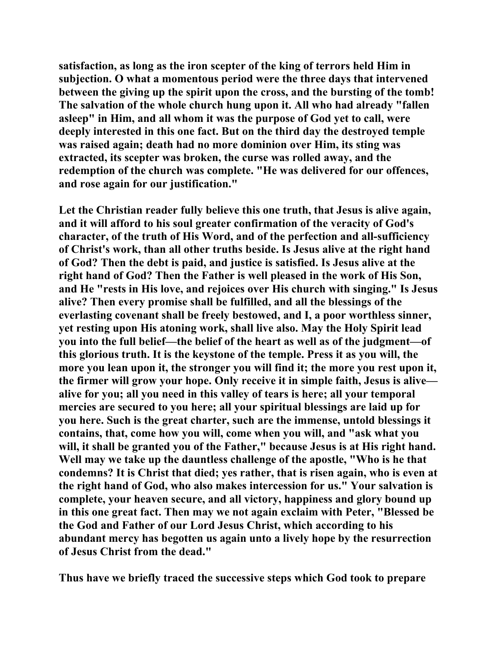**satisfaction, as long as the iron scepter of the king of terrors held Him in subjection. O what a momentous period were the three days that intervened between the giving up the spirit upon the cross, and the bursting of the tomb! The salvation of the whole church hung upon it. All who had already "fallen asleep" in Him, and all whom it was the purpose of God yet to call, were deeply interested in this one fact. But on the third day the destroyed temple was raised again; death had no more dominion over Him, its sting was extracted, its scepter was broken, the curse was rolled away, and the redemption of the church was complete. "He was delivered for our offences, and rose again for our justification."** 

**Let the Christian reader fully believe this one truth, that Jesus is alive again, and it will afford to his soul greater confirmation of the veracity of God's character, of the truth of His Word, and of the perfection and all-sufficiency of Christ's work, than all other truths beside. Is Jesus alive at the right hand of God? Then the debt is paid, and justice is satisfied. Is Jesus alive at the right hand of God? Then the Father is well pleased in the work of His Son, and He "rests in His love, and rejoices over His church with singing." Is Jesus alive? Then every promise shall be fulfilled, and all the blessings of the everlasting covenant shall be freely bestowed, and I, a poor worthless sinner, yet resting upon His atoning work, shall live also. May the Holy Spirit lead you into the full belief—the belief of the heart as well as of the judgment—of this glorious truth. It is the keystone of the temple. Press it as you will, the more you lean upon it, the stronger you will find it; the more you rest upon it, the firmer will grow your hope. Only receive it in simple faith, Jesus is alive alive for you; all you need in this valley of tears is here; all your temporal mercies are secured to you here; all your spiritual blessings are laid up for you here. Such is the great charter, such are the immense, untold blessings it contains, that, come how you will, come when you will, and "ask what you will, it shall be granted you of the Father," because Jesus is at His right hand. Well may we take up the dauntless challenge of the apostle, "Who is he that condemns? It is Christ that died; yes rather, that is risen again, who is even at the right hand of God, who also makes intercession for us." Your salvation is complete, your heaven secure, and all victory, happiness and glory bound up in this one great fact. Then may we not again exclaim with Peter, "Blessed be the God and Father of our Lord Jesus Christ, which according to his abundant mercy has begotten us again unto a lively hope by the resurrection of Jesus Christ from the dead."** 

**Thus have we briefly traced the successive steps which God took to prepare**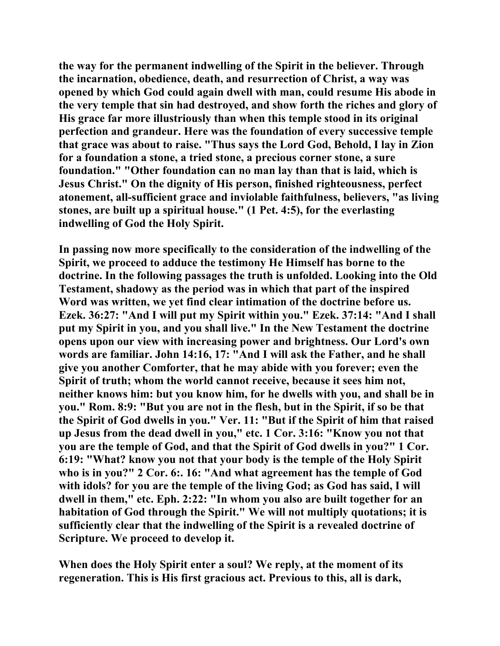**the way for the permanent indwelling of the Spirit in the believer. Through the incarnation, obedience, death, and resurrection of Christ, a way was opened by which God could again dwell with man, could resume His abode in the very temple that sin had destroyed, and show forth the riches and glory of His grace far more illustriously than when this temple stood in its original perfection and grandeur. Here was the foundation of every successive temple that grace was about to raise. "Thus says the Lord God, Behold, I lay in Zion for a foundation a stone, a tried stone, a precious corner stone, a sure foundation." "Other foundation can no man lay than that is laid, which is Jesus Christ." On the dignity of His person, finished righteousness, perfect atonement, all-sufficient grace and inviolable faithfulness, believers, "as living stones, are built up a spiritual house." (1 Pet. 4:5), for the everlasting indwelling of God the Holy Spirit.** 

**In passing now more specifically to the consideration of the indwelling of the Spirit, we proceed to adduce the testimony He Himself has borne to the doctrine. In the following passages the truth is unfolded. Looking into the Old Testament, shadowy as the period was in which that part of the inspired Word was written, we yet find clear intimation of the doctrine before us. Ezek. 36:27: "And I will put my Spirit within you." Ezek. 37:14: "And I shall put my Spirit in you, and you shall live." In the New Testament the doctrine opens upon our view with increasing power and brightness. Our Lord's own words are familiar. John 14:16, 17: "And I will ask the Father, and he shall give you another Comforter, that he may abide with you forever; even the Spirit of truth; whom the world cannot receive, because it sees him not, neither knows him: but you know him, for he dwells with you, and shall be in you." Rom. 8:9: "But you are not in the flesh, but in the Spirit, if so be that the Spirit of God dwells in you." Ver. 11: "But if the Spirit of him that raised up Jesus from the dead dwell in you," etc. 1 Cor. 3:16: "Know you not that you are the temple of God, and that the Spirit of God dwells in you?" 1 Cor. 6:19: "What? know you not that your body is the temple of the Holy Spirit who is in you?" 2 Cor. 6:. 16: "And what agreement has the temple of God with idols? for you are the temple of the living God; as God has said, I will dwell in them," etc. Eph. 2:22: "In whom you also are built together for an habitation of God through the Spirit." We will not multiply quotations; it is sufficiently clear that the indwelling of the Spirit is a revealed doctrine of Scripture. We proceed to develop it.** 

**When does the Holy Spirit enter a soul? We reply, at the moment of its regeneration. This is His first gracious act. Previous to this, all is dark,**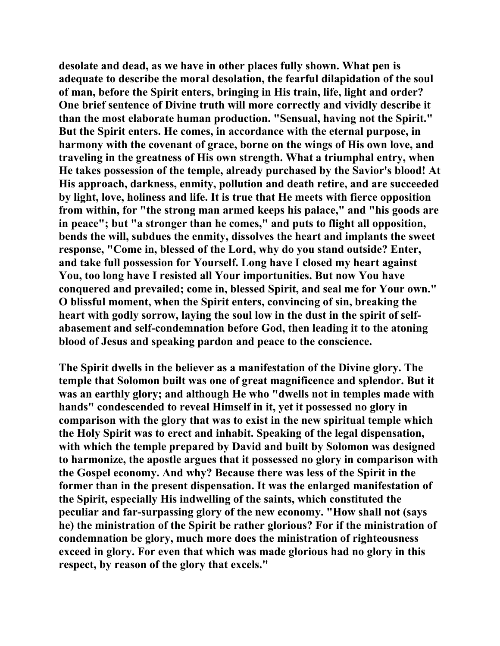**desolate and dead, as we have in other places fully shown. What pen is adequate to describe the moral desolation, the fearful dilapidation of the soul of man, before the Spirit enters, bringing in His train, life, light and order? One brief sentence of Divine truth will more correctly and vividly describe it than the most elaborate human production. "Sensual, having not the Spirit." But the Spirit enters. He comes, in accordance with the eternal purpose, in harmony with the covenant of grace, borne on the wings of His own love, and traveling in the greatness of His own strength. What a triumphal entry, when He takes possession of the temple, already purchased by the Savior's blood! At His approach, darkness, enmity, pollution and death retire, and are succeeded by light, love, holiness and life. It is true that He meets with fierce opposition from within, for "the strong man armed keeps his palace," and "his goods are in peace"; but "a stronger than he comes," and puts to flight all opposition, bends the will, subdues the enmity, dissolves the heart and implants the sweet response, "Come in, blessed of the Lord, why do you stand outside? Enter, and take full possession for Yourself. Long have I closed my heart against You, too long have I resisted all Your importunities. But now You have conquered and prevailed; come in, blessed Spirit, and seal me for Your own." O blissful moment, when the Spirit enters, convincing of sin, breaking the heart with godly sorrow, laying the soul low in the dust in the spirit of selfabasement and self-condemnation before God, then leading it to the atoning blood of Jesus and speaking pardon and peace to the conscience.** 

**The Spirit dwells in the believer as a manifestation of the Divine glory. The temple that Solomon built was one of great magnificence and splendor. But it was an earthly glory; and although He who "dwells not in temples made with hands" condescended to reveal Himself in it, yet it possessed no glory in comparison with the glory that was to exist in the new spiritual temple which the Holy Spirit was to erect and inhabit. Speaking of the legal dispensation, with which the temple prepared by David and built by Solomon was designed to harmonize, the apostle argues that it possessed no glory in comparison with the Gospel economy. And why? Because there was less of the Spirit in the former than in the present dispensation. It was the enlarged manifestation of the Spirit, especially His indwelling of the saints, which constituted the peculiar and far-surpassing glory of the new economy. "How shall not (says he) the ministration of the Spirit be rather glorious? For if the ministration of condemnation be glory, much more does the ministration of righteousness exceed in glory. For even that which was made glorious had no glory in this respect, by reason of the glory that excels."**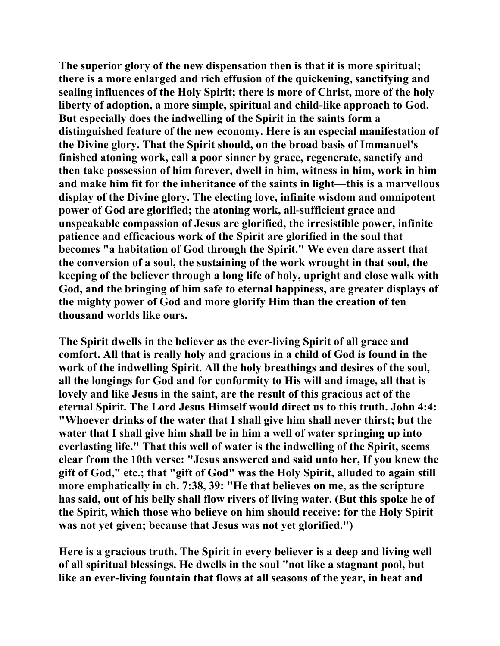**The superior glory of the new dispensation then is that it is more spiritual; there is a more enlarged and rich effusion of the quickening, sanctifying and sealing influences of the Holy Spirit; there is more of Christ, more of the holy liberty of adoption, a more simple, spiritual and child-like approach to God. But especially does the indwelling of the Spirit in the saints form a distinguished feature of the new economy. Here is an especial manifestation of the Divine glory. That the Spirit should, on the broad basis of Immanuel's finished atoning work, call a poor sinner by grace, regenerate, sanctify and then take possession of him forever, dwell in him, witness in him, work in him and make him fit for the inheritance of the saints in light—this is a marvellous display of the Divine glory. The electing love, infinite wisdom and omnipotent power of God are glorified; the atoning work, all-sufficient grace and unspeakable compassion of Jesus are glorified, the irresistible power, infinite patience and efficacious work of the Spirit are glorified in the soul that becomes "a habitation of God through the Spirit." We even dare assert that the conversion of a soul, the sustaining of the work wrought in that soul, the keeping of the believer through a long life of holy, upright and close walk with God, and the bringing of him safe to eternal happiness, are greater displays of the mighty power of God and more glorify Him than the creation of ten thousand worlds like ours.** 

**The Spirit dwells in the believer as the ever-living Spirit of all grace and comfort. All that is really holy and gracious in a child of God is found in the work of the indwelling Spirit. All the holy breathings and desires of the soul, all the longings for God and for conformity to His will and image, all that is lovely and like Jesus in the saint, are the result of this gracious act of the eternal Spirit. The Lord Jesus Himself would direct us to this truth. John 4:4: "Whoever drinks of the water that I shall give him shall never thirst; but the water that I shall give him shall be in him a well of water springing up into everlasting life." That this well of water is the indwelling of the Spirit, seems clear from the 10th verse: "Jesus answered and said unto her, If you knew the gift of God," etc.; that "gift of God" was the Holy Spirit, alluded to again still more emphatically in ch. 7:38, 39: "He that believes on me, as the scripture has said, out of his belly shall flow rivers of living water. (But this spoke he of the Spirit, which those who believe on him should receive: for the Holy Spirit was not yet given; because that Jesus was not yet glorified.")** 

**Here is a gracious truth. The Spirit in every believer is a deep and living well of all spiritual blessings. He dwells in the soul "not like a stagnant pool, but like an ever-living fountain that flows at all seasons of the year, in heat and**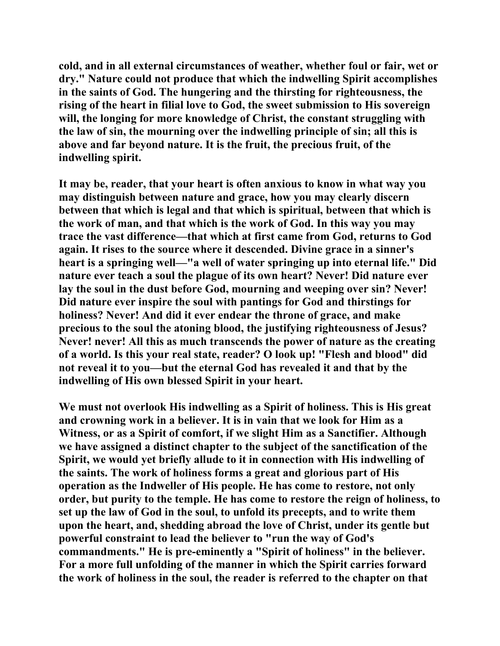**cold, and in all external circumstances of weather, whether foul or fair, wet or dry." Nature could not produce that which the indwelling Spirit accomplishes in the saints of God. The hungering and the thirsting for righteousness, the rising of the heart in filial love to God, the sweet submission to His sovereign will, the longing for more knowledge of Christ, the constant struggling with the law of sin, the mourning over the indwelling principle of sin; all this is above and far beyond nature. It is the fruit, the precious fruit, of the indwelling spirit.** 

**It may be, reader, that your heart is often anxious to know in what way you may distinguish between nature and grace, how you may clearly discern between that which is legal and that which is spiritual, between that which is the work of man, and that which is the work of God. In this way you may trace the vast difference—that which at first came from God, returns to God again. It rises to the source where it descended. Divine grace in a sinner's heart is a springing well—"a well of water springing up into eternal life." Did nature ever teach a soul the plague of its own heart? Never! Did nature ever lay the soul in the dust before God, mourning and weeping over sin? Never! Did nature ever inspire the soul with pantings for God and thirstings for holiness? Never! And did it ever endear the throne of grace, and make precious to the soul the atoning blood, the justifying righteousness of Jesus? Never! never! All this as much transcends the power of nature as the creating of a world. Is this your real state, reader? O look up! "Flesh and blood" did not reveal it to you—but the eternal God has revealed it and that by the indwelling of His own blessed Spirit in your heart.** 

**We must not overlook His indwelling as a Spirit of holiness. This is His great and crowning work in a believer. It is in vain that we look for Him as a Witness, or as a Spirit of comfort, if we slight Him as a Sanctifier. Although we have assigned a distinct chapter to the subject of the sanctification of the Spirit, we would yet briefly allude to it in connection with His indwelling of the saints. The work of holiness forms a great and glorious part of His operation as the Indweller of His people. He has come to restore, not only order, but purity to the temple. He has come to restore the reign of holiness, to set up the law of God in the soul, to unfold its precepts, and to write them upon the heart, and, shedding abroad the love of Christ, under its gentle but powerful constraint to lead the believer to "run the way of God's commandments." He is pre-eminently a "Spirit of holiness" in the believer. For a more full unfolding of the manner in which the Spirit carries forward the work of holiness in the soul, the reader is referred to the chapter on that**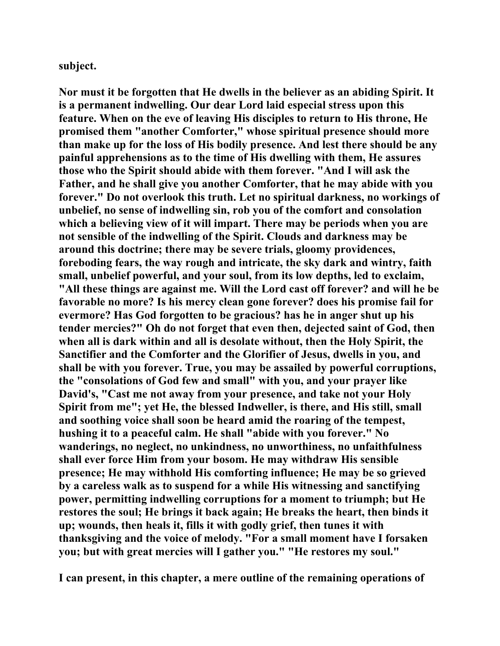**subject.** 

**Nor must it be forgotten that He dwells in the believer as an abiding Spirit. It is a permanent indwelling. Our dear Lord laid especial stress upon this feature. When on the eve of leaving His disciples to return to His throne, He promised them "another Comforter," whose spiritual presence should more than make up for the loss of His bodily presence. And lest there should be any painful apprehensions as to the time of His dwelling with them, He assures those who the Spirit should abide with them forever. "And I will ask the Father, and he shall give you another Comforter, that he may abide with you forever." Do not overlook this truth. Let no spiritual darkness, no workings of unbelief, no sense of indwelling sin, rob you of the comfort and consolation which a believing view of it will impart. There may be periods when you are not sensible of the indwelling of the Spirit. Clouds and darkness may be around this doctrine; there may be severe trials, gloomy providences, foreboding fears, the way rough and intricate, the sky dark and wintry, faith small, unbelief powerful, and your soul, from its low depths, led to exclaim, "All these things are against me. Will the Lord cast off forever? and will he be favorable no more? Is his mercy clean gone forever? does his promise fail for evermore? Has God forgotten to be gracious? has he in anger shut up his tender mercies?" Oh do not forget that even then, dejected saint of God, then when all is dark within and all is desolate without, then the Holy Spirit, the Sanctifier and the Comforter and the Glorifier of Jesus, dwells in you, and shall be with you forever. True, you may be assailed by powerful corruptions, the "consolations of God few and small" with you, and your prayer like David's, "Cast me not away from your presence, and take not your Holy Spirit from me"; yet He, the blessed Indweller, is there, and His still, small and soothing voice shall soon be heard amid the roaring of the tempest, hushing it to a peaceful calm. He shall "abide with you forever." No wanderings, no neglect, no unkindness, no unworthiness, no unfaithfulness shall ever force Him from your bosom. He may withdraw His sensible presence; He may withhold His comforting influence; He may be so grieved by a careless walk as to suspend for a while His witnessing and sanctifying power, permitting indwelling corruptions for a moment to triumph; but He restores the soul; He brings it back again; He breaks the heart, then binds it up; wounds, then heals it, fills it with godly grief, then tunes it with thanksgiving and the voice of melody. "For a small moment have I forsaken you; but with great mercies will I gather you." "He restores my soul."** 

**I can present, in this chapter, a mere outline of the remaining operations of**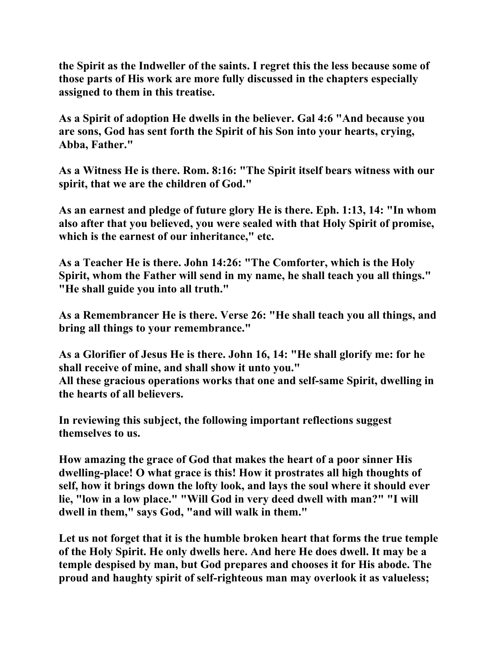**the Spirit as the Indweller of the saints. I regret this the less because some of those parts of His work are more fully discussed in the chapters especially assigned to them in this treatise.** 

**As a Spirit of adoption He dwells in the believer. Gal 4:6 "And because you are sons, God has sent forth the Spirit of his Son into your hearts, crying, Abba, Father."** 

**As a Witness He is there. Rom. 8:16: "The Spirit itself bears witness with our spirit, that we are the children of God."** 

**As an earnest and pledge of future glory He is there. Eph. 1:13, 14: "In whom also after that you believed, you were sealed with that Holy Spirit of promise, which is the earnest of our inheritance," etc.** 

**As a Teacher He is there. John 14:26: "The Comforter, which is the Holy Spirit, whom the Father will send in my name, he shall teach you all things." "He shall guide you into all truth."** 

**As a Remembrancer He is there. Verse 26: "He shall teach you all things, and bring all things to your remembrance."** 

**As a Glorifier of Jesus He is there. John 16, 14: "He shall glorify me: for he shall receive of mine, and shall show it unto you." All these gracious operations works that one and self-same Spirit, dwelling in the hearts of all believers.** 

**In reviewing this subject, the following important reflections suggest themselves to us.** 

**How amazing the grace of God that makes the heart of a poor sinner His dwelling-place! O what grace is this! How it prostrates all high thoughts of self, how it brings down the lofty look, and lays the soul where it should ever lie, "low in a low place." "Will God in very deed dwell with man?" "I will dwell in them," says God, "and will walk in them."** 

**Let us not forget that it is the humble broken heart that forms the true temple of the Holy Spirit. He only dwells here. And here He does dwell. It may be a temple despised by man, but God prepares and chooses it for His abode. The proud and haughty spirit of self-righteous man may overlook it as valueless;**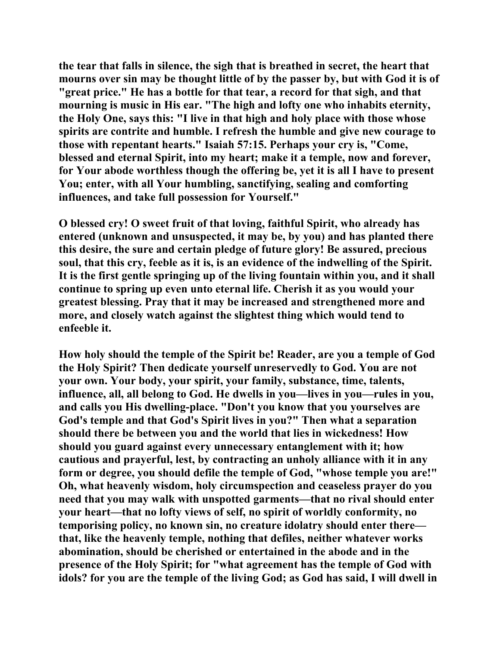**the tear that falls in silence, the sigh that is breathed in secret, the heart that mourns over sin may be thought little of by the passer by, but with God it is of "great price." He has a bottle for that tear, a record for that sigh, and that mourning is music in His ear. "The high and lofty one who inhabits eternity, the Holy One, says this: "I live in that high and holy place with those whose spirits are contrite and humble. I refresh the humble and give new courage to those with repentant hearts." Isaiah 57:15. Perhaps your cry is, "Come, blessed and eternal Spirit, into my heart; make it a temple, now and forever, for Your abode worthless though the offering be, yet it is all I have to present You; enter, with all Your humbling, sanctifying, sealing and comforting influences, and take full possession for Yourself."** 

**O blessed cry! O sweet fruit of that loving, faithful Spirit, who already has entered (unknown and unsuspected, it may be, by you) and has planted there this desire, the sure and certain pledge of future glory! Be assured, precious soul, that this cry, feeble as it is, is an evidence of the indwelling of the Spirit. It is the first gentle springing up of the living fountain within you, and it shall continue to spring up even unto eternal life. Cherish it as you would your greatest blessing. Pray that it may be increased and strengthened more and more, and closely watch against the slightest thing which would tend to enfeeble it.** 

**How holy should the temple of the Spirit be! Reader, are you a temple of God the Holy Spirit? Then dedicate yourself unreservedly to God. You are not your own. Your body, your spirit, your family, substance, time, talents, influence, all, all belong to God. He dwells in you—lives in you—rules in you, and calls you His dwelling-place. "Don't you know that you yourselves are God's temple and that God's Spirit lives in you?" Then what a separation should there be between you and the world that lies in wickedness! How should you guard against every unnecessary entanglement with it; how cautious and prayerful, lest, by contracting an unholy alliance with it in any form or degree, you should defile the temple of God, "whose temple you are!" Oh, what heavenly wisdom, holy circumspection and ceaseless prayer do you need that you may walk with unspotted garments—that no rival should enter your heart—that no lofty views of self, no spirit of worldly conformity, no temporising policy, no known sin, no creature idolatry should enter there that, like the heavenly temple, nothing that defiles, neither whatever works abomination, should be cherished or entertained in the abode and in the presence of the Holy Spirit; for "what agreement has the temple of God with idols? for you are the temple of the living God; as God has said, I will dwell in**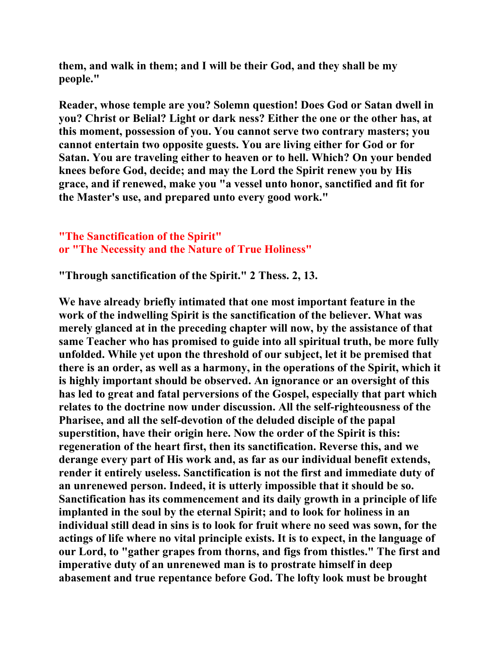**them, and walk in them; and I will be their God, and they shall be my people."** 

**Reader, whose temple are you? Solemn question! Does God or Satan dwell in you? Christ or Belial? Light or dark ness? Either the one or the other has, at this moment, possession of you. You cannot serve two contrary masters; you cannot entertain two opposite guests. You are living either for God or for Satan. You are traveling either to heaven or to hell. Which? On your bended knees before God, decide; and may the Lord the Spirit renew you by His grace, and if renewed, make you "a vessel unto honor, sanctified and fit for the Master's use, and prepared unto every good work."** 

## **"The Sanctification of the Spirit" or "The Necessity and the Nature of True Holiness"**

**"Through sanctification of the Spirit." 2 Thess. 2, 13.** 

**We have already briefly intimated that one most important feature in the work of the indwelling Spirit is the sanctification of the believer. What was merely glanced at in the preceding chapter will now, by the assistance of that same Teacher who has promised to guide into all spiritual truth, be more fully unfolded. While yet upon the threshold of our subject, let it be premised that there is an order, as well as a harmony, in the operations of the Spirit, which it is highly important should be observed. An ignorance or an oversight of this has led to great and fatal perversions of the Gospel, especially that part which relates to the doctrine now under discussion. All the self-righteousness of the Pharisee, and all the self-devotion of the deluded disciple of the papal superstition, have their origin here. Now the order of the Spirit is this: regeneration of the heart first, then its sanctification. Reverse this, and we derange every part of His work and, as far as our individual benefit extends, render it entirely useless. Sanctification is not the first and immediate duty of an unrenewed person. Indeed, it is utterly impossible that it should be so. Sanctification has its commencement and its daily growth in a principle of life implanted in the soul by the eternal Spirit; and to look for holiness in an individual still dead in sins is to look for fruit where no seed was sown, for the actings of life where no vital principle exists. It is to expect, in the language of our Lord, to "gather grapes from thorns, and figs from thistles." The first and imperative duty of an unrenewed man is to prostrate himself in deep abasement and true repentance before God. The lofty look must be brought**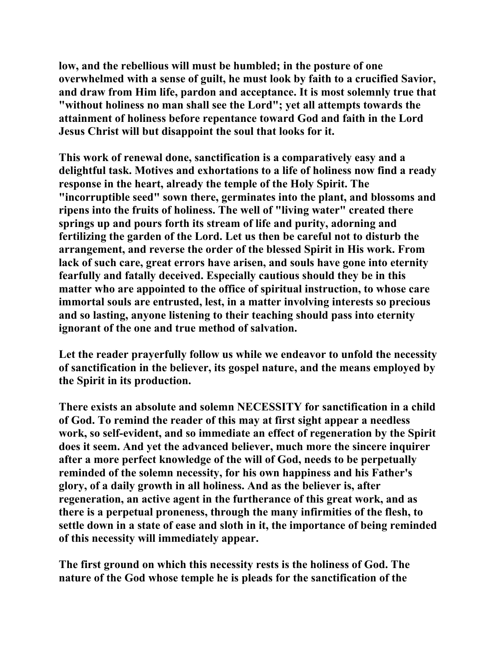**low, and the rebellious will must be humbled; in the posture of one overwhelmed with a sense of guilt, he must look by faith to a crucified Savior, and draw from Him life, pardon and acceptance. It is most solemnly true that "without holiness no man shall see the Lord"; yet all attempts towards the attainment of holiness before repentance toward God and faith in the Lord Jesus Christ will but disappoint the soul that looks for it.** 

**This work of renewal done, sanctification is a comparatively easy and a delightful task. Motives and exhortations to a life of holiness now find a ready response in the heart, already the temple of the Holy Spirit. The "incorruptible seed" sown there, germinates into the plant, and blossoms and ripens into the fruits of holiness. The well of "living water" created there springs up and pours forth its stream of life and purity, adorning and fertilizing the garden of the Lord. Let us then be careful not to disturb the arrangement, and reverse the order of the blessed Spirit in His work. From lack of such care, great errors have arisen, and souls have gone into eternity fearfully and fatally deceived. Especially cautious should they be in this matter who are appointed to the office of spiritual instruction, to whose care immortal souls are entrusted, lest, in a matter involving interests so precious and so lasting, anyone listening to their teaching should pass into eternity ignorant of the one and true method of salvation.** 

**Let the reader prayerfully follow us while we endeavor to unfold the necessity of sanctification in the believer, its gospel nature, and the means employed by the Spirit in its production.** 

**There exists an absolute and solemn NECESSITY for sanctification in a child of God. To remind the reader of this may at first sight appear a needless work, so self-evident, and so immediate an effect of regeneration by the Spirit does it seem. And yet the advanced believer, much more the sincere inquirer after a more perfect knowledge of the will of God, needs to be perpetually reminded of the solemn necessity, for his own happiness and his Father's glory, of a daily growth in all holiness. And as the believer is, after regeneration, an active agent in the furtherance of this great work, and as there is a perpetual proneness, through the many infirmities of the flesh, to settle down in a state of ease and sloth in it, the importance of being reminded of this necessity will immediately appear.** 

**The first ground on which this necessity rests is the holiness of God. The nature of the God whose temple he is pleads for the sanctification of the**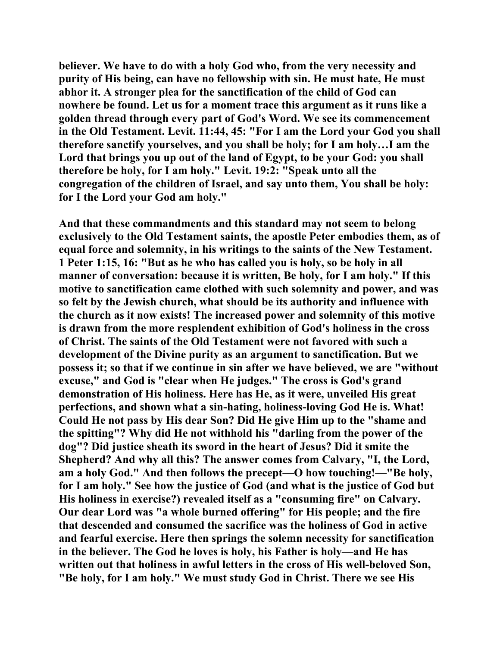**believer. We have to do with a holy God who, from the very necessity and purity of His being, can have no fellowship with sin. He must hate, He must abhor it. A stronger plea for the sanctification of the child of God can nowhere be found. Let us for a moment trace this argument as it runs like a golden thread through every part of God's Word. We see its commencement in the Old Testament. Levit. 11:44, 45: "For I am the Lord your God you shall therefore sanctify yourselves, and you shall be holy; for I am holy…I am the Lord that brings you up out of the land of Egypt, to be your God: you shall therefore be holy, for I am holy." Levit. 19:2: "Speak unto all the congregation of the children of Israel, and say unto them, You shall be holy: for I the Lord your God am holy."** 

**And that these commandments and this standard may not seem to belong exclusively to the Old Testament saints, the apostle Peter embodies them, as of equal force and solemnity, in his writings to the saints of the New Testament. 1 Peter 1:15, 16: "But as he who has called you is holy, so be holy in all manner of conversation: because it is written, Be holy, for I am holy." If this motive to sanctification came clothed with such solemnity and power, and was so felt by the Jewish church, what should be its authority and influence with the church as it now exists! The increased power and solemnity of this motive is drawn from the more resplendent exhibition of God's holiness in the cross of Christ. The saints of the Old Testament were not favored with such a development of the Divine purity as an argument to sanctification. But we possess it; so that if we continue in sin after we have believed, we are "without excuse," and God is "clear when He judges." The cross is God's grand demonstration of His holiness. Here has He, as it were, unveiled His great perfections, and shown what a sin-hating, holiness-loving God He is. What! Could He not pass by His dear Son? Did He give Him up to the "shame and the spitting"? Why did He not withhold his "darling from the power of the dog"? Did justice sheath its sword in the heart of Jesus? Did it smite the Shepherd? And why all this? The answer comes from Calvary, "I, the Lord, am a holy God." And then follows the precept—O how touching!—"Be holy, for I am holy." See how the justice of God (and what is the justice of God but His holiness in exercise?) revealed itself as a "consuming fire" on Calvary. Our dear Lord was "a whole burned offering" for His people; and the fire that descended and consumed the sacrifice was the holiness of God in active and fearful exercise. Here then springs the solemn necessity for sanctification in the believer. The God he loves is holy, his Father is holy—and He has written out that holiness in awful letters in the cross of His well-beloved Son, "Be holy, for I am holy." We must study God in Christ. There we see His**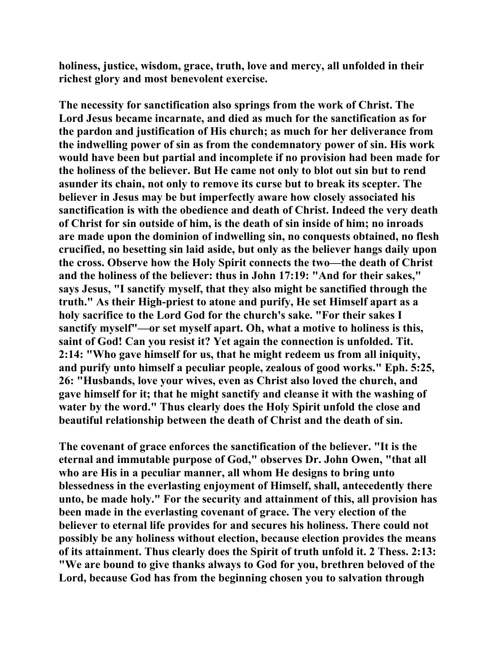**holiness, justice, wisdom, grace, truth, love and mercy, all unfolded in their richest glory and most benevolent exercise.** 

**The necessity for sanctification also springs from the work of Christ. The Lord Jesus became incarnate, and died as much for the sanctification as for the pardon and justification of His church; as much for her deliverance from the indwelling power of sin as from the condemnatory power of sin. His work would have been but partial and incomplete if no provision had been made for the holiness of the believer. But He came not only to blot out sin but to rend asunder its chain, not only to remove its curse but to break its scepter. The believer in Jesus may be but imperfectly aware how closely associated his sanctification is with the obedience and death of Christ. Indeed the very death of Christ for sin outside of him, is the death of sin inside of him; no inroads are made upon the dominion of indwelling sin, no conquests obtained, no flesh crucified, no besetting sin laid aside, but only as the believer hangs daily upon the cross. Observe how the Holy Spirit connects the two—the death of Christ and the holiness of the believer: thus in John 17:19: "And for their sakes," says Jesus, "I sanctify myself, that they also might be sanctified through the truth." As their High-priest to atone and purify, He set Himself apart as a holy sacrifice to the Lord God for the church's sake. "For their sakes I sanctify myself"—or set myself apart. Oh, what a motive to holiness is this, saint of God! Can you resist it? Yet again the connection is unfolded. Tit. 2:14: "Who gave himself for us, that he might redeem us from all iniquity, and purify unto himself a peculiar people, zealous of good works." Eph. 5:25, 26: "Husbands, love your wives, even as Christ also loved the church, and gave himself for it; that he might sanctify and cleanse it with the washing of water by the word." Thus clearly does the Holy Spirit unfold the close and beautiful relationship between the death of Christ and the death of sin.** 

**The covenant of grace enforces the sanctification of the believer. "It is the eternal and immutable purpose of God," observes Dr. John Owen, "that all who are His in a peculiar manner, all whom He designs to bring unto blessedness in the everlasting enjoyment of Himself, shall, antecedently there unto, be made holy." For the security and attainment of this, all provision has been made in the everlasting covenant of grace. The very election of the believer to eternal life provides for and secures his holiness. There could not possibly be any holiness without election, because election provides the means of its attainment. Thus clearly does the Spirit of truth unfold it. 2 Thess. 2:13: "We are bound to give thanks always to God for you, brethren beloved of the Lord, because God has from the beginning chosen you to salvation through**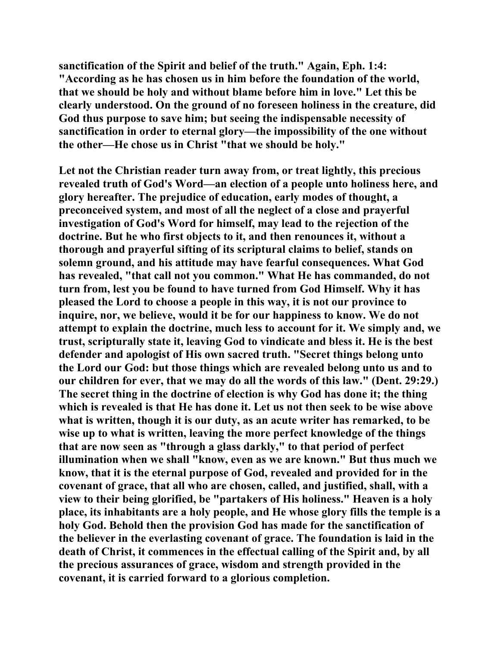**sanctification of the Spirit and belief of the truth." Again, Eph. 1:4: "According as he has chosen us in him before the foundation of the world, that we should be holy and without blame before him in love." Let this be clearly understood. On the ground of no foreseen holiness in the creature, did God thus purpose to save him; but seeing the indispensable necessity of sanctification in order to eternal glory—the impossibility of the one without the other—He chose us in Christ "that we should be holy."** 

**Let not the Christian reader turn away from, or treat lightly, this precious revealed truth of God's Word—an election of a people unto holiness here, and glory hereafter. The prejudice of education, early modes of thought, a preconceived system, and most of all the neglect of a close and prayerful investigation of God's Word for himself, may lead to the rejection of the doctrine. But he who first objects to it, and then renounces it, without a thorough and prayerful sifting of its scriptural claims to belief, stands on solemn ground, and his attitude may have fearful consequences. What God has revealed, "that call not you common." What He has commanded, do not turn from, lest you be found to have turned from God Himself. Why it has pleased the Lord to choose a people in this way, it is not our province to inquire, nor, we believe, would it be for our happiness to know. We do not attempt to explain the doctrine, much less to account for it. We simply and, we trust, scripturally state it, leaving God to vindicate and bless it. He is the best defender and apologist of His own sacred truth. "Secret things belong unto the Lord our God: but those things which are revealed belong unto us and to our children for ever, that we may do all the words of this law." (Dent. 29:29.) The secret thing in the doctrine of election is why God has done it; the thing which is revealed is that He has done it. Let us not then seek to be wise above what is written, though it is our duty, as an acute writer has remarked, to be wise up to what is written, leaving the more perfect knowledge of the things that are now seen as "through a glass darkly," to that period of perfect illumination when we shall "know, even as we are known." But thus much we know, that it is the eternal purpose of God, revealed and provided for in the covenant of grace, that all who are chosen, called, and justified, shall, with a view to their being glorified, be "partakers of His holiness." Heaven is a holy place, its inhabitants are a holy people, and He whose glory fills the temple is a holy God. Behold then the provision God has made for the sanctification of the believer in the everlasting covenant of grace. The foundation is laid in the death of Christ, it commences in the effectual calling of the Spirit and, by all the precious assurances of grace, wisdom and strength provided in the covenant, it is carried forward to a glorious completion.**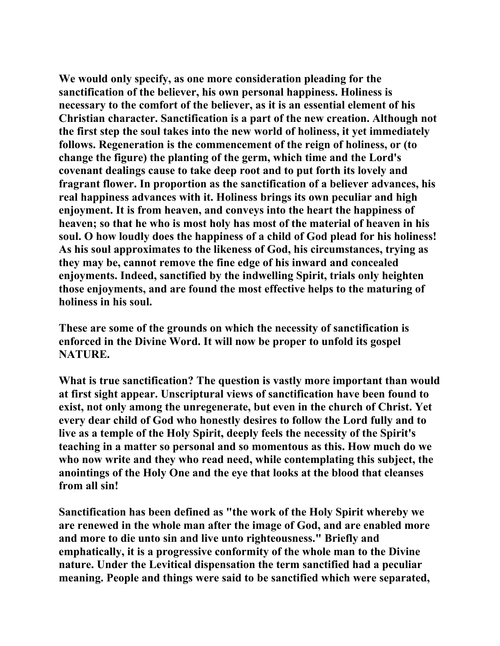**We would only specify, as one more consideration pleading for the sanctification of the believer, his own personal happiness. Holiness is necessary to the comfort of the believer, as it is an essential element of his Christian character. Sanctification is a part of the new creation. Although not the first step the soul takes into the new world of holiness, it yet immediately follows. Regeneration is the commencement of the reign of holiness, or (to change the figure) the planting of the germ, which time and the Lord's covenant dealings cause to take deep root and to put forth its lovely and fragrant flower. In proportion as the sanctification of a believer advances, his real happiness advances with it. Holiness brings its own peculiar and high enjoyment. It is from heaven, and conveys into the heart the happiness of heaven; so that he who is most holy has most of the material of heaven in his soul. O how loudly does the happiness of a child of God plead for his holiness! As his soul approximates to the likeness of God, his circumstances, trying as they may be, cannot remove the fine edge of his inward and concealed enjoyments. Indeed, sanctified by the indwelling Spirit, trials only heighten those enjoyments, and are found the most effective helps to the maturing of holiness in his soul.** 

**These are some of the grounds on which the necessity of sanctification is enforced in the Divine Word. It will now be proper to unfold its gospel NATURE.** 

**What is true sanctification? The question is vastly more important than would at first sight appear. Unscriptural views of sanctification have been found to exist, not only among the unregenerate, but even in the church of Christ. Yet every dear child of God who honestly desires to follow the Lord fully and to live as a temple of the Holy Spirit, deeply feels the necessity of the Spirit's teaching in a matter so personal and so momentous as this. How much do we who now write and they who read need, while contemplating this subject, the anointings of the Holy One and the eye that looks at the blood that cleanses from all sin!** 

**Sanctification has been defined as "the work of the Holy Spirit whereby we are renewed in the whole man after the image of God, and are enabled more and more to die unto sin and live unto righteousness." Briefly and emphatically, it is a progressive conformity of the whole man to the Divine nature. Under the Levitical dispensation the term sanctified had a peculiar meaning. People and things were said to be sanctified which were separated,**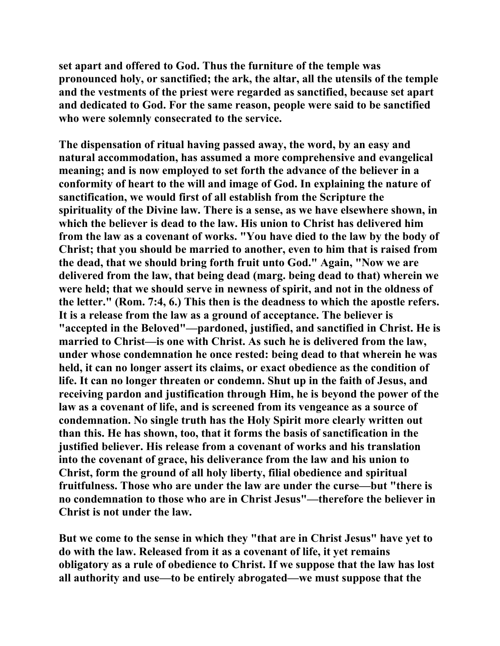**set apart and offered to God. Thus the furniture of the temple was pronounced holy, or sanctified; the ark, the altar, all the utensils of the temple and the vestments of the priest were regarded as sanctified, because set apart and dedicated to God. For the same reason, people were said to be sanctified who were solemnly consecrated to the service.** 

**The dispensation of ritual having passed away, the word, by an easy and natural accommodation, has assumed a more comprehensive and evangelical meaning; and is now employed to set forth the advance of the believer in a conformity of heart to the will and image of God. In explaining the nature of sanctification, we would first of all establish from the Scripture the spirituality of the Divine law. There is a sense, as we have elsewhere shown, in which the believer is dead to the law. His union to Christ has delivered him from the law as a covenant of works. "You have died to the law by the body of Christ; that you should be married to another, even to him that is raised from the dead, that we should bring forth fruit unto God." Again, "Now we are delivered from the law, that being dead (marg. being dead to that) wherein we were held; that we should serve in newness of spirit, and not in the oldness of the letter." (Rom. 7:4, 6.) This then is the deadness to which the apostle refers. It is a release from the law as a ground of acceptance. The believer is "accepted in the Beloved"—pardoned, justified, and sanctified in Christ. He is married to Christ—is one with Christ. As such he is delivered from the law, under whose condemnation he once rested: being dead to that wherein he was held, it can no longer assert its claims, or exact obedience as the condition of life. It can no longer threaten or condemn. Shut up in the faith of Jesus, and receiving pardon and justification through Him, he is beyond the power of the law as a covenant of life, and is screened from its vengeance as a source of condemnation. No single truth has the Holy Spirit more clearly written out than this. He has shown, too, that it forms the basis of sanctification in the justified believer. His release from a covenant of works and his translation into the covenant of grace, his deliverance from the law and his union to Christ, form the ground of all holy liberty, filial obedience and spiritual fruitfulness. Those who are under the law are under the curse—but "there is no condemnation to those who are in Christ Jesus"—therefore the believer in Christ is not under the law.** 

**But we come to the sense in which they "that are in Christ Jesus" have yet to do with the law. Released from it as a covenant of life, it yet remains obligatory as a rule of obedience to Christ. If we suppose that the law has lost all authority and use—to be entirely abrogated—we must suppose that the**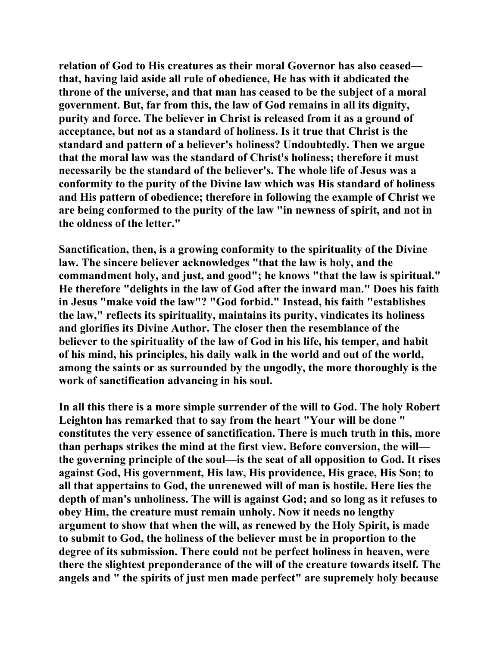**relation of God to His creatures as their moral Governor has also ceased that, having laid aside all rule of obedience, He has with it abdicated the throne of the universe, and that man has ceased to be the subject of a moral government. But, far from this, the law of God remains in all its dignity, purity and force. The believer in Christ is released from it as a ground of acceptance, but not as a standard of holiness. Is it true that Christ is the standard and pattern of a believer's holiness? Undoubtedly. Then we argue that the moral law was the standard of Christ's holiness; therefore it must necessarily be the standard of the believer's. The whole life of Jesus was a conformity to the purity of the Divine law which was His standard of holiness and His pattern of obedience; therefore in following the example of Christ we are being conformed to the purity of the law "in newness of spirit, and not in the oldness of the letter."** 

**Sanctification, then, is a growing conformity to the spirituality of the Divine law. The sincere believer acknowledges "that the law is holy, and the commandment holy, and just, and good"; he knows "that the law is spiritual." He therefore "delights in the law of God after the inward man." Does his faith in Jesus "make void the law"? "God forbid." Instead, his faith "establishes the law," reflects its spirituality, maintains its purity, vindicates its holiness and glorifies its Divine Author. The closer then the resemblance of the believer to the spirituality of the law of God in his life, his temper, and habit of his mind, his principles, his daily walk in the world and out of the world, among the saints or as surrounded by the ungodly, the more thoroughly is the work of sanctification advancing in his soul.** 

**In all this there is a more simple surrender of the will to God. The holy Robert Leighton has remarked that to say from the heart "Your will be done " constitutes the very essence of sanctification. There is much truth in this, more than perhaps strikes the mind at the first view. Before conversion, the will the governing principle of the soul—is the seat of all opposition to God. It rises against God, His government, His law, His providence, His grace, His Son; to all that appertains to God, the unrenewed will of man is hostile. Here lies the depth of man's unholiness. The will is against God; and so long as it refuses to obey Him, the creature must remain unholy. Now it needs no lengthy argument to show that when the will, as renewed by the Holy Spirit, is made to submit to God, the holiness of the believer must be in proportion to the degree of its submission. There could not be perfect holiness in heaven, were there the slightest preponderance of the will of the creature towards itself. The angels and " the spirits of just men made perfect" are supremely holy because**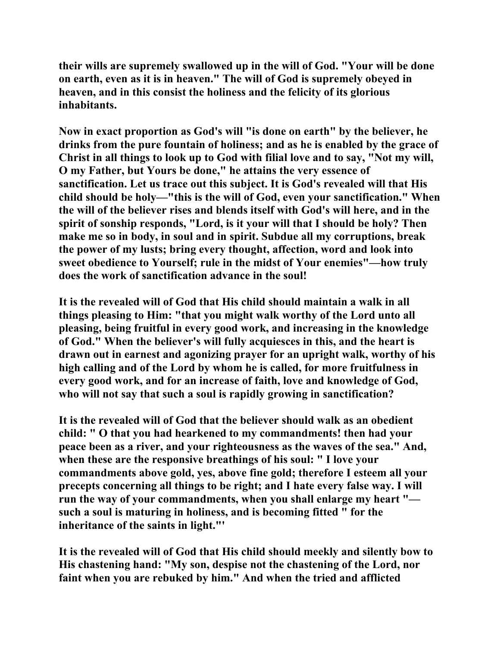**their wills are supremely swallowed up in the will of God. "Your will be done on earth, even as it is in heaven." The will of God is supremely obeyed in heaven, and in this consist the holiness and the felicity of its glorious inhabitants.** 

**Now in exact proportion as God's will "is done on earth" by the believer, he drinks from the pure fountain of holiness; and as he is enabled by the grace of Christ in all things to look up to God with filial love and to say, "Not my will, O my Father, but Yours be done," he attains the very essence of sanctification. Let us trace out this subject. It is God's revealed will that His child should be holy—"this is the will of God, even your sanctification." When the will of the believer rises and blends itself with God's will here, and in the spirit of sonship responds, "Lord, is it your will that I should be holy? Then make me so in body, in soul and in spirit. Subdue all my corruptions, break the power of my lusts; bring every thought, affection, word and look into sweet obedience to Yourself; rule in the midst of Your enemies"—how truly does the work of sanctification advance in the soul!** 

**It is the revealed will of God that His child should maintain a walk in all things pleasing to Him: "that you might walk worthy of the Lord unto all pleasing, being fruitful in every good work, and increasing in the knowledge of God." When the believer's will fully acquiesces in this, and the heart is drawn out in earnest and agonizing prayer for an upright walk, worthy of his high calling and of the Lord by whom he is called, for more fruitfulness in every good work, and for an increase of faith, love and knowledge of God, who will not say that such a soul is rapidly growing in sanctification?** 

**It is the revealed will of God that the believer should walk as an obedient child: " O that you had hearkened to my commandments! then had your peace been as a river, and your righteousness as the waves of the sea." And, when these are the responsive breathings of his soul: " I love your commandments above gold, yes, above fine gold; therefore I esteem all your precepts concerning all things to be right; and I hate every false way. I will run the way of your commandments, when you shall enlarge my heart " such a soul is maturing in holiness, and is becoming fitted " for the inheritance of the saints in light."'** 

**It is the revealed will of God that His child should meekly and silently bow to His chastening hand: "My son, despise not the chastening of the Lord, nor faint when you are rebuked by him." And when the tried and afflicted**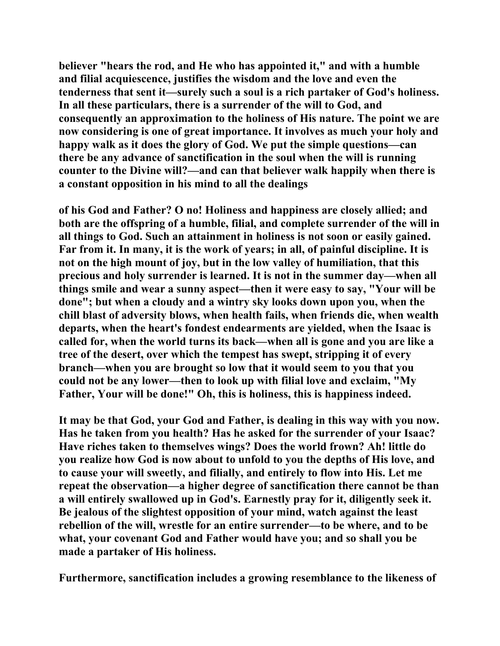**believer "hears the rod, and He who has appointed it," and with a humble and filial acquiescence, justifies the wisdom and the love and even the tenderness that sent it—surely such a soul is a rich partaker of God's holiness. In all these particulars, there is a surrender of the will to God, and consequently an approximation to the holiness of His nature. The point we are now considering is one of great importance. It involves as much your holy and happy walk as it does the glory of God. We put the simple questions—can there be any advance of sanctification in the soul when the will is running counter to the Divine will?—and can that believer walk happily when there is a constant opposition in his mind to all the dealings** 

**of his God and Father? O no! Holiness and happiness are closely allied; and both are the offspring of a humble, filial, and complete surrender of the will in all things to God. Such an attainment in holiness is not soon or easily gained. Far from it. In many, it is the work of years; in all, of painful discipline. It is not on the high mount of joy, but in the low valley of humiliation, that this precious and holy surrender is learned. It is not in the summer day—when all things smile and wear a sunny aspect—then it were easy to say, "Your will be done"; but when a cloudy and a wintry sky looks down upon you, when the chill blast of adversity blows, when health fails, when friends die, when wealth departs, when the heart's fondest endearments are yielded, when the Isaac is called for, when the world turns its back—when all is gone and you are like a tree of the desert, over which the tempest has swept, stripping it of every branch—when you are brought so low that it would seem to you that you could not be any lower—then to look up with filial love and exclaim, "My Father, Your will be done!" Oh, this is holiness, this is happiness indeed.** 

**It may be that God, your God and Father, is dealing in this way with you now. Has he taken from you health? Has he asked for the surrender of your Isaac? Have riches taken to themselves wings? Does the world frown? Ah! little do you realize how God is now about to unfold to you the depths of His love, and to cause your will sweetly, and filially, and entirely to flow into His. Let me repeat the observation—a higher degree of sanctification there cannot be than a will entirely swallowed up in God's. Earnestly pray for it, diligently seek it. Be jealous of the slightest opposition of your mind, watch against the least rebellion of the will, wrestle for an entire surrender—to be where, and to be what, your covenant God and Father would have you; and so shall you be made a partaker of His holiness.** 

**Furthermore, sanctification includes a growing resemblance to the likeness of**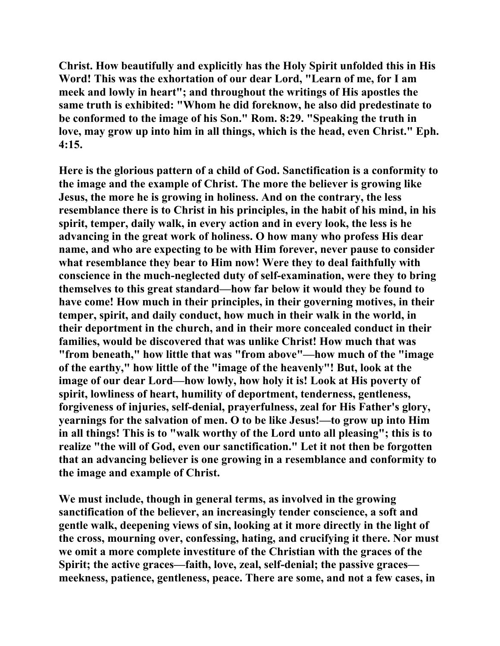**Christ. How beautifully and explicitly has the Holy Spirit unfolded this in His Word! This was the exhortation of our dear Lord, "Learn of me, for I am meek and lowly in heart"; and throughout the writings of His apostles the same truth is exhibited: "Whom he did foreknow, he also did predestinate to be conformed to the image of his Son." Rom. 8:29. "Speaking the truth in love, may grow up into him in all things, which is the head, even Christ." Eph. 4:15.** 

**Here is the glorious pattern of a child of God. Sanctification is a conformity to the image and the example of Christ. The more the believer is growing like Jesus, the more he is growing in holiness. And on the contrary, the less resemblance there is to Christ in his principles, in the habit of his mind, in his spirit, temper, daily walk, in every action and in every look, the less is he advancing in the great work of holiness. O how many who profess His dear name, and who are expecting to be with Him forever, never pause to consider what resemblance they bear to Him now! Were they to deal faithfully with conscience in the much-neglected duty of self-examination, were they to bring themselves to this great standard—how far below it would they be found to have come! How much in their principles, in their governing motives, in their temper, spirit, and daily conduct, how much in their walk in the world, in their deportment in the church, and in their more concealed conduct in their families, would be discovered that was unlike Christ! How much that was "from beneath," how little that was "from above"—how much of the "image of the earthy," how little of the "image of the heavenly"! But, look at the image of our dear Lord—how lowly, how holy it is! Look at His poverty of spirit, lowliness of heart, humility of deportment, tenderness, gentleness, forgiveness of injuries, self-denial, prayerfulness, zeal for His Father's glory, yearnings for the salvation of men. O to be like Jesus!—to grow up into Him in all things! This is to "walk worthy of the Lord unto all pleasing"; this is to realize "the will of God, even our sanctification." Let it not then be forgotten that an advancing believer is one growing in a resemblance and conformity to the image and example of Christ.** 

**We must include, though in general terms, as involved in the growing sanctification of the believer, an increasingly tender conscience, a soft and gentle walk, deepening views of sin, looking at it more directly in the light of the cross, mourning over, confessing, hating, and crucifying it there. Nor must we omit a more complete investiture of the Christian with the graces of the Spirit; the active graces—faith, love, zeal, self-denial; the passive graces meekness, patience, gentleness, peace. There are some, and not a few cases, in**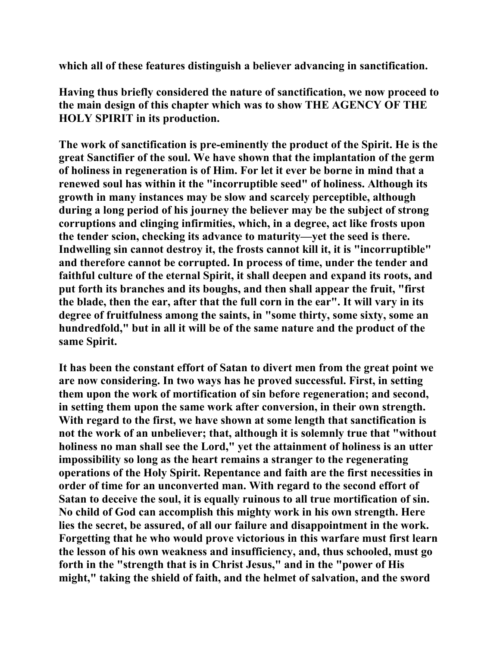**which all of these features distinguish a believer advancing in sanctification.** 

**Having thus briefly considered the nature of sanctification, we now proceed to the main design of this chapter which was to show THE AGENCY OF THE HOLY SPIRIT in its production.** 

**The work of sanctification is pre-eminently the product of the Spirit. He is the great Sanctifier of the soul. We have shown that the implantation of the germ of holiness in regeneration is of Him. For let it ever be borne in mind that a renewed soul has within it the "incorruptible seed" of holiness. Although its growth in many instances may be slow and scarcely perceptible, although during a long period of his journey the believer may be the subject of strong corruptions and clinging infirmities, which, in a degree, act like frosts upon the tender scion, checking its advance to maturity—yet the seed is there. Indwelling sin cannot destroy it, the frosts cannot kill it, it is "incorruptible" and therefore cannot be corrupted. In process of time, under the tender and faithful culture of the eternal Spirit, it shall deepen and expand its roots, and put forth its branches and its boughs, and then shall appear the fruit, "first the blade, then the ear, after that the full corn in the ear". It will vary in its degree of fruitfulness among the saints, in "some thirty, some sixty, some an hundredfold," but in all it will be of the same nature and the product of the same Spirit.** 

**It has been the constant effort of Satan to divert men from the great point we are now considering. In two ways has he proved successful. First, in setting them upon the work of mortification of sin before regeneration; and second, in setting them upon the same work after conversion, in their own strength. With regard to the first, we have shown at some length that sanctification is not the work of an unbeliever; that, although it is solemnly true that "without holiness no man shall see the Lord," yet the attainment of holiness is an utter impossibility so long as the heart remains a stranger to the regenerating operations of the Holy Spirit. Repentance and faith are the first necessities in order of time for an unconverted man. With regard to the second effort of Satan to deceive the soul, it is equally ruinous to all true mortification of sin. No child of God can accomplish this mighty work in his own strength. Here lies the secret, be assured, of all our failure and disappointment in the work. Forgetting that he who would prove victorious in this warfare must first learn the lesson of his own weakness and insufficiency, and, thus schooled, must go forth in the "strength that is in Christ Jesus," and in the "power of His might," taking the shield of faith, and the helmet of salvation, and the sword**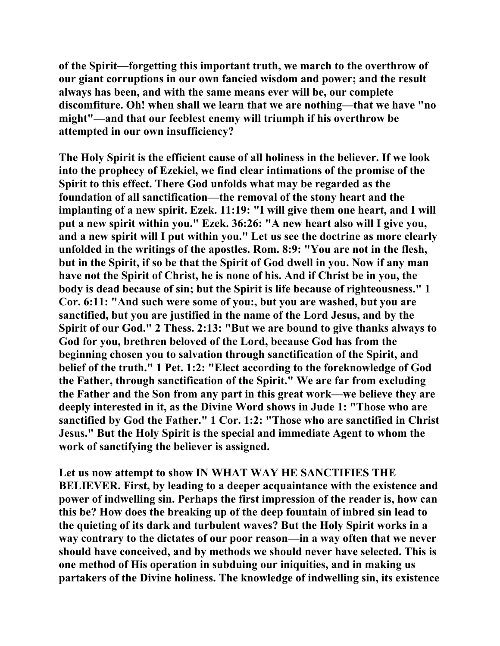**of the Spirit—forgetting this important truth, we march to the overthrow of our giant corruptions in our own fancied wisdom and power; and the result always has been, and with the same means ever will be, our complete discomfiture. Oh! when shall we learn that we are nothing—that we have "no might"—and that our feeblest enemy will triumph if his overthrow be attempted in our own insufficiency?** 

**The Holy Spirit is the efficient cause of all holiness in the believer. If we look into the prophecy of Ezekiel, we find clear intimations of the promise of the Spirit to this effect. There God unfolds what may be regarded as the foundation of all sanctification—the removal of the stony heart and the implanting of a new spirit. Ezek. 11:19: "I will give them one heart, and I will put a new spirit within you." Ezek. 36:26: "A new heart also will I give you, and a new spirit will I put within you." Let us see the doctrine as more clearly unfolded in the writings of the apostles. Rom. 8:9: "You are not in the flesh, but in the Spirit, if so be that the Spirit of God dwell in you. Now if any man have not the Spirit of Christ, he is none of his. And if Christ be in you, the body is dead because of sin; but the Spirit is life because of righteousness." 1 Cor. 6:11: "And such were some of you:, but you are washed, but you are sanctified, but you are justified in the name of the Lord Jesus, and by the Spirit of our God." 2 Thess. 2:13: "But we are bound to give thanks always to God for you, brethren beloved of the Lord, because God has from the beginning chosen you to salvation through sanctification of the Spirit, and belief of the truth." 1 Pet. 1:2: "Elect according to the foreknowledge of God the Father, through sanctification of the Spirit." We are far from excluding the Father and the Son from any part in this great work—we believe they are deeply interested in it, as the Divine Word shows in Jude 1: "Those who are sanctified by God the Father." 1 Cor. 1:2: "Those who are sanctified in Christ Jesus." But the Holy Spirit is the special and immediate Agent to whom the work of sanctifying the believer is assigned.** 

**Let us now attempt to show IN WHAT WAY HE SANCTIFIES THE BELIEVER. First, by leading to a deeper acquaintance with the existence and power of indwelling sin. Perhaps the first impression of the reader is, how can this be? How does the breaking up of the deep fountain of inbred sin lead to the quieting of its dark and turbulent waves? But the Holy Spirit works in a way contrary to the dictates of our poor reason—in a way often that we never should have conceived, and by methods we should never have selected. This is one method of His operation in subduing our iniquities, and in making us partakers of the Divine holiness. The knowledge of indwelling sin, its existence**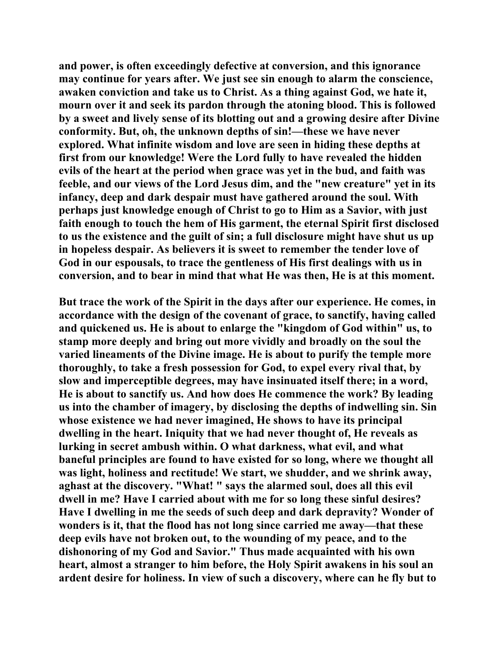**and power, is often exceedingly defective at conversion, and this ignorance may continue for years after. We just see sin enough to alarm the conscience, awaken conviction and take us to Christ. As a thing against God, we hate it, mourn over it and seek its pardon through the atoning blood. This is followed by a sweet and lively sense of its blotting out and a growing desire after Divine conformity. But, oh, the unknown depths of sin!—these we have never explored. What infinite wisdom and love are seen in hiding these depths at first from our knowledge! Were the Lord fully to have revealed the hidden evils of the heart at the period when grace was yet in the bud, and faith was feeble, and our views of the Lord Jesus dim, and the "new creature" yet in its infancy, deep and dark despair must have gathered around the soul. With perhaps just knowledge enough of Christ to go to Him as a Savior, with just faith enough to touch the hem of His garment, the eternal Spirit first disclosed to us the existence and the guilt of sin; a full disclosure might have shut us up in hopeless despair. As believers it is sweet to remember the tender love of God in our espousals, to trace the gentleness of His first dealings with us in conversion, and to bear in mind that what He was then, He is at this moment.** 

**But trace the work of the Spirit in the days after our experience. He comes, in accordance with the design of the covenant of grace, to sanctify, having called and quickened us. He is about to enlarge the "kingdom of God within" us, to stamp more deeply and bring out more vividly and broadly on the soul the varied lineaments of the Divine image. He is about to purify the temple more thoroughly, to take a fresh possession for God, to expel every rival that, by slow and imperceptible degrees, may have insinuated itself there; in a word, He is about to sanctify us. And how does He commence the work? By leading us into the chamber of imagery, by disclosing the depths of indwelling sin. Sin whose existence we had never imagined, He shows to have its principal dwelling in the heart. Iniquity that we had never thought of, He reveals as lurking in secret ambush within. O what darkness, what evil, and what baneful principles are found to have existed for so long, where we thought all was light, holiness and rectitude! We start, we shudder, and we shrink away, aghast at the discovery. "What! " says the alarmed soul, does all this evil dwell in me? Have I carried about with me for so long these sinful desires? Have I dwelling in me the seeds of such deep and dark depravity? Wonder of wonders is it, that the flood has not long since carried me away—that these deep evils have not broken out, to the wounding of my peace, and to the dishonoring of my God and Savior." Thus made acquainted with his own heart, almost a stranger to him before, the Holy Spirit awakens in his soul an ardent desire for holiness. In view of such a discovery, where can he fly but to**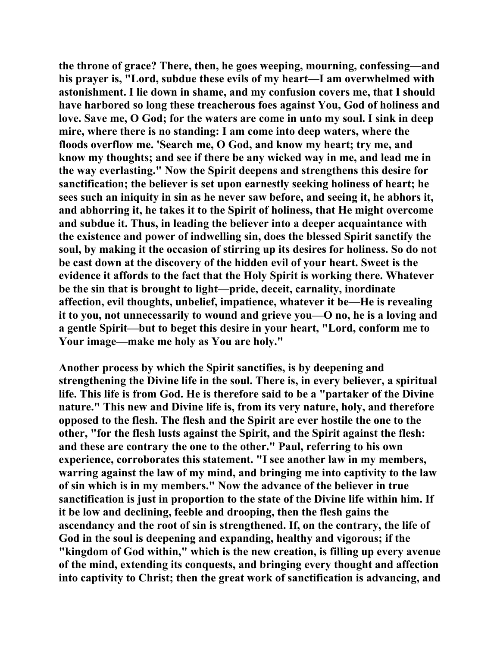**the throne of grace? There, then, he goes weeping, mourning, confessing—and his prayer is, "Lord, subdue these evils of my heart—I am overwhelmed with astonishment. I lie down in shame, and my confusion covers me, that I should have harbored so long these treacherous foes against You, God of holiness and love. Save me, O God; for the waters are come in unto my soul. I sink in deep mire, where there is no standing: I am come into deep waters, where the floods overflow me. 'Search me, O God, and know my heart; try me, and know my thoughts; and see if there be any wicked way in me, and lead me in the way everlasting." Now the Spirit deepens and strengthens this desire for sanctification; the believer is set upon earnestly seeking holiness of heart; he sees such an iniquity in sin as he never saw before, and seeing it, he abhors it, and abhorring it, he takes it to the Spirit of holiness, that He might overcome and subdue it. Thus, in leading the believer into a deeper acquaintance with the existence and power of indwelling sin, does the blessed Spirit sanctify the soul, by making it the occasion of stirring up its desires for holiness. So do not be cast down at the discovery of the hidden evil of your heart. Sweet is the evidence it affords to the fact that the Holy Spirit is working there. Whatever be the sin that is brought to light—pride, deceit, carnality, inordinate affection, evil thoughts, unbelief, impatience, whatever it be—He is revealing it to you, not unnecessarily to wound and grieve you—O no, he is a loving and a gentle Spirit—but to beget this desire in your heart, "Lord, conform me to Your image—make me holy as You are holy."** 

**Another process by which the Spirit sanctifies, is by deepening and strengthening the Divine life in the soul. There is, in every believer, a spiritual life. This life is from God. He is therefore said to be a "partaker of the Divine nature." This new and Divine life is, from its very nature, holy, and therefore opposed to the flesh. The flesh and the Spirit are ever hostile the one to the other, "for the flesh lusts against the Spirit, and the Spirit against the flesh: and these are contrary the one to the other." Paul, referring to his own experience, corroborates this statement. "I see another law in my members, warring against the law of my mind, and bringing me into captivity to the law of sin which is in my members." Now the advance of the believer in true sanctification is just in proportion to the state of the Divine life within him. If it be low and declining, feeble and drooping, then the flesh gains the ascendancy and the root of sin is strengthened. If, on the contrary, the life of God in the soul is deepening and expanding, healthy and vigorous; if the "kingdom of God within," which is the new creation, is filling up every avenue of the mind, extending its conquests, and bringing every thought and affection into captivity to Christ; then the great work of sanctification is advancing, and**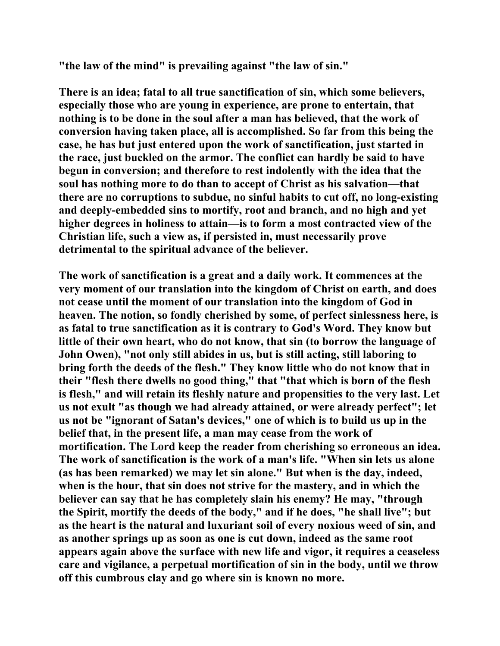**"the law of the mind" is prevailing against "the law of sin."** 

**There is an idea; fatal to all true sanctification of sin, which some believers, especially those who are young in experience, are prone to entertain, that nothing is to be done in the soul after a man has believed, that the work of conversion having taken place, all is accomplished. So far from this being the case, he has but just entered upon the work of sanctification, just started in the race, just buckled on the armor. The conflict can hardly be said to have begun in conversion; and therefore to rest indolently with the idea that the soul has nothing more to do than to accept of Christ as his salvation—that there are no corruptions to subdue, no sinful habits to cut off, no long-existing and deeply-embedded sins to mortify, root and branch, and no high and yet higher degrees in holiness to attain—is to form a most contracted view of the Christian life, such a view as, if persisted in, must necessarily prove detrimental to the spiritual advance of the believer.** 

**The work of sanctification is a great and a daily work. It commences at the very moment of our translation into the kingdom of Christ on earth, and does not cease until the moment of our translation into the kingdom of God in heaven. The notion, so fondly cherished by some, of perfect sinlessness here, is as fatal to true sanctification as it is contrary to God's Word. They know but little of their own heart, who do not know, that sin (to borrow the language of John Owen), "not only still abides in us, but is still acting, still laboring to bring forth the deeds of the flesh." They know little who do not know that in their "flesh there dwells no good thing," that "that which is born of the flesh is flesh," and will retain its fleshly nature and propensities to the very last. Let us not exult "as though we had already attained, or were already perfect"; let us not be "ignorant of Satan's devices," one of which is to build us up in the belief that, in the present life, a man may cease from the work of mortification. The Lord keep the reader from cherishing so erroneous an idea. The work of sanctification is the work of a man's life. "When sin lets us alone (as has been remarked) we may let sin alone." But when is the day, indeed, when is the hour, that sin does not strive for the mastery, and in which the believer can say that he has completely slain his enemy? He may, "through the Spirit, mortify the deeds of the body," and if he does, "he shall live"; but as the heart is the natural and luxuriant soil of every noxious weed of sin, and as another springs up as soon as one is cut down, indeed as the same root appears again above the surface with new life and vigor, it requires a ceaseless care and vigilance, a perpetual mortification of sin in the body, until we throw off this cumbrous clay and go where sin is known no more.**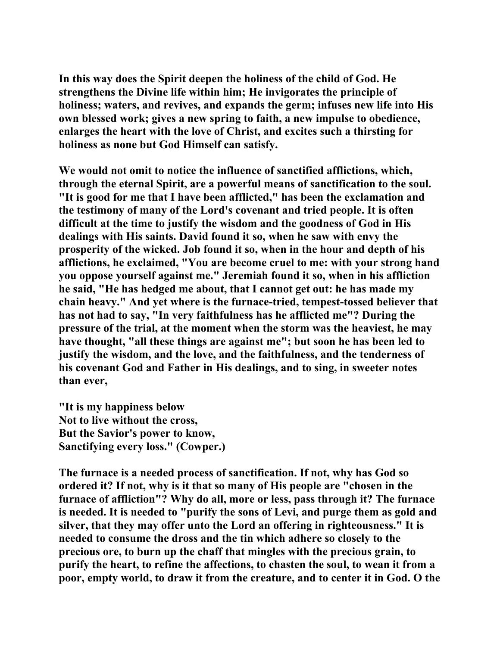**In this way does the Spirit deepen the holiness of the child of God. He strengthens the Divine life within him; He invigorates the principle of holiness; waters, and revives, and expands the germ; infuses new life into His own blessed work; gives a new spring to faith, a new impulse to obedience, enlarges the heart with the love of Christ, and excites such a thirsting for holiness as none but God Himself can satisfy.** 

**We would not omit to notice the influence of sanctified afflictions, which, through the eternal Spirit, are a powerful means of sanctification to the soul. "It is good for me that I have been afflicted," has been the exclamation and the testimony of many of the Lord's covenant and tried people. It is often difficult at the time to justify the wisdom and the goodness of God in His dealings with His saints. David found it so, when he saw with envy the prosperity of the wicked. Job found it so, when in the hour and depth of his afflictions, he exclaimed, "You are become cruel to me: with your strong hand you oppose yourself against me." Jeremiah found it so, when in his affliction he said, "He has hedged me about, that I cannot get out: he has made my chain heavy." And yet where is the furnace-tried, tempest-tossed believer that has not had to say, "In very faithfulness has he afflicted me"? During the pressure of the trial, at the moment when the storm was the heaviest, he may have thought, "all these things are against me"; but soon he has been led to justify the wisdom, and the love, and the faithfulness, and the tenderness of his covenant God and Father in His dealings, and to sing, in sweeter notes than ever,** 

**"It is my happiness below Not to live without the cross, But the Savior's power to know, Sanctifying every loss." (Cowper.)** 

**The furnace is a needed process of sanctification. If not, why has God so ordered it? If not, why is it that so many of His people are "chosen in the furnace of affliction"? Why do all, more or less, pass through it? The furnace is needed. It is needed to "purify the sons of Levi, and purge them as gold and silver, that they may offer unto the Lord an offering in righteousness." It is needed to consume the dross and the tin which adhere so closely to the precious ore, to burn up the chaff that mingles with the precious grain, to purify the heart, to refine the affections, to chasten the soul, to wean it from a poor, empty world, to draw it from the creature, and to center it in God. O the**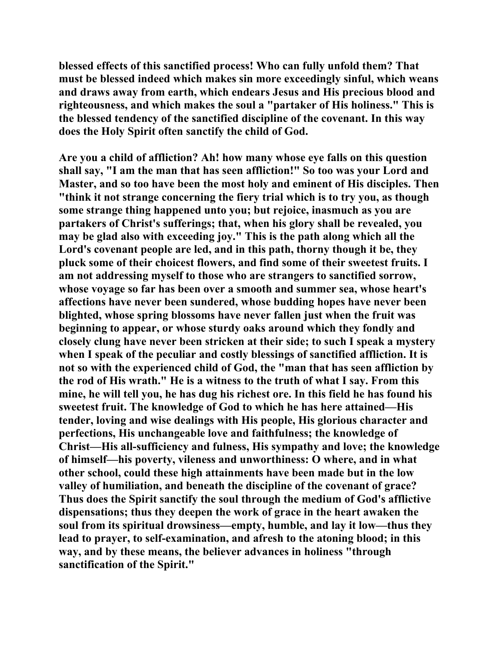**blessed effects of this sanctified process! Who can fully unfold them? That must be blessed indeed which makes sin more exceedingly sinful, which weans and draws away from earth, which endears Jesus and His precious blood and righteousness, and which makes the soul a "partaker of His holiness." This is the blessed tendency of the sanctified discipline of the covenant. In this way does the Holy Spirit often sanctify the child of God.** 

**Are you a child of affliction? Ah! how many whose eye falls on this question shall say, "I am the man that has seen affliction!" So too was your Lord and Master, and so too have been the most holy and eminent of His disciples. Then "think it not strange concerning the fiery trial which is to try you, as though some strange thing happened unto you; but rejoice, inasmuch as you are partakers of Christ's sufferings; that, when his glory shall be revealed, you may be glad also with exceeding joy." This is the path along which all the Lord's covenant people are led, and in this path, thorny though it be, they pluck some of their choicest flowers, and find some of their sweetest fruits. I am not addressing myself to those who are strangers to sanctified sorrow, whose voyage so far has been over a smooth and summer sea, whose heart's affections have never been sundered, whose budding hopes have never been blighted, whose spring blossoms have never fallen just when the fruit was beginning to appear, or whose sturdy oaks around which they fondly and closely clung have never been stricken at their side; to such I speak a mystery when I speak of the peculiar and costly blessings of sanctified affliction. It is not so with the experienced child of God, the "man that has seen affliction by the rod of His wrath." He is a witness to the truth of what I say. From this mine, he will tell you, he has dug his richest ore. In this field he has found his sweetest fruit. The knowledge of God to which he has here attained—His tender, loving and wise dealings with His people, His glorious character and perfections, His unchangeable love and faithfulness; the knowledge of Christ—His all-sufficiency and fulness, His sympathy and love; the knowledge of himself—his poverty, vileness and unworthiness: O where, and in what other school, could these high attainments have been made but in the low valley of humiliation, and beneath the discipline of the covenant of grace? Thus does the Spirit sanctify the soul through the medium of God's afflictive dispensations; thus they deepen the work of grace in the heart awaken the soul from its spiritual drowsiness—empty, humble, and lay it low—thus they lead to prayer, to self-examination, and afresh to the atoning blood; in this way, and by these means, the believer advances in holiness "through sanctification of the Spirit."**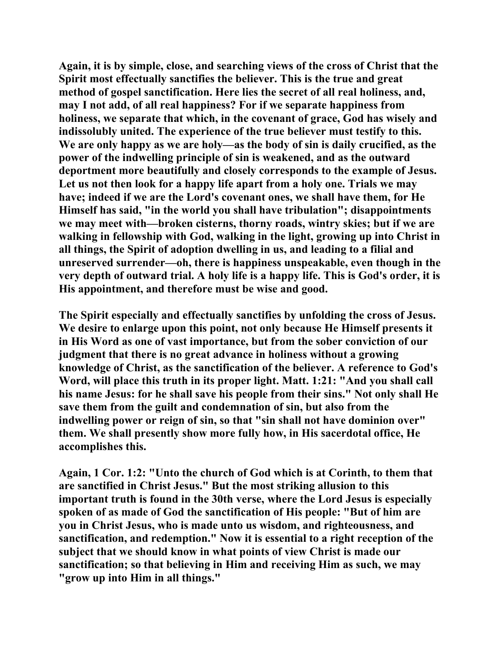**Again, it is by simple, close, and searching views of the cross of Christ that the Spirit most effectually sanctifies the believer. This is the true and great method of gospel sanctification. Here lies the secret of all real holiness, and, may I not add, of all real happiness? For if we separate happiness from holiness, we separate that which, in the covenant of grace, God has wisely and indissolubly united. The experience of the true believer must testify to this. We are only happy as we are holy—as the body of sin is daily crucified, as the power of the indwelling principle of sin is weakened, and as the outward deportment more beautifully and closely corresponds to the example of Jesus. Let us not then look for a happy life apart from a holy one. Trials we may have; indeed if we are the Lord's covenant ones, we shall have them, for He Himself has said, "in the world you shall have tribulation"; disappointments we may meet with—broken cisterns, thorny roads, wintry skies; but if we are walking in fellowship with God, walking in the light, growing up into Christ in all things, the Spirit of adoption dwelling in us, and leading to a filial and unreserved surrender—oh, there is happiness unspeakable, even though in the very depth of outward trial. A holy life is a happy life. This is God's order, it is His appointment, and therefore must be wise and good.** 

**The Spirit especially and effectually sanctifies by unfolding the cross of Jesus. We desire to enlarge upon this point, not only because He Himself presents it in His Word as one of vast importance, but from the sober conviction of our judgment that there is no great advance in holiness without a growing knowledge of Christ, as the sanctification of the believer. A reference to God's Word, will place this truth in its proper light. Matt. 1:21: "And you shall call his name Jesus: for he shall save his people from their sins." Not only shall He save them from the guilt and condemnation of sin, but also from the indwelling power or reign of sin, so that "sin shall not have dominion over" them. We shall presently show more fully how, in His sacerdotal office, He accomplishes this.** 

**Again, 1 Cor. 1:2: "Unto the church of God which is at Corinth, to them that are sanctified in Christ Jesus." But the most striking allusion to this important truth is found in the 30th verse, where the Lord Jesus is especially spoken of as made of God the sanctification of His people: "But of him are you in Christ Jesus, who is made unto us wisdom, and righteousness, and sanctification, and redemption." Now it is essential to a right reception of the subject that we should know in what points of view Christ is made our sanctification; so that believing in Him and receiving Him as such, we may "grow up into Him in all things."**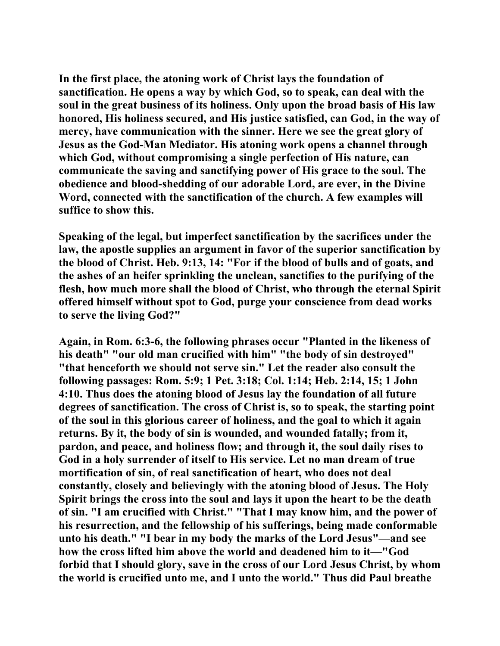**In the first place, the atoning work of Christ lays the foundation of sanctification. He opens a way by which God, so to speak, can deal with the soul in the great business of its holiness. Only upon the broad basis of His law honored, His holiness secured, and His justice satisfied, can God, in the way of mercy, have communication with the sinner. Here we see the great glory of Jesus as the God-Man Mediator. His atoning work opens a channel through which God, without compromising a single perfection of His nature, can communicate the saving and sanctifying power of His grace to the soul. The obedience and blood-shedding of our adorable Lord, are ever, in the Divine Word, connected with the sanctification of the church. A few examples will suffice to show this.** 

**Speaking of the legal, but imperfect sanctification by the sacrifices under the law, the apostle supplies an argument in favor of the superior sanctification by the blood of Christ. Heb. 9:13, 14: "For if the blood of bulls and of goats, and the ashes of an heifer sprinkling the unclean, sanctifies to the purifying of the flesh, how much more shall the blood of Christ, who through the eternal Spirit offered himself without spot to God, purge your conscience from dead works to serve the living God?"** 

**Again, in Rom. 6:3-6, the following phrases occur "Planted in the likeness of his death" "our old man crucified with him" "the body of sin destroyed" "that henceforth we should not serve sin." Let the reader also consult the following passages: Rom. 5:9; 1 Pet. 3:18; Col. 1:14; Heb. 2:14, 15; 1 John 4:10. Thus does the atoning blood of Jesus lay the foundation of all future degrees of sanctification. The cross of Christ is, so to speak, the starting point of the soul in this glorious career of holiness, and the goal to which it again returns. By it, the body of sin is wounded, and wounded fatally; from it, pardon, and peace, and holiness flow; and through it, the soul daily rises to God in a holy surrender of itself to His service. Let no man dream of true mortification of sin, of real sanctification of heart, who does not deal constantly, closely and believingly with the atoning blood of Jesus. The Holy Spirit brings the cross into the soul and lays it upon the heart to be the death of sin. "I am crucified with Christ." "That I may know him, and the power of his resurrection, and the fellowship of his sufferings, being made conformable unto his death." "I bear in my body the marks of the Lord Jesus"—and see how the cross lifted him above the world and deadened him to it—"God forbid that I should glory, save in the cross of our Lord Jesus Christ, by whom the world is crucified unto me, and I unto the world." Thus did Paul breathe**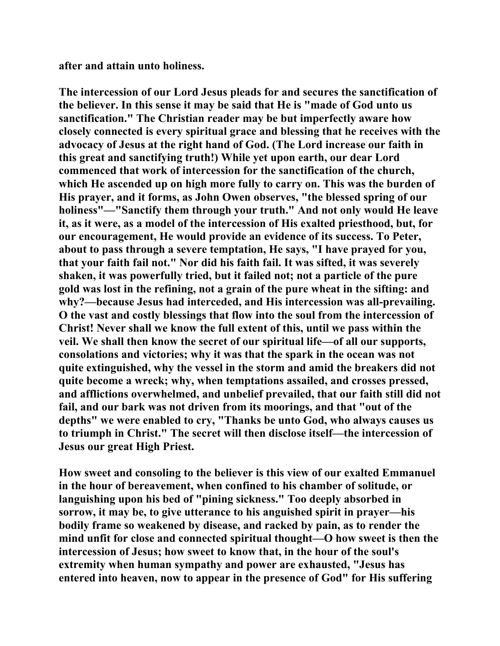**after and attain unto holiness.** 

**The intercession of our Lord Jesus pleads for and secures the sanctification of the believer. In this sense it may be said that He is "made of God unto us sanctification." The Christian reader may be but imperfectly aware how closely connected is every spiritual grace and blessing that he receives with the advocacy of Jesus at the right hand of God. (The Lord increase our faith in this great and sanctifying truth!) While yet upon earth, our dear Lord commenced that work of intercession for the sanctification of the church, which He ascended up on high more fully to carry on. This was the burden of His prayer, and it forms, as John Owen observes, "the blessed spring of our holiness"—"Sanctify them through your truth." And not only would He leave it, as it were, as a model of the intercession of His exalted priesthood, but, for our encouragement, He would provide an evidence of its success. To Peter, about to pass through a severe temptation, He says, "I have prayed for you, that your faith fail not." Nor did his faith fail. It was sifted, it was severely shaken, it was powerfully tried, but it failed not; not a particle of the pure gold was lost in the refining, not a grain of the pure wheat in the sifting: and why?—because Jesus had interceded, and His intercession was all-prevailing. O the vast and costly blessings that flow into the soul from the intercession of Christ! Never shall we know the full extent of this, until we pass within the veil. We shall then know the secret of our spiritual life—of all our supports, consolations and victories; why it was that the spark in the ocean was not quite extinguished, why the vessel in the storm and amid the breakers did not quite become a wreck; why, when temptations assailed, and crosses pressed, and afflictions overwhelmed, and unbelief prevailed, that our faith still did not fail, and our bark was not driven from its moorings, and that "out of the depths" we were enabled to cry, "Thanks be unto God, who always causes us to triumph in Christ." The secret will then disclose itself—the intercession of Jesus our great High Priest.** 

**How sweet and consoling to the believer is this view of our exalted Emmanuel in the hour of bereavement, when confined to his chamber of solitude, or languishing upon his bed of "pining sickness." Too deeply absorbed in sorrow, it may be, to give utterance to his anguished spirit in prayer—his bodily frame so weakened by disease, and racked by pain, as to render the mind unfit for close and connected spiritual thought—O how sweet is then the intercession of Jesus; how sweet to know that, in the hour of the soul's extremity when human sympathy and power are exhausted, "Jesus has entered into heaven, now to appear in the presence of God" for His suffering**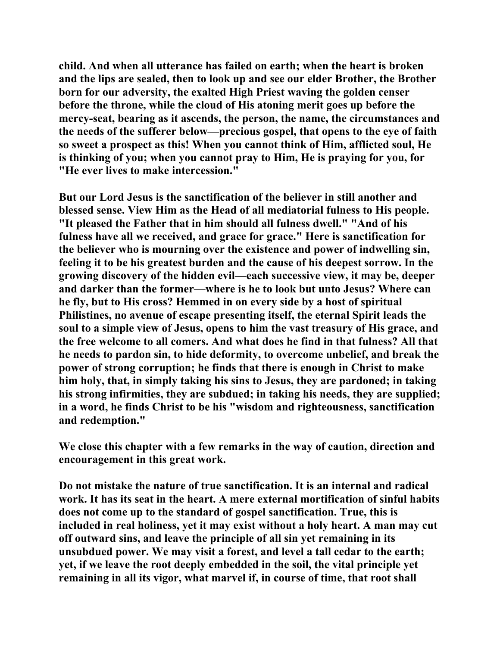**child. And when all utterance has failed on earth; when the heart is broken and the lips are sealed, then to look up and see our elder Brother, the Brother born for our adversity, the exalted High Priest waving the golden censer before the throne, while the cloud of His atoning merit goes up before the mercy-seat, bearing as it ascends, the person, the name, the circumstances and the needs of the sufferer below—precious gospel, that opens to the eye of faith so sweet a prospect as this! When you cannot think of Him, afflicted soul, He is thinking of you; when you cannot pray to Him, He is praying for you, for "He ever lives to make intercession."** 

**But our Lord Jesus is the sanctification of the believer in still another and blessed sense. View Him as the Head of all mediatorial fulness to His people. "It pleased the Father that in him should all fulness dwell." "And of his fulness have all we received, and grace for grace." Here is sanctification for the believer who is mourning over the existence and power of indwelling sin, feeling it to be his greatest burden and the cause of his deepest sorrow. In the growing discovery of the hidden evil—each successive view, it may be, deeper and darker than the former—where is he to look but unto Jesus? Where can he fly, but to His cross? Hemmed in on every side by a host of spiritual Philistines, no avenue of escape presenting itself, the eternal Spirit leads the soul to a simple view of Jesus, opens to him the vast treasury of His grace, and the free welcome to all comers. And what does he find in that fulness? All that he needs to pardon sin, to hide deformity, to overcome unbelief, and break the power of strong corruption; he finds that there is enough in Christ to make him holy, that, in simply taking his sins to Jesus, they are pardoned; in taking his strong infirmities, they are subdued; in taking his needs, they are supplied; in a word, he finds Christ to be his "wisdom and righteousness, sanctification and redemption."** 

**We close this chapter with a few remarks in the way of caution, direction and encouragement in this great work.** 

**Do not mistake the nature of true sanctification. It is an internal and radical work. It has its seat in the heart. A mere external mortification of sinful habits does not come up to the standard of gospel sanctification. True, this is included in real holiness, yet it may exist without a holy heart. A man may cut off outward sins, and leave the principle of all sin yet remaining in its unsubdued power. We may visit a forest, and level a tall cedar to the earth; yet, if we leave the root deeply embedded in the soil, the vital principle yet remaining in all its vigor, what marvel if, in course of time, that root shall**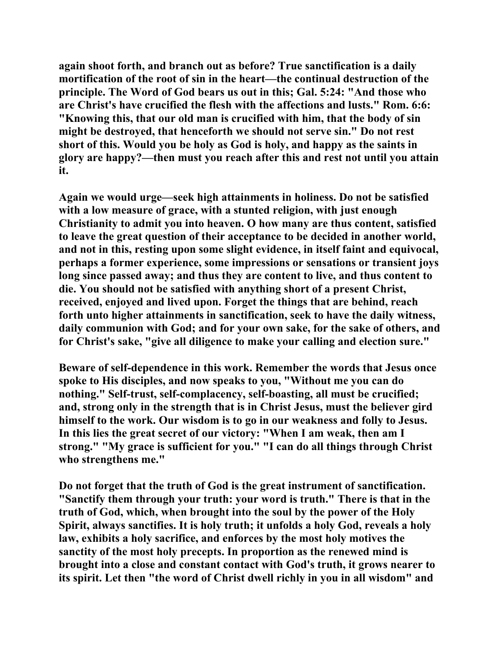**again shoot forth, and branch out as before? True sanctification is a daily mortification of the root of sin in the heart—the continual destruction of the principle. The Word of God bears us out in this; Gal. 5:24: "And those who are Christ's have crucified the flesh with the affections and lusts." Rom. 6:6: "Knowing this, that our old man is crucified with him, that the body of sin might be destroyed, that henceforth we should not serve sin." Do not rest short of this. Would you be holy as God is holy, and happy as the saints in glory are happy?—then must you reach after this and rest not until you attain it.** 

**Again we would urge—seek high attainments in holiness. Do not be satisfied with a low measure of grace, with a stunted religion, with just enough Christianity to admit you into heaven. O how many are thus content, satisfied to leave the great question of their acceptance to be decided in another world, and not in this, resting upon some slight evidence, in itself faint and equivocal, perhaps a former experience, some impressions or sensations or transient joys long since passed away; and thus they are content to live, and thus content to die. You should not be satisfied with anything short of a present Christ, received, enjoyed and lived upon. Forget the things that are behind, reach forth unto higher attainments in sanctification, seek to have the daily witness, daily communion with God; and for your own sake, for the sake of others, and for Christ's sake, "give all diligence to make your calling and election sure."** 

**Beware of self-dependence in this work. Remember the words that Jesus once spoke to His disciples, and now speaks to you, "Without me you can do nothing." Self-trust, self-complacency, self-boasting, all must be crucified; and, strong only in the strength that is in Christ Jesus, must the believer gird himself to the work. Our wisdom is to go in our weakness and folly to Jesus. In this lies the great secret of our victory: "When I am weak, then am I strong." "My grace is sufficient for you." "I can do all things through Christ who strengthens me."** 

**Do not forget that the truth of God is the great instrument of sanctification. "Sanctify them through your truth: your word is truth." There is that in the truth of God, which, when brought into the soul by the power of the Holy Spirit, always sanctifies. It is holy truth; it unfolds a holy God, reveals a holy law, exhibits a holy sacrifice, and enforces by the most holy motives the sanctity of the most holy precepts. In proportion as the renewed mind is brought into a close and constant contact with God's truth, it grows nearer to its spirit. Let then "the word of Christ dwell richly in you in all wisdom" and**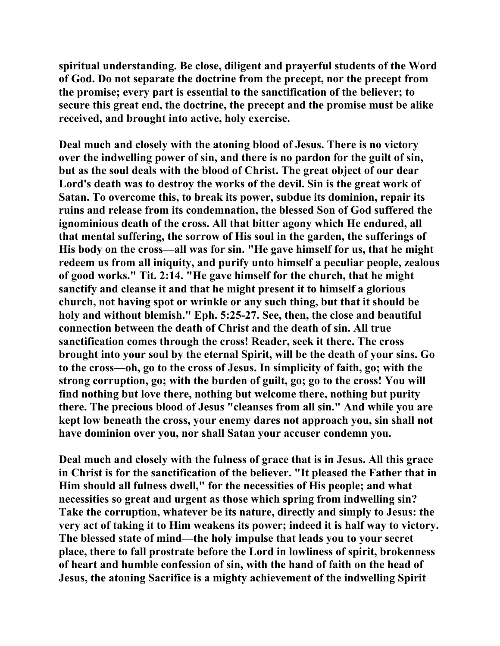**spiritual understanding. Be close, diligent and prayerful students of the Word of God. Do not separate the doctrine from the precept, nor the precept from the promise; every part is essential to the sanctification of the believer; to secure this great end, the doctrine, the precept and the promise must be alike received, and brought into active, holy exercise.** 

**Deal much and closely with the atoning blood of Jesus. There is no victory over the indwelling power of sin, and there is no pardon for the guilt of sin, but as the soul deals with the blood of Christ. The great object of our dear Lord's death was to destroy the works of the devil. Sin is the great work of Satan. To overcome this, to break its power, subdue its dominion, repair its ruins and release from its condemnation, the blessed Son of God suffered the ignominious death of the cross. All that bitter agony which He endured, all that mental suffering, the sorrow of His soul in the garden, the sufferings of His body on the cross—all was for sin. "He gave himself for us, that he might redeem us from all iniquity, and purify unto himself a peculiar people, zealous of good works." Tit. 2:14. "He gave himself for the church, that he might sanctify and cleanse it and that he might present it to himself a glorious church, not having spot or wrinkle or any such thing, but that it should be holy and without blemish." Eph. 5:25-27. See, then, the close and beautiful connection between the death of Christ and the death of sin. All true sanctification comes through the cross! Reader, seek it there. The cross brought into your soul by the eternal Spirit, will be the death of your sins. Go to the cross—oh, go to the cross of Jesus. In simplicity of faith, go; with the strong corruption, go; with the burden of guilt, go; go to the cross! You will find nothing but love there, nothing but welcome there, nothing but purity there. The precious blood of Jesus "cleanses from all sin." And while you are kept low beneath the cross, your enemy dares not approach you, sin shall not have dominion over you, nor shall Satan your accuser condemn you.** 

**Deal much and closely with the fulness of grace that is in Jesus. All this grace in Christ is for the sanctification of the believer. "It pleased the Father that in Him should all fulness dwell," for the necessities of His people; and what necessities so great and urgent as those which spring from indwelling sin? Take the corruption, whatever be its nature, directly and simply to Jesus: the very act of taking it to Him weakens its power; indeed it is half way to victory. The blessed state of mind—the holy impulse that leads you to your secret place, there to fall prostrate before the Lord in lowliness of spirit, brokenness of heart and humble confession of sin, with the hand of faith on the head of Jesus, the atoning Sacrifice is a mighty achievement of the indwelling Spirit**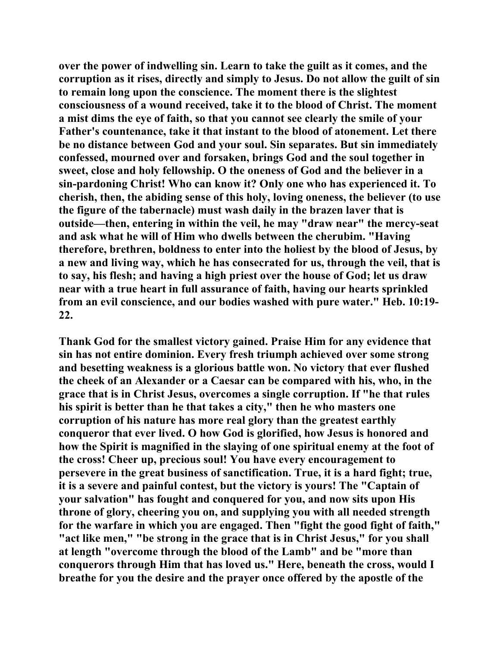**over the power of indwelling sin. Learn to take the guilt as it comes, and the corruption as it rises, directly and simply to Jesus. Do not allow the guilt of sin to remain long upon the conscience. The moment there is the slightest consciousness of a wound received, take it to the blood of Christ. The moment a mist dims the eye of faith, so that you cannot see clearly the smile of your Father's countenance, take it that instant to the blood of atonement. Let there be no distance between God and your soul. Sin separates. But sin immediately confessed, mourned over and forsaken, brings God and the soul together in sweet, close and holy fellowship. O the oneness of God and the believer in a sin-pardoning Christ! Who can know it? Only one who has experienced it. To cherish, then, the abiding sense of this holy, loving oneness, the believer (to use the figure of the tabernacle) must wash daily in the brazen laver that is outside—then, entering in within the veil, he may "draw near" the mercy-seat and ask what he will of Him who dwells between the cherubim. "Having therefore, brethren, boldness to enter into the holiest by the blood of Jesus, by a new and living way, which he has consecrated for us, through the veil, that is to say, his flesh; and having a high priest over the house of God; let us draw near with a true heart in full assurance of faith, having our hearts sprinkled from an evil conscience, and our bodies washed with pure water." Heb. 10:19- 22.** 

**Thank God for the smallest victory gained. Praise Him for any evidence that sin has not entire dominion. Every fresh triumph achieved over some strong and besetting weakness is a glorious battle won. No victory that ever flushed the cheek of an Alexander or a Caesar can be compared with his, who, in the grace that is in Christ Jesus, overcomes a single corruption. If "he that rules his spirit is better than he that takes a city," then he who masters one corruption of his nature has more real glory than the greatest earthly conqueror that ever lived. O how God is glorified, how Jesus is honored and how the Spirit is magnified in the slaying of one spiritual enemy at the foot of the cross! Cheer up, precious soul! You have every encouragement to persevere in the great business of sanctification. True, it is a hard fight; true, it is a severe and painful contest, but the victory is yours! The "Captain of your salvation" has fought and conquered for you, and now sits upon His throne of glory, cheering you on, and supplying you with all needed strength for the warfare in which you are engaged. Then "fight the good fight of faith," "act like men," "be strong in the grace that is in Christ Jesus," for you shall at length "overcome through the blood of the Lamb" and be "more than conquerors through Him that has loved us." Here, beneath the cross, would I breathe for you the desire and the prayer once offered by the apostle of the**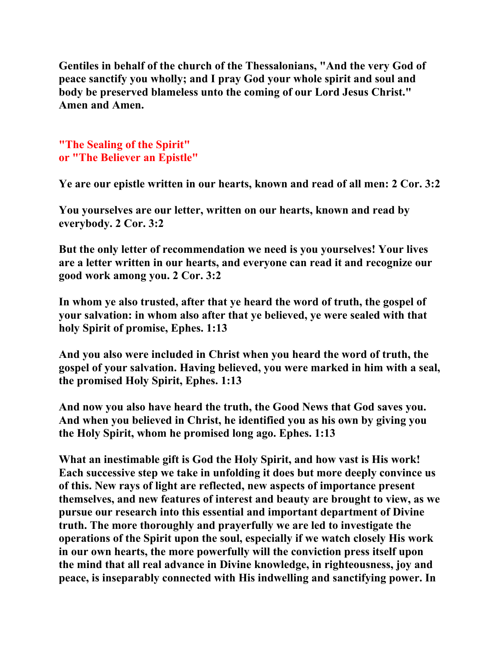**Gentiles in behalf of the church of the Thessalonians, "And the very God of peace sanctify you wholly; and I pray God your whole spirit and soul and body be preserved blameless unto the coming of our Lord Jesus Christ." Amen and Amen.** 

**"The Sealing of the Spirit" or "The Believer an Epistle"** 

**Ye are our epistle written in our hearts, known and read of all men: 2 Cor. 3:2** 

**You yourselves are our letter, written on our hearts, known and read by everybody. 2 Cor. 3:2** 

**But the only letter of recommendation we need is you yourselves! Your lives are a letter written in our hearts, and everyone can read it and recognize our good work among you. 2 Cor. 3:2** 

**In whom ye also trusted, after that ye heard the word of truth, the gospel of your salvation: in whom also after that ye believed, ye were sealed with that holy Spirit of promise, Ephes. 1:13** 

**And you also were included in Christ when you heard the word of truth, the gospel of your salvation. Having believed, you were marked in him with a seal, the promised Holy Spirit, Ephes. 1:13** 

**And now you also have heard the truth, the Good News that God saves you. And when you believed in Christ, he identified you as his own by giving you the Holy Spirit, whom he promised long ago. Ephes. 1:13** 

**What an inestimable gift is God the Holy Spirit, and how vast is His work! Each successive step we take in unfolding it does but more deeply convince us of this. New rays of light are reflected, new aspects of importance present themselves, and new features of interest and beauty are brought to view, as we pursue our research into this essential and important department of Divine truth. The more thoroughly and prayerfully we are led to investigate the operations of the Spirit upon the soul, especially if we watch closely His work in our own hearts, the more powerfully will the conviction press itself upon the mind that all real advance in Divine knowledge, in righteousness, joy and peace, is inseparably connected with His indwelling and sanctifying power. In**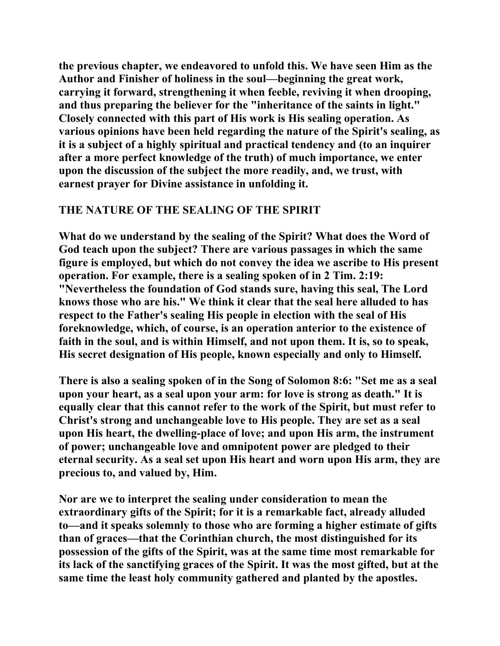**the previous chapter, we endeavored to unfold this. We have seen Him as the Author and Finisher of holiness in the soul—beginning the great work, carrying it forward, strengthening it when feeble, reviving it when drooping, and thus preparing the believer for the "inheritance of the saints in light." Closely connected with this part of His work is His sealing operation. As various opinions have been held regarding the nature of the Spirit's sealing, as it is a subject of a highly spiritual and practical tendency and (to an inquirer after a more perfect knowledge of the truth) of much importance, we enter upon the discussion of the subject the more readily, and, we trust, with earnest prayer for Divine assistance in unfolding it.** 

## **THE NATURE OF THE SEALING OF THE SPIRIT**

**What do we understand by the sealing of the Spirit? What does the Word of God teach upon the subject? There are various passages in which the same figure is employed, but which do not convey the idea we ascribe to His present operation. For example, there is a sealing spoken of in 2 Tim. 2:19: "Nevertheless the foundation of God stands sure, having this seal, The Lord knows those who are his." We think it clear that the seal here alluded to has respect to the Father's sealing His people in election with the seal of His foreknowledge, which, of course, is an operation anterior to the existence of faith in the soul, and is within Himself, and not upon them. It is, so to speak, His secret designation of His people, known especially and only to Himself.** 

**There is also a sealing spoken of in the Song of Solomon 8:6: "Set me as a seal upon your heart, as a seal upon your arm: for love is strong as death." It is equally clear that this cannot refer to the work of the Spirit, but must refer to Christ's strong and unchangeable love to His people. They are set as a seal upon His heart, the dwelling-place of love; and upon His arm, the instrument of power; unchangeable love and omnipotent power are pledged to their eternal security. As a seal set upon His heart and worn upon His arm, they are precious to, and valued by, Him.** 

**Nor are we to interpret the sealing under consideration to mean the extraordinary gifts of the Spirit; for it is a remarkable fact, already alluded to—and it speaks solemnly to those who are forming a higher estimate of gifts than of graces—that the Corinthian church, the most distinguished for its possession of the gifts of the Spirit, was at the same time most remarkable for its lack of the sanctifying graces of the Spirit. It was the most gifted, but at the same time the least holy community gathered and planted by the apostles.**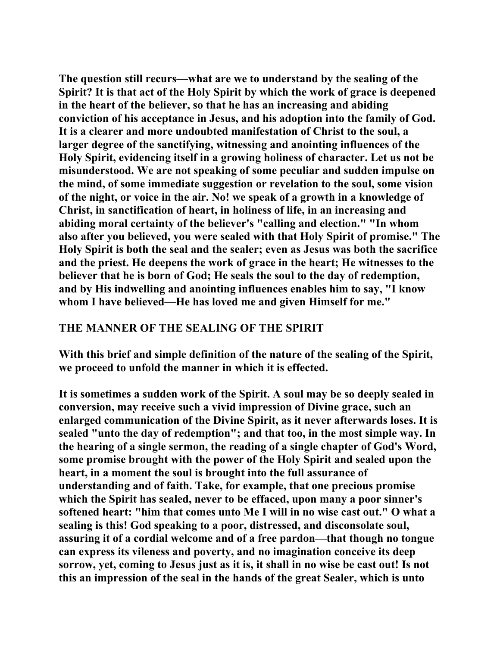**The question still recurs—what are we to understand by the sealing of the Spirit? It is that act of the Holy Spirit by which the work of grace is deepened in the heart of the believer, so that he has an increasing and abiding conviction of his acceptance in Jesus, and his adoption into the family of God. It is a clearer and more undoubted manifestation of Christ to the soul, a larger degree of the sanctifying, witnessing and anointing influences of the Holy Spirit, evidencing itself in a growing holiness of character. Let us not be misunderstood. We are not speaking of some peculiar and sudden impulse on the mind, of some immediate suggestion or revelation to the soul, some vision of the night, or voice in the air. No! we speak of a growth in a knowledge of Christ, in sanctification of heart, in holiness of life, in an increasing and abiding moral certainty of the believer's "calling and election." "In whom also after you believed, you were sealed with that Holy Spirit of promise." The Holy Spirit is both the seal and the sealer; even as Jesus was both the sacrifice and the priest. He deepens the work of grace in the heart; He witnesses to the believer that he is born of God; He seals the soul to the day of redemption, and by His indwelling and anointing influences enables him to say, "I know whom I have believed—He has loved me and given Himself for me."** 

## **THE MANNER OF THE SEALING OF THE SPIRIT**

**With this brief and simple definition of the nature of the sealing of the Spirit, we proceed to unfold the manner in which it is effected.** 

**It is sometimes a sudden work of the Spirit. A soul may be so deeply sealed in conversion, may receive such a vivid impression of Divine grace, such an enlarged communication of the Divine Spirit, as it never afterwards loses. It is sealed "unto the day of redemption"; and that too, in the most simple way. In the hearing of a single sermon, the reading of a single chapter of God's Word, some promise brought with the power of the Holy Spirit and sealed upon the heart, in a moment the soul is brought into the full assurance of understanding and of faith. Take, for example, that one precious promise which the Spirit has sealed, never to be effaced, upon many a poor sinner's softened heart: "him that comes unto Me I will in no wise cast out." O what a sealing is this! God speaking to a poor, distressed, and disconsolate soul, assuring it of a cordial welcome and of a free pardon—that though no tongue can express its vileness and poverty, and no imagination conceive its deep sorrow, yet, coming to Jesus just as it is, it shall in no wise be cast out! Is not this an impression of the seal in the hands of the great Sealer, which is unto**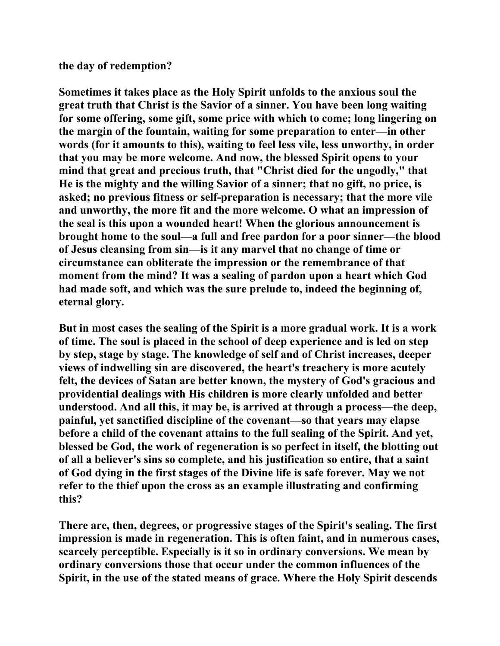**the day of redemption?** 

**Sometimes it takes place as the Holy Spirit unfolds to the anxious soul the great truth that Christ is the Savior of a sinner. You have been long waiting for some offering, some gift, some price with which to come; long lingering on the margin of the fountain, waiting for some preparation to enter—in other words (for it amounts to this), waiting to feel less vile, less unworthy, in order that you may be more welcome. And now, the blessed Spirit opens to your mind that great and precious truth, that "Christ died for the ungodly," that He is the mighty and the willing Savior of a sinner; that no gift, no price, is asked; no previous fitness or self-preparation is necessary; that the more vile and unworthy, the more fit and the more welcome. O what an impression of the seal is this upon a wounded heart! When the glorious announcement is brought home to the soul—a full and free pardon for a poor sinner—the blood of Jesus cleansing from sin—is it any marvel that no change of time or circumstance can obliterate the impression or the remembrance of that moment from the mind? It was a sealing of pardon upon a heart which God had made soft, and which was the sure prelude to, indeed the beginning of, eternal glory.** 

**But in most cases the sealing of the Spirit is a more gradual work. It is a work of time. The soul is placed in the school of deep experience and is led on step by step, stage by stage. The knowledge of self and of Christ increases, deeper views of indwelling sin are discovered, the heart's treachery is more acutely felt, the devices of Satan are better known, the mystery of God's gracious and providential dealings with His children is more clearly unfolded and better understood. And all this, it may be, is arrived at through a process—the deep, painful, yet sanctified discipline of the covenant—so that years may elapse before a child of the covenant attains to the full sealing of the Spirit. And yet, blessed be God, the work of regeneration is so perfect in itself, the blotting out of all a believer's sins so complete, and his justification so entire, that a saint of God dying in the first stages of the Divine life is safe forever. May we not refer to the thief upon the cross as an example illustrating and confirming this?** 

**There are, then, degrees, or progressive stages of the Spirit's sealing. The first impression is made in regeneration. This is often faint, and in numerous cases, scarcely perceptible. Especially is it so in ordinary conversions. We mean by ordinary conversions those that occur under the common influences of the Spirit, in the use of the stated means of grace. Where the Holy Spirit descends**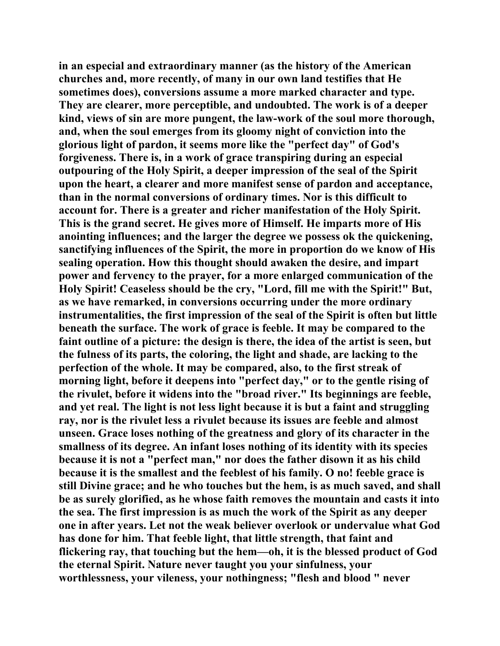**in an especial and extraordinary manner (as the history of the American churches and, more recently, of many in our own land testifies that He sometimes does), conversions assume a more marked character and type. They are clearer, more perceptible, and undoubted. The work is of a deeper kind, views of sin are more pungent, the law-work of the soul more thorough, and, when the soul emerges from its gloomy night of conviction into the glorious light of pardon, it seems more like the "perfect day" of God's forgiveness. There is, in a work of grace transpiring during an especial outpouring of the Holy Spirit, a deeper impression of the seal of the Spirit upon the heart, a clearer and more manifest sense of pardon and acceptance, than in the normal conversions of ordinary times. Nor is this difficult to account for. There is a greater and richer manifestation of the Holy Spirit. This is the grand secret. He gives more of Himself. He imparts more of His anointing influences; and the larger the degree we possess ok the quickening, sanctifying influences of the Spirit, the more in proportion do we know of His sealing operation. How this thought should awaken the desire, and impart power and fervency to the prayer, for a more enlarged communication of the Holy Spirit! Ceaseless should be the cry, "Lord, fill me with the Spirit!" But, as we have remarked, in conversions occurring under the more ordinary instrumentalities, the first impression of the seal of the Spirit is often but little beneath the surface. The work of grace is feeble. It may be compared to the faint outline of a picture: the design is there, the idea of the artist is seen, but the fulness of its parts, the coloring, the light and shade, are lacking to the perfection of the whole. It may be compared, also, to the first streak of morning light, before it deepens into "perfect day," or to the gentle rising of the rivulet, before it widens into the "broad river." Its beginnings are feeble, and yet real. The light is not less light because it is but a faint and struggling ray, nor is the rivulet less a rivulet because its issues are feeble and almost unseen. Grace loses nothing of the greatness and glory of its character in the smallness of its degree. An infant loses nothing of its identity with its species because it is not a "perfect man," nor does the father disown it as his child because it is the smallest and the feeblest of his family. O no! feeble grace is still Divine grace; and he who touches but the hem, is as much saved, and shall be as surely glorified, as he whose faith removes the mountain and casts it into the sea. The first impression is as much the work of the Spirit as any deeper one in after years. Let not the weak believer overlook or undervalue what God has done for him. That feeble light, that little strength, that faint and flickering ray, that touching but the hem—oh, it is the blessed product of God the eternal Spirit. Nature never taught you your sinfulness, your worthlessness, your vileness, your nothingness; "flesh and blood " never**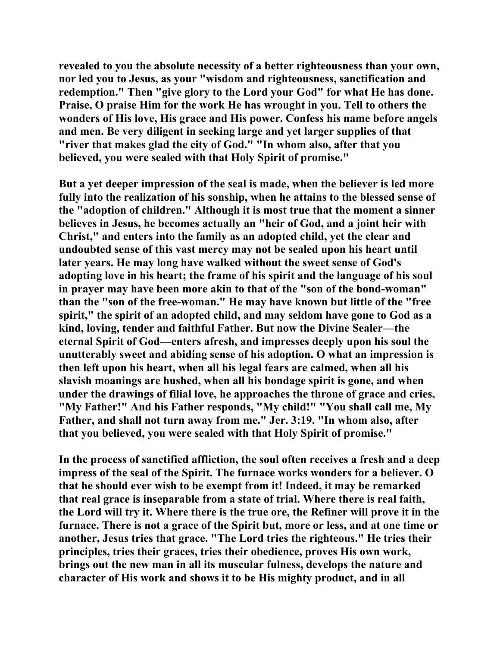**revealed to you the absolute necessity of a better righteousness than your own, nor led you to Jesus, as your "wisdom and righteousness, sanctification and redemption." Then "give glory to the Lord your God" for what He has done. Praise, O praise Him for the work He has wrought in you. Tell to others the wonders of His love, His grace and His power. Confess his name before angels and men. Be very diligent in seeking large and yet larger supplies of that "river that makes glad the city of God." "In whom also, after that you believed, you were sealed with that Holy Spirit of promise."** 

**But a yet deeper impression of the seal is made, when the believer is led more fully into the realization of his sonship, when he attains to the blessed sense of the "adoption of children." Although it is most true that the moment a sinner believes in Jesus, he becomes actually an "heir of God, and a joint heir with Christ," and enters into the family as an adopted child, yet the clear and undoubted sense of this vast mercy may not be sealed upon his heart until later years. He may long have walked without the sweet sense of God's adopting love in his heart; the frame of his spirit and the language of his soul in prayer may have been more akin to that of the "son of the bond-woman" than the "son of the free-woman." He may have known but little of the "free spirit," the spirit of an adopted child, and may seldom have gone to God as a kind, loving, tender and faithful Father. But now the Divine Sealer—the eternal Spirit of God—enters afresh, and impresses deeply upon his soul the unutterably sweet and abiding sense of his adoption. O what an impression is then left upon his heart, when all his legal fears are calmed, when all his slavish moanings are hushed, when all his bondage spirit is gone, and when under the drawings of filial love, he approaches the throne of grace and cries, "My Father!" And his Father responds, "My child!" "You shall call me, My Father, and shall not turn away from me." Jer. 3:19. "In whom also, after that you believed, you were sealed with that Holy Spirit of promise."** 

**In the process of sanctified affliction, the soul often receives a fresh and a deep impress of the seal of the Spirit. The furnace works wonders for a believer. O that he should ever wish to be exempt from it! Indeed, it may be remarked that real grace is inseparable from a state of trial. Where there is real faith, the Lord will try it. Where there is the true ore, the Refiner will prove it in the furnace. There is not a grace of the Spirit but, more or less, and at one time or another, Jesus tries that grace. "The Lord tries the righteous." He tries their principles, tries their graces, tries their obedience, proves His own work, brings out the new man in all its muscular fulness, develops the nature and character of His work and shows it to be His mighty product, and in all**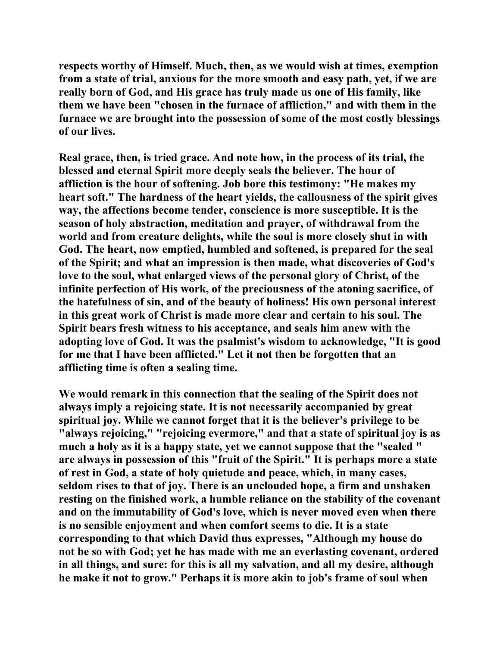**respects worthy of Himself. Much, then, as we would wish at times, exemption from a state of trial, anxious for the more smooth and easy path, yet, if we are really born of God, and His grace has truly made us one of His family, like them we have been "chosen in the furnace of affliction," and with them in the furnace we are brought into the possession of some of the most costly blessings of our lives.** 

**Real grace, then, is tried grace. And note how, in the process of its trial, the blessed and eternal Spirit more deeply seals the believer. The hour of affliction is the hour of softening. Job bore this testimony: "He makes my heart soft." The hardness of the heart yields, the callousness of the spirit gives way, the affections become tender, conscience is more susceptible. It is the season of holy abstraction, meditation and prayer, of withdrawal from the world and from creature delights, while the soul is more closely shut in with God. The heart, now emptied, humbled and softened, is prepared for the seal of the Spirit; and what an impression is then made, what discoveries of God's love to the soul, what enlarged views of the personal glory of Christ, of the infinite perfection of His work, of the preciousness of the atoning sacrifice, of the hatefulness of sin, and of the beauty of holiness! His own personal interest in this great work of Christ is made more clear and certain to his soul. The Spirit bears fresh witness to his acceptance, and seals him anew with the adopting love of God. It was the psalmist's wisdom to acknowledge, "It is good for me that I have been afflicted." Let it not then be forgotten that an afflicting time is often a sealing time.** 

**We would remark in this connection that the sealing of the Spirit does not always imply a rejoicing state. It is not necessarily accompanied by great spiritual joy. While we cannot forget that it is the believer's privilege to be "always rejoicing," "rejoicing evermore," and that a state of spiritual joy is as much a holy as it is a happy state, yet we cannot suppose that the "sealed " are always in possession of this "fruit of the Spirit." It is perhaps more a state of rest in God, a state of holy quietude and peace, which, in many cases, seldom rises to that of joy. There is an unclouded hope, a firm and unshaken resting on the finished work, a humble reliance on the stability of the covenant and on the immutability of God's love, which is never moved even when there is no sensible enjoyment and when comfort seems to die. It is a state corresponding to that which David thus expresses, "Although my house do not be so with God; yet he has made with me an everlasting covenant, ordered in all things, and sure: for this is all my salvation, and all my desire, although he make it not to grow." Perhaps it is more akin to job's frame of soul when**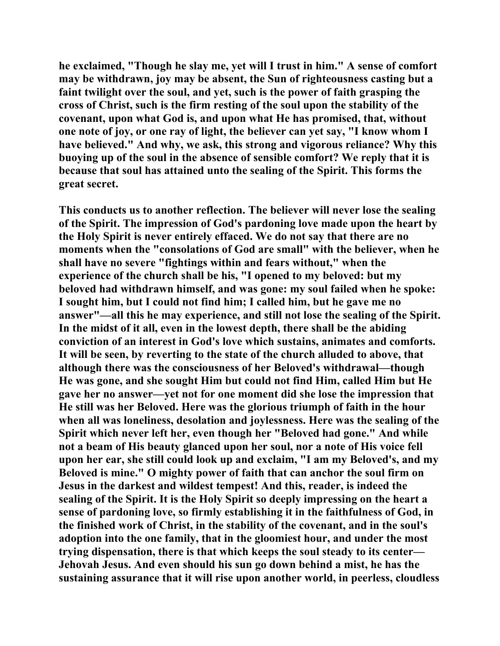**he exclaimed, "Though he slay me, yet will I trust in him." A sense of comfort may be withdrawn, joy may be absent, the Sun of righteousness casting but a faint twilight over the soul, and yet, such is the power of faith grasping the cross of Christ, such is the firm resting of the soul upon the stability of the covenant, upon what God is, and upon what He has promised, that, without one note of joy, or one ray of light, the believer can yet say, "I know whom I have believed." And why, we ask, this strong and vigorous reliance? Why this buoying up of the soul in the absence of sensible comfort? We reply that it is because that soul has attained unto the sealing of the Spirit. This forms the great secret.** 

**This conducts us to another reflection. The believer will never lose the sealing of the Spirit. The impression of God's pardoning love made upon the heart by the Holy Spirit is never entirely effaced. We do not say that there are no moments when the "consolations of God are small" with the believer, when he shall have no severe "fightings within and fears without," when the experience of the church shall be his, "I opened to my beloved: but my beloved had withdrawn himself, and was gone: my soul failed when he spoke: I sought him, but I could not find him; I called him, but he gave me no answer"—all this he may experience, and still not lose the sealing of the Spirit. In the midst of it all, even in the lowest depth, there shall be the abiding conviction of an interest in God's love which sustains, animates and comforts. It will be seen, by reverting to the state of the church alluded to above, that although there was the consciousness of her Beloved's withdrawal—though He was gone, and she sought Him but could not find Him, called Him but He gave her no answer—yet not for one moment did she lose the impression that He still was her Beloved. Here was the glorious triumph of faith in the hour when all was loneliness, desolation and joylessness. Here was the sealing of the Spirit which never left her, even though her "Beloved had gone." And while not a beam of His beauty glanced upon her soul, nor a note of His voice fell upon her ear, she still could look up and exclaim, "I am my Beloved's, and my Beloved is mine." O mighty power of faith that can anchor the soul firm on Jesus in the darkest and wildest tempest! And this, reader, is indeed the sealing of the Spirit. It is the Holy Spirit so deeply impressing on the heart a sense of pardoning love, so firmly establishing it in the faithfulness of God, in the finished work of Christ, in the stability of the covenant, and in the soul's adoption into the one family, that in the gloomiest hour, and under the most trying dispensation, there is that which keeps the soul steady to its center— Jehovah Jesus. And even should his sun go down behind a mist, he has the sustaining assurance that it will rise upon another world, in peerless, cloudless**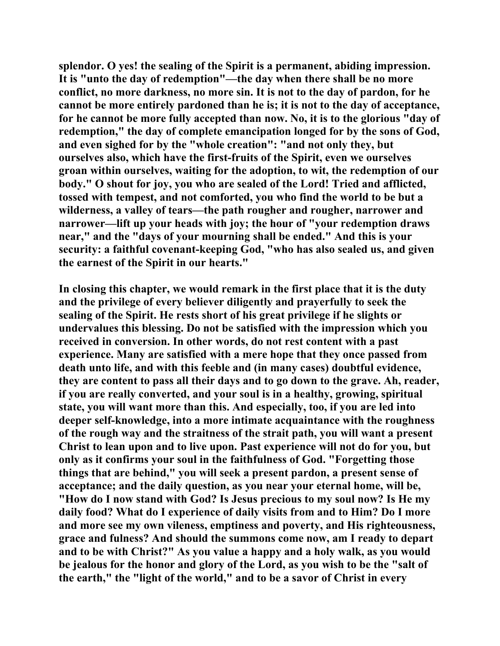**splendor. O yes! the sealing of the Spirit is a permanent, abiding impression. It is "unto the day of redemption"—the day when there shall be no more conflict, no more darkness, no more sin. It is not to the day of pardon, for he cannot be more entirely pardoned than he is; it is not to the day of acceptance, for he cannot be more fully accepted than now. No, it is to the glorious "day of redemption," the day of complete emancipation longed for by the sons of God, and even sighed for by the "whole creation": "and not only they, but ourselves also, which have the first-fruits of the Spirit, even we ourselves groan within ourselves, waiting for the adoption, to wit, the redemption of our body." O shout for joy, you who are sealed of the Lord! Tried and afflicted, tossed with tempest, and not comforted, you who find the world to be but a wilderness, a valley of tears—the path rougher and rougher, narrower and narrower—lift up your heads with joy; the hour of "your redemption draws near," and the "days of your mourning shall be ended." And this is your security: a faithful covenant-keeping God, "who has also sealed us, and given the earnest of the Spirit in our hearts."** 

**In closing this chapter, we would remark in the first place that it is the duty and the privilege of every believer diligently and prayerfully to seek the sealing of the Spirit. He rests short of his great privilege if he slights or undervalues this blessing. Do not be satisfied with the impression which you received in conversion. In other words, do not rest content with a past experience. Many are satisfied with a mere hope that they once passed from death unto life, and with this feeble and (in many cases) doubtful evidence, they are content to pass all their days and to go down to the grave. Ah, reader, if you are really converted, and your soul is in a healthy, growing, spiritual state, you will want more than this. And especially, too, if you are led into deeper self-knowledge, into a more intimate acquaintance with the roughness of the rough way and the straitness of the strait path, you will want a present Christ to lean upon and to live upon. Past experience will not do for you, but only as it confirms your soul in the faithfulness of God. "Forgetting those things that are behind," you will seek a present pardon, a present sense of acceptance; and the daily question, as you near your eternal home, will be, "How do I now stand with God? Is Jesus precious to my soul now? Is He my daily food? What do I experience of daily visits from and to Him? Do I more and more see my own vileness, emptiness and poverty, and His righteousness, grace and fulness? And should the summons come now, am I ready to depart and to be with Christ?" As you value a happy and a holy walk, as you would be jealous for the honor and glory of the Lord, as you wish to be the "salt of the earth," the "light of the world," and to be a savor of Christ in every**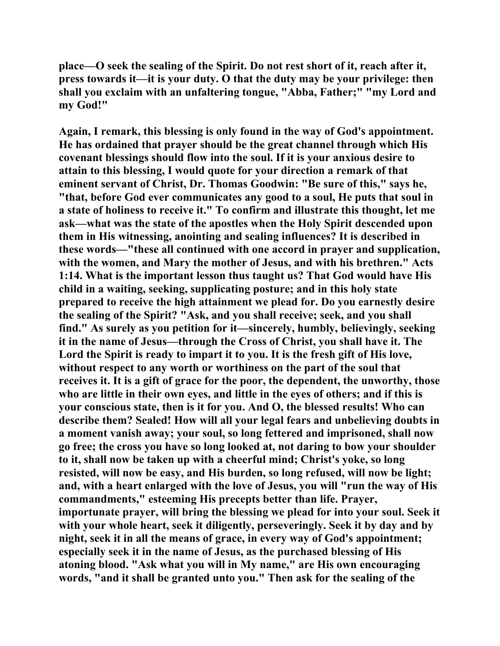**place—O seek the sealing of the Spirit. Do not rest short of it, reach after it, press towards it—it is your duty. O that the duty may be your privilege: then shall you exclaim with an unfaltering tongue, "Abba, Father;" "my Lord and my God!"** 

**Again, I remark, this blessing is only found in the way of God's appointment. He has ordained that prayer should be the great channel through which His covenant blessings should flow into the soul. If it is your anxious desire to attain to this blessing, I would quote for your direction a remark of that eminent servant of Christ, Dr. Thomas Goodwin: "Be sure of this," says he, "that, before God ever communicates any good to a soul, He puts that soul in a state of holiness to receive it." To confirm and illustrate this thought, let me ask—what was the state of the apostles when the Holy Spirit descended upon them in His witnessing, anointing and sealing influences? It is described in these words—"these all continued with one accord in prayer and supplication, with the women, and Mary the mother of Jesus, and with his brethren." Acts 1:14. What is the important lesson thus taught us? That God would have His child in a waiting, seeking, supplicating posture; and in this holy state prepared to receive the high attainment we plead for. Do you earnestly desire the sealing of the Spirit? "Ask, and you shall receive; seek, and you shall find." As surely as you petition for it—sincerely, humbly, believingly, seeking it in the name of Jesus—through the Cross of Christ, you shall have it. The Lord the Spirit is ready to impart it to you. It is the fresh gift of His love, without respect to any worth or worthiness on the part of the soul that receives it. It is a gift of grace for the poor, the dependent, the unworthy, those who are little in their own eyes, and little in the eyes of others; and if this is your conscious state, then is it for you. And O, the blessed results! Who can describe them? Sealed! How will all your legal fears and unbelieving doubts in a moment vanish away; your soul, so long fettered and imprisoned, shall now go free; the cross you have so long looked at, not daring to bow your shoulder to it, shall now be taken up with a cheerful mind; Christ's yoke, so long resisted, will now be easy, and His burden, so long refused, will now be light; and, with a heart enlarged with the love of Jesus, you will "run the way of His commandments," esteeming His precepts better than life. Prayer, importunate prayer, will bring the blessing we plead for into your soul. Seek it with your whole heart, seek it diligently, perseveringly. Seek it by day and by night, seek it in all the means of grace, in every way of God's appointment; especially seek it in the name of Jesus, as the purchased blessing of His atoning blood. "Ask what you will in My name," are His own encouraging words, "and it shall be granted unto you." Then ask for the sealing of the**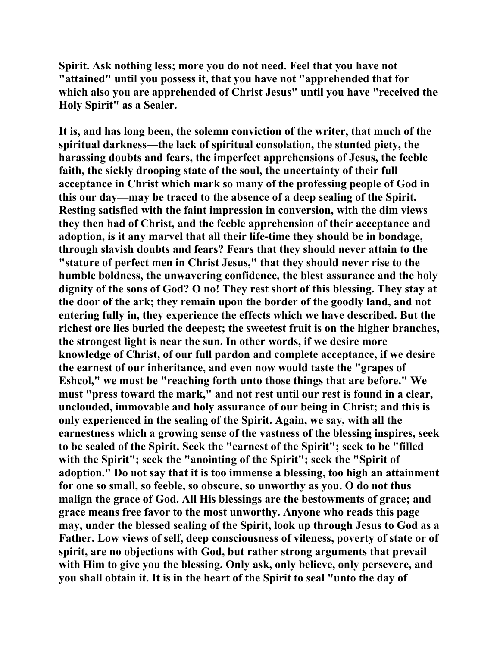**Spirit. Ask nothing less; more you do not need. Feel that you have not "attained" until you possess it, that you have not "apprehended that for which also you are apprehended of Christ Jesus" until you have "received the Holy Spirit" as a Sealer.** 

**It is, and has long been, the solemn conviction of the writer, that much of the spiritual darkness—the lack of spiritual consolation, the stunted piety, the harassing doubts and fears, the imperfect apprehensions of Jesus, the feeble faith, the sickly drooping state of the soul, the uncertainty of their full acceptance in Christ which mark so many of the professing people of God in this our day—may be traced to the absence of a deep sealing of the Spirit. Resting satisfied with the faint impression in conversion, with the dim views they then had of Christ, and the feeble apprehension of their acceptance and adoption, is it any marvel that all their life-time they should be in bondage, through slavish doubts and fears? Fears that they should never attain to the "stature of perfect men in Christ Jesus," that they should never rise to the humble boldness, the unwavering confidence, the blest assurance and the holy dignity of the sons of God? O no! They rest short of this blessing. They stay at the door of the ark; they remain upon the border of the goodly land, and not entering fully in, they experience the effects which we have described. But the richest ore lies buried the deepest; the sweetest fruit is on the higher branches, the strongest light is near the sun. In other words, if we desire more knowledge of Christ, of our full pardon and complete acceptance, if we desire the earnest of our inheritance, and even now would taste the "grapes of Eshcol," we must be "reaching forth unto those things that are before." We must "press toward the mark," and not rest until our rest is found in a clear, unclouded, immovable and holy assurance of our being in Christ; and this is only experienced in the sealing of the Spirit. Again, we say, with all the earnestness which a growing sense of the vastness of the blessing inspires, seek to be sealed of the Spirit. Seek the "earnest of the Spirit"; seek to be "filled with the Spirit"; seek the "anointing of the Spirit"; seek the "Spirit of adoption." Do not say that it is too immense a blessing, too high an attainment for one so small, so feeble, so obscure, so unworthy as you. O do not thus malign the grace of God. All His blessings are the bestowments of grace; and grace means free favor to the most unworthy. Anyone who reads this page may, under the blessed sealing of the Spirit, look up through Jesus to God as a Father. Low views of self, deep consciousness of vileness, poverty of state or of spirit, are no objections with God, but rather strong arguments that prevail with Him to give you the blessing. Only ask, only believe, only persevere, and you shall obtain it. It is in the heart of the Spirit to seal "unto the day of**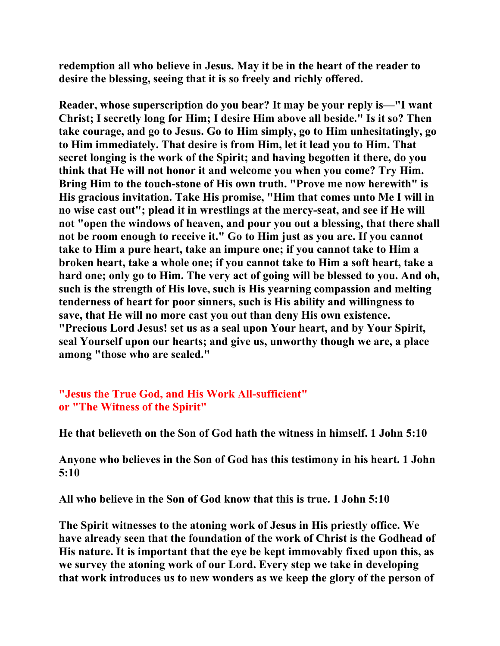**redemption all who believe in Jesus. May it be in the heart of the reader to desire the blessing, seeing that it is so freely and richly offered.** 

**Reader, whose superscription do you bear? It may be your reply is—"I want Christ; I secretly long for Him; I desire Him above all beside." Is it so? Then take courage, and go to Jesus. Go to Him simply, go to Him unhesitatingly, go to Him immediately. That desire is from Him, let it lead you to Him. That secret longing is the work of the Spirit; and having begotten it there, do you think that He will not honor it and welcome you when you come? Try Him. Bring Him to the touch-stone of His own truth. "Prove me now herewith" is His gracious invitation. Take His promise, "Him that comes unto Me I will in no wise cast out"; plead it in wrestlings at the mercy-seat, and see if He will not "open the windows of heaven, and pour you out a blessing, that there shall not be room enough to receive it." Go to Him just as you are. If you cannot take to Him a pure heart, take an impure one; if you cannot take to Him a broken heart, take a whole one; if you cannot take to Him a soft heart, take a hard one; only go to Him. The very act of going will be blessed to you. And oh, such is the strength of His love, such is His yearning compassion and melting tenderness of heart for poor sinners, such is His ability and willingness to save, that He will no more cast you out than deny His own existence. "Precious Lord Jesus! set us as a seal upon Your heart, and by Your Spirit, seal Yourself upon our hearts; and give us, unworthy though we are, a place among "those who are sealed."** 

**"Jesus the True God, and His Work All-sufficient" or "The Witness of the Spirit"**

**He that believeth on the Son of God hath the witness in himself. 1 John 5:10** 

**Anyone who believes in the Son of God has this testimony in his heart. 1 John 5:10** 

**All who believe in the Son of God know that this is true. 1 John 5:10** 

**The Spirit witnesses to the atoning work of Jesus in His priestly office. We have already seen that the foundation of the work of Christ is the Godhead of His nature. It is important that the eye be kept immovably fixed upon this, as we survey the atoning work of our Lord. Every step we take in developing that work introduces us to new wonders as we keep the glory of the person of**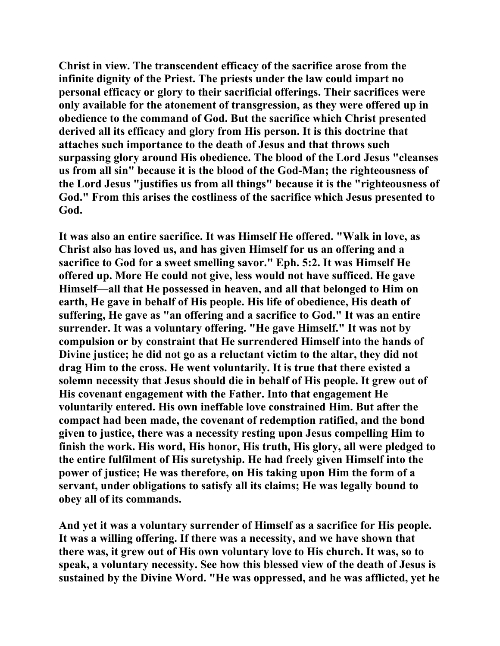**Christ in view. The transcendent efficacy of the sacrifice arose from the infinite dignity of the Priest. The priests under the law could impart no personal efficacy or glory to their sacrificial offerings. Their sacrifices were only available for the atonement of transgression, as they were offered up in obedience to the command of God. But the sacrifice which Christ presented derived all its efficacy and glory from His person. It is this doctrine that attaches such importance to the death of Jesus and that throws such surpassing glory around His obedience. The blood of the Lord Jesus "cleanses us from all sin" because it is the blood of the God-Man; the righteousness of the Lord Jesus "justifies us from all things" because it is the "righteousness of God." From this arises the costliness of the sacrifice which Jesus presented to God.** 

**It was also an entire sacrifice. It was Himself He offered. "Walk in love, as Christ also has loved us, and has given Himself for us an offering and a sacrifice to God for a sweet smelling savor." Eph. 5:2. It was Himself He offered up. More He could not give, less would not have sufficed. He gave Himself—all that He possessed in heaven, and all that belonged to Him on earth, He gave in behalf of His people. His life of obedience, His death of suffering, He gave as "an offering and a sacrifice to God." It was an entire surrender. It was a voluntary offering. "He gave Himself." It was not by compulsion or by constraint that He surrendered Himself into the hands of Divine justice; he did not go as a reluctant victim to the altar, they did not drag Him to the cross. He went voluntarily. It is true that there existed a solemn necessity that Jesus should die in behalf of His people. It grew out of His covenant engagement with the Father. Into that engagement He voluntarily entered. His own ineffable love constrained Him. But after the compact had been made, the covenant of redemption ratified, and the bond given to justice, there was a necessity resting upon Jesus compelling Him to finish the work. His word, His honor, His truth, His glory, all were pledged to the entire fulfilment of His suretyship. He had freely given Himself into the power of justice; He was therefore, on His taking upon Him the form of a servant, under obligations to satisfy all its claims; He was legally bound to obey all of its commands.** 

**And yet it was a voluntary surrender of Himself as a sacrifice for His people. It was a willing offering. If there was a necessity, and we have shown that there was, it grew out of His own voluntary love to His church. It was, so to speak, a voluntary necessity. See how this blessed view of the death of Jesus is sustained by the Divine Word. "He was oppressed, and he was afflicted, yet he**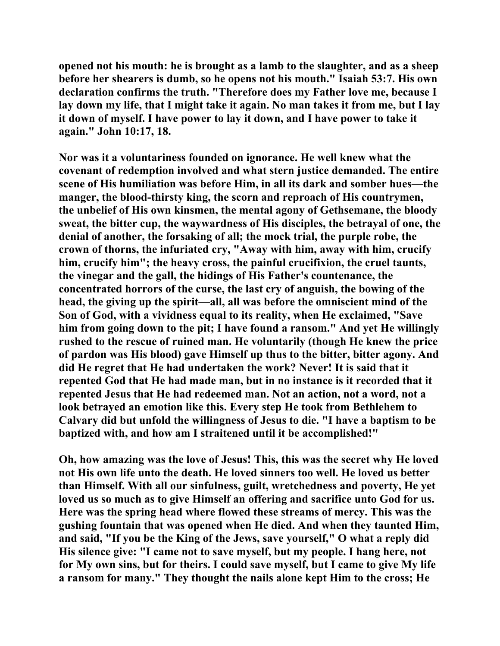**opened not his mouth: he is brought as a lamb to the slaughter, and as a sheep before her shearers is dumb, so he opens not his mouth." Isaiah 53:7. His own declaration confirms the truth. "Therefore does my Father love me, because I lay down my life, that I might take it again. No man takes it from me, but I lay it down of myself. I have power to lay it down, and I have power to take it again." John 10:17, 18.** 

**Nor was it a voluntariness founded on ignorance. He well knew what the covenant of redemption involved and what stern justice demanded. The entire scene of His humiliation was before Him, in all its dark and somber hues—the manger, the blood-thirsty king, the scorn and reproach of His countrymen, the unbelief of His own kinsmen, the mental agony of Gethsemane, the bloody sweat, the bitter cup, the waywardness of His disciples, the betrayal of one, the denial of another, the forsaking of all; the mock trial, the purple robe, the crown of thorns, the infuriated cry, "Away with him, away with him, crucify him, crucify him"; the heavy cross, the painful crucifixion, the cruel taunts, the vinegar and the gall, the hidings of His Father's countenance, the concentrated horrors of the curse, the last cry of anguish, the bowing of the head, the giving up the spirit—all, all was before the omniscient mind of the Son of God, with a vividness equal to its reality, when He exclaimed, "Save him from going down to the pit; I have found a ransom." And yet He willingly rushed to the rescue of ruined man. He voluntarily (though He knew the price of pardon was His blood) gave Himself up thus to the bitter, bitter agony. And did He regret that He had undertaken the work? Never! It is said that it repented God that He had made man, but in no instance is it recorded that it repented Jesus that He had redeemed man. Not an action, not a word, not a look betrayed an emotion like this. Every step He took from Bethlehem to Calvary did but unfold the willingness of Jesus to die. "I have a baptism to be baptized with, and how am I straitened until it be accomplished!"** 

**Oh, how amazing was the love of Jesus! This, this was the secret why He loved not His own life unto the death. He loved sinners too well. He loved us better than Himself. With all our sinfulness, guilt, wretchedness and poverty, He yet loved us so much as to give Himself an offering and sacrifice unto God for us. Here was the spring head where flowed these streams of mercy. This was the gushing fountain that was opened when He died. And when they taunted Him, and said, "If you be the King of the Jews, save yourself," O what a reply did His silence give: "I came not to save myself, but my people. I hang here, not for My own sins, but for theirs. I could save myself, but I came to give My life a ransom for many." They thought the nails alone kept Him to the cross; He**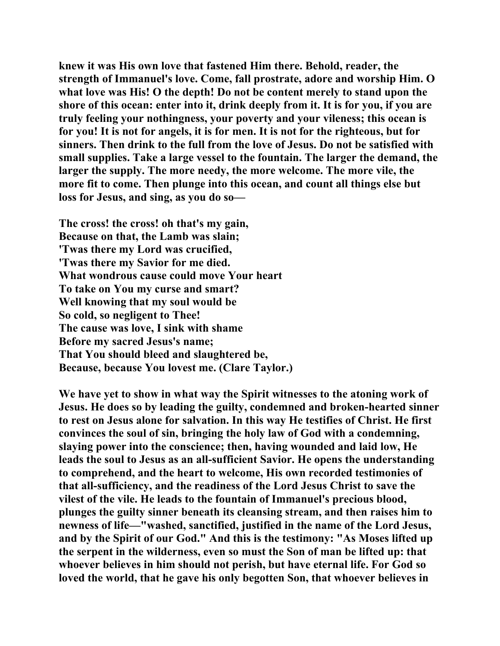**knew it was His own love that fastened Him there. Behold, reader, the strength of Immanuel's love. Come, fall prostrate, adore and worship Him. O what love was His! O the depth! Do not be content merely to stand upon the shore of this ocean: enter into it, drink deeply from it. It is for you, if you are truly feeling your nothingness, your poverty and your vileness; this ocean is for you! It is not for angels, it is for men. It is not for the righteous, but for sinners. Then drink to the full from the love of Jesus. Do not be satisfied with small supplies. Take a large vessel to the fountain. The larger the demand, the larger the supply. The more needy, the more welcome. The more vile, the more fit to come. Then plunge into this ocean, and count all things else but loss for Jesus, and sing, as you do so—** 

**The cross! the cross! oh that's my gain, Because on that, the Lamb was slain; 'Twas there my Lord was crucified, 'Twas there my Savior for me died. What wondrous cause could move Your heart To take on You my curse and smart? Well knowing that my soul would be So cold, so negligent to Thee! The cause was love, I sink with shame Before my sacred Jesus's name; That You should bleed and slaughtered be, Because, because You lovest me. (Clare Taylor.)** 

**We have yet to show in what way the Spirit witnesses to the atoning work of Jesus. He does so by leading the guilty, condemned and broken-hearted sinner to rest on Jesus alone for salvation. In this way He testifies of Christ. He first convinces the soul of sin, bringing the holy law of God with a condemning, slaying power into the conscience; then, having wounded and laid low, He leads the soul to Jesus as an all-sufficient Savior. He opens the understanding to comprehend, and the heart to welcome, His own recorded testimonies of that all-sufficiency, and the readiness of the Lord Jesus Christ to save the vilest of the vile. He leads to the fountain of Immanuel's precious blood, plunges the guilty sinner beneath its cleansing stream, and then raises him to newness of life—"washed, sanctified, justified in the name of the Lord Jesus, and by the Spirit of our God." And this is the testimony: "As Moses lifted up the serpent in the wilderness, even so must the Son of man be lifted up: that whoever believes in him should not perish, but have eternal life. For God so loved the world, that he gave his only begotten Son, that whoever believes in**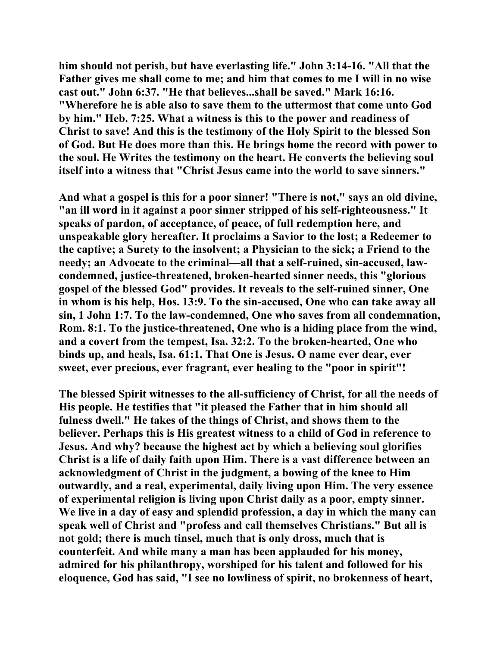**him should not perish, but have everlasting life." John 3:14-16. "All that the Father gives me shall come to me; and him that comes to me I will in no wise cast out." John 6:37. "He that believes...shall be saved." Mark 16:16. "Wherefore he is able also to save them to the uttermost that come unto God by him." Heb. 7:25. What a witness is this to the power and readiness of Christ to save! And this is the testimony of the Holy Spirit to the blessed Son of God. But He does more than this. He brings home the record with power to the soul. He Writes the testimony on the heart. He converts the believing soul itself into a witness that "Christ Jesus came into the world to save sinners."** 

**And what a gospel is this for a poor sinner! "There is not," says an old divine, "an ill word in it against a poor sinner stripped of his self-righteousness." It speaks of pardon, of acceptance, of peace, of full redemption here, and unspeakable glory hereafter. It proclaims a Savior to the lost; a Redeemer to the captive; a Surety to the insolvent; a Physician to the sick; a Friend to the needy; an Advocate to the criminal—all that a self-ruined, sin-accused, lawcondemned, justice-threatened, broken-hearted sinner needs, this "glorious gospel of the blessed God" provides. It reveals to the self-ruined sinner, One in whom is his help, Hos. 13:9. To the sin-accused, One who can take away all sin, 1 John 1:7. To the law-condemned, One who saves from all condemnation, Rom. 8:1. To the justice-threatened, One who is a hiding place from the wind, and a covert from the tempest, Isa. 32:2. To the broken-hearted, One who binds up, and heals, Isa. 61:1. That One is Jesus. O name ever dear, ever sweet, ever precious, ever fragrant, ever healing to the "poor in spirit"!** 

**The blessed Spirit witnesses to the all-sufficiency of Christ, for all the needs of His people. He testifies that "it pleased the Father that in him should all fulness dwell." He takes of the things of Christ, and shows them to the believer. Perhaps this is His greatest witness to a child of God in reference to Jesus. And why? because the highest act by which a believing soul glorifies Christ is a life of daily faith upon Him. There is a vast difference between an acknowledgment of Christ in the judgment, a bowing of the knee to Him outwardly, and a real, experimental, daily living upon Him. The very essence of experimental religion is living upon Christ daily as a poor, empty sinner. We live in a day of easy and splendid profession, a day in which the many can speak well of Christ and "profess and call themselves Christians." But all is not gold; there is much tinsel, much that is only dross, much that is counterfeit. And while many a man has been applauded for his money, admired for his philanthropy, worshiped for his talent and followed for his eloquence, God has said, "I see no lowliness of spirit, no brokenness of heart,**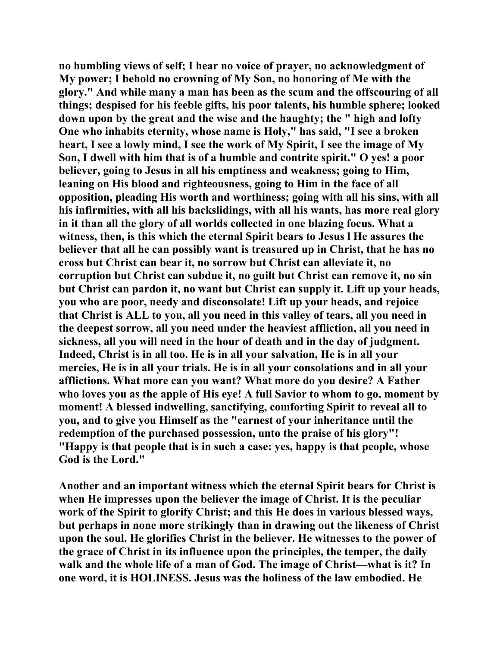**no humbling views of self; I hear no voice of prayer, no acknowledgment of My power; I behold no crowning of My Son, no honoring of Me with the glory." And while many a man has been as the scum and the offscouring of all things; despised for his feeble gifts, his poor talents, his humble sphere; looked down upon by the great and the wise and the haughty; the " high and lofty One who inhabits eternity, whose name is Holy," has said, "I see a broken heart, I see a lowly mind, I see the work of My Spirit, I see the image of My Son, I dwell with him that is of a humble and contrite spirit." O yes! a poor believer, going to Jesus in all his emptiness and weakness; going to Him, leaning on His blood and righteousness, going to Him in the face of all opposition, pleading His worth and worthiness; going with all his sins, with all his infirmities, with all his backslidings, with all his wants, has more real glory in it than all the glory of all worlds collected in one blazing focus. What a witness, then, is this which the eternal Spirit bears to Jesus l He assures the believer that all he can possibly want is treasured up in Christ, that he has no cross but Christ can bear it, no sorrow but Christ can alleviate it, no corruption but Christ can subdue it, no guilt but Christ can remove it, no sin but Christ can pardon it, no want but Christ can supply it. Lift up your heads, you who are poor, needy and disconsolate! Lift up your heads, and rejoice that Christ is ALL to you, all you need in this valley of tears, all you need in the deepest sorrow, all you need under the heaviest affliction, all you need in sickness, all you will need in the hour of death and in the day of judgment. Indeed, Christ is in all too. He is in all your salvation, He is in all your mercies, He is in all your trials. He is in all your consolations and in all your afflictions. What more can you want? What more do you desire? A Father who loves you as the apple of His eye! A full Savior to whom to go, moment by moment! A blessed indwelling, sanctifying, comforting Spirit to reveal all to you, and to give you Himself as the "earnest of your inheritance until the redemption of the purchased possession, unto the praise of his glory"! "Happy is that people that is in such a case: yes, happy is that people, whose God is the Lord."** 

**Another and an important witness which the eternal Spirit bears for Christ is when He impresses upon the believer the image of Christ. It is the peculiar work of the Spirit to glorify Christ; and this He does in various blessed ways, but perhaps in none more strikingly than in drawing out the likeness of Christ upon the soul. He glorifies Christ in the believer. He witnesses to the power of the grace of Christ in its influence upon the principles, the temper, the daily walk and the whole life of a man of God. The image of Christ—what is it? In one word, it is HOLINESS. Jesus was the holiness of the law embodied. He**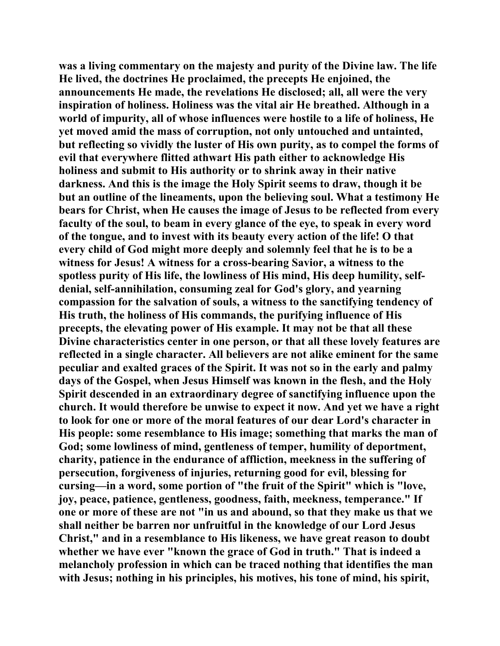**was a living commentary on the majesty and purity of the Divine law. The life He lived, the doctrines He proclaimed, the precepts He enjoined, the announcements He made, the revelations He disclosed; all, all were the very inspiration of holiness. Holiness was the vital air He breathed. Although in a world of impurity, all of whose influences were hostile to a life of holiness, He yet moved amid the mass of corruption, not only untouched and untainted, but reflecting so vividly the luster of His own purity, as to compel the forms of evil that everywhere flitted athwart His path either to acknowledge His holiness and submit to His authority or to shrink away in their native darkness. And this is the image the Holy Spirit seems to draw, though it be but an outline of the lineaments, upon the believing soul. What a testimony He bears for Christ, when He causes the image of Jesus to be reflected from every faculty of the soul, to beam in every glance of the eye, to speak in every word of the tongue, and to invest with its beauty every action of the life! O that every child of God might more deeply and solemnly feel that he is to be a witness for Jesus! A witness for a cross-bearing Savior, a witness to the spotless purity of His life, the lowliness of His mind, His deep humility, selfdenial, self-annihilation, consuming zeal for God's glory, and yearning compassion for the salvation of souls, a witness to the sanctifying tendency of His truth, the holiness of His commands, the purifying influence of His precepts, the elevating power of His example. It may not be that all these Divine characteristics center in one person, or that all these lovely features are reflected in a single character. All believers are not alike eminent for the same peculiar and exalted graces of the Spirit. It was not so in the early and palmy days of the Gospel, when Jesus Himself was known in the flesh, and the Holy Spirit descended in an extraordinary degree of sanctifying influence upon the church. It would therefore be unwise to expect it now. And yet we have a right to look for one or more of the moral features of our dear Lord's character in His people: some resemblance to His image; something that marks the man of God; some lowliness of mind, gentleness of temper, humility of deportment, charity, patience in the endurance of affliction, meekness in the suffering of persecution, forgiveness of injuries, returning good for evil, blessing for cursing—in a word, some portion of "the fruit of the Spirit" which is "love, joy, peace, patience, gentleness, goodness, faith, meekness, temperance." If one or more of these are not "in us and abound, so that they make us that we shall neither be barren nor unfruitful in the knowledge of our Lord Jesus Christ," and in a resemblance to His likeness, we have great reason to doubt whether we have ever "known the grace of God in truth." That is indeed a melancholy profession in which can be traced nothing that identifies the man with Jesus; nothing in his principles, his motives, his tone of mind, his spirit,**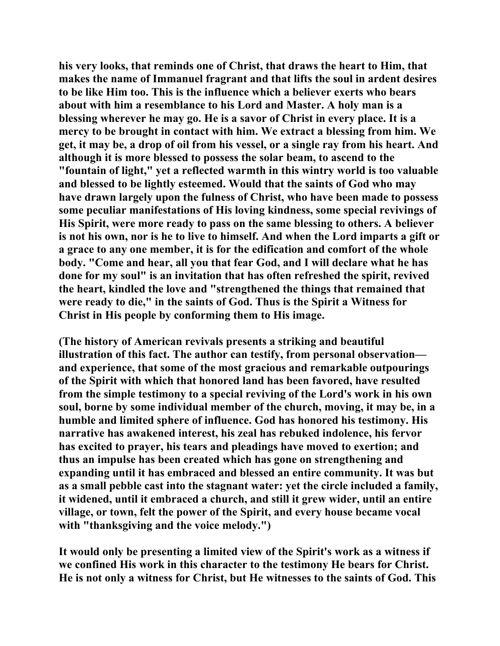**his very looks, that reminds one of Christ, that draws the heart to Him, that makes the name of Immanuel fragrant and that lifts the soul in ardent desires to be like Him too. This is the influence which a believer exerts who bears about with him a resemblance to his Lord and Master. A holy man is a blessing wherever he may go. He is a savor of Christ in every place. It is a mercy to be brought in contact with him. We extract a blessing from him. We get, it may be, a drop of oil from his vessel, or a single ray from his heart. And although it is more blessed to possess the solar beam, to ascend to the "fountain of light," yet a reflected warmth in this wintry world is too valuable and blessed to be lightly esteemed. Would that the saints of God who may have drawn largely upon the fulness of Christ, who have been made to possess some peculiar manifestations of His loving kindness, some special revivings of His Spirit, were more ready to pass on the same blessing to others. A believer is not his own, nor is he to live to himself. And when the Lord imparts a gift or a grace to any one member, it is for the edification and comfort of the whole body. "Come and hear, all you that fear God, and I will declare what he has done for my soul" is an invitation that has often refreshed the spirit, revived the heart, kindled the love and "strengthened the things that remained that were ready to die," in the saints of God. Thus is the Spirit a Witness for Christ in His people by conforming them to His image.** 

**(The history of American revivals presents a striking and beautiful illustration of this fact. The author can testify, from personal observation and experience, that some of the most gracious and remarkable outpourings of the Spirit with which that honored land has been favored, have resulted from the simple testimony to a special reviving of the Lord's work in his own soul, borne by some individual member of the church, moving, it may be, in a humble and limited sphere of influence. God has honored his testimony. His narrative has awakened interest, his zeal has rebuked indolence, his fervor has excited to prayer, his tears and pleadings have moved to exertion; and thus an impulse has been created which has gone on strengthening and expanding until it has embraced and blessed an entire community. It was but as a small pebble cast into the stagnant water: yet the circle included a family, it widened, until it embraced a church, and still it grew wider, until an entire village, or town, felt the power of the Spirit, and every house became vocal with "thanksgiving and the voice melody.")** 

**It would only be presenting a limited view of the Spirit's work as a witness if we confined His work in this character to the testimony He bears for Christ. He is not only a witness for Christ, but He witnesses to the saints of God. This**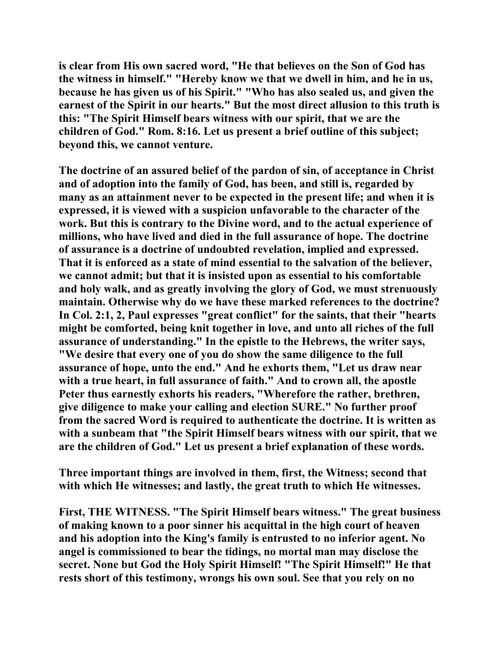**is clear from His own sacred word, "He that believes on the Son of God has the witness in himself." "Hereby know we that we dwell in him, and he in us, because he has given us of his Spirit." "Who has also sealed us, and given the earnest of the Spirit in our hearts." But the most direct allusion to this truth is this: "The Spirit Himself bears witness with our spirit, that we are the children of God." Rom. 8:16. Let us present a brief outline of this subject; beyond this, we cannot venture.** 

**The doctrine of an assured belief of the pardon of sin, of acceptance in Christ and of adoption into the family of God, has been, and still is, regarded by many as an attainment never to be expected in the present life; and when it is expressed, it is viewed with a suspicion unfavorable to the character of the work. But this is contrary to the Divine word, and to the actual experience of millions, who have lived and died in the full assurance of hope. The doctrine of assurance is a doctrine of undoubted revelation, implied and expressed. That it is enforced as a state of mind essential to the salvation of the believer, we cannot admit; but that it is insisted upon as essential to his comfortable and holy walk, and as greatly involving the glory of God, we must strenuously maintain. Otherwise why do we have these marked references to the doctrine? In Col. 2:1, 2, Paul expresses "great conflict" for the saints, that their "hearts might be comforted, being knit together in love, and unto all riches of the full assurance of understanding." In the epistle to the Hebrews, the writer says, "We desire that every one of you do show the same diligence to the full assurance of hope, unto the end." And he exhorts them, "Let us draw near with a true heart, in full assurance of faith." And to crown all, the apostle Peter thus earnestly exhorts his readers, "Wherefore the rather, brethren, give diligence to make your calling and election SURE." No further proof from the sacred Word is required to authenticate the doctrine. It is written as with a sunbeam that "the Spirit Himself bears witness with our spirit, that we are the children of God." Let us present a brief explanation of these words.** 

**Three important things are involved in them, first, the Witness; second that with which He witnesses; and lastly, the great truth to which He witnesses.** 

**First, THE WITNESS. "The Spirit Himself bears witness." The great business of making known to a poor sinner his acquittal in the high court of heaven and his adoption into the King's family is entrusted to no inferior agent. No angel is commissioned to bear the tidings, no mortal man may disclose the secret. None but God the Holy Spirit Himself! "The Spirit Himself!" He that rests short of this testimony, wrongs his own soul. See that you rely on no**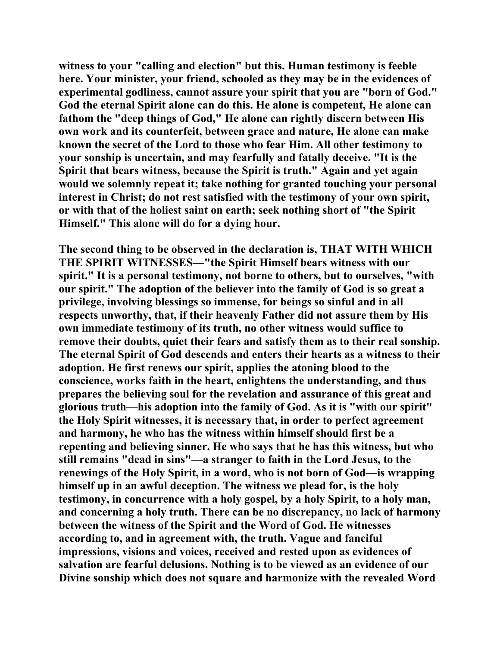**witness to your "calling and election" but this. Human testimony is feeble here. Your minister, your friend, schooled as they may be in the evidences of experimental godliness, cannot assure your spirit that you are "born of God." God the eternal Spirit alone can do this. He alone is competent, He alone can fathom the "deep things of God," He alone can rightly discern between His own work and its counterfeit, between grace and nature, He alone can make known the secret of the Lord to those who fear Him. All other testimony to your sonship is uncertain, and may fearfully and fatally deceive. "It is the Spirit that bears witness, because the Spirit is truth." Again and yet again would we solemnly repeat it; take nothing for granted touching your personal interest in Christ; do not rest satisfied with the testimony of your own spirit, or with that of the holiest saint on earth; seek nothing short of "the Spirit Himself." This alone will do for a dying hour.** 

**The second thing to be observed in the declaration is, THAT WITH WHICH THE SPIRIT WITNESSES—"the Spirit Himself bears witness with our spirit." It is a personal testimony, not borne to others, but to ourselves, "with our spirit." The adoption of the believer into the family of God is so great a privilege, involving blessings so immense, for beings so sinful and in all respects unworthy, that, if their heavenly Father did not assure them by His own immediate testimony of its truth, no other witness would suffice to remove their doubts, quiet their fears and satisfy them as to their real sonship. The eternal Spirit of God descends and enters their hearts as a witness to their adoption. He first renews our spirit, applies the atoning blood to the conscience, works faith in the heart, enlightens the understanding, and thus prepares the believing soul for the revelation and assurance of this great and glorious truth—his adoption into the family of God. As it is "with our spirit" the Holy Spirit witnesses, it is necessary that, in order to perfect agreement and harmony, he who has the witness within himself should first be a repenting and believing sinner. He who says that he has this witness, but who still remains "dead in sins"—a stranger to faith in the Lord Jesus, to the renewings of the Holy Spirit, in a word, who is not born of God—is wrapping himself up in an awful deception. The witness we plead for, is the holy testimony, in concurrence with a holy gospel, by a holy Spirit, to a holy man, and concerning a holy truth. There can be no discrepancy, no lack of harmony between the witness of the Spirit and the Word of God. He witnesses according to, and in agreement with, the truth. Vague and fanciful impressions, visions and voices, received and rested upon as evidences of salvation are fearful delusions. Nothing is to be viewed as an evidence of our Divine sonship which does not square and harmonize with the revealed Word**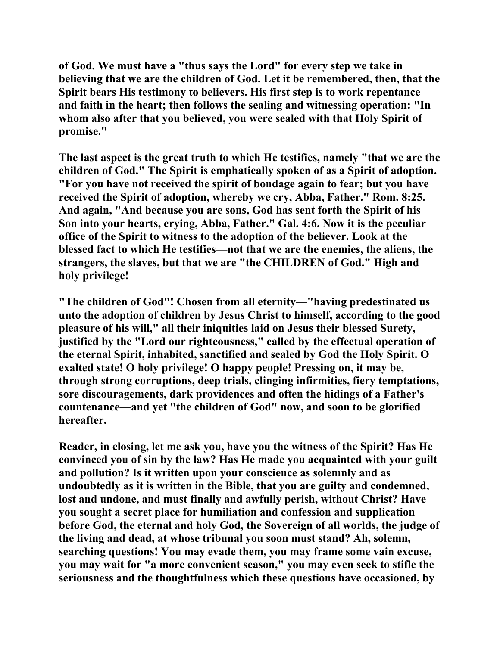**of God. We must have a "thus says the Lord" for every step we take in believing that we are the children of God. Let it be remembered, then, that the Spirit bears His testimony to believers. His first step is to work repentance and faith in the heart; then follows the sealing and witnessing operation: "In whom also after that you believed, you were sealed with that Holy Spirit of promise."** 

**The last aspect is the great truth to which He testifies, namely "that we are the children of God." The Spirit is emphatically spoken of as a Spirit of adoption. "For you have not received the spirit of bondage again to fear; but you have received the Spirit of adoption, whereby we cry, Abba, Father." Rom. 8:25. And again, "And because you are sons, God has sent forth the Spirit of his Son into your hearts, crying, Abba, Father." Gal. 4:6. Now it is the peculiar office of the Spirit to witness to the adoption of the believer. Look at the blessed fact to which He testifies—not that we are the enemies, the aliens, the strangers, the slaves, but that we are "the CHILDREN of God." High and holy privilege!** 

**"The children of God"! Chosen from all eternity—"having predestinated us unto the adoption of children by Jesus Christ to himself, according to the good pleasure of his will," all their iniquities laid on Jesus their blessed Surety, justified by the "Lord our righteousness," called by the effectual operation of the eternal Spirit, inhabited, sanctified and sealed by God the Holy Spirit. O exalted state! O holy privilege! O happy people! Pressing on, it may be, through strong corruptions, deep trials, clinging infirmities, fiery temptations, sore discouragements, dark providences and often the hidings of a Father's countenance—and yet "the children of God" now, and soon to be glorified hereafter.** 

**Reader, in closing, let me ask you, have you the witness of the Spirit? Has He convinced you of sin by the law? Has He made you acquainted with your guilt and pollution? Is it written upon your conscience as solemnly and as undoubtedly as it is written in the Bible, that you are guilty and condemned, lost and undone, and must finally and awfully perish, without Christ? Have you sought a secret place for humiliation and confession and supplication before God, the eternal and holy God, the Sovereign of all worlds, the judge of the living and dead, at whose tribunal you soon must stand? Ah, solemn, searching questions! You may evade them, you may frame some vain excuse, you may wait for "a more convenient season," you may even seek to stifle the seriousness and the thoughtfulness which these questions have occasioned, by**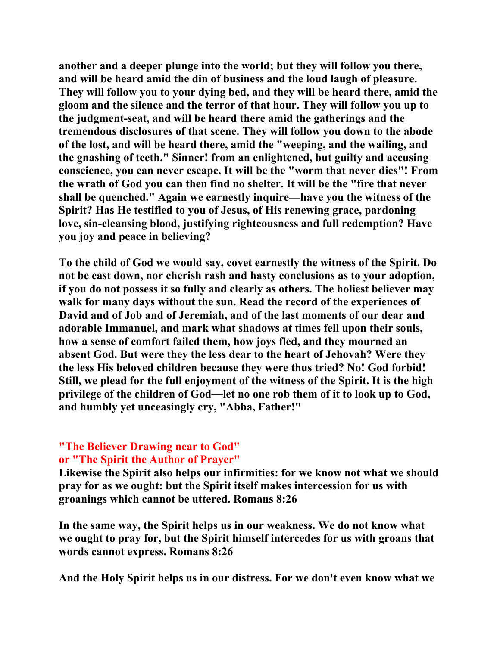**another and a deeper plunge into the world; but they will follow you there, and will be heard amid the din of business and the loud laugh of pleasure. They will follow you to your dying bed, and they will be heard there, amid the gloom and the silence and the terror of that hour. They will follow you up to the judgment-seat, and will be heard there amid the gatherings and the tremendous disclosures of that scene. They will follow you down to the abode of the lost, and will be heard there, amid the "weeping, and the wailing, and the gnashing of teeth." Sinner! from an enlightened, but guilty and accusing conscience, you can never escape. It will be the "worm that never dies"! From the wrath of God you can then find no shelter. It will be the "fire that never shall be quenched." Again we earnestly inquire—have you the witness of the Spirit? Has He testified to you of Jesus, of His renewing grace, pardoning love, sin-cleansing blood, justifying righteousness and full redemption? Have you joy and peace in believing?** 

**To the child of God we would say, covet earnestly the witness of the Spirit. Do not be cast down, nor cherish rash and hasty conclusions as to your adoption, if you do not possess it so fully and clearly as others. The holiest believer may walk for many days without the sun. Read the record of the experiences of David and of Job and of Jeremiah, and of the last moments of our dear and adorable Immanuel, and mark what shadows at times fell upon their souls, how a sense of comfort failed them, how joys fled, and they mourned an absent God. But were they the less dear to the heart of Jehovah? Were they the less His beloved children because they were thus tried? No! God forbid! Still, we plead for the full enjoyment of the witness of the Spirit. It is the high privilege of the children of God—let no one rob them of it to look up to God, and humbly yet unceasingly cry, "Abba, Father!"** 

## **"The Believer Drawing near to God" or "The Spirit the Author of Prayer"**

**Likewise the Spirit also helps our infirmities: for we know not what we should pray for as we ought: but the Spirit itself makes intercession for us with groanings which cannot be uttered. Romans 8:26** 

**In the same way, the Spirit helps us in our weakness. We do not know what we ought to pray for, but the Spirit himself intercedes for us with groans that words cannot express. Romans 8:26** 

**And the Holy Spirit helps us in our distress. For we don't even know what we**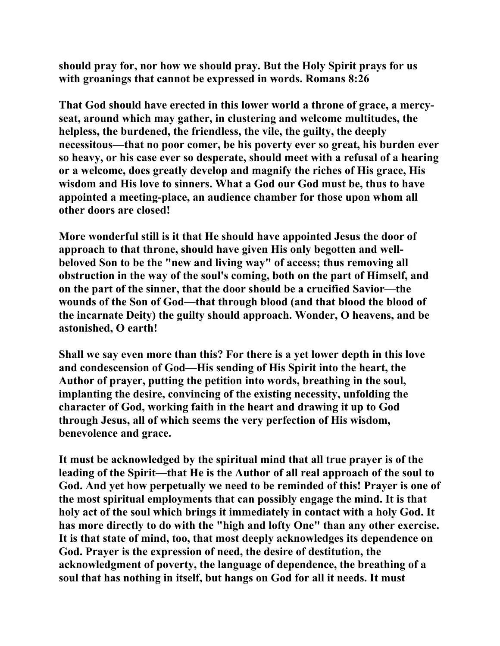**should pray for, nor how we should pray. But the Holy Spirit prays for us with groanings that cannot be expressed in words. Romans 8:26** 

**That God should have erected in this lower world a throne of grace, a mercyseat, around which may gather, in clustering and welcome multitudes, the helpless, the burdened, the friendless, the vile, the guilty, the deeply necessitous—that no poor comer, be his poverty ever so great, his burden ever so heavy, or his case ever so desperate, should meet with a refusal of a hearing or a welcome, does greatly develop and magnify the riches of His grace, His wisdom and His love to sinners. What a God our God must be, thus to have appointed a meeting-place, an audience chamber for those upon whom all other doors are closed!** 

**More wonderful still is it that He should have appointed Jesus the door of approach to that throne, should have given His only begotten and wellbeloved Son to be the "new and living way" of access; thus removing all obstruction in the way of the soul's coming, both on the part of Himself, and on the part of the sinner, that the door should be a crucified Savior—the wounds of the Son of God—that through blood (and that blood the blood of the incarnate Deity) the guilty should approach. Wonder, O heavens, and be astonished, O earth!** 

**Shall we say even more than this? For there is a yet lower depth in this love and condescension of God—His sending of His Spirit into the heart, the Author of prayer, putting the petition into words, breathing in the soul, implanting the desire, convincing of the existing necessity, unfolding the character of God, working faith in the heart and drawing it up to God through Jesus, all of which seems the very perfection of His wisdom, benevolence and grace.** 

**It must be acknowledged by the spiritual mind that all true prayer is of the leading of the Spirit—that He is the Author of all real approach of the soul to God. And yet how perpetually we need to be reminded of this! Prayer is one of the most spiritual employments that can possibly engage the mind. It is that holy act of the soul which brings it immediately in contact with a holy God. It has more directly to do with the "high and lofty One" than any other exercise. It is that state of mind, too, that most deeply acknowledges its dependence on God. Prayer is the expression of need, the desire of destitution, the acknowledgment of poverty, the language of dependence, the breathing of a soul that has nothing in itself, but hangs on God for all it needs. It must**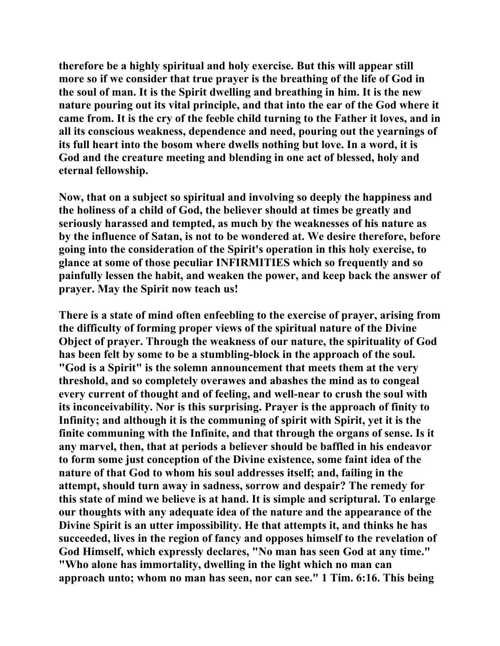**therefore be a highly spiritual and holy exercise. But this will appear still more so if we consider that true prayer is the breathing of the life of God in the soul of man. It is the Spirit dwelling and breathing in him. It is the new nature pouring out its vital principle, and that into the ear of the God where it came from. It is the cry of the feeble child turning to the Father it loves, and in all its conscious weakness, dependence and need, pouring out the yearnings of its full heart into the bosom where dwells nothing but love. In a word, it is God and the creature meeting and blending in one act of blessed, holy and eternal fellowship.** 

**Now, that on a subject so spiritual and involving so deeply the happiness and the holiness of a child of God, the believer should at times be greatly and seriously harassed and tempted, as much by the weaknesses of his nature as by the influence of Satan, is not to be wondered at. We desire therefore, before going into the consideration of the Spirit's operation in this holy exercise, to glance at some of those peculiar INFIRMITIES which so frequently and so painfully lessen the habit, and weaken the power, and keep back the answer of prayer. May the Spirit now teach us!** 

**There is a state of mind often enfeebling to the exercise of prayer, arising from the difficulty of forming proper views of the spiritual nature of the Divine Object of prayer. Through the weakness of our nature, the spirituality of God has been felt by some to be a stumbling-block in the approach of the soul. "God is a Spirit" is the solemn announcement that meets them at the very threshold, and so completely overawes and abashes the mind as to congeal every current of thought and of feeling, and well-near to crush the soul with its inconceivability. Nor is this surprising. Prayer is the approach of finity to Infinity; and although it is the communing of spirit with Spirit, yet it is the finite communing with the Infinite, and that through the organs of sense. Is it any marvel, then, that at periods a believer should be baffled in his endeavor to form some just conception of the Divine existence, some faint idea of the nature of that God to whom his soul addresses itself; and, failing in the attempt, should turn away in sadness, sorrow and despair? The remedy for this state of mind we believe is at hand. It is simple and scriptural. To enlarge our thoughts with any adequate idea of the nature and the appearance of the Divine Spirit is an utter impossibility. He that attempts it, and thinks he has succeeded, lives in the region of fancy and opposes himself to the revelation of God Himself, which expressly declares, "No man has seen God at any time." "Who alone has immortality, dwelling in the light which no man can approach unto; whom no man has seen, nor can see." 1 Tim. 6:16. This being**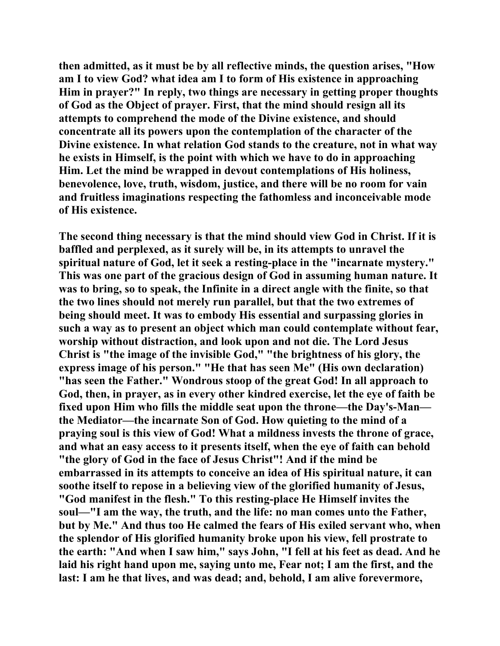**then admitted, as it must be by all reflective minds, the question arises, "How am I to view God? what idea am I to form of His existence in approaching Him in prayer?" In reply, two things are necessary in getting proper thoughts of God as the Object of prayer. First, that the mind should resign all its attempts to comprehend the mode of the Divine existence, and should concentrate all its powers upon the contemplation of the character of the Divine existence. In what relation God stands to the creature, not in what way he exists in Himself, is the point with which we have to do in approaching Him. Let the mind be wrapped in devout contemplations of His holiness, benevolence, love, truth, wisdom, justice, and there will be no room for vain and fruitless imaginations respecting the fathomless and inconceivable mode of His existence.** 

**The second thing necessary is that the mind should view God in Christ. If it is baffled and perplexed, as it surely will be, in its attempts to unravel the spiritual nature of God, let it seek a resting-place in the "incarnate mystery." This was one part of the gracious design of God in assuming human nature. It was to bring, so to speak, the Infinite in a direct angle with the finite, so that the two lines should not merely run parallel, but that the two extremes of being should meet. It was to embody His essential and surpassing glories in such a way as to present an object which man could contemplate without fear, worship without distraction, and look upon and not die. The Lord Jesus Christ is "the image of the invisible God," "the brightness of his glory, the express image of his person." "He that has seen Me" (His own declaration) "has seen the Father." Wondrous stoop of the great God! In all approach to God, then, in prayer, as in every other kindred exercise, let the eye of faith be fixed upon Him who fills the middle seat upon the throne—the Day's-Man the Mediator—the incarnate Son of God. How quieting to the mind of a praying soul is this view of God! What a mildness invests the throne of grace, and what an easy access to it presents itself, when the eye of faith can behold "the glory of God in the face of Jesus Christ"! And if the mind be embarrassed in its attempts to conceive an idea of His spiritual nature, it can soothe itself to repose in a believing view of the glorified humanity of Jesus, "God manifest in the flesh." To this resting-place He Himself invites the soul—"I am the way, the truth, and the life: no man comes unto the Father, but by Me." And thus too He calmed the fears of His exiled servant who, when the splendor of His glorified humanity broke upon his view, fell prostrate to the earth: "And when I saw him," says John, "I fell at his feet as dead. And he laid his right hand upon me, saying unto me, Fear not; I am the first, and the last: I am he that lives, and was dead; and, behold, I am alive forevermore,**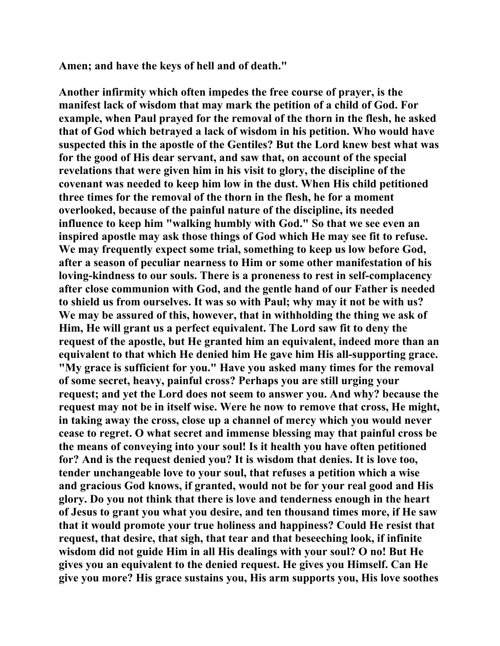**Amen; and have the keys of hell and of death."** 

**Another infirmity which often impedes the free course of prayer, is the manifest lack of wisdom that may mark the petition of a child of God. For example, when Paul prayed for the removal of the thorn in the flesh, he asked that of God which betrayed a lack of wisdom in his petition. Who would have suspected this in the apostle of the Gentiles? But the Lord knew best what was for the good of His dear servant, and saw that, on account of the special revelations that were given him in his visit to glory, the discipline of the covenant was needed to keep him low in the dust. When His child petitioned three times for the removal of the thorn in the flesh, he for a moment overlooked, because of the painful nature of the discipline, its needed influence to keep him "walking humbly with God." So that we see even an inspired apostle may ask those things of God which He may see fit to refuse. We may frequently expect some trial, something to keep us low before God, after a season of peculiar nearness to Him or some other manifestation of his loving-kindness to our souls. There is a proneness to rest in self-complacency after close communion with God, and the gentle hand of our Father is needed to shield us from ourselves. It was so with Paul; why may it not be with us? We may be assured of this, however, that in withholding the thing we ask of Him, He will grant us a perfect equivalent. The Lord saw fit to deny the request of the apostle, but He granted him an equivalent, indeed more than an equivalent to that which He denied him He gave him His all-supporting grace. "My grace is sufficient for you." Have you asked many times for the removal of some secret, heavy, painful cross? Perhaps you are still urging your request; and yet the Lord does not seem to answer you. And why? because the request may not be in itself wise. Were he now to remove that cross, He might, in taking away the cross, close up a channel of mercy which you would never cease to regret. O what secret and immense blessing may that painful cross be the means of conveying into your soul! Is it health you have often petitioned for? And is the request denied you? It is wisdom that denies. It is love too, tender unchangeable love to your soul, that refuses a petition which a wise and gracious God knows, if granted, would not be for your real good and His glory. Do you not think that there is love and tenderness enough in the heart of Jesus to grant you what you desire, and ten thousand times more, if He saw that it would promote your true holiness and happiness? Could He resist that request, that desire, that sigh, that tear and that beseeching look, if infinite wisdom did not guide Him in all His dealings with your soul? O no! But He gives you an equivalent to the denied request. He gives you Himself. Can He give you more? His grace sustains you, His arm supports you, His love soothes**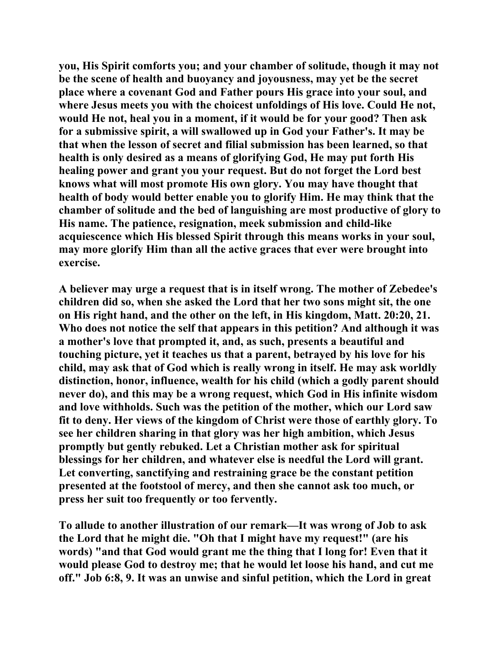**you, His Spirit comforts you; and your chamber of solitude, though it may not be the scene of health and buoyancy and joyousness, may yet be the secret place where a covenant God and Father pours His grace into your soul, and where Jesus meets you with the choicest unfoldings of His love. Could He not, would He not, heal you in a moment, if it would be for your good? Then ask for a submissive spirit, a will swallowed up in God your Father's. It may be that when the lesson of secret and filial submission has been learned, so that health is only desired as a means of glorifying God, He may put forth His healing power and grant you your request. But do not forget the Lord best knows what will most promote His own glory. You may have thought that health of body would better enable you to glorify Him. He may think that the chamber of solitude and the bed of languishing are most productive of glory to His name. The patience, resignation, meek submission and child-like acquiescence which His blessed Spirit through this means works in your soul, may more glorify Him than all the active graces that ever were brought into exercise.** 

**A believer may urge a request that is in itself wrong. The mother of Zebedee's children did so, when she asked the Lord that her two sons might sit, the one on His right hand, and the other on the left, in His kingdom, Matt. 20:20, 21. Who does not notice the self that appears in this petition? And although it was a mother's love that prompted it, and, as such, presents a beautiful and touching picture, yet it teaches us that a parent, betrayed by his love for his child, may ask that of God which is really wrong in itself. He may ask worldly distinction, honor, influence, wealth for his child (which a godly parent should never do), and this may be a wrong request, which God in His infinite wisdom and love withholds. Such was the petition of the mother, which our Lord saw fit to deny. Her views of the kingdom of Christ were those of earthly glory. To see her children sharing in that glory was her high ambition, which Jesus promptly but gently rebuked. Let a Christian mother ask for spiritual blessings for her children, and whatever else is needful the Lord will grant. Let converting, sanctifying and restraining grace be the constant petition presented at the footstool of mercy, and then she cannot ask too much, or press her suit too frequently or too fervently.** 

**To allude to another illustration of our remark—It was wrong of Job to ask the Lord that he might die. "Oh that I might have my request!" (are his words) "and that God would grant me the thing that I long for! Even that it would please God to destroy me; that he would let loose his hand, and cut me off." Job 6:8, 9. It was an unwise and sinful petition, which the Lord in great**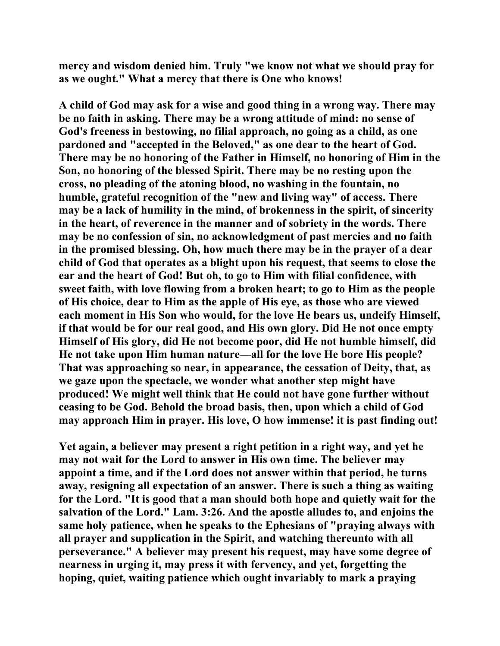**mercy and wisdom denied him. Truly "we know not what we should pray for as we ought." What a mercy that there is One who knows!** 

**A child of God may ask for a wise and good thing in a wrong way. There may be no faith in asking. There may be a wrong attitude of mind: no sense of God's freeness in bestowing, no filial approach, no going as a child, as one pardoned and "accepted in the Beloved," as one dear to the heart of God. There may be no honoring of the Father in Himself, no honoring of Him in the Son, no honoring of the blessed Spirit. There may be no resting upon the cross, no pleading of the atoning blood, no washing in the fountain, no humble, grateful recognition of the "new and living way" of access. There may be a lack of humility in the mind, of brokenness in the spirit, of sincerity in the heart, of reverence in the manner and of sobriety in the words. There may be no confession of sin, no acknowledgment of past mercies and no faith in the promised blessing. Oh, how much there may be in the prayer of a dear child of God that operates as a blight upon his request, that seems to close the ear and the heart of God! But oh, to go to Him with filial confidence, with sweet faith, with love flowing from a broken heart; to go to Him as the people of His choice, dear to Him as the apple of His eye, as those who are viewed each moment in His Son who would, for the love He bears us, undeify Himself, if that would be for our real good, and His own glory. Did He not once empty Himself of His glory, did He not become poor, did He not humble himself, did He not take upon Him human nature—all for the love He bore His people? That was approaching so near, in appearance, the cessation of Deity, that, as we gaze upon the spectacle, we wonder what another step might have produced! We might well think that He could not have gone further without ceasing to be God. Behold the broad basis, then, upon which a child of God may approach Him in prayer. His love, O how immense! it is past finding out!** 

**Yet again, a believer may present a right petition in a right way, and yet he may not wait for the Lord to answer in His own time. The believer may appoint a time, and if the Lord does not answer within that period, he turns away, resigning all expectation of an answer. There is such a thing as waiting for the Lord. "It is good that a man should both hope and quietly wait for the salvation of the Lord." Lam. 3:26. And the apostle alludes to, and enjoins the same holy patience, when he speaks to the Ephesians of "praying always with all prayer and supplication in the Spirit, and watching thereunto with all perseverance." A believer may present his request, may have some degree of nearness in urging it, may press it with fervency, and yet, forgetting the hoping, quiet, waiting patience which ought invariably to mark a praying**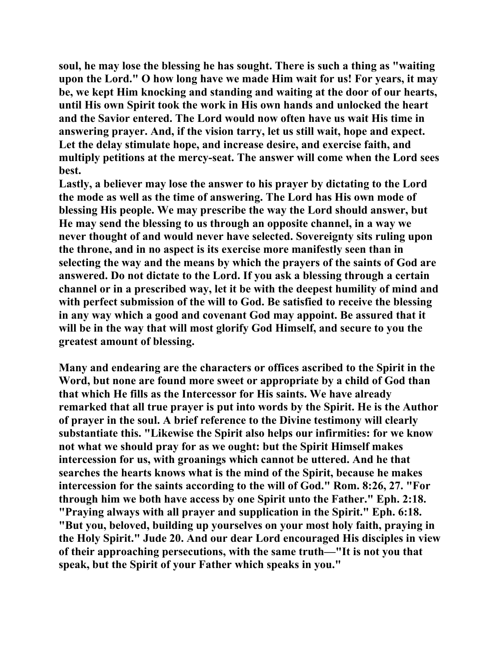**soul, he may lose the blessing he has sought. There is such a thing as "waiting upon the Lord." O how long have we made Him wait for us! For years, it may be, we kept Him knocking and standing and waiting at the door of our hearts, until His own Spirit took the work in His own hands and unlocked the heart and the Savior entered. The Lord would now often have us wait His time in answering prayer. And, if the vision tarry, let us still wait, hope and expect. Let the delay stimulate hope, and increase desire, and exercise faith, and multiply petitions at the mercy-seat. The answer will come when the Lord sees best.** 

**Lastly, a believer may lose the answer to his prayer by dictating to the Lord the mode as well as the time of answering. The Lord has His own mode of blessing His people. We may prescribe the way the Lord should answer, but He may send the blessing to us through an opposite channel, in a way we never thought of and would never have selected. Sovereignty sits ruling upon the throne, and in no aspect is its exercise more manifestly seen than in selecting the way and the means by which the prayers of the saints of God are answered. Do not dictate to the Lord. If you ask a blessing through a certain channel or in a prescribed way, let it be with the deepest humility of mind and with perfect submission of the will to God. Be satisfied to receive the blessing in any way which a good and covenant God may appoint. Be assured that it will be in the way that will most glorify God Himself, and secure to you the greatest amount of blessing.** 

**Many and endearing are the characters or offices ascribed to the Spirit in the Word, but none are found more sweet or appropriate by a child of God than that which He fills as the Intercessor for His saints. We have already remarked that all true prayer is put into words by the Spirit. He is the Author of prayer in the soul. A brief reference to the Divine testimony will clearly substantiate this. "Likewise the Spirit also helps our infirmities: for we know not what we should pray for as we ought: but the Spirit Himself makes intercession for us, with groanings which cannot be uttered. And he that searches the hearts knows what is the mind of the Spirit, because he makes intercession for the saints according to the will of God." Rom. 8:26, 27. "For through him we both have access by one Spirit unto the Father." Eph. 2:18. "Praying always with all prayer and supplication in the Spirit." Eph. 6:18. "But you, beloved, building up yourselves on your most holy faith, praying in the Holy Spirit." Jude 20. And our dear Lord encouraged His disciples in view of their approaching persecutions, with the same truth—"It is not you that speak, but the Spirit of your Father which speaks in you."**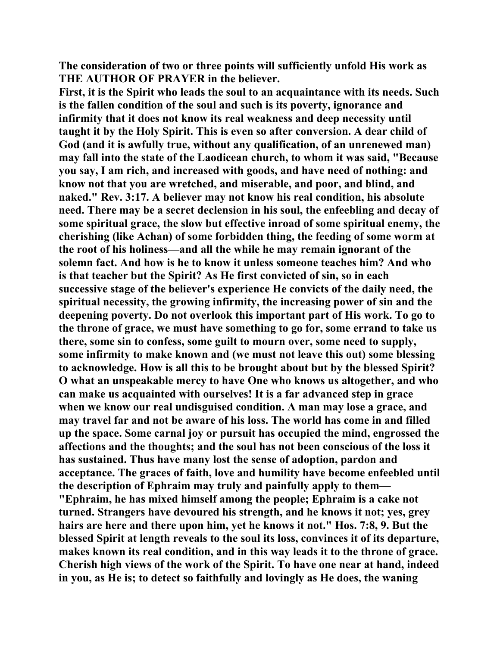**The consideration of two or three points will sufficiently unfold His work as THE AUTHOR OF PRAYER in the believer.** 

**First, it is the Spirit who leads the soul to an acquaintance with its needs. Such is the fallen condition of the soul and such is its poverty, ignorance and infirmity that it does not know its real weakness and deep necessity until taught it by the Holy Spirit. This is even so after conversion. A dear child of God (and it is awfully true, without any qualification, of an unrenewed man) may fall into the state of the Laodicean church, to whom it was said, "Because you say, I am rich, and increased with goods, and have need of nothing: and know not that you are wretched, and miserable, and poor, and blind, and naked." Rev. 3:17. A believer may not know his real condition, his absolute need. There may be a secret declension in his soul, the enfeebling and decay of some spiritual grace, the slow but effective inroad of some spiritual enemy, the cherishing (like Achan) of some forbidden thing, the feeding of some worm at the root of his holiness—and all the while he may remain ignorant of the solemn fact. And how is he to know it unless someone teaches him? And who is that teacher but the Spirit? As He first convicted of sin, so in each successive stage of the believer's experience He convicts of the daily need, the spiritual necessity, the growing infirmity, the increasing power of sin and the deepening poverty. Do not overlook this important part of His work. To go to the throne of grace, we must have something to go for, some errand to take us there, some sin to confess, some guilt to mourn over, some need to supply, some infirmity to make known and (we must not leave this out) some blessing to acknowledge. How is all this to be brought about but by the blessed Spirit? O what an unspeakable mercy to have One who knows us altogether, and who can make us acquainted with ourselves! It is a far advanced step in grace when we know our real undisguised condition. A man may lose a grace, and may travel far and not be aware of his loss. The world has come in and filled up the space. Some carnal joy or pursuit has occupied the mind, engrossed the affections and the thoughts; and the soul has not been conscious of the loss it has sustained. Thus have many lost the sense of adoption, pardon and acceptance. The graces of faith, love and humility have become enfeebled until the description of Ephraim may truly and painfully apply to them— "Ephraim, he has mixed himself among the people; Ephraim is a cake not turned. Strangers have devoured his strength, and he knows it not; yes, grey hairs are here and there upon him, yet he knows it not." Hos. 7:8, 9. But the blessed Spirit at length reveals to the soul its loss, convinces it of its departure, makes known its real condition, and in this way leads it to the throne of grace. Cherish high views of the work of the Spirit. To have one near at hand, indeed in you, as He is; to detect so faithfully and lovingly as He does, the waning**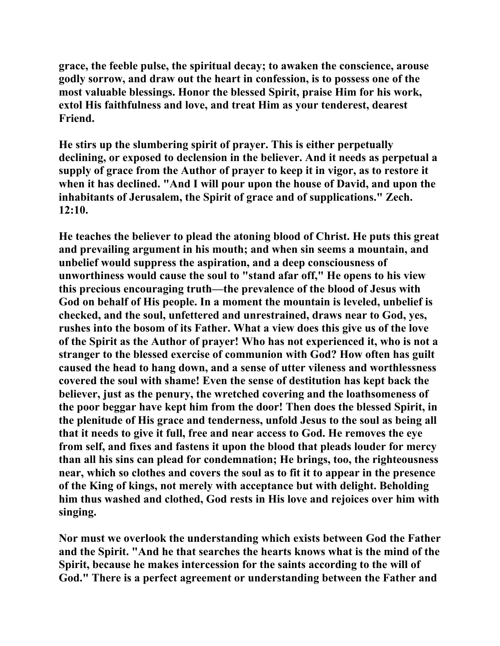**grace, the feeble pulse, the spiritual decay; to awaken the conscience, arouse godly sorrow, and draw out the heart in confession, is to possess one of the most valuable blessings. Honor the blessed Spirit, praise Him for his work, extol His faithfulness and love, and treat Him as your tenderest, dearest Friend.** 

**He stirs up the slumbering spirit of prayer. This is either perpetually declining, or exposed to declension in the believer. And it needs as perpetual a supply of grace from the Author of prayer to keep it in vigor, as to restore it when it has declined. "And I will pour upon the house of David, and upon the inhabitants of Jerusalem, the Spirit of grace and of supplications." Zech. 12:10.** 

**He teaches the believer to plead the atoning blood of Christ. He puts this great and prevailing argument in his mouth; and when sin seems a mountain, and unbelief would suppress the aspiration, and a deep consciousness of unworthiness would cause the soul to "stand afar off," He opens to his view this precious encouraging truth—the prevalence of the blood of Jesus with God on behalf of His people. In a moment the mountain is leveled, unbelief is checked, and the soul, unfettered and unrestrained, draws near to God, yes, rushes into the bosom of its Father. What a view does this give us of the love of the Spirit as the Author of prayer! Who has not experienced it, who is not a stranger to the blessed exercise of communion with God? How often has guilt caused the head to hang down, and a sense of utter vileness and worthlessness covered the soul with shame! Even the sense of destitution has kept back the believer, just as the penury, the wretched covering and the loathsomeness of the poor beggar have kept him from the door! Then does the blessed Spirit, in the plenitude of His grace and tenderness, unfold Jesus to the soul as being all that it needs to give it full, free and near access to God. He removes the eye from self, and fixes and fastens it upon the blood that pleads louder for mercy than all his sins can plead for condemnation; He brings, too, the righteousness near, which so clothes and covers the soul as to fit it to appear in the presence of the King of kings, not merely with acceptance but with delight. Beholding him thus washed and clothed, God rests in His love and rejoices over him with singing.** 

**Nor must we overlook the understanding which exists between God the Father and the Spirit. "And he that searches the hearts knows what is the mind of the Spirit, because he makes intercession for the saints according to the will of God." There is a perfect agreement or understanding between the Father and**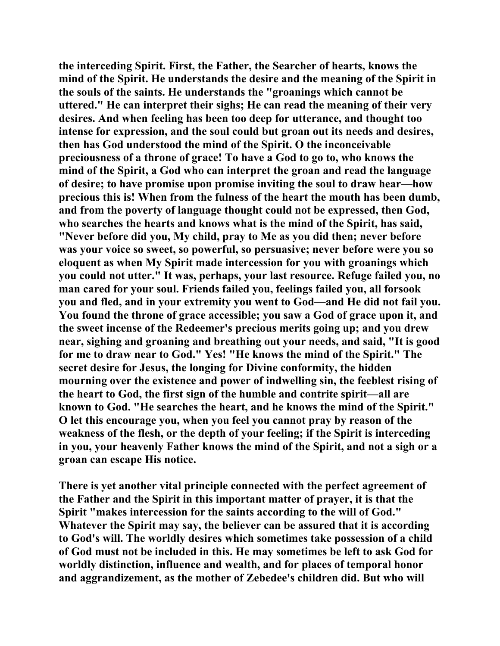**the interceding Spirit. First, the Father, the Searcher of hearts, knows the mind of the Spirit. He understands the desire and the meaning of the Spirit in the souls of the saints. He understands the "groanings which cannot be uttered." He can interpret their sighs; He can read the meaning of their very desires. And when feeling has been too deep for utterance, and thought too intense for expression, and the soul could but groan out its needs and desires, then has God understood the mind of the Spirit. O the inconceivable preciousness of a throne of grace! To have a God to go to, who knows the mind of the Spirit, a God who can interpret the groan and read the language of desire; to have promise upon promise inviting the soul to draw hear—how precious this is! When from the fulness of the heart the mouth has been dumb, and from the poverty of language thought could not be expressed, then God, who searches the hearts and knows what is the mind of the Spirit, has said, "Never before did you, My child, pray to Me as you did then; never before was your voice so sweet, so powerful, so persuasive; never before were you so eloquent as when My Spirit made intercession for you with groanings which you could not utter." It was, perhaps, your last resource. Refuge failed you, no man cared for your soul. Friends failed you, feelings failed you, all forsook you and fled, and in your extremity you went to God—and He did not fail you. You found the throne of grace accessible; you saw a God of grace upon it, and the sweet incense of the Redeemer's precious merits going up; and you drew near, sighing and groaning and breathing out your needs, and said, "It is good for me to draw near to God." Yes! "He knows the mind of the Spirit." The secret desire for Jesus, the longing for Divine conformity, the hidden mourning over the existence and power of indwelling sin, the feeblest rising of the heart to God, the first sign of the humble and contrite spirit—all are known to God. "He searches the heart, and he knows the mind of the Spirit." O let this encourage you, when you feel you cannot pray by reason of the weakness of the flesh, or the depth of your feeling; if the Spirit is interceding in you, your heavenly Father knows the mind of the Spirit, and not a sigh or a groan can escape His notice.** 

**There is yet another vital principle connected with the perfect agreement of the Father and the Spirit in this important matter of prayer, it is that the Spirit "makes intercession for the saints according to the will of God." Whatever the Spirit may say, the believer can be assured that it is according to God's will. The worldly desires which sometimes take possession of a child of God must not be included in this. He may sometimes be left to ask God for worldly distinction, influence and wealth, and for places of temporal honor and aggrandizement, as the mother of Zebedee's children did. But who will**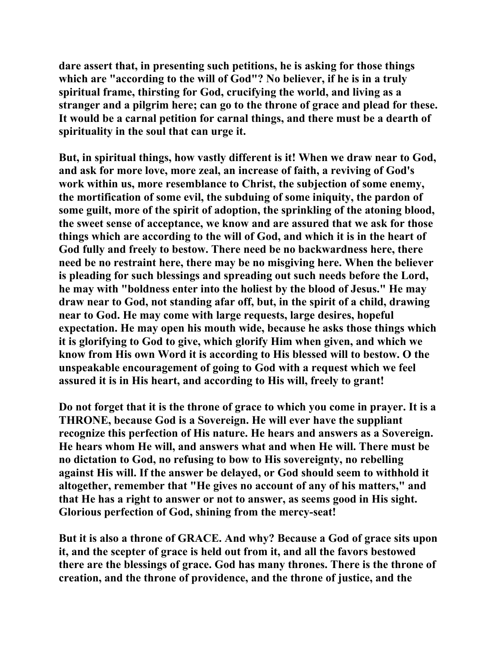**dare assert that, in presenting such petitions, he is asking for those things which are "according to the will of God"? No believer, if he is in a truly spiritual frame, thirsting for God, crucifying the world, and living as a stranger and a pilgrim here; can go to the throne of grace and plead for these. It would be a carnal petition for carnal things, and there must be a dearth of spirituality in the soul that can urge it.** 

**But, in spiritual things, how vastly different is it! When we draw near to God, and ask for more love, more zeal, an increase of faith, a reviving of God's work within us, more resemblance to Christ, the subjection of some enemy, the mortification of some evil, the subduing of some iniquity, the pardon of some guilt, more of the spirit of adoption, the sprinkling of the atoning blood, the sweet sense of acceptance, we know and are assured that we ask for those things which are according to the will of God, and which it is in the heart of God fully and freely to bestow. There need be no backwardness here, there need be no restraint here, there may be no misgiving here. When the believer is pleading for such blessings and spreading out such needs before the Lord, he may with "boldness enter into the holiest by the blood of Jesus." He may draw near to God, not standing afar off, but, in the spirit of a child, drawing near to God. He may come with large requests, large desires, hopeful expectation. He may open his mouth wide, because he asks those things which it is glorifying to God to give, which glorify Him when given, and which we know from His own Word it is according to His blessed will to bestow. O the unspeakable encouragement of going to God with a request which we feel assured it is in His heart, and according to His will, freely to grant!** 

**Do not forget that it is the throne of grace to which you come in prayer. It is a THRONE, because God is a Sovereign. He will ever have the suppliant recognize this perfection of His nature. He hears and answers as a Sovereign. He hears whom He will, and answers what and when He will. There must be no dictation to God, no refusing to bow to His sovereignty, no rebelling against His will. If the answer be delayed, or God should seem to withhold it altogether, remember that "He gives no account of any of his matters," and that He has a right to answer or not to answer, as seems good in His sight. Glorious perfection of God, shining from the mercy-seat!** 

**But it is also a throne of GRACE. And why? Because a God of grace sits upon it, and the scepter of grace is held out from it, and all the favors bestowed there are the blessings of grace. God has many thrones. There is the throne of creation, and the throne of providence, and the throne of justice, and the**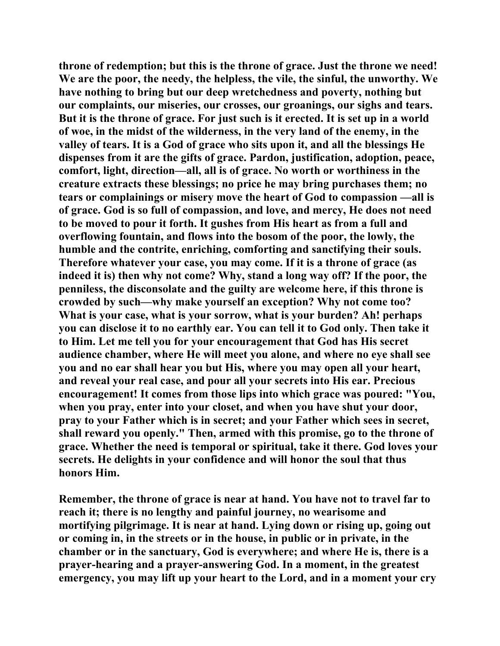**throne of redemption; but this is the throne of grace. Just the throne we need! We are the poor, the needy, the helpless, the vile, the sinful, the unworthy. We have nothing to bring but our deep wretchedness and poverty, nothing but our complaints, our miseries, our crosses, our groanings, our sighs and tears. But it is the throne of grace. For just such is it erected. It is set up in a world of woe, in the midst of the wilderness, in the very land of the enemy, in the valley of tears. It is a God of grace who sits upon it, and all the blessings He dispenses from it are the gifts of grace. Pardon, justification, adoption, peace, comfort, light, direction—all, all is of grace. No worth or worthiness in the creature extracts these blessings; no price he may bring purchases them; no tears or complainings or misery move the heart of God to compassion —all is of grace. God is so full of compassion, and love, and mercy, He does not need to be moved to pour it forth. It gushes from His heart as from a full and overflowing fountain, and flows into the bosom of the poor, the lowly, the humble and the contrite, enriching, comforting and sanctifying their souls. Therefore whatever your case, you may come. If it is a throne of grace (as indeed it is) then why not come? Why, stand a long way off? If the poor, the penniless, the disconsolate and the guilty are welcome here, if this throne is crowded by such—why make yourself an exception? Why not come too? What is your case, what is your sorrow, what is your burden? Ah! perhaps you can disclose it to no earthly ear. You can tell it to God only. Then take it to Him. Let me tell you for your encouragement that God has His secret audience chamber, where He will meet you alone, and where no eye shall see you and no ear shall hear you but His, where you may open all your heart, and reveal your real case, and pour all your secrets into His ear. Precious encouragement! It comes from those lips into which grace was poured: "You, when you pray, enter into your closet, and when you have shut your door, pray to your Father which is in secret; and your Father which sees in secret, shall reward you openly." Then, armed with this promise, go to the throne of grace. Whether the need is temporal or spiritual, take it there. God loves your secrets. He delights in your confidence and will honor the soul that thus honors Him.** 

**Remember, the throne of grace is near at hand. You have not to travel far to reach it; there is no lengthy and painful journey, no wearisome and mortifying pilgrimage. It is near at hand. Lying down or rising up, going out or coming in, in the streets or in the house, in public or in private, in the chamber or in the sanctuary, God is everywhere; and where He is, there is a prayer-hearing and a prayer-answering God. In a moment, in the greatest emergency, you may lift up your heart to the Lord, and in a moment your cry**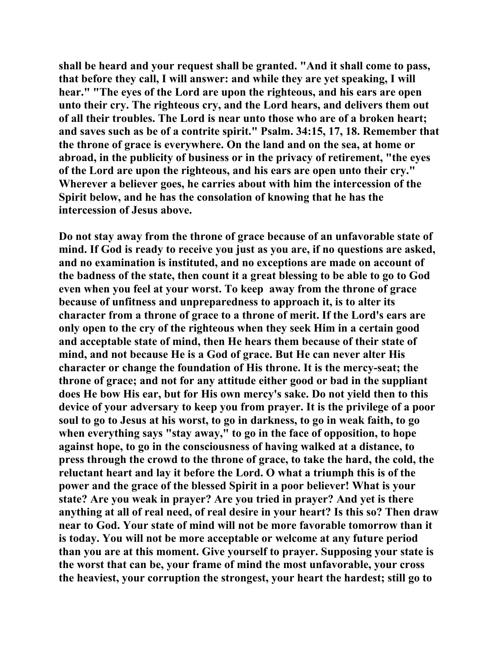**shall be heard and your request shall be granted. "And it shall come to pass, that before they call, I will answer: and while they are yet speaking, I will hear." "The eyes of the Lord are upon the righteous, and his ears are open unto their cry. The righteous cry, and the Lord hears, and delivers them out of all their troubles. The Lord is near unto those who are of a broken heart; and saves such as be of a contrite spirit." Psalm. 34:15, 17, 18. Remember that the throne of grace is everywhere. On the land and on the sea, at home or abroad, in the publicity of business or in the privacy of retirement, "the eyes of the Lord are upon the righteous, and his ears are open unto their cry." Wherever a believer goes, he carries about with him the intercession of the Spirit below, and he has the consolation of knowing that he has the intercession of Jesus above.** 

**Do not stay away from the throne of grace because of an unfavorable state of mind. If God is ready to receive you just as you are, if no questions are asked, and no examination is instituted, and no exceptions are made on account of the badness of the state, then count it a great blessing to be able to go to God even when you feel at your worst. To keep away from the throne of grace because of unfitness and unpreparedness to approach it, is to alter its character from a throne of grace to a throne of merit. If the Lord's ears are only open to the cry of the righteous when they seek Him in a certain good and acceptable state of mind, then He hears them because of their state of mind, and not because He is a God of grace. But He can never alter His character or change the foundation of His throne. It is the mercy-seat; the throne of grace; and not for any attitude either good or bad in the suppliant does He bow His ear, but for His own mercy's sake. Do not yield then to this device of your adversary to keep you from prayer. It is the privilege of a poor soul to go to Jesus at his worst, to go in darkness, to go in weak faith, to go when everything says "stay away," to go in the face of opposition, to hope against hope, to go in the consciousness of having walked at a distance, to press through the crowd to the throne of grace, to take the hard, the cold, the reluctant heart and lay it before the Lord. O what a triumph this is of the power and the grace of the blessed Spirit in a poor believer! What is your state? Are you weak in prayer? Are you tried in prayer? And yet is there anything at all of real need, of real desire in your heart? Is this so? Then draw near to God. Your state of mind will not be more favorable tomorrow than it is today. You will not be more acceptable or welcome at any future period than you are at this moment. Give yourself to prayer. Supposing your state is the worst that can be, your frame of mind the most unfavorable, your cross the heaviest, your corruption the strongest, your heart the hardest; still go to**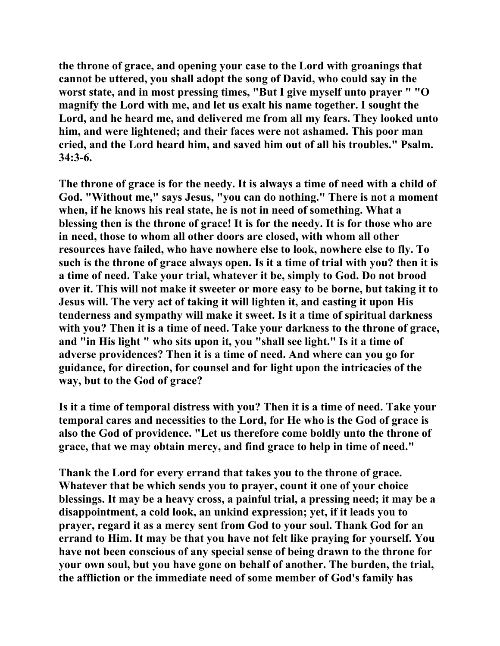**the throne of grace, and opening your case to the Lord with groanings that cannot be uttered, you shall adopt the song of David, who could say in the worst state, and in most pressing times, "But I give myself unto prayer " "O magnify the Lord with me, and let us exalt his name together. I sought the Lord, and he heard me, and delivered me from all my fears. They looked unto him, and were lightened; and their faces were not ashamed. This poor man cried, and the Lord heard him, and saved him out of all his troubles." Psalm. 34:3-6.** 

**The throne of grace is for the needy. It is always a time of need with a child of God. "Without me," says Jesus, "you can do nothing." There is not a moment when, if he knows his real state, he is not in need of something. What a blessing then is the throne of grace! It is for the needy. It is for those who are in need, those to whom all other doors are closed, with whom all other resources have failed, who have nowhere else to look, nowhere else to fly. To such is the throne of grace always open. Is it a time of trial with you? then it is a time of need. Take your trial, whatever it be, simply to God. Do not brood over it. This will not make it sweeter or more easy to be borne, but taking it to Jesus will. The very act of taking it will lighten it, and casting it upon His tenderness and sympathy will make it sweet. Is it a time of spiritual darkness with you? Then it is a time of need. Take your darkness to the throne of grace, and "in His light " who sits upon it, you "shall see light." Is it a time of adverse providences? Then it is a time of need. And where can you go for guidance, for direction, for counsel and for light upon the intricacies of the way, but to the God of grace?** 

**Is it a time of temporal distress with you? Then it is a time of need. Take your temporal cares and necessities to the Lord, for He who is the God of grace is also the God of providence. "Let us therefore come boldly unto the throne of grace, that we may obtain mercy, and find grace to help in time of need."** 

**Thank the Lord for every errand that takes you to the throne of grace. Whatever that be which sends you to prayer, count it one of your choice blessings. It may be a heavy cross, a painful trial, a pressing need; it may be a disappointment, a cold look, an unkind expression; yet, if it leads you to prayer, regard it as a mercy sent from God to your soul. Thank God for an errand to Him. It may be that you have not felt like praying for yourself. You have not been conscious of any special sense of being drawn to the throne for your own soul, but you have gone on behalf of another. The burden, the trial, the affliction or the immediate need of some member of God's family has**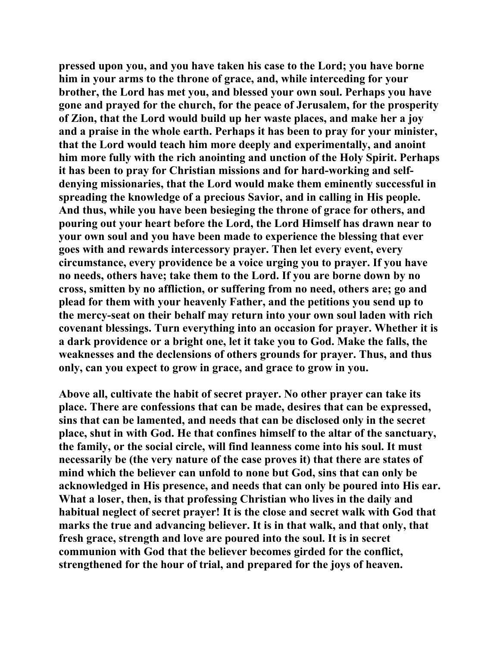**pressed upon you, and you have taken his case to the Lord; you have borne him in your arms to the throne of grace, and, while interceding for your brother, the Lord has met you, and blessed your own soul. Perhaps you have gone and prayed for the church, for the peace of Jerusalem, for the prosperity of Zion, that the Lord would build up her waste places, and make her a joy and a praise in the whole earth. Perhaps it has been to pray for your minister, that the Lord would teach him more deeply and experimentally, and anoint him more fully with the rich anointing and unction of the Holy Spirit. Perhaps it has been to pray for Christian missions and for hard-working and selfdenying missionaries, that the Lord would make them eminently successful in spreading the knowledge of a precious Savior, and in calling in His people. And thus, while you have been besieging the throne of grace for others, and pouring out your heart before the Lord, the Lord Himself has drawn near to your own soul and you have been made to experience the blessing that ever goes with and rewards intercessory prayer. Then let every event, every circumstance, every providence be a voice urging you to prayer. If you have no needs, others have; take them to the Lord. If you are borne down by no cross, smitten by no affliction, or suffering from no need, others are; go and plead for them with your heavenly Father, and the petitions you send up to the mercy-seat on their behalf may return into your own soul laden with rich covenant blessings. Turn everything into an occasion for prayer. Whether it is a dark providence or a bright one, let it take you to God. Make the falls, the weaknesses and the declensions of others grounds for prayer. Thus, and thus only, can you expect to grow in grace, and grace to grow in you.** 

**Above all, cultivate the habit of secret prayer. No other prayer can take its place. There are confessions that can be made, desires that can be expressed, sins that can be lamented, and needs that can be disclosed only in the secret place, shut in with God. He that confines himself to the altar of the sanctuary, the family, or the social circle, will find leanness come into his soul. It must necessarily be (the very nature of the case proves it) that there are states of mind which the believer can unfold to none but God, sins that can only be acknowledged in His presence, and needs that can only be poured into His ear. What a loser, then, is that professing Christian who lives in the daily and habitual neglect of secret prayer! It is the close and secret walk with God that marks the true and advancing believer. It is in that walk, and that only, that fresh grace, strength and love are poured into the soul. It is in secret communion with God that the believer becomes girded for the conflict, strengthened for the hour of trial, and prepared for the joys of heaven.**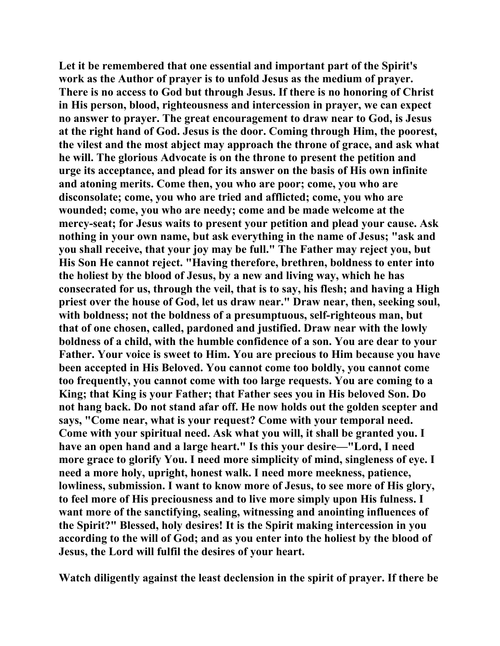**Let it be remembered that one essential and important part of the Spirit's work as the Author of prayer is to unfold Jesus as the medium of prayer. There is no access to God but through Jesus. If there is no honoring of Christ in His person, blood, righteousness and intercession in prayer, we can expect no answer to prayer. The great encouragement to draw near to God, is Jesus at the right hand of God. Jesus is the door. Coming through Him, the poorest, the vilest and the most abject may approach the throne of grace, and ask what he will. The glorious Advocate is on the throne to present the petition and urge its acceptance, and plead for its answer on the basis of His own infinite and atoning merits. Come then, you who are poor; come, you who are disconsolate; come, you who are tried and afflicted; come, you who are wounded; come, you who are needy; come and be made welcome at the mercy-seat; for Jesus waits to present your petition and plead your cause. Ask nothing in your own name, but ask everything in the name of Jesus; "ask and you shall receive, that your joy may be full." The Father may reject you, but His Son He cannot reject. "Having therefore, brethren, boldness to enter into the holiest by the blood of Jesus, by a new and living way, which he has consecrated for us, through the veil, that is to say, his flesh; and having a High priest over the house of God, let us draw near." Draw near, then, seeking soul, with boldness; not the boldness of a presumptuous, self-righteous man, but that of one chosen, called, pardoned and justified. Draw near with the lowly boldness of a child, with the humble confidence of a son. You are dear to your Father. Your voice is sweet to Him. You are precious to Him because you have been accepted in His Beloved. You cannot come too boldly, you cannot come too frequently, you cannot come with too large requests. You are coming to a King; that King is your Father; that Father sees you in His beloved Son. Do not hang back. Do not stand afar off. He now holds out the golden scepter and says, "Come near, what is your request? Come with your temporal need. Come with your spiritual need. Ask what you will, it shall be granted you. I have an open hand and a large heart." Is this your desire—"Lord, I need more grace to glorify You. I need more simplicity of mind, singleness of eye. I need a more holy, upright, honest walk. I need more meekness, patience, lowliness, submission. I want to know more of Jesus, to see more of His glory, to feel more of His preciousness and to live more simply upon His fulness. I want more of the sanctifying, sealing, witnessing and anointing influences of the Spirit?" Blessed, holy desires! It is the Spirit making intercession in you according to the will of God; and as you enter into the holiest by the blood of Jesus, the Lord will fulfil the desires of your heart.** 

**Watch diligently against the least declension in the spirit of prayer. If there be**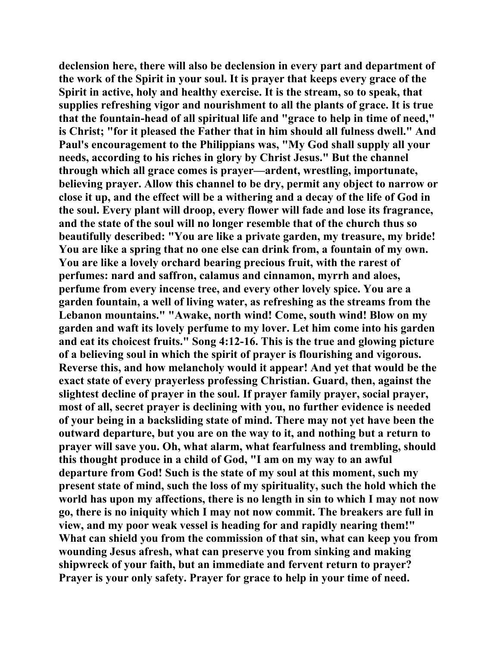**declension here, there will also be declension in every part and department of the work of the Spirit in your soul. It is prayer that keeps every grace of the Spirit in active, holy and healthy exercise. It is the stream, so to speak, that supplies refreshing vigor and nourishment to all the plants of grace. It is true that the fountain-head of all spiritual life and "grace to help in time of need," is Christ; "for it pleased the Father that in him should all fulness dwell." And Paul's encouragement to the Philippians was, "My God shall supply all your needs, according to his riches in glory by Christ Jesus." But the channel through which all grace comes is prayer—ardent, wrestling, importunate, believing prayer. Allow this channel to be dry, permit any object to narrow or close it up, and the effect will be a withering and a decay of the life of God in the soul. Every plant will droop, every flower will fade and lose its fragrance, and the state of the soul will no longer resemble that of the church thus so beautifully described: "You are like a private garden, my treasure, my bride! You are like a spring that no one else can drink from, a fountain of my own. You are like a lovely orchard bearing precious fruit, with the rarest of perfumes: nard and saffron, calamus and cinnamon, myrrh and aloes, perfume from every incense tree, and every other lovely spice. You are a garden fountain, a well of living water, as refreshing as the streams from the Lebanon mountains." "Awake, north wind! Come, south wind! Blow on my garden and waft its lovely perfume to my lover. Let him come into his garden and eat its choicest fruits." Song 4:12-16. This is the true and glowing picture of a believing soul in which the spirit of prayer is flourishing and vigorous. Reverse this, and how melancholy would it appear! And yet that would be the exact state of every prayerless professing Christian. Guard, then, against the slightest decline of prayer in the soul. If prayer family prayer, social prayer, most of all, secret prayer is declining with you, no further evidence is needed of your being in a backsliding state of mind. There may not yet have been the outward departure, but you are on the way to it, and nothing but a return to prayer will save you. Oh, what alarm, what fearfulness and trembling, should this thought produce in a child of God, "I am on my way to an awful departure from God! Such is the state of my soul at this moment, such my present state of mind, such the loss of my spirituality, such the hold which the world has upon my affections, there is no length in sin to which I may not now go, there is no iniquity which I may not now commit. The breakers are full in view, and my poor weak vessel is heading for and rapidly nearing them!" What can shield you from the commission of that sin, what can keep you from wounding Jesus afresh, what can preserve you from sinking and making shipwreck of your faith, but an immediate and fervent return to prayer? Prayer is your only safety. Prayer for grace to help in your time of need.**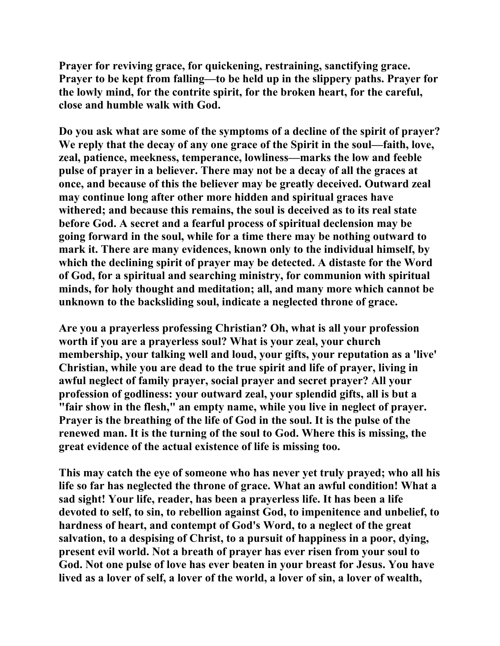**Prayer for reviving grace, for quickening, restraining, sanctifying grace. Prayer to be kept from falling—to be held up in the slippery paths. Prayer for the lowly mind, for the contrite spirit, for the broken heart, for the careful, close and humble walk with God.** 

**Do you ask what are some of the symptoms of a decline of the spirit of prayer? We reply that the decay of any one grace of the Spirit in the soul—faith, love, zeal, patience, meekness, temperance, lowliness—marks the low and feeble pulse of prayer in a believer. There may not be a decay of all the graces at once, and because of this the believer may be greatly deceived. Outward zeal may continue long after other more hidden and spiritual graces have withered; and because this remains, the soul is deceived as to its real state before God. A secret and a fearful process of spiritual declension may be going forward in the soul, while for a time there may be nothing outward to mark it. There are many evidences, known only to the individual himself, by which the declining spirit of prayer may be detected. A distaste for the Word of God, for a spiritual and searching ministry, for communion with spiritual minds, for holy thought and meditation; all, and many more which cannot be unknown to the backsliding soul, indicate a neglected throne of grace.** 

**Are you a prayerless professing Christian? Oh, what is all your profession worth if you are a prayerless soul? What is your zeal, your church membership, your talking well and loud, your gifts, your reputation as a 'live' Christian, while you are dead to the true spirit and life of prayer, living in awful neglect of family prayer, social prayer and secret prayer? All your profession of godliness: your outward zeal, your splendid gifts, all is but a "fair show in the flesh," an empty name, while you live in neglect of prayer. Prayer is the breathing of the life of God in the soul. It is the pulse of the renewed man. It is the turning of the soul to God. Where this is missing, the great evidence of the actual existence of life is missing too.** 

**This may catch the eye of someone who has never yet truly prayed; who all his life so far has neglected the throne of grace. What an awful condition! What a sad sight! Your life, reader, has been a prayerless life. It has been a life devoted to self, to sin, to rebellion against God, to impenitence and unbelief, to hardness of heart, and contempt of God's Word, to a neglect of the great salvation, to a despising of Christ, to a pursuit of happiness in a poor, dying, present evil world. Not a breath of prayer has ever risen from your soul to God. Not one pulse of love has ever beaten in your breast for Jesus. You have lived as a lover of self, a lover of the world, a lover of sin, a lover of wealth,**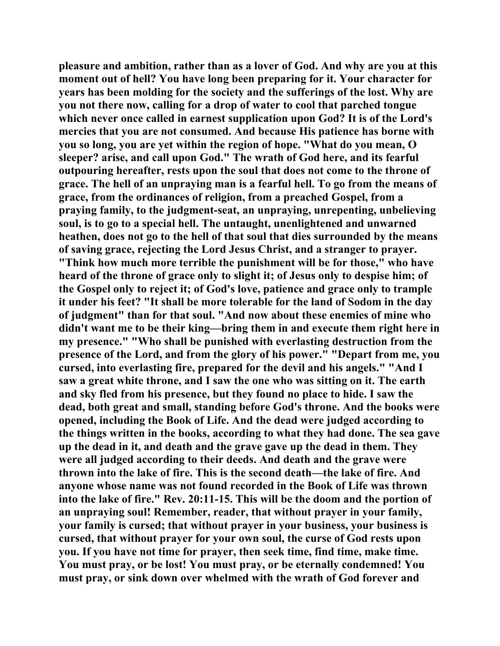**pleasure and ambition, rather than as a lover of God. And why are you at this moment out of hell? You have long been preparing for it. Your character for years has been molding for the society and the sufferings of the lost. Why are you not there now, calling for a drop of water to cool that parched tongue which never once called in earnest supplication upon God? It is of the Lord's mercies that you are not consumed. And because His patience has borne with you so long, you are yet within the region of hope. "What do you mean, O sleeper? arise, and call upon God." The wrath of God here, and its fearful outpouring hereafter, rests upon the soul that does not come to the throne of grace. The hell of an unpraying man is a fearful hell. To go from the means of grace, from the ordinances of religion, from a preached Gospel, from a praying family, to the judgment-seat, an unpraying, unrepenting, unbelieving soul, is to go to a special hell. The untaught, unenlightened and unwarned heathen, does not go to the hell of that soul that dies surrounded by the means of saving grace, rejecting the Lord Jesus Christ, and a stranger to prayer. "Think how much more terrible the punishment will be for those," who have heard of the throne of grace only to slight it; of Jesus only to despise him; of the Gospel only to reject it; of God's love, patience and grace only to trample it under his feet? "It shall be more tolerable for the land of Sodom in the day of judgment" than for that soul. "And now about these enemies of mine who didn't want me to be their king—bring them in and execute them right here in my presence." "Who shall be punished with everlasting destruction from the presence of the Lord, and from the glory of his power." "Depart from me, you cursed, into everlasting fire, prepared for the devil and his angels." "And I saw a great white throne, and I saw the one who was sitting on it. The earth and sky fled from his presence, but they found no place to hide. I saw the dead, both great and small, standing before God's throne. And the books were opened, including the Book of Life. And the dead were judged according to the things written in the books, according to what they had done. The sea gave up the dead in it, and death and the grave gave up the dead in them. They were all judged according to their deeds. And death and the grave were thrown into the lake of fire. This is the second death—the lake of fire. And anyone whose name was not found recorded in the Book of Life was thrown into the lake of fire." Rev. 20:11-15. This will be the doom and the portion of an unpraying soul! Remember, reader, that without prayer in your family, your family is cursed; that without prayer in your business, your business is cursed, that without prayer for your own soul, the curse of God rests upon you. If you have not time for prayer, then seek time, find time, make time. You must pray, or be lost! You must pray, or be eternally condemned! You must pray, or sink down over whelmed with the wrath of God forever and**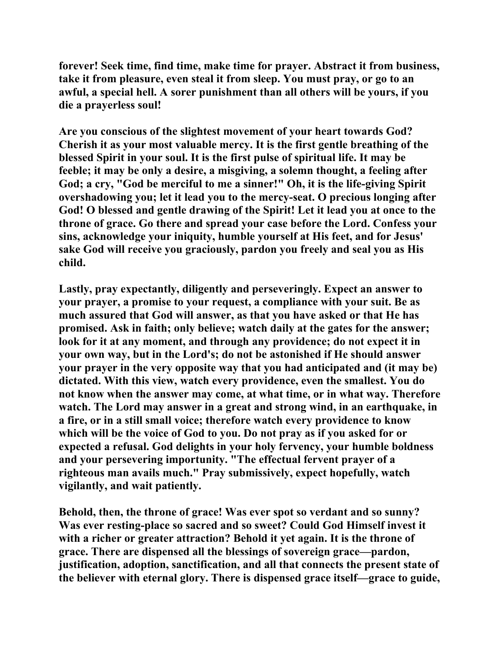**forever! Seek time, find time, make time for prayer. Abstract it from business, take it from pleasure, even steal it from sleep. You must pray, or go to an awful, a special hell. A sorer punishment than all others will be yours, if you die a prayerless soul!** 

**Are you conscious of the slightest movement of your heart towards God? Cherish it as your most valuable mercy. It is the first gentle breathing of the blessed Spirit in your soul. It is the first pulse of spiritual life. It may be feeble; it may be only a desire, a misgiving, a solemn thought, a feeling after God; a cry, "God be merciful to me a sinner!" Oh, it is the life-giving Spirit overshadowing you; let it lead you to the mercy-seat. O precious longing after God! O blessed and gentle drawing of the Spirit! Let it lead you at once to the throne of grace. Go there and spread your case before the Lord. Confess your sins, acknowledge your iniquity, humble yourself at His feet, and for Jesus' sake God will receive you graciously, pardon you freely and seal you as His child.** 

**Lastly, pray expectantly, diligently and perseveringly. Expect an answer to your prayer, a promise to your request, a compliance with your suit. Be as much assured that God will answer, as that you have asked or that He has promised. Ask in faith; only believe; watch daily at the gates for the answer; look for it at any moment, and through any providence; do not expect it in your own way, but in the Lord's; do not be astonished if He should answer your prayer in the very opposite way that you had anticipated and (it may be) dictated. With this view, watch every providence, even the smallest. You do not know when the answer may come, at what time, or in what way. Therefore watch. The Lord may answer in a great and strong wind, in an earthquake, in a fire, or in a still small voice; therefore watch every providence to know which will be the voice of God to you. Do not pray as if you asked for or expected a refusal. God delights in your holy fervency, your humble boldness and your persevering importunity. "The effectual fervent prayer of a righteous man avails much." Pray submissively, expect hopefully, watch vigilantly, and wait patiently.** 

**Behold, then, the throne of grace! Was ever spot so verdant and so sunny? Was ever resting-place so sacred and so sweet? Could God Himself invest it with a richer or greater attraction? Behold it yet again. It is the throne of grace. There are dispensed all the blessings of sovereign grace—pardon, justification, adoption, sanctification, and all that connects the present state of the believer with eternal glory. There is dispensed grace itself—grace to guide,**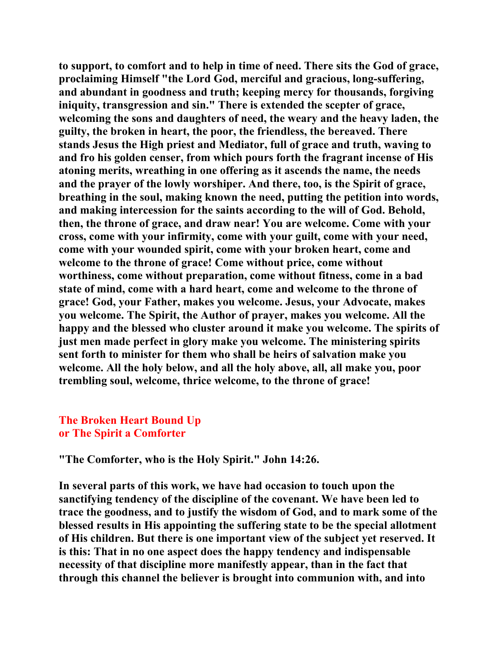**to support, to comfort and to help in time of need. There sits the God of grace, proclaiming Himself "the Lord God, merciful and gracious, long-suffering, and abundant in goodness and truth; keeping mercy for thousands, forgiving iniquity, transgression and sin." There is extended the scepter of grace, welcoming the sons and daughters of need, the weary and the heavy laden, the guilty, the broken in heart, the poor, the friendless, the bereaved. There stands Jesus the High priest and Mediator, full of grace and truth, waving to and fro his golden censer, from which pours forth the fragrant incense of His atoning merits, wreathing in one offering as it ascends the name, the needs and the prayer of the lowly worshiper. And there, too, is the Spirit of grace, breathing in the soul, making known the need, putting the petition into words, and making intercession for the saints according to the will of God. Behold, then, the throne of grace, and draw near! You are welcome. Come with your cross, come with your infirmity, come with your guilt, come with your need, come with your wounded spirit, come with your broken heart, come and welcome to the throne of grace! Come without price, come without worthiness, come without preparation, come without fitness, come in a bad state of mind, come with a hard heart, come and welcome to the throne of grace! God, your Father, makes you welcome. Jesus, your Advocate, makes you welcome. The Spirit, the Author of prayer, makes you welcome. All the happy and the blessed who cluster around it make you welcome. The spirits of just men made perfect in glory make you welcome. The ministering spirits sent forth to minister for them who shall be heirs of salvation make you welcome. All the holy below, and all the holy above, all, all make you, poor trembling soul, welcome, thrice welcome, to the throne of grace!** 

## **The Broken Heart Bound Up or The Spirit a Comforter**

**"The Comforter, who is the Holy Spirit." John 14:26.** 

**In several parts of this work, we have had occasion to touch upon the sanctifying tendency of the discipline of the covenant. We have been led to trace the goodness, and to justify the wisdom of God, and to mark some of the blessed results in His appointing the suffering state to be the special allotment of His children. But there is one important view of the subject yet reserved. It is this: That in no one aspect does the happy tendency and indispensable necessity of that discipline more manifestly appear, than in the fact that through this channel the believer is brought into communion with, and into**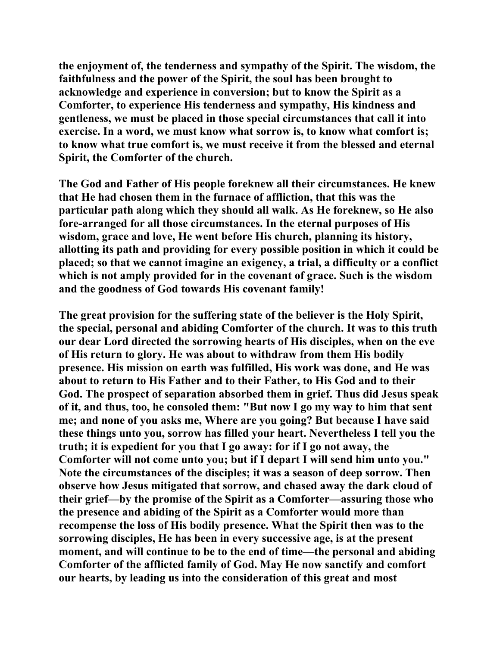**the enjoyment of, the tenderness and sympathy of the Spirit. The wisdom, the faithfulness and the power of the Spirit, the soul has been brought to acknowledge and experience in conversion; but to know the Spirit as a Comforter, to experience His tenderness and sympathy, His kindness and gentleness, we must be placed in those special circumstances that call it into exercise. In a word, we must know what sorrow is, to know what comfort is; to know what true comfort is, we must receive it from the blessed and eternal Spirit, the Comforter of the church.** 

**The God and Father of His people foreknew all their circumstances. He knew that He had chosen them in the furnace of affliction, that this was the particular path along which they should all walk. As He foreknew, so He also fore-arranged for all those circumstances. In the eternal purposes of His wisdom, grace and love, He went before His church, planning its history, allotting its path and providing for every possible position in which it could be placed; so that we cannot imagine an exigency, a trial, a difficulty or a conflict which is not amply provided for in the covenant of grace. Such is the wisdom and the goodness of God towards His covenant family!** 

**The great provision for the suffering state of the believer is the Holy Spirit, the special, personal and abiding Comforter of the church. It was to this truth our dear Lord directed the sorrowing hearts of His disciples, when on the eve of His return to glory. He was about to withdraw from them His bodily presence. His mission on earth was fulfilled, His work was done, and He was about to return to His Father and to their Father, to His God and to their God. The prospect of separation absorbed them in grief. Thus did Jesus speak of it, and thus, too, he consoled them: "But now I go my way to him that sent me; and none of you asks me, Where are you going? But because I have said these things unto you, sorrow has filled your heart. Nevertheless I tell you the truth; it is expedient for you that I go away: for if I go not away, the Comforter will not come unto you; but if I depart I will send him unto you." Note the circumstances of the disciples; it was a season of deep sorrow. Then observe how Jesus mitigated that sorrow, and chased away the dark cloud of their grief—by the promise of the Spirit as a Comforter—assuring those who the presence and abiding of the Spirit as a Comforter would more than recompense the loss of His bodily presence. What the Spirit then was to the sorrowing disciples, He has been in every successive age, is at the present moment, and will continue to be to the end of time—the personal and abiding Comforter of the afflicted family of God. May He now sanctify and comfort our hearts, by leading us into the consideration of this great and most**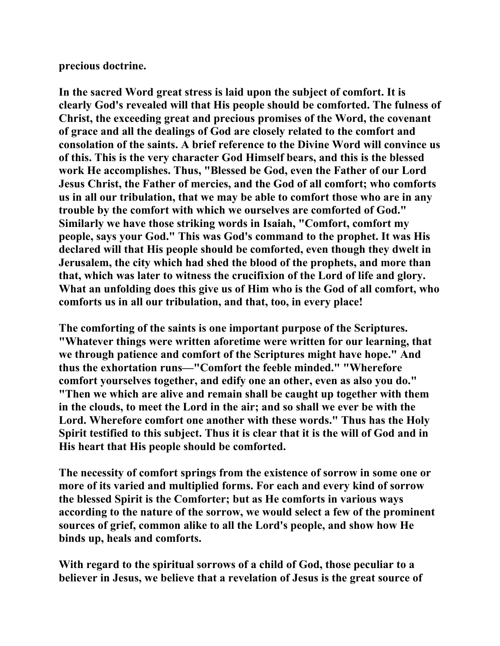## **precious doctrine.**

**In the sacred Word great stress is laid upon the subject of comfort. It is clearly God's revealed will that His people should be comforted. The fulness of Christ, the exceeding great and precious promises of the Word, the covenant of grace and all the dealings of God are closely related to the comfort and consolation of the saints. A brief reference to the Divine Word will convince us of this. This is the very character God Himself bears, and this is the blessed work He accomplishes. Thus, "Blessed be God, even the Father of our Lord Jesus Christ, the Father of mercies, and the God of all comfort; who comforts us in all our tribulation, that we may be able to comfort those who are in any trouble by the comfort with which we ourselves are comforted of God." Similarly we have those striking words in Isaiah, "Comfort, comfort my people, says your God." This was God's command to the prophet. It was His declared will that His people should be comforted, even though they dwelt in Jerusalem, the city which had shed the blood of the prophets, and more than that, which was later to witness the crucifixion of the Lord of life and glory. What an unfolding does this give us of Him who is the God of all comfort, who comforts us in all our tribulation, and that, too, in every place!** 

**The comforting of the saints is one important purpose of the Scriptures. "Whatever things were written aforetime were written for our learning, that we through patience and comfort of the Scriptures might have hope." And thus the exhortation runs—"Comfort the feeble minded." "Wherefore comfort yourselves together, and edify one an other, even as also you do." "Then we which are alive and remain shall be caught up together with them in the clouds, to meet the Lord in the air; and so shall we ever be with the Lord. Wherefore comfort one another with these words." Thus has the Holy Spirit testified to this subject. Thus it is clear that it is the will of God and in His heart that His people should be comforted.** 

**The necessity of comfort springs from the existence of sorrow in some one or more of its varied and multiplied forms. For each and every kind of sorrow the blessed Spirit is the Comforter; but as He comforts in various ways according to the nature of the sorrow, we would select a few of the prominent sources of grief, common alike to all the Lord's people, and show how He binds up, heals and comforts.** 

**With regard to the spiritual sorrows of a child of God, those peculiar to a believer in Jesus, we believe that a revelation of Jesus is the great source of**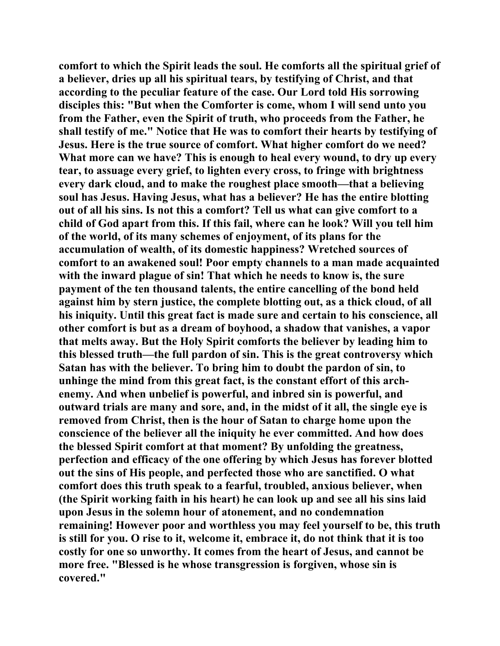**comfort to which the Spirit leads the soul. He comforts all the spiritual grief of a believer, dries up all his spiritual tears, by testifying of Christ, and that according to the peculiar feature of the case. Our Lord told His sorrowing disciples this: "But when the Comforter is come, whom I will send unto you from the Father, even the Spirit of truth, who proceeds from the Father, he shall testify of me." Notice that He was to comfort their hearts by testifying of Jesus. Here is the true source of comfort. What higher comfort do we need? What more can we have? This is enough to heal every wound, to dry up every tear, to assuage every grief, to lighten every cross, to fringe with brightness every dark cloud, and to make the roughest place smooth—that a believing soul has Jesus. Having Jesus, what has a believer? He has the entire blotting out of all his sins. Is not this a comfort? Tell us what can give comfort to a child of God apart from this. If this fail, where can he look? Will you tell him of the world, of its many schemes of enjoyment, of its plans for the accumulation of wealth, of its domestic happiness? Wretched sources of comfort to an awakened soul! Poor empty channels to a man made acquainted with the inward plague of sin! That which he needs to know is, the sure payment of the ten thousand talents, the entire cancelling of the bond held against him by stern justice, the complete blotting out, as a thick cloud, of all his iniquity. Until this great fact is made sure and certain to his conscience, all other comfort is but as a dream of boyhood, a shadow that vanishes, a vapor that melts away. But the Holy Spirit comforts the believer by leading him to this blessed truth—the full pardon of sin. This is the great controversy which Satan has with the believer. To bring him to doubt the pardon of sin, to unhinge the mind from this great fact, is the constant effort of this archenemy. And when unbelief is powerful, and inbred sin is powerful, and outward trials are many and sore, and, in the midst of it all, the single eye is removed from Christ, then is the hour of Satan to charge home upon the conscience of the believer all the iniquity he ever committed. And how does the blessed Spirit comfort at that moment? By unfolding the greatness, perfection and efficacy of the one offering by which Jesus has forever blotted out the sins of His people, and perfected those who are sanctified. O what comfort does this truth speak to a fearful, troubled, anxious believer, when (the Spirit working faith in his heart) he can look up and see all his sins laid upon Jesus in the solemn hour of atonement, and no condemnation remaining! However poor and worthless you may feel yourself to be, this truth is still for you. O rise to it, welcome it, embrace it, do not think that it is too costly for one so unworthy. It comes from the heart of Jesus, and cannot be more free. "Blessed is he whose transgression is forgiven, whose sin is covered."**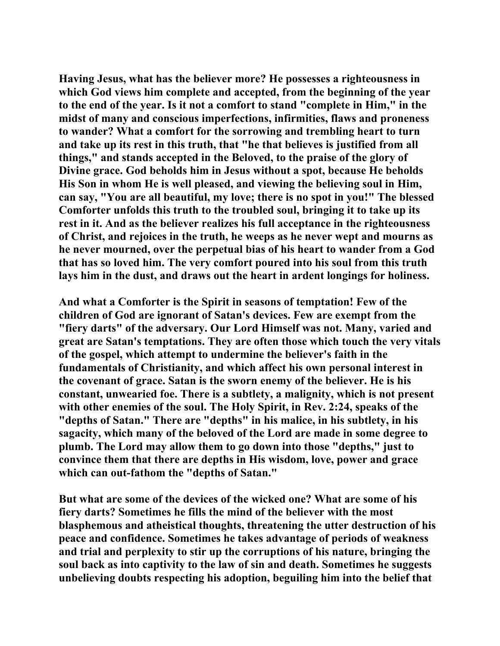**Having Jesus, what has the believer more? He possesses a righteousness in which God views him complete and accepted, from the beginning of the year to the end of the year. Is it not a comfort to stand "complete in Him," in the midst of many and conscious imperfections, infirmities, flaws and proneness to wander? What a comfort for the sorrowing and trembling heart to turn and take up its rest in this truth, that "he that believes is justified from all things," and stands accepted in the Beloved, to the praise of the glory of Divine grace. God beholds him in Jesus without a spot, because He beholds His Son in whom He is well pleased, and viewing the believing soul in Him, can say, "You are all beautiful, my love; there is no spot in you!" The blessed Comforter unfolds this truth to the troubled soul, bringing it to take up its rest in it. And as the believer realizes his full acceptance in the righteousness of Christ, and rejoices in the truth, he weeps as he never wept and mourns as he never mourned, over the perpetual bias of his heart to wander from a God that has so loved him. The very comfort poured into his soul from this truth lays him in the dust, and draws out the heart in ardent longings for holiness.** 

**And what a Comforter is the Spirit in seasons of temptation! Few of the children of God are ignorant of Satan's devices. Few are exempt from the "fiery darts" of the adversary. Our Lord Himself was not. Many, varied and great are Satan's temptations. They are often those which touch the very vitals of the gospel, which attempt to undermine the believer's faith in the fundamentals of Christianity, and which affect his own personal interest in the covenant of grace. Satan is the sworn enemy of the believer. He is his constant, unwearied foe. There is a subtlety, a malignity, which is not present with other enemies of the soul. The Holy Spirit, in Rev. 2:24, speaks of the "depths of Satan." There are "depths" in his malice, in his subtlety, in his sagacity, which many of the beloved of the Lord are made in some degree to plumb. The Lord may allow them to go down into those "depths," just to convince them that there are depths in His wisdom, love, power and grace which can out-fathom the "depths of Satan."** 

**But what are some of the devices of the wicked one? What are some of his fiery darts? Sometimes he fills the mind of the believer with the most blasphemous and atheistical thoughts, threatening the utter destruction of his peace and confidence. Sometimes he takes advantage of periods of weakness and trial and perplexity to stir up the corruptions of his nature, bringing the soul back as into captivity to the law of sin and death. Sometimes he suggests unbelieving doubts respecting his adoption, beguiling him into the belief that**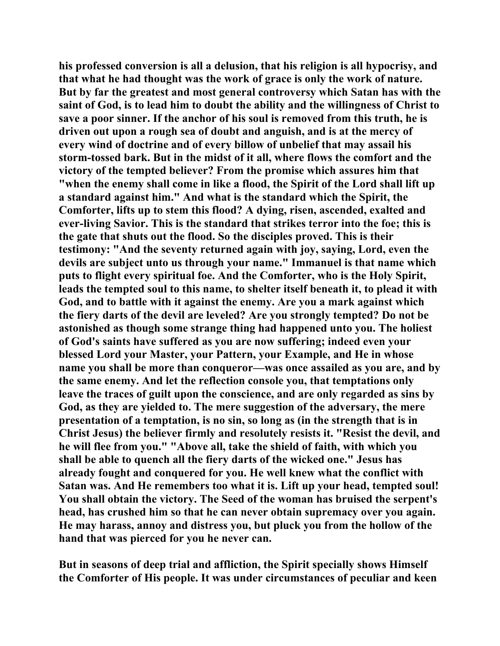**his professed conversion is all a delusion, that his religion is all hypocrisy, and that what he had thought was the work of grace is only the work of nature. But by far the greatest and most general controversy which Satan has with the saint of God, is to lead him to doubt the ability and the willingness of Christ to save a poor sinner. If the anchor of his soul is removed from this truth, he is driven out upon a rough sea of doubt and anguish, and is at the mercy of every wind of doctrine and of every billow of unbelief that may assail his storm-tossed bark. But in the midst of it all, where flows the comfort and the victory of the tempted believer? From the promise which assures him that "when the enemy shall come in like a flood, the Spirit of the Lord shall lift up a standard against him." And what is the standard which the Spirit, the Comforter, lifts up to stem this flood? A dying, risen, ascended, exalted and ever-living Savior. This is the standard that strikes terror into the foe; this is the gate that shuts out the flood. So the disciples proved. This is their testimony: "And the seventy returned again with joy, saying, Lord, even the devils are subject unto us through your name." Immanuel is that name which puts to flight every spiritual foe. And the Comforter, who is the Holy Spirit, leads the tempted soul to this name, to shelter itself beneath it, to plead it with God, and to battle with it against the enemy. Are you a mark against which the fiery darts of the devil are leveled? Are you strongly tempted? Do not be astonished as though some strange thing had happened unto you. The holiest of God's saints have suffered as you are now suffering; indeed even your blessed Lord your Master, your Pattern, your Example, and He in whose name you shall be more than conqueror—was once assailed as you are, and by the same enemy. And let the reflection console you, that temptations only leave the traces of guilt upon the conscience, and are only regarded as sins by God, as they are yielded to. The mere suggestion of the adversary, the mere presentation of a temptation, is no sin, so long as (in the strength that is in Christ Jesus) the believer firmly and resolutely resists it. "Resist the devil, and he will flee from you." "Above all, take the shield of faith, with which you shall be able to quench all the fiery darts of the wicked one." Jesus has already fought and conquered for you. He well knew what the conflict with Satan was. And He remembers too what it is. Lift up your head, tempted soul! You shall obtain the victory. The Seed of the woman has bruised the serpent's head, has crushed him so that he can never obtain supremacy over you again. He may harass, annoy and distress you, but pluck you from the hollow of the hand that was pierced for you he never can.** 

**But in seasons of deep trial and affliction, the Spirit specially shows Himself the Comforter of His people. It was under circumstances of peculiar and keen**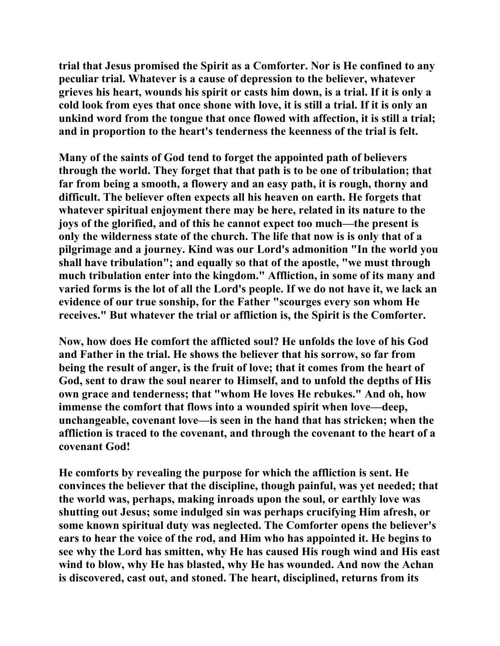**trial that Jesus promised the Spirit as a Comforter. Nor is He confined to any peculiar trial. Whatever is a cause of depression to the believer, whatever grieves his heart, wounds his spirit or casts him down, is a trial. If it is only a cold look from eyes that once shone with love, it is still a trial. If it is only an unkind word from the tongue that once flowed with affection, it is still a trial; and in proportion to the heart's tenderness the keenness of the trial is felt.** 

**Many of the saints of God tend to forget the appointed path of believers through the world. They forget that that path is to be one of tribulation; that far from being a smooth, a flowery and an easy path, it is rough, thorny and difficult. The believer often expects all his heaven on earth. He forgets that whatever spiritual enjoyment there may be here, related in its nature to the joys of the glorified, and of this he cannot expect too much—the present is only the wilderness state of the church. The life that now is is only that of a pilgrimage and a journey. Kind was our Lord's admonition "In the world you shall have tribulation"; and equally so that of the apostle, "we must through much tribulation enter into the kingdom." Affliction, in some of its many and varied forms is the lot of all the Lord's people. If we do not have it, we lack an evidence of our true sonship, for the Father "scourges every son whom He receives." But whatever the trial or affliction is, the Spirit is the Comforter.** 

**Now, how does He comfort the afflicted soul? He unfolds the love of his God and Father in the trial. He shows the believer that his sorrow, so far from being the result of anger, is the fruit of love; that it comes from the heart of God, sent to draw the soul nearer to Himself, and to unfold the depths of His own grace and tenderness; that "whom He loves He rebukes." And oh, how immense the comfort that flows into a wounded spirit when love—deep, unchangeable, covenant love—is seen in the hand that has stricken; when the affliction is traced to the covenant, and through the covenant to the heart of a covenant God!** 

**He comforts by revealing the purpose for which the affliction is sent. He convinces the believer that the discipline, though painful, was yet needed; that the world was, perhaps, making inroads upon the soul, or earthly love was shutting out Jesus; some indulged sin was perhaps crucifying Him afresh, or some known spiritual duty was neglected. The Comforter opens the believer's ears to hear the voice of the rod, and Him who has appointed it. He begins to see why the Lord has smitten, why He has caused His rough wind and His east wind to blow, why He has blasted, why He has wounded. And now the Achan is discovered, cast out, and stoned. The heart, disciplined, returns from its**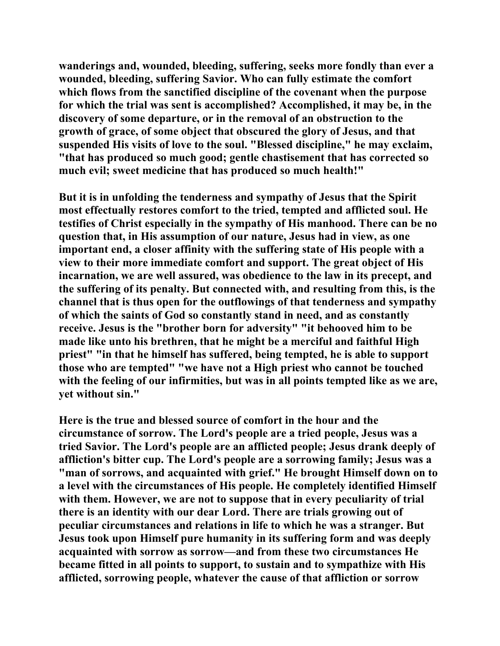**wanderings and, wounded, bleeding, suffering, seeks more fondly than ever a wounded, bleeding, suffering Savior. Who can fully estimate the comfort which flows from the sanctified discipline of the covenant when the purpose for which the trial was sent is accomplished? Accomplished, it may be, in the discovery of some departure, or in the removal of an obstruction to the growth of grace, of some object that obscured the glory of Jesus, and that suspended His visits of love to the soul. "Blessed discipline," he may exclaim, "that has produced so much good; gentle chastisement that has corrected so much evil; sweet medicine that has produced so much health!"** 

**But it is in unfolding the tenderness and sympathy of Jesus that the Spirit most effectually restores comfort to the tried, tempted and afflicted soul. He testifies of Christ especially in the sympathy of His manhood. There can be no question that, in His assumption of our nature, Jesus had in view, as one important end, a closer affinity with the suffering state of His people with a view to their more immediate comfort and support. The great object of His incarnation, we are well assured, was obedience to the law in its precept, and the suffering of its penalty. But connected with, and resulting from this, is the channel that is thus open for the outflowings of that tenderness and sympathy of which the saints of God so constantly stand in need, and as constantly receive. Jesus is the "brother born for adversity" "it behooved him to be made like unto his brethren, that he might be a merciful and faithful High priest" "in that he himself has suffered, being tempted, he is able to support those who are tempted" "we have not a High priest who cannot be touched with the feeling of our infirmities, but was in all points tempted like as we are, yet without sin."** 

**Here is the true and blessed source of comfort in the hour and the circumstance of sorrow. The Lord's people are a tried people, Jesus was a tried Savior. The Lord's people are an afflicted people; Jesus drank deeply of affliction's bitter cup. The Lord's people are a sorrowing family; Jesus was a "man of sorrows, and acquainted with grief." He brought Himself down on to a level with the circumstances of His people. He completely identified Himself with them. However, we are not to suppose that in every peculiarity of trial there is an identity with our dear Lord. There are trials growing out of peculiar circumstances and relations in life to which he was a stranger. But Jesus took upon Himself pure humanity in its suffering form and was deeply acquainted with sorrow as sorrow—and from these two circumstances He became fitted in all points to support, to sustain and to sympathize with His afflicted, sorrowing people, whatever the cause of that affliction or sorrow**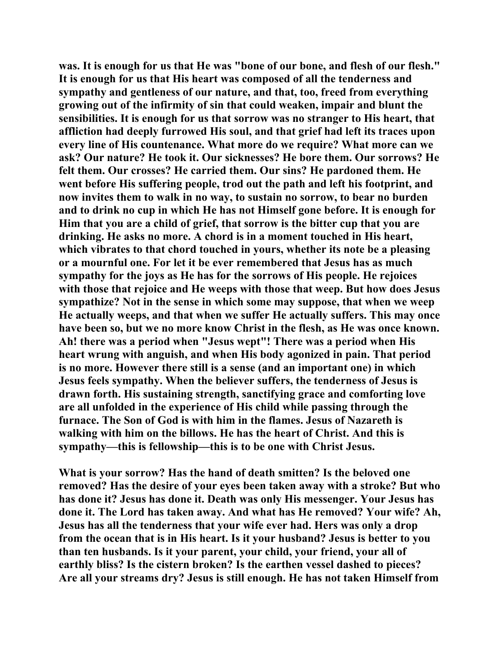**was. It is enough for us that He was "bone of our bone, and flesh of our flesh." It is enough for us that His heart was composed of all the tenderness and sympathy and gentleness of our nature, and that, too, freed from everything growing out of the infirmity of sin that could weaken, impair and blunt the sensibilities. It is enough for us that sorrow was no stranger to His heart, that affliction had deeply furrowed His soul, and that grief had left its traces upon every line of His countenance. What more do we require? What more can we ask? Our nature? He took it. Our sicknesses? He bore them. Our sorrows? He felt them. Our crosses? He carried them. Our sins? He pardoned them. He went before His suffering people, trod out the path and left his footprint, and now invites them to walk in no way, to sustain no sorrow, to bear no burden and to drink no cup in which He has not Himself gone before. It is enough for Him that you are a child of grief, that sorrow is the bitter cup that you are drinking. He asks no more. A chord is in a moment touched in His heart, which vibrates to that chord touched in yours, whether its note be a pleasing or a mournful one. For let it be ever remembered that Jesus has as much sympathy for the joys as He has for the sorrows of His people. He rejoices with those that rejoice and He weeps with those that weep. But how does Jesus sympathize? Not in the sense in which some may suppose, that when we weep He actually weeps, and that when we suffer He actually suffers. This may once have been so, but we no more know Christ in the flesh, as He was once known. Ah! there was a period when "Jesus wept"! There was a period when His heart wrung with anguish, and when His body agonized in pain. That period is no more. However there still is a sense (and an important one) in which Jesus feels sympathy. When the believer suffers, the tenderness of Jesus is drawn forth. His sustaining strength, sanctifying grace and comforting love are all unfolded in the experience of His child while passing through the furnace. The Son of God is with him in the flames. Jesus of Nazareth is walking with him on the billows. He has the heart of Christ. And this is sympathy—this is fellowship—this is to be one with Christ Jesus.** 

**What is your sorrow? Has the hand of death smitten? Is the beloved one removed? Has the desire of your eyes been taken away with a stroke? But who has done it? Jesus has done it. Death was only His messenger. Your Jesus has done it. The Lord has taken away. And what has He removed? Your wife? Ah, Jesus has all the tenderness that your wife ever had. Hers was only a drop from the ocean that is in His heart. Is it your husband? Jesus is better to you than ten husbands. Is it your parent, your child, your friend, your all of earthly bliss? Is the cistern broken? Is the earthen vessel dashed to pieces? Are all your streams dry? Jesus is still enough. He has not taken Himself from**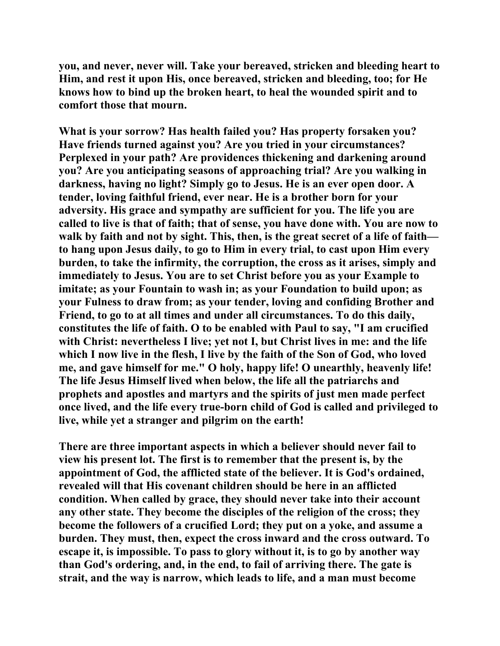**you, and never, never will. Take your bereaved, stricken and bleeding heart to Him, and rest it upon His, once bereaved, stricken and bleeding, too; for He knows how to bind up the broken heart, to heal the wounded spirit and to comfort those that mourn.** 

**What is your sorrow? Has health failed you? Has property forsaken you? Have friends turned against you? Are you tried in your circumstances? Perplexed in your path? Are providences thickening and darkening around you? Are you anticipating seasons of approaching trial? Are you walking in darkness, having no light? Simply go to Jesus. He is an ever open door. A tender, loving faithful friend, ever near. He is a brother born for your adversity. His grace and sympathy are sufficient for you. The life you are called to live is that of faith; that of sense, you have done with. You are now to walk by faith and not by sight. This, then, is the great secret of a life of faith to hang upon Jesus daily, to go to Him in every trial, to cast upon Him every burden, to take the infirmity, the corruption, the cross as it arises, simply and immediately to Jesus. You are to set Christ before you as your Example to imitate; as your Fountain to wash in; as your Foundation to build upon; as your Fulness to draw from; as your tender, loving and confiding Brother and Friend, to go to at all times and under all circumstances. To do this daily, constitutes the life of faith. O to be enabled with Paul to say, "I am crucified with Christ: nevertheless I live; yet not I, but Christ lives in me: and the life which I now live in the flesh, I live by the faith of the Son of God, who loved me, and gave himself for me." O holy, happy life! O unearthly, heavenly life! The life Jesus Himself lived when below, the life all the patriarchs and prophets and apostles and martyrs and the spirits of just men made perfect once lived, and the life every true-born child of God is called and privileged to live, while yet a stranger and pilgrim on the earth!** 

**There are three important aspects in which a believer should never fail to view his present lot. The first is to remember that the present is, by the appointment of God, the afflicted state of the believer. It is God's ordained, revealed will that His covenant children should be here in an afflicted condition. When called by grace, they should never take into their account any other state. They become the disciples of the religion of the cross; they become the followers of a crucified Lord; they put on a yoke, and assume a burden. They must, then, expect the cross inward and the cross outward. To escape it, is impossible. To pass to glory without it, is to go by another way than God's ordering, and, in the end, to fail of arriving there. The gate is strait, and the way is narrow, which leads to life, and a man must become**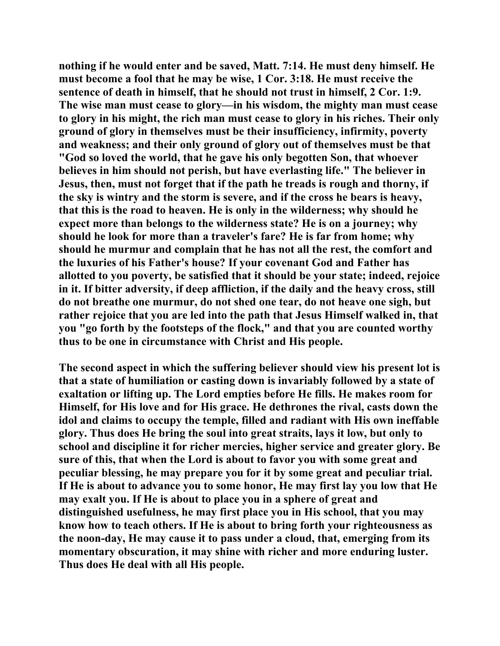**nothing if he would enter and be saved, Matt. 7:14. He must deny himself. He must become a fool that he may be wise, 1 Cor. 3:18. He must receive the sentence of death in himself, that he should not trust in himself, 2 Cor. 1:9. The wise man must cease to glory—in his wisdom, the mighty man must cease to glory in his might, the rich man must cease to glory in his riches. Their only ground of glory in themselves must be their insufficiency, infirmity, poverty and weakness; and their only ground of glory out of themselves must be that "God so loved the world, that he gave his only begotten Son, that whoever believes in him should not perish, but have everlasting life." The believer in Jesus, then, must not forget that if the path he treads is rough and thorny, if the sky is wintry and the storm is severe, and if the cross he bears is heavy, that this is the road to heaven. He is only in the wilderness; why should he expect more than belongs to the wilderness state? He is on a journey; why should he look for more than a traveler's fare? He is far from home; why should he murmur and complain that he has not all the rest, the comfort and the luxuries of his Father's house? If your covenant God and Father has allotted to you poverty, be satisfied that it should be your state; indeed, rejoice in it. If bitter adversity, if deep affliction, if the daily and the heavy cross, still do not breathe one murmur, do not shed one tear, do not heave one sigh, but rather rejoice that you are led into the path that Jesus Himself walked in, that you "go forth by the footsteps of the flock," and that you are counted worthy thus to be one in circumstance with Christ and His people.** 

**The second aspect in which the suffering believer should view his present lot is that a state of humiliation or casting down is invariably followed by a state of exaltation or lifting up. The Lord empties before He fills. He makes room for Himself, for His love and for His grace. He dethrones the rival, casts down the idol and claims to occupy the temple, filled and radiant with His own ineffable glory. Thus does He bring the soul into great straits, lays it low, but only to school and discipline it for richer mercies, higher service and greater glory. Be sure of this, that when the Lord is about to favor you with some great and peculiar blessing, he may prepare you for it by some great and peculiar trial. If He is about to advance you to some honor, He may first lay you low that He may exalt you. If He is about to place you in a sphere of great and distinguished usefulness, he may first place you in His school, that you may know how to teach others. If He is about to bring forth your righteousness as the noon-day, He may cause it to pass under a cloud, that, emerging from its momentary obscuration, it may shine with richer and more enduring luster. Thus does He deal with all His people.**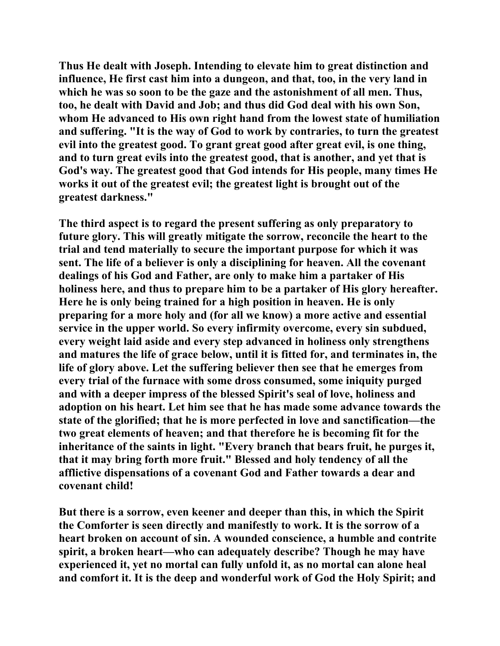**Thus He dealt with Joseph. Intending to elevate him to great distinction and influence, He first cast him into a dungeon, and that, too, in the very land in which he was so soon to be the gaze and the astonishment of all men. Thus, too, he dealt with David and Job; and thus did God deal with his own Son, whom He advanced to His own right hand from the lowest state of humiliation and suffering. "It is the way of God to work by contraries, to turn the greatest evil into the greatest good. To grant great good after great evil, is one thing, and to turn great evils into the greatest good, that is another, and yet that is God's way. The greatest good that God intends for His people, many times He works it out of the greatest evil; the greatest light is brought out of the greatest darkness."** 

**The third aspect is to regard the present suffering as only preparatory to future glory. This will greatly mitigate the sorrow, reconcile the heart to the trial and tend materially to secure the important purpose for which it was sent. The life of a believer is only a disciplining for heaven. All the covenant dealings of his God and Father, are only to make him a partaker of His holiness here, and thus to prepare him to be a partaker of His glory hereafter. Here he is only being trained for a high position in heaven. He is only preparing for a more holy and (for all we know) a more active and essential service in the upper world. So every infirmity overcome, every sin subdued, every weight laid aside and every step advanced in holiness only strengthens and matures the life of grace below, until it is fitted for, and terminates in, the life of glory above. Let the suffering believer then see that he emerges from every trial of the furnace with some dross consumed, some iniquity purged and with a deeper impress of the blessed Spirit's seal of love, holiness and adoption on his heart. Let him see that he has made some advance towards the state of the glorified; that he is more perfected in love and sanctification—the two great elements of heaven; and that therefore he is becoming fit for the inheritance of the saints in light. "Every branch that bears fruit, he purges it, that it may bring forth more fruit." Blessed and holy tendency of all the afflictive dispensations of a covenant God and Father towards a dear and covenant child!** 

**But there is a sorrow, even keener and deeper than this, in which the Spirit the Comforter is seen directly and manifestly to work. It is the sorrow of a heart broken on account of sin. A wounded conscience, a humble and contrite spirit, a broken heart—who can adequately describe? Though he may have experienced it, yet no mortal can fully unfold it, as no mortal can alone heal and comfort it. It is the deep and wonderful work of God the Holy Spirit; and**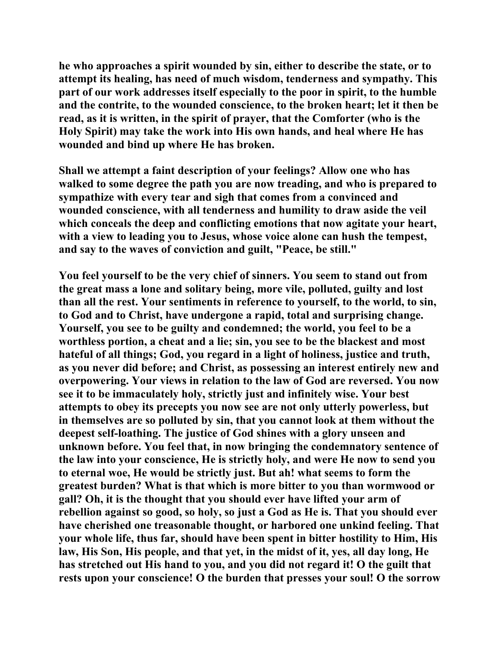**he who approaches a spirit wounded by sin, either to describe the state, or to attempt its healing, has need of much wisdom, tenderness and sympathy. This part of our work addresses itself especially to the poor in spirit, to the humble and the contrite, to the wounded conscience, to the broken heart; let it then be read, as it is written, in the spirit of prayer, that the Comforter (who is the Holy Spirit) may take the work into His own hands, and heal where He has wounded and bind up where He has broken.** 

**Shall we attempt a faint description of your feelings? Allow one who has walked to some degree the path you are now treading, and who is prepared to sympathize with every tear and sigh that comes from a convinced and wounded conscience, with all tenderness and humility to draw aside the veil which conceals the deep and conflicting emotions that now agitate your heart, with a view to leading you to Jesus, whose voice alone can hush the tempest, and say to the waves of conviction and guilt, "Peace, be still."** 

**You feel yourself to be the very chief of sinners. You seem to stand out from the great mass a lone and solitary being, more vile, polluted, guilty and lost than all the rest. Your sentiments in reference to yourself, to the world, to sin, to God and to Christ, have undergone a rapid, total and surprising change. Yourself, you see to be guilty and condemned; the world, you feel to be a worthless portion, a cheat and a lie; sin, you see to be the blackest and most hateful of all things; God, you regard in a light of holiness, justice and truth, as you never did before; and Christ, as possessing an interest entirely new and overpowering. Your views in relation to the law of God are reversed. You now see it to be immaculately holy, strictly just and infinitely wise. Your best attempts to obey its precepts you now see are not only utterly powerless, but in themselves are so polluted by sin, that you cannot look at them without the deepest self-loathing. The justice of God shines with a glory unseen and unknown before. You feel that, in now bringing the condemnatory sentence of the law into your conscience, He is strictly holy, and were He now to send you to eternal woe, He would be strictly just. But ah! what seems to form the greatest burden? What is that which is more bitter to you than wormwood or gall? Oh, it is the thought that you should ever have lifted your arm of rebellion against so good, so holy, so just a God as He is. That you should ever have cherished one treasonable thought, or harbored one unkind feeling. That your whole life, thus far, should have been spent in bitter hostility to Him, His law, His Son, His people, and that yet, in the midst of it, yes, all day long, He has stretched out His hand to you, and you did not regard it! O the guilt that rests upon your conscience! O the burden that presses your soul! O the sorrow**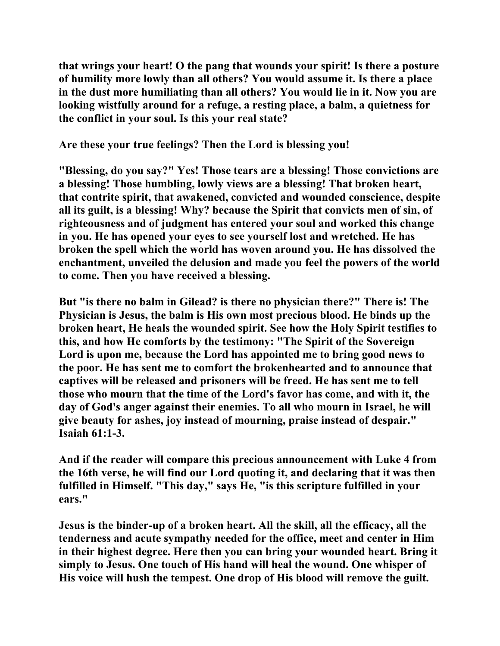**that wrings your heart! O the pang that wounds your spirit! Is there a posture of humility more lowly than all others? You would assume it. Is there a place in the dust more humiliating than all others? You would lie in it. Now you are looking wistfully around for a refuge, a resting place, a balm, a quietness for the conflict in your soul. Is this your real state?** 

**Are these your true feelings? Then the Lord is blessing you!** 

**"Blessing, do you say?" Yes! Those tears are a blessing! Those convictions are a blessing! Those humbling, lowly views are a blessing! That broken heart, that contrite spirit, that awakened, convicted and wounded conscience, despite all its guilt, is a blessing! Why? because the Spirit that convicts men of sin, of righteousness and of judgment has entered your soul and worked this change in you. He has opened your eyes to see yourself lost and wretched. He has broken the spell which the world has woven around you. He has dissolved the enchantment, unveiled the delusion and made you feel the powers of the world to come. Then you have received a blessing.** 

**But "is there no balm in Gilead? is there no physician there?" There is! The Physician is Jesus, the balm is His own most precious blood. He binds up the broken heart, He heals the wounded spirit. See how the Holy Spirit testifies to this, and how He comforts by the testimony: "The Spirit of the Sovereign Lord is upon me, because the Lord has appointed me to bring good news to the poor. He has sent me to comfort the brokenhearted and to announce that captives will be released and prisoners will be freed. He has sent me to tell those who mourn that the time of the Lord's favor has come, and with it, the day of God's anger against their enemies. To all who mourn in Israel, he will give beauty for ashes, joy instead of mourning, praise instead of despair." Isaiah 61:1-3.** 

**And if the reader will compare this precious announcement with Luke 4 from the 16th verse, he will find our Lord quoting it, and declaring that it was then fulfilled in Himself. "This day," says He, "is this scripture fulfilled in your ears."** 

**Jesus is the binder-up of a broken heart. All the skill, all the efficacy, all the tenderness and acute sympathy needed for the office, meet and center in Him in their highest degree. Here then you can bring your wounded heart. Bring it simply to Jesus. One touch of His hand will heal the wound. One whisper of His voice will hush the tempest. One drop of His blood will remove the guilt.**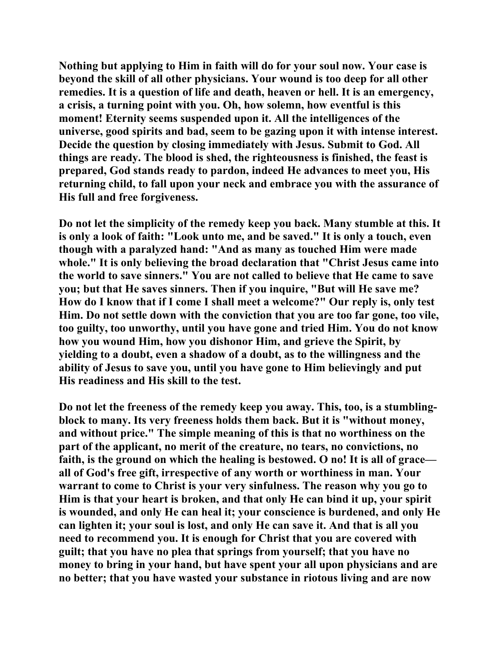**Nothing but applying to Him in faith will do for your soul now. Your case is beyond the skill of all other physicians. Your wound is too deep for all other remedies. It is a question of life and death, heaven or hell. It is an emergency, a crisis, a turning point with you. Oh, how solemn, how eventful is this moment! Eternity seems suspended upon it. All the intelligences of the universe, good spirits and bad, seem to be gazing upon it with intense interest. Decide the question by closing immediately with Jesus. Submit to God. All things are ready. The blood is shed, the righteousness is finished, the feast is prepared, God stands ready to pardon, indeed He advances to meet you, His returning child, to fall upon your neck and embrace you with the assurance of His full and free forgiveness.** 

**Do not let the simplicity of the remedy keep you back. Many stumble at this. It is only a look of faith: "Look unto me, and be saved." It is only a touch, even though with a paralyzed hand: "And as many as touched Him were made whole." It is only believing the broad declaration that "Christ Jesus came into the world to save sinners." You are not called to believe that He came to save you; but that He saves sinners. Then if you inquire, "But will He save me? How do I know that if I come I shall meet a welcome?" Our reply is, only test Him. Do not settle down with the conviction that you are too far gone, too vile, too guilty, too unworthy, until you have gone and tried Him. You do not know how you wound Him, how you dishonor Him, and grieve the Spirit, by yielding to a doubt, even a shadow of a doubt, as to the willingness and the ability of Jesus to save you, until you have gone to Him believingly and put His readiness and His skill to the test.** 

**Do not let the freeness of the remedy keep you away. This, too, is a stumblingblock to many. Its very freeness holds them back. But it is "without money, and without price." The simple meaning of this is that no worthiness on the part of the applicant, no merit of the creature, no tears, no convictions, no faith, is the ground on which the healing is bestowed. O no! It is all of grace all of God's free gift, irrespective of any worth or worthiness in man. Your warrant to come to Christ is your very sinfulness. The reason why you go to Him is that your heart is broken, and that only He can bind it up, your spirit is wounded, and only He can heal it; your conscience is burdened, and only He can lighten it; your soul is lost, and only He can save it. And that is all you need to recommend you. It is enough for Christ that you are covered with guilt; that you have no plea that springs from yourself; that you have no money to bring in your hand, but have spent your all upon physicians and are no better; that you have wasted your substance in riotous living and are now**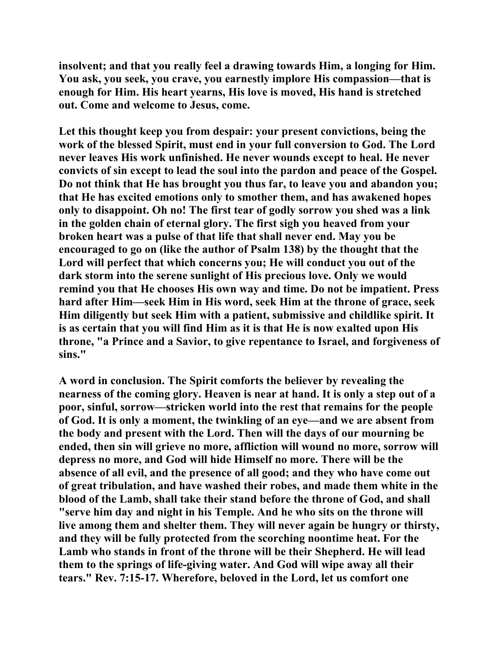**insolvent; and that you really feel a drawing towards Him, a longing for Him. You ask, you seek, you crave, you earnestly implore His compassion—that is enough for Him. His heart yearns, His love is moved, His hand is stretched out. Come and welcome to Jesus, come.** 

**Let this thought keep you from despair: your present convictions, being the work of the blessed Spirit, must end in your full conversion to God. The Lord never leaves His work unfinished. He never wounds except to heal. He never convicts of sin except to lead the soul into the pardon and peace of the Gospel. Do not think that He has brought you thus far, to leave you and abandon you; that He has excited emotions only to smother them, and has awakened hopes only to disappoint. Oh no! The first tear of godly sorrow you shed was a link in the golden chain of eternal glory. The first sigh you heaved from your broken heart was a pulse of that life that shall never end. May you be encouraged to go on (like the author of Psalm 138) by the thought that the Lord will perfect that which concerns you; He will conduct you out of the dark storm into the serene sunlight of His precious love. Only we would remind you that He chooses His own way and time. Do not be impatient. Press hard after Him—seek Him in His word, seek Him at the throne of grace, seek Him diligently but seek Him with a patient, submissive and childlike spirit. It is as certain that you will find Him as it is that He is now exalted upon His throne, "a Prince and a Savior, to give repentance to Israel, and forgiveness of sins."** 

**A word in conclusion. The Spirit comforts the believer by revealing the nearness of the coming glory. Heaven is near at hand. It is only a step out of a poor, sinful, sorrow—stricken world into the rest that remains for the people of God. It is only a moment, the twinkling of an eye—and we are absent from the body and present with the Lord. Then will the days of our mourning be ended, then sin will grieve no more, affliction will wound no more, sorrow will depress no more, and God will hide Himself no more. There will be the absence of all evil, and the presence of all good; and they who have come out of great tribulation, and have washed their robes, and made them white in the blood of the Lamb, shall take their stand before the throne of God, and shall "serve him day and night in his Temple. And he who sits on the throne will live among them and shelter them. They will never again be hungry or thirsty, and they will be fully protected from the scorching noontime heat. For the Lamb who stands in front of the throne will be their Shepherd. He will lead them to the springs of life-giving water. And God will wipe away all their tears." Rev. 7:15-17. Wherefore, beloved in the Lord, let us comfort one**